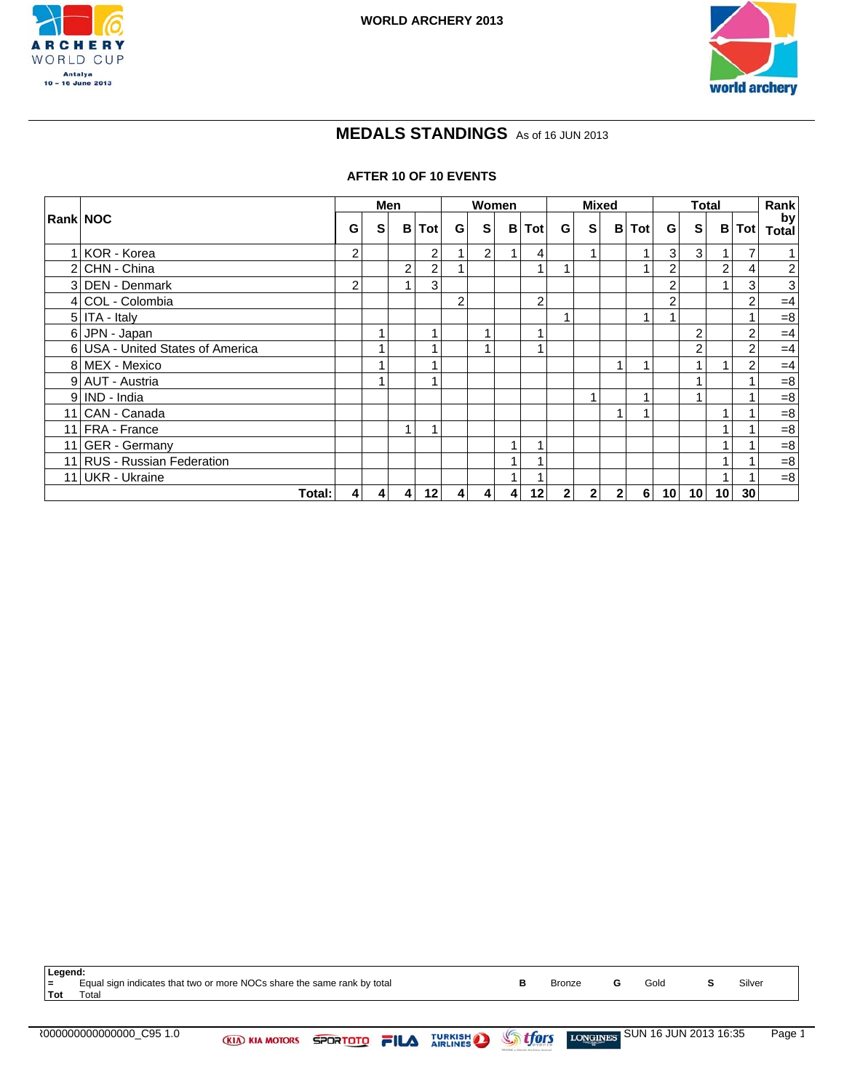



# **MEDALS STANDINGS** As of 16 JUN 2013

#### **AFTER 10 OF 10 EVENTS**

|                                  |                |                | Men            |                |                  |                  | Women            |                | <b>Mixed</b>   |                |           |          | <b>Total</b>   |                 |                | Rank |                    |
|----------------------------------|----------------|----------------|----------------|----------------|------------------|------------------|------------------|----------------|----------------|----------------|-----------|----------|----------------|-----------------|----------------|------|--------------------|
| <b>Rank NOC</b>                  | G              | S              |                | <b>B</b> ITot  | G                | S                | B                | Tot            | G I            | S              | B         | Tot      | G.             | S               | B              | Tot  | by<br><b>Total</b> |
| 1 KOR - Korea                    | 2              |                |                | 2              |                  | 2 <sub>1</sub>   |                  | 4              |                | 1              |           | и        | 3              | $\mathbf{3}$    |                | 7    | 1 <sup>1</sup>     |
| 2 CHN - China                    |                |                | 2              | 2              |                  |                  |                  |                |                |                |           |          | $\overline{2}$ |                 | $\overline{2}$ | 4    | $\mathbf{2}$       |
| 3 DEN - Denmark                  | 2              |                |                | 3 <sub>1</sub> |                  |                  |                  |                |                |                |           |          | 2              |                 |                | 3    | 3                  |
| 4 COL - Colombia                 |                |                |                |                | $\overline{2}$   |                  |                  | $\overline{2}$ |                |                |           |          | 2              |                 |                | 2    | $=4$               |
| 5 ITA - Italy                    |                |                |                |                |                  |                  |                  |                |                |                |           | 1        |                |                 |                |      | $=8$               |
| 6 JPN - Japan                    |                |                |                |                |                  |                  |                  |                |                |                |           |          |                | 2               |                | 2    | $=4$               |
| 6 USA - United States of America |                |                |                |                |                  |                  |                  |                |                |                |           |          |                | $\overline{2}$  |                | 2    | $=4$               |
| 8 MEX - Mexico                   |                |                |                |                |                  |                  |                  |                |                |                |           |          |                |                 |                | 2    | $=4$               |
| 9 AUT - Austria                  |                |                |                |                |                  |                  |                  |                |                |                |           |          |                |                 |                |      | $= 8$              |
| 9 IND - India                    |                |                |                |                |                  |                  |                  |                |                | 1              |           | и        |                |                 |                |      | $= 8$              |
| 11 CAN - Canada                  |                |                |                |                |                  |                  |                  |                |                |                |           |          |                |                 |                |      | $= 8$              |
| 11 FRA - France                  |                |                |                |                |                  |                  |                  |                |                |                |           |          |                |                 |                |      | $= 8$              |
| 11 GER - Germany                 |                |                |                |                |                  |                  | 1                |                |                |                |           |          |                |                 |                |      | $= 8$              |
| 11 RUS - Russian Federation      |                |                |                |                |                  |                  |                  |                |                |                |           |          |                |                 |                |      | $= 8$              |
| 11 UKR - Ukraine                 |                |                |                |                |                  |                  |                  |                |                |                |           |          |                |                 |                |      | $= 8$              |
| Total:                           | $\overline{4}$ | $\overline{4}$ | $\overline{4}$ | 12             | $\boldsymbol{4}$ | $\boldsymbol{4}$ | $\boldsymbol{4}$ | 12             | 2 <sup>1</sup> | $\overline{2}$ | $2 \vert$ | $6 \mid$ | 10             | 10 <sup>1</sup> | 10             | 30   |                    |

| Legend:    |                                                                         |               |      |        |
|------------|-------------------------------------------------------------------------|---------------|------|--------|
| $=$        | Equal sign indicates that two or more NOCs share the same rank by total | <b>Bronze</b> | Gold | Silver |
| <b>Tot</b> | Total                                                                   |               |      |        |
|            |                                                                         |               |      |        |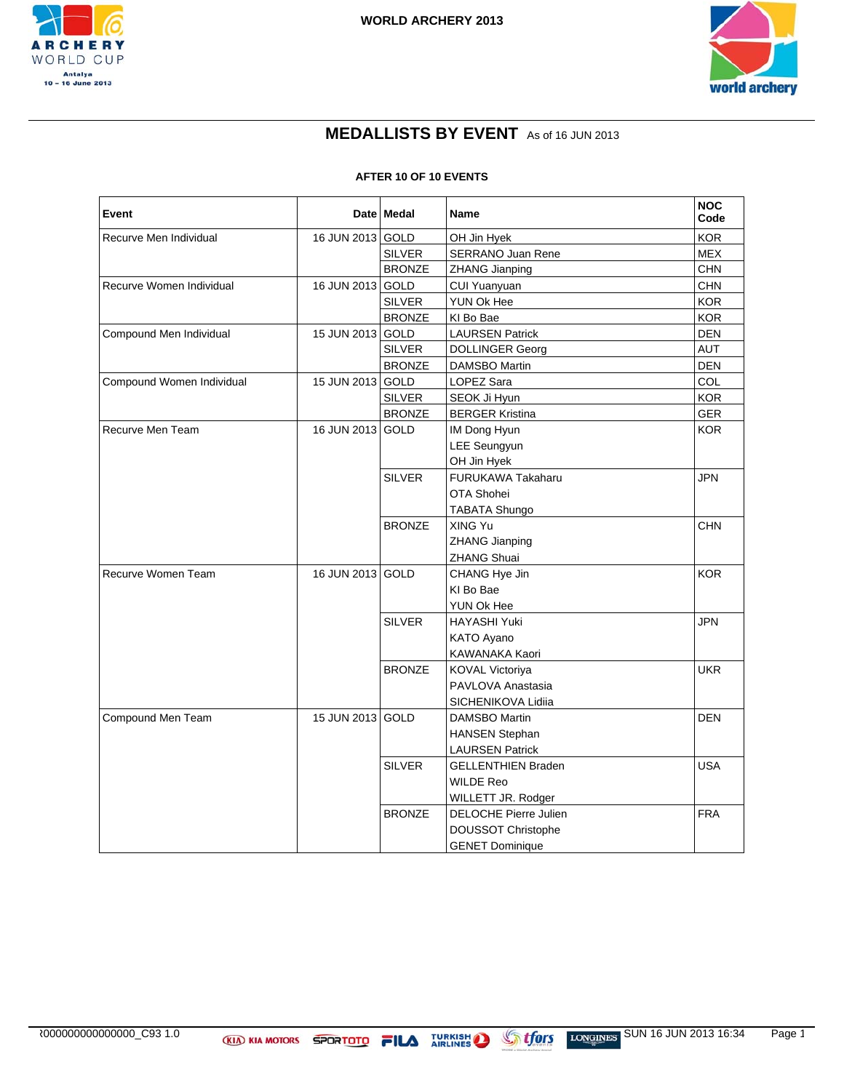



## **MEDALLISTS BY EVENT** As of 16 JUN 2013

#### **AFTER 10 OF 10 EVENTS**

| Event                     |                  | Date   Medal<br>Name |                           | <b>NOC</b><br>Code |
|---------------------------|------------------|----------------------|---------------------------|--------------------|
| Recurve Men Individual    | 16 JUN 2013 GOLD |                      | OH Jin Hyek               | <b>KOR</b>         |
|                           |                  | <b>SILVER</b>        | <b>SERRANO Juan Rene</b>  | <b>MEX</b>         |
|                           |                  | <b>BRONZE</b>        | <b>ZHANG Jianping</b>     | <b>CHN</b>         |
| Recurve Women Individual  | 16 JUN 2013 GOLD |                      | CUI Yuanyuan              | <b>CHN</b>         |
|                           |                  | <b>SILVER</b>        | YUN Ok Hee                | <b>KOR</b>         |
|                           |                  | <b>BRONZE</b>        | KI Bo Bae                 | <b>KOR</b>         |
| Compound Men Individual   | 15 JUN 2013 GOLD |                      | <b>LAURSEN Patrick</b>    | <b>DEN</b>         |
|                           |                  | <b>SILVER</b>        | <b>DOLLINGER Georg</b>    | <b>AUT</b>         |
|                           |                  | <b>BRONZE</b>        | DAMSBO Martin             | <b>DEN</b>         |
| Compound Women Individual | 15 JUN 2013 GOLD |                      | LOPEZ Sara                | COL                |
|                           |                  | <b>SILVER</b>        | SEOK Ji Hyun              | <b>KOR</b>         |
|                           |                  | <b>BRONZE</b>        | <b>BERGER Kristina</b>    | <b>GER</b>         |
| Recurve Men Team          | 16 JUN 2013 GOLD |                      | IM Dong Hyun              | KOR.               |
|                           |                  |                      | <b>LEE Seungyun</b>       |                    |
|                           |                  |                      | OH Jin Hyek               |                    |
|                           |                  | <b>SILVER</b>        | FURUKAWA Takaharu         | <b>JPN</b>         |
|                           |                  |                      | OTA Shohei                |                    |
|                           |                  |                      | <b>TABATA Shungo</b>      |                    |
|                           |                  | <b>BRONZE</b>        | XING Yu                   | CHN                |
|                           |                  |                      | <b>ZHANG Jianping</b>     |                    |
|                           |                  |                      | <b>ZHANG Shuai</b>        |                    |
| Recurve Women Team        | 16 JUN 2013 GOLD |                      | CHANG Hye Jin             | <b>KOR</b>         |
|                           |                  |                      | KI Bo Bae                 |                    |
|                           |                  |                      | YUN Ok Hee                |                    |
|                           |                  | <b>SILVER</b>        | HAYASHI Yuki              | <b>JPN</b>         |
|                           |                  |                      | KATO Ayano                |                    |
|                           |                  |                      | KAWANAKA Kaori            |                    |
|                           |                  | <b>BRONZE</b>        | <b>KOVAL Victoriya</b>    | <b>UKR</b>         |
|                           |                  |                      | PAVLOVA Anastasia         |                    |
|                           |                  |                      | SICHENIKOVA Lidiia        |                    |
| Compound Men Team         | 15 JUN 2013 GOLD |                      | DAMSBO Martin             | <b>DEN</b>         |
|                           |                  |                      | <b>HANSEN Stephan</b>     |                    |
|                           |                  |                      | <b>LAURSEN Patrick</b>    |                    |
|                           |                  | <b>SILVER</b>        | <b>GELLENTHIEN Braden</b> | <b>USA</b>         |
|                           |                  |                      | <b>WILDE Reo</b>          |                    |
|                           |                  |                      | WILLETT JR. Rodger        |                    |
|                           |                  | <b>BRONZE</b>        | DELOCHE Pierre Julien     | <b>FRA</b>         |
|                           |                  |                      | <b>DOUSSOT Christophe</b> |                    |
|                           |                  |                      | <b>GENET Dominique</b>    |                    |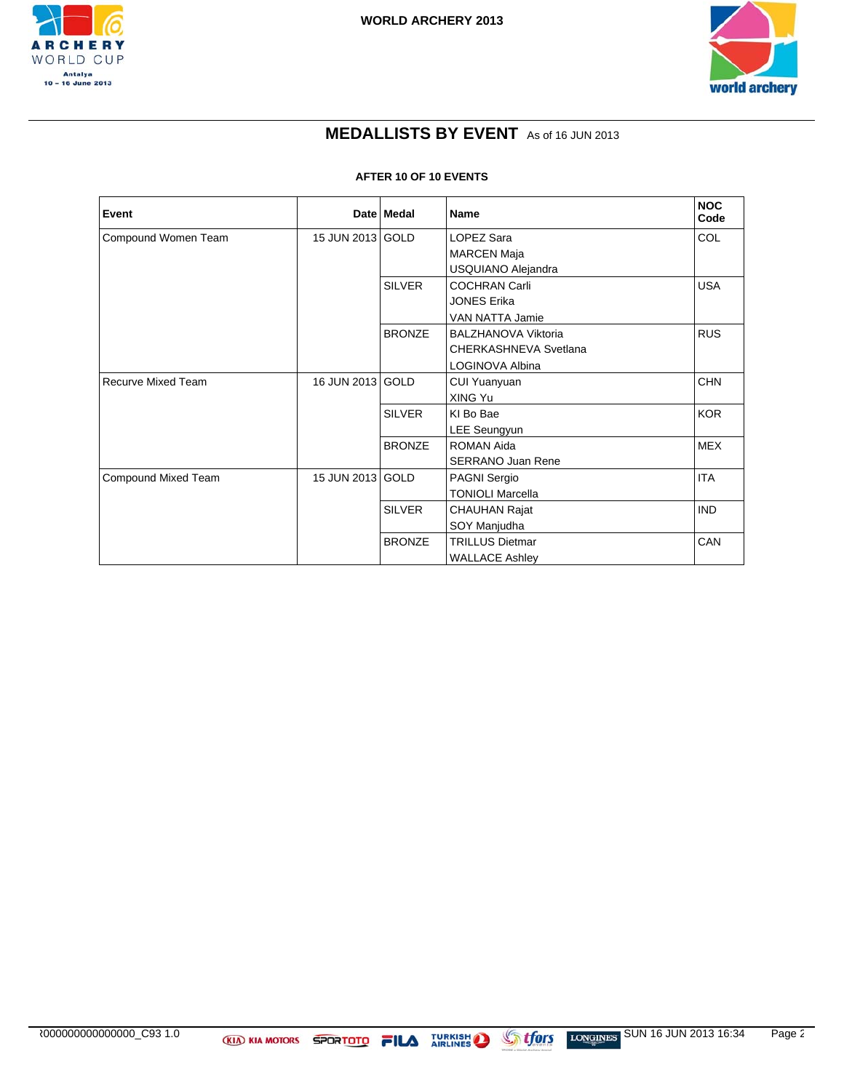



## **MEDALLISTS BY EVENT** As of 16 JUN 2013

#### **AFTER 10 OF 10 EVENTS**

| Event                     |                  | Date Medal    | Name                     | <b>NOC</b><br>Code |
|---------------------------|------------------|---------------|--------------------------|--------------------|
| Compound Women Team       | 15 JUN 2013 GOLD |               | LOPEZ Sara               | COL                |
|                           |                  |               | <b>MARCEN Maja</b>       |                    |
|                           |                  |               | USQUIANO Alejandra       |                    |
|                           |                  | <b>SILVER</b> | <b>COCHRAN Carli</b>     | <b>USA</b>         |
|                           |                  |               | <b>JONES Erika</b>       |                    |
|                           |                  |               | VAN NATTA Jamie          |                    |
|                           |                  | <b>BRONZE</b> | BALZHANOVA Viktoria      | <b>RUS</b>         |
|                           |                  |               | CHERKASHNEVA Svetlana    |                    |
|                           |                  |               | LOGINOVA Albina          |                    |
| <b>Recurve Mixed Team</b> | 16 JUN 2013 GOLD |               | CUI Yuanyuan             | <b>CHN</b>         |
|                           |                  |               | XING Yu                  |                    |
|                           |                  | <b>SILVER</b> | KI Bo Bae                | <b>KOR</b>         |
|                           |                  |               | <b>LEE Seungyun</b>      |                    |
|                           |                  | <b>BRONZE</b> | ROMAN Aida               | <b>MEX</b>         |
|                           |                  |               | <b>SERRANO Juan Rene</b> |                    |
| Compound Mixed Team       | 15 JUN 2013 GOLD |               | <b>PAGNI Sergio</b>      | <b>ITA</b>         |
|                           |                  |               | <b>TONIOLI Marcella</b>  |                    |
|                           |                  | <b>SILVER</b> | CHAUHAN Rajat            | <b>IND</b>         |
|                           |                  |               | SOY Manjudha             |                    |
|                           |                  | <b>BRONZE</b> | <b>TRILLUS Dietmar</b>   | CAN                |
|                           |                  |               | <b>WALLACE Ashley</b>    |                    |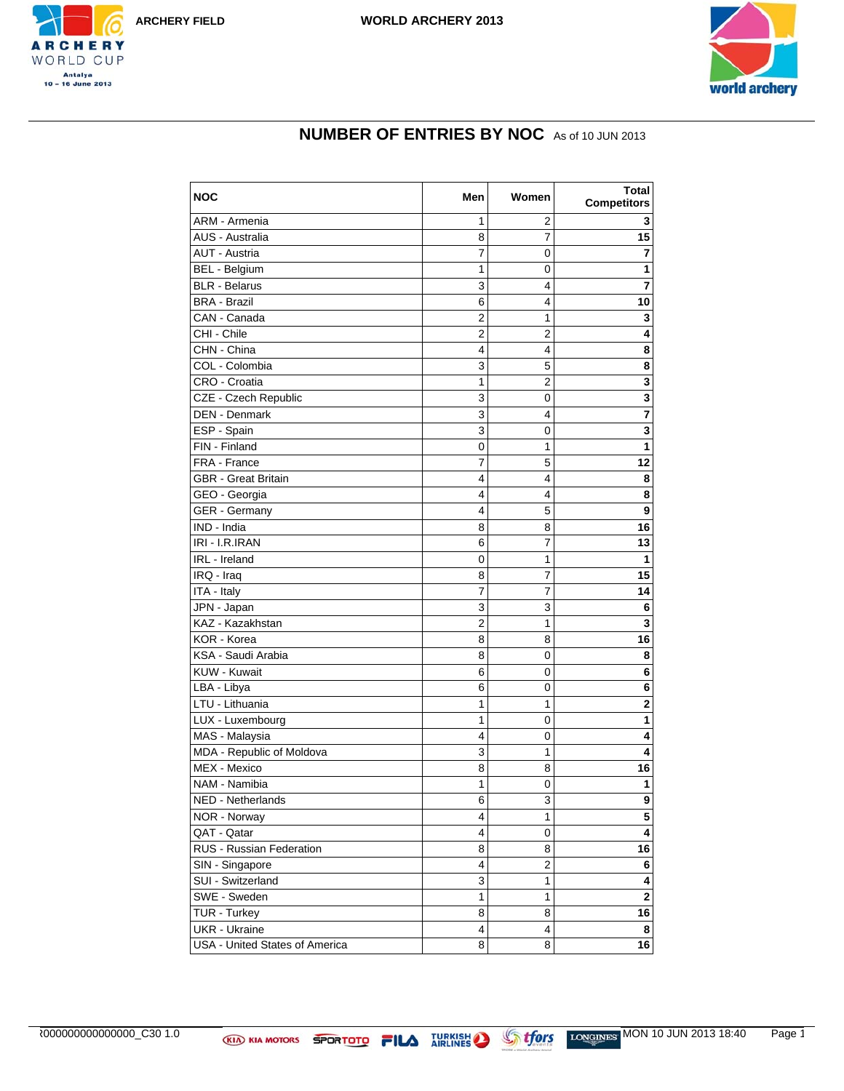





# **NUMBER OF ENTRIES BY NOC** As of 10 JUN 2013

| <b>NOC</b>                     | Men         | Women          | Total<br><b>Competitors</b> |
|--------------------------------|-------------|----------------|-----------------------------|
| ARM - Armenia                  | 1           | 2              | 3                           |
| AUS - Australia                | 8           | $\overline{7}$ | 15                          |
| <b>AUT - Austria</b>           | 7           | 0              | 7                           |
| <b>BEL - Belgium</b>           | 1           | 0              | 1                           |
| <b>BLR</b> - Belarus           | 3           | 4              | $\overline{7}$              |
| <b>BRA - Brazil</b>            | 6           | 4              | 10                          |
| CAN - Canada                   | 2           | 1              | 3                           |
| CHI - Chile                    | 2           | 2              | 4                           |
| CHN - China                    | 4           | 4              | 8                           |
| COL - Colombia                 | 3           | 5              | 8                           |
| CRO - Croatia                  | 1           | $\overline{2}$ | 3                           |
| CZE - Czech Republic           | 3           | 0              | 3                           |
| <b>DEN - Denmark</b>           | 3           | 4              | $\overline{\mathbf{z}}$     |
| ESP - Spain                    | 3           | 0              | 3                           |
| FIN - Finland                  | 0           | 1              | 1                           |
| FRA - France                   | 7           | 5              | 12                          |
| <b>GBR - Great Britain</b>     | 4           | 4              | 8                           |
| GEO - Georgia                  | 4           | 4              | 8                           |
| <b>GER</b> - Germany           | 4           | 5              | 9                           |
| IND - India                    | 8           | 8              | 16                          |
| IRI - I.R.IRAN                 | 6           | 7              | 13                          |
| IRL - Ireland                  | $\mathbf 0$ | 1              | 1                           |
| IRQ - Iraq                     | 8           | 7              | $\overline{15}$             |
| ITA - Italy                    | 7           | 7              | 14                          |
| JPN - Japan                    | 3           | 3              | 6                           |
| KAZ - Kazakhstan               | 2           | 1              | $\mathbf{3}$                |
| KOR - Korea                    | 8           | 8              | 16                          |
| KSA - Saudi Arabia             | 8           | 0              | 8                           |
| KUW - Kuwait                   | 6           | 0              | 6                           |
| LBA - Libya                    | 6           | 0              | 6                           |
| LTU - Lithuania                | 1           | 1              | 2                           |
| LUX - Luxembourg               | 1           | 0              | $\mathbf{1}$                |
| MAS - Malaysia                 | 4           | 0              | 4                           |
| MDA - Republic of Moldova      | 3           | 1              | 4                           |
| MEX - Mexico                   | 8           | 8              | 16                          |
| NAM - Namibia                  | 1           | 0              | 1                           |
| NED - Netherlands              | 6           | 3              | 9                           |
| NOR - Norway                   | 4           | $\mathbf{1}$   | $\overline{\mathbf{5}}$     |
| QAT - Qatar                    | 4           | 0              | $\overline{4}$              |
| RUS - Russian Federation       | 8           | 8              | 16                          |
| SIN - Singapore                | 4           | $\overline{2}$ | 6                           |
| SUI - Switzerland              | 3           | $\mathbf{1}$   | 4                           |
| SWE - Sweden                   | 1           | 1              | $\overline{\mathbf{2}}$     |
| TUR - Turkey                   | 8           | 8              | 16                          |
| <b>UKR</b> - Ukraine           | 4           | 4              | 8                           |
| USA - United States of America | 8           | 8              | 16                          |

AR000000000000000\_C30 1.0 MON 10 JUN 2013 18:40 Page 1/2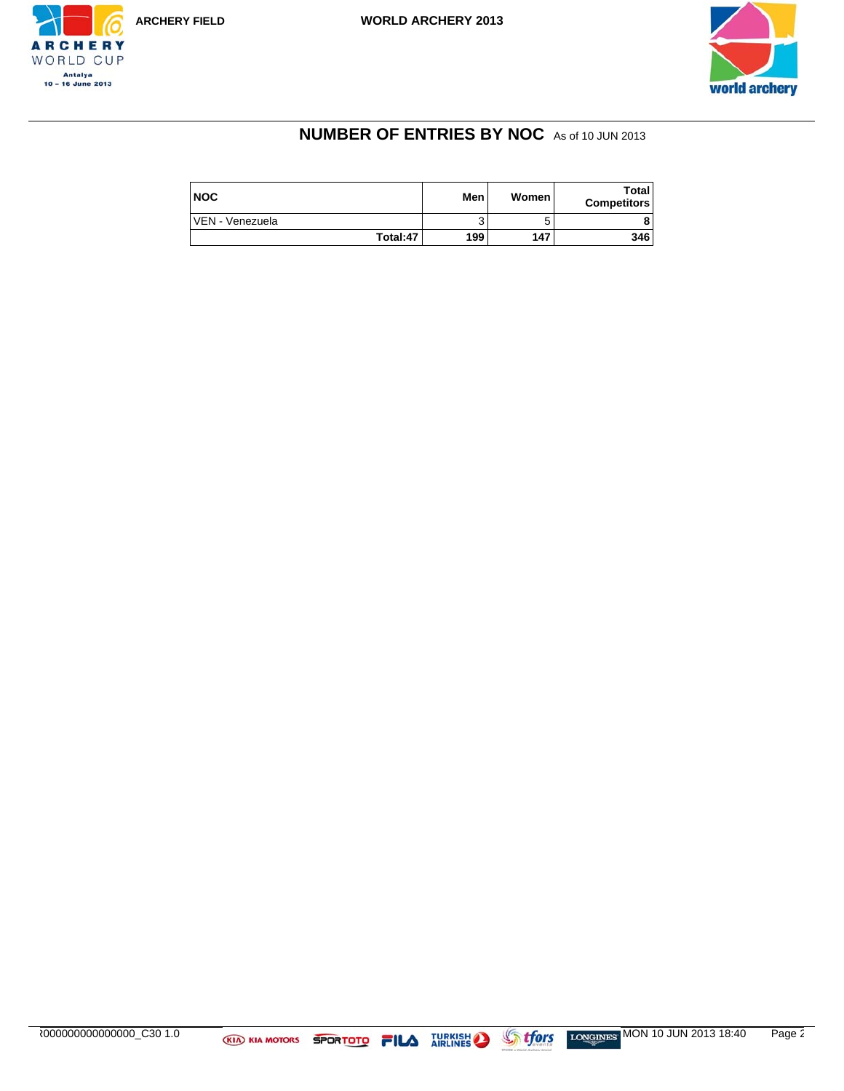



# **NUMBER OF ENTRIES BY NOC** As of 10 JUN 2013

| <b>NOC</b>      | Men | Women | Total<br><b>Competitors</b> |
|-----------------|-----|-------|-----------------------------|
| VEN - Venezuela |     |       |                             |
| Total: 47       | 199 | 147   | 346                         |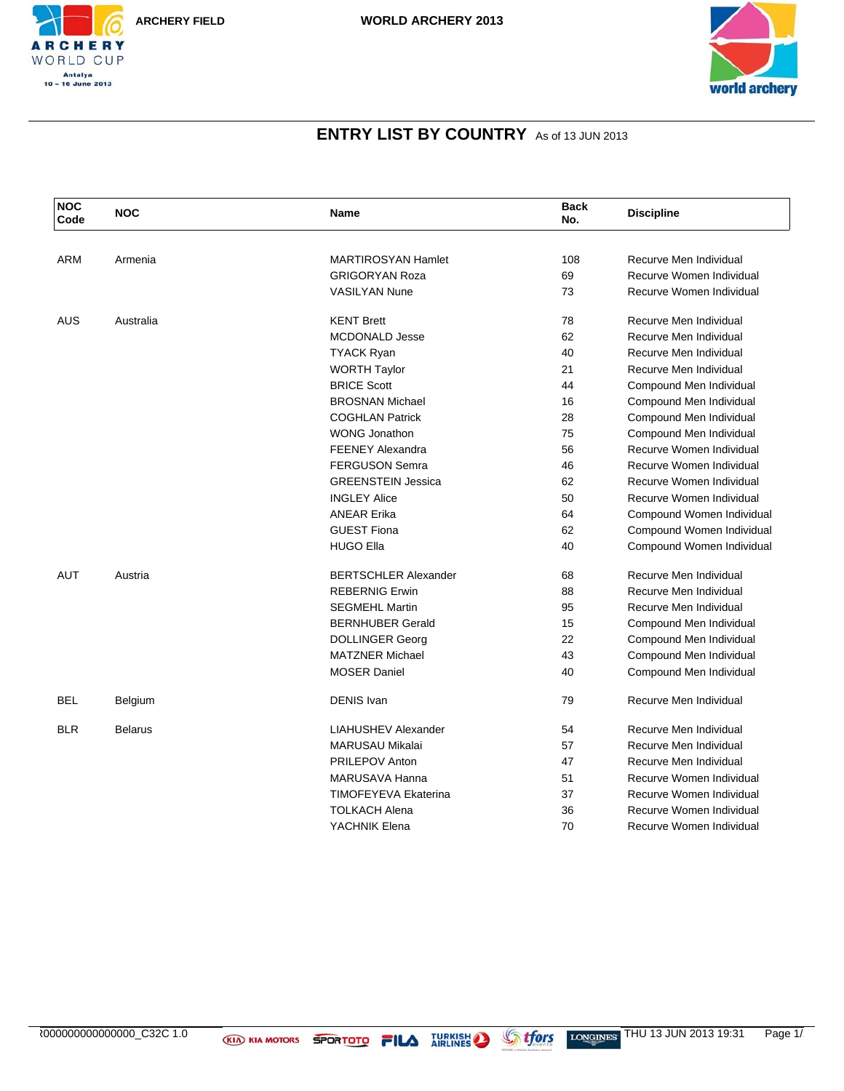



| <b>NOC</b><br>Code | <b>NOC</b>     | <b>Name</b>                 | <b>Back</b><br>No. | <b>Discipline</b>         |
|--------------------|----------------|-----------------------------|--------------------|---------------------------|
|                    |                |                             |                    |                           |
| ARM                | Armenia        | <b>MARTIROSYAN Hamlet</b>   | 108                | Recurve Men Individual    |
|                    |                | <b>GRIGORYAN Roza</b>       | 69                 | Recurve Women Individual  |
|                    |                | <b>VASILYAN Nune</b>        | 73                 | Recurve Women Individual  |
| <b>AUS</b>         | Australia      | <b>KENT Brett</b>           | 78                 | Recurve Men Individual    |
|                    |                | <b>MCDONALD Jesse</b>       | 62                 | Recurve Men Individual    |
|                    |                | <b>TYACK Ryan</b>           | 40                 | Recurve Men Individual    |
|                    |                | <b>WORTH Taylor</b>         | 21                 | Recurve Men Individual    |
|                    |                | <b>BRICE Scott</b>          | 44                 | Compound Men Individual   |
|                    |                | <b>BROSNAN Michael</b>      | 16                 | Compound Men Individual   |
|                    |                | <b>COGHLAN Patrick</b>      | 28                 | Compound Men Individual   |
|                    |                | <b>WONG Jonathon</b>        | 75                 | Compound Men Individual   |
|                    |                | <b>FEENEY Alexandra</b>     | 56                 | Recurve Women Individual  |
|                    |                | <b>FERGUSON Semra</b>       | 46                 | Recurve Women Individual  |
|                    |                | <b>GREENSTEIN Jessica</b>   | 62                 | Recurve Women Individual  |
|                    |                | <b>INGLEY Alice</b>         | 50                 | Recurve Women Individual  |
|                    |                | <b>ANEAR Erika</b>          | 64                 | Compound Women Individual |
|                    |                | <b>GUEST Fiona</b>          | 62                 | Compound Women Individual |
|                    |                | <b>HUGO Ella</b>            | 40                 | Compound Women Individual |
| <b>AUT</b>         | Austria        | <b>BERTSCHLER Alexander</b> | 68                 | Recurve Men Individual    |
|                    |                | <b>REBERNIG Erwin</b>       | 88                 | Recurve Men Individual    |
|                    |                | <b>SEGMEHL Martin</b>       | 95                 | Recurve Men Individual    |
|                    |                | <b>BERNHUBER Gerald</b>     | 15                 | Compound Men Individual   |
|                    |                | <b>DOLLINGER Georg</b>      | 22                 | Compound Men Individual   |
|                    |                | <b>MATZNER Michael</b>      | 43                 | Compound Men Individual   |
|                    |                | <b>MOSER Daniel</b>         | 40                 | Compound Men Individual   |
| <b>BEL</b>         | Belgium        | <b>DENIS Ivan</b>           | 79                 | Recurve Men Individual    |
| <b>BLR</b>         | <b>Belarus</b> | <b>LIAHUSHEV Alexander</b>  | 54                 | Recurve Men Individual    |
|                    |                | <b>MARUSAU Mikalai</b>      | 57                 | Recurve Men Individual    |
|                    |                | <b>PRILEPOV Anton</b>       | 47                 | Recurve Men Individual    |
|                    |                | MARUSAVA Hanna              | 51                 | Recurve Women Individual  |
|                    |                | <b>TIMOFEYEVA Ekaterina</b> | 37                 | Recurve Women Individual  |
|                    |                | <b>TOLKACH Alena</b>        | 36                 | Recurve Women Individual  |
|                    |                | YACHNIK Elena               | 70                 | Recurve Women Individual  |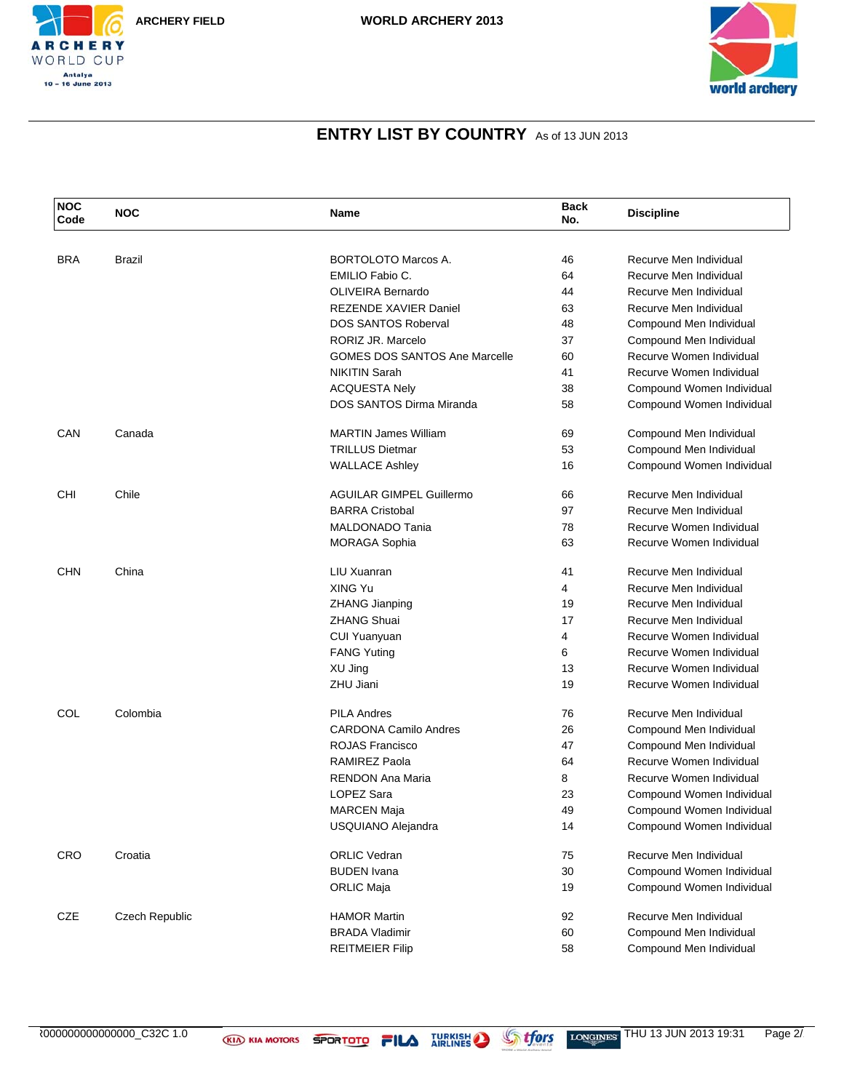

| <b>NOC</b><br>Code | <b>NOC</b>     | Name                                 | <b>Back</b><br>No. | <b>Discipline</b>         |
|--------------------|----------------|--------------------------------------|--------------------|---------------------------|
|                    |                |                                      |                    |                           |
| <b>BRA</b>         | Brazil         | <b>BORTOLOTO Marcos A.</b>           | 46                 | Recurve Men Individual    |
|                    |                | EMILIO Fabio C.                      | 64                 | Recurve Men Individual    |
|                    |                | OLIVEIRA Bernardo                    | 44                 | Recurve Men Individual    |
|                    |                | <b>REZENDE XAVIER Daniel</b>         | 63                 | Recurve Men Individual    |
|                    |                | <b>DOS SANTOS Roberval</b>           | 48                 | Compound Men Individual   |
|                    |                | RORIZ JR. Marcelo                    | 37                 | Compound Men Individual   |
|                    |                | <b>GOMES DOS SANTOS Ane Marcelle</b> | 60                 | Recurve Women Individual  |
|                    |                | <b>NIKITIN Sarah</b>                 | 41                 | Recurve Women Individual  |
|                    |                | <b>ACQUESTA Nely</b>                 | 38                 | Compound Women Individual |
|                    |                | DOS SANTOS Dirma Miranda             | 58                 | Compound Women Individual |
| CAN                | Canada         | <b>MARTIN James William</b>          | 69                 | Compound Men Individual   |
|                    |                | <b>TRILLUS Dietmar</b>               | 53                 | Compound Men Individual   |
|                    |                | <b>WALLACE Ashley</b>                | 16                 | Compound Women Individual |
| CHI                | Chile          | <b>AGUILAR GIMPEL Guillermo</b>      | 66                 | Recurve Men Individual    |
|                    |                | <b>BARRA Cristobal</b>               | 97                 | Recurve Men Individual    |
|                    |                | MALDONADO Tania                      | 78                 | Recurve Women Individual  |
|                    |                | MORAGA Sophia                        | 63                 | Recurve Women Individual  |
| <b>CHN</b>         | China          | LIU Xuanran                          | 41                 | Recurve Men Individual    |
|                    |                | XING Yu                              | 4                  | Recurve Men Individual    |
|                    |                | <b>ZHANG Jianping</b>                | 19                 | Recurve Men Individual    |
|                    |                | <b>ZHANG Shuai</b>                   | 17                 | Recurve Men Individual    |
|                    |                | <b>CUI Yuanyuan</b>                  | 4                  | Recurve Women Individual  |
|                    |                | <b>FANG Yuting</b>                   | 6                  | Recurve Women Individual  |
|                    |                | XU Jing                              | 13                 | Recurve Women Individual  |
|                    |                | ZHU Jiani                            | 19                 | Recurve Women Individual  |
| COL                | Colombia       | <b>PILA Andres</b>                   | 76                 | Recurve Men Individual    |
|                    |                | <b>CARDONA Camilo Andres</b>         | 26                 | Compound Men Individual   |
|                    |                | ROJAS Francisco                      | 47                 | Compound Men Individual   |
|                    |                | <b>RAMIREZ Paola</b>                 | 64                 | Recurve Women Individual  |
|                    |                | <b>RENDON Ana Maria</b>              | 8                  | Recurve Women Individual  |
|                    |                | <b>LOPEZ Sara</b>                    | 23                 | Compound Women Individual |
|                    |                | <b>MARCEN Maja</b>                   | 49                 | Compound Women Individual |
|                    |                | USQUIANO Alejandra                   | 14                 | Compound Women Individual |
| <b>CRO</b>         | Croatia        | <b>ORLIC Vedran</b>                  | 75                 | Recurve Men Individual    |
|                    |                | <b>BUDEN</b> Ivana                   | 30                 | Compound Women Individual |
|                    |                | <b>ORLIC Maja</b>                    | 19                 | Compound Women Individual |
| CZE                | Czech Republic | <b>HAMOR Martin</b>                  | 92                 | Recurve Men Individual    |
|                    |                | <b>BRADA Vladimir</b>                | 60                 | Compound Men Individual   |
|                    |                | <b>REITMEIER Filip</b>               | 58                 | Compound Men Individual   |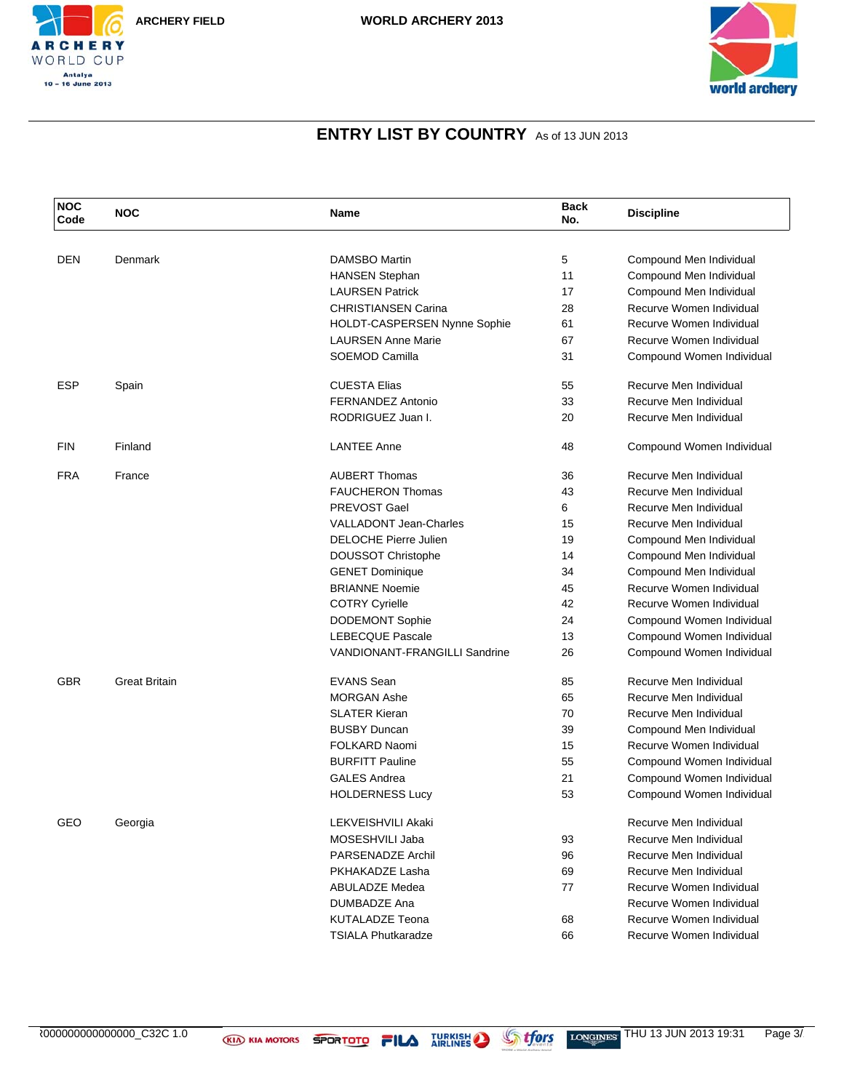



| <b>NOC</b><br>Code | <b>NOC</b>           | Name                                                             | <b>Back</b><br>No. | <b>Discipline</b>                                    |
|--------------------|----------------------|------------------------------------------------------------------|--------------------|------------------------------------------------------|
|                    |                      |                                                                  |                    |                                                      |
| <b>DEN</b>         | Denmark              | <b>DAMSBO Martin</b>                                             | 5<br>11            | Compound Men Individual                              |
|                    |                      | <b>HANSEN Stephan</b>                                            |                    | Compound Men Individual                              |
|                    |                      | <b>LAURSEN Patrick</b><br><b>CHRISTIANSEN Carina</b>             | 17                 | Compound Men Individual                              |
|                    |                      |                                                                  | 28<br>61           | Recurve Women Individual<br>Recurve Women Individual |
|                    |                      | <b>HOLDT-CASPERSEN Nynne Sophie</b><br><b>LAURSEN Anne Marie</b> | 67                 | Recurve Women Individual                             |
|                    |                      | SOEMOD Camilla                                                   | 31                 |                                                      |
|                    |                      |                                                                  |                    | Compound Women Individual                            |
| <b>ESP</b>         | Spain                | <b>CUESTA Elias</b>                                              | 55                 | Recurve Men Individual                               |
|                    |                      | <b>FERNANDEZ Antonio</b>                                         | 33                 | Recurve Men Individual                               |
|                    |                      | RODRIGUEZ Juan I.                                                | 20                 | Recurve Men Individual                               |
| <b>FIN</b>         | Finland              | <b>LANTEE Anne</b>                                               | 48                 | Compound Women Individual                            |
| <b>FRA</b>         | France               | <b>AUBERT Thomas</b>                                             | 36                 | Recurve Men Individual                               |
|                    |                      | <b>FAUCHERON Thomas</b>                                          | 43                 | Recurve Men Individual                               |
|                    |                      | PREVOST Gael                                                     | 6                  | Recurve Men Individual                               |
|                    |                      | <b>VALLADONT Jean-Charles</b>                                    | 15                 | Recurve Men Individual                               |
|                    |                      | <b>DELOCHE Pierre Julien</b>                                     | 19                 | Compound Men Individual                              |
|                    |                      | <b>DOUSSOT Christophe</b>                                        | 14                 | Compound Men Individual                              |
|                    |                      | <b>GENET Dominique</b>                                           | 34                 | Compound Men Individual                              |
|                    |                      | <b>BRIANNE Noemie</b>                                            | 45                 | Recurve Women Individual                             |
|                    |                      | <b>COTRY Cyrielle</b>                                            | 42                 | Recurve Women Individual                             |
|                    |                      | <b>DODEMONT Sophie</b>                                           | 24                 | Compound Women Individual                            |
|                    |                      | <b>LEBECQUE Pascale</b>                                          | 13                 | Compound Women Individual                            |
|                    |                      | <b>VANDIONANT-FRANGILLI Sandrine</b>                             | 26                 | Compound Women Individual                            |
| <b>GBR</b>         | <b>Great Britain</b> | <b>EVANS Sean</b>                                                | 85                 | Recurve Men Individual                               |
|                    |                      | <b>MORGAN Ashe</b>                                               | 65                 | Recurve Men Individual                               |
|                    |                      | <b>SLATER Kieran</b>                                             | 70                 | Recurve Men Individual                               |
|                    |                      | <b>BUSBY Duncan</b>                                              | 39                 | Compound Men Individual                              |
|                    |                      | <b>FOLKARD Naomi</b>                                             | 15                 | Recurve Women Individual                             |
|                    |                      | <b>BURFITT Pauline</b>                                           | 55                 | Compound Women Individual                            |
|                    |                      | <b>GALES Andrea</b>                                              | 21                 | Compound Women Individual                            |
|                    |                      | <b>HOLDERNESS Lucy</b>                                           | 53                 | Compound Women Individual                            |
| GEO                | Georgia              | <b>LEKVEISHVILI Akaki</b>                                        |                    | Recurve Men Individual                               |
|                    |                      | MOSESHVILI Jaba                                                  | 93                 | Recurve Men Individual                               |
|                    |                      | PARSENADZE Archil                                                | 96                 | Recurve Men Individual                               |
|                    |                      | PKHAKADZE Lasha                                                  | 69                 | Recurve Men Individual                               |
|                    |                      | ABULADZE Medea                                                   | 77                 | Recurve Women Individual                             |
|                    |                      | DUMBADZE Ana                                                     |                    | Recurve Women Individual                             |
|                    |                      | <b>KUTALADZE Teona</b>                                           | 68                 | Recurve Women Individual                             |
|                    |                      | <b>TSIALA Phutkaradze</b>                                        | 66                 | Recurve Women Individual                             |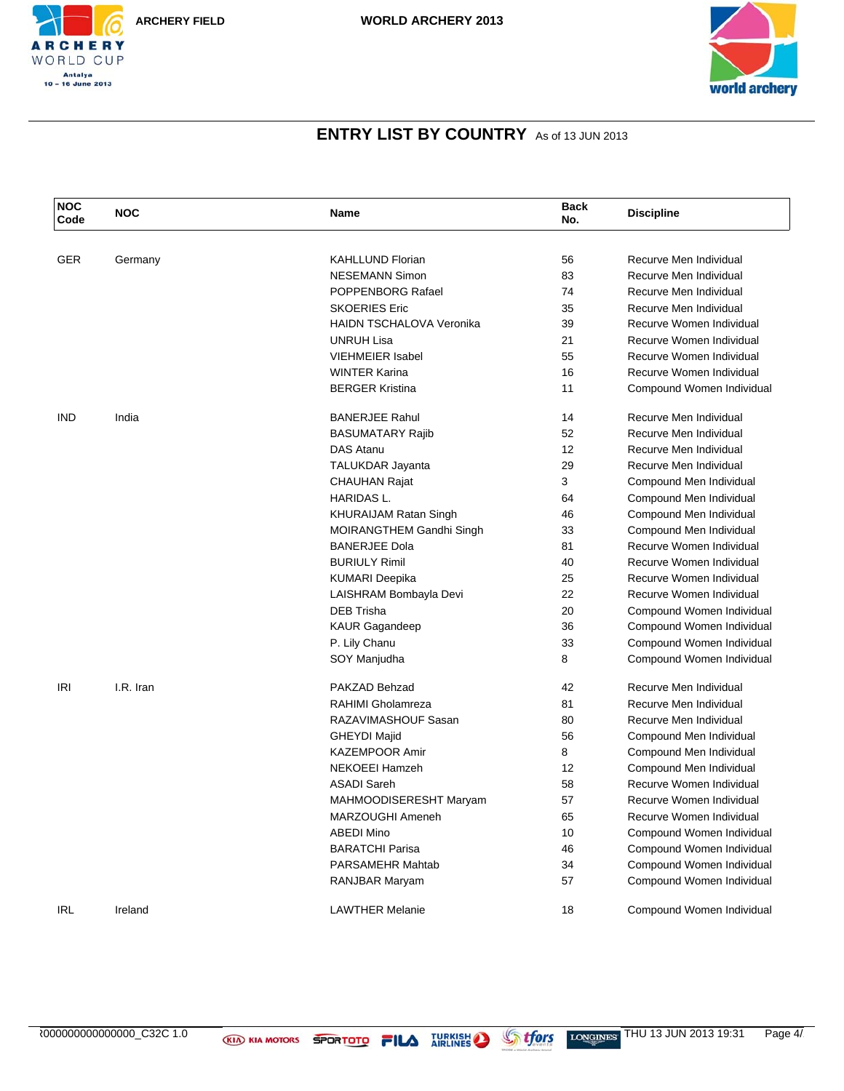



| <b>NOC</b><br>Code | <b>NOC</b> | Name                            | <b>Back</b><br>No. | <b>Discipline</b>         |
|--------------------|------------|---------------------------------|--------------------|---------------------------|
|                    |            |                                 |                    |                           |
| <b>GER</b>         | Germany    | <b>KAHLLUND Florian</b>         | 56                 | Recurve Men Individual    |
|                    |            | <b>NESEMANN Simon</b>           | 83                 | Recurve Men Individual    |
|                    |            | POPPENBORG Rafael               | 74                 | Recurve Men Individual    |
|                    |            | <b>SKOERIES Eric</b>            | 35                 | Recurve Men Individual    |
|                    |            | <b>HAIDN TSCHALOVA Veronika</b> | 39                 | Recurve Women Individual  |
|                    |            | <b>UNRUH Lisa</b>               | 21                 | Recurve Women Individual  |
|                    |            | <b>VIEHMEIER Isabel</b>         | 55                 | Recurve Women Individual  |
|                    |            | <b>WINTER Karina</b>            | 16                 | Recurve Women Individual  |
|                    |            | <b>BERGER Kristina</b>          | 11                 | Compound Women Individual |
| IND                | India      | <b>BANERJEE Rahul</b>           | 14                 | Recurve Men Individual    |
|                    |            | <b>BASUMATARY Rajib</b>         | 52                 | Recurve Men Individual    |
|                    |            | <b>DAS Atanu</b>                | 12                 | Recurve Men Individual    |
|                    |            | <b>TALUKDAR Jayanta</b>         | 29                 | Recurve Men Individual    |
|                    |            | <b>CHAUHAN Rajat</b>            | 3                  | Compound Men Individual   |
|                    |            | HARIDAS L.                      | 64                 | Compound Men Individual   |
|                    |            | KHURAIJAM Ratan Singh           | 46                 | Compound Men Individual   |
|                    |            | MOIRANGTHEM Gandhi Singh        | 33                 | Compound Men Individual   |
|                    |            | <b>BANERJEE Dola</b>            | 81                 | Recurve Women Individual  |
|                    |            | <b>BURIULY Rimil</b>            | 40                 | Recurve Women Individual  |
|                    |            | <b>KUMARI Deepika</b>           | 25                 | Recurve Women Individual  |
|                    |            | LAISHRAM Bombayla Devi          | 22                 | Recurve Women Individual  |
|                    |            | <b>DEB Trisha</b>               | 20                 | Compound Women Individual |
|                    |            | KAUR Gagandeep                  | 36                 | Compound Women Individual |
|                    |            | P. Lily Chanu                   | 33                 | Compound Women Individual |
|                    |            | SOY Manjudha                    | 8                  | Compound Women Individual |
| <b>IRI</b>         | I.R. Iran  | PAKZAD Behzad                   | 42                 | Recurve Men Individual    |
|                    |            | RAHIMI Gholamreza               | 81                 | Recurve Men Individual    |
|                    |            | RAZAVIMASHOUF Sasan             | 80                 | Recurve Men Individual    |
|                    |            | <b>GHEYDI Majid</b>             | 56                 | Compound Men Individual   |
|                    |            | <b>KAZEMPOOR Amir</b>           | 8                  | Compound Men Individual   |
|                    |            | <b>NEKOEEI Hamzeh</b>           | 12                 | Compound Men Individual   |
|                    |            | <b>ASADI Sareh</b>              | 58                 | Recurve Women Individual  |
|                    |            | MAHMOODISERESHT Maryam          | 57                 | Recurve Women Individual  |
|                    |            | MARZOUGHI Ameneh                | 65                 | Recurve Women Individual  |
|                    |            | <b>ABEDI Mino</b>               | 10                 | Compound Women Individual |
|                    |            | <b>BARATCHI Parisa</b>          | 46                 | Compound Women Individual |
|                    |            | PARSAMEHR Mahtab                | 34                 | Compound Women Individual |
|                    |            | RANJBAR Maryam                  | 57                 | Compound Women Individual |
| IRL                | Ireland    | <b>LAWTHER Melanie</b>          | 18                 | Compound Women Individual |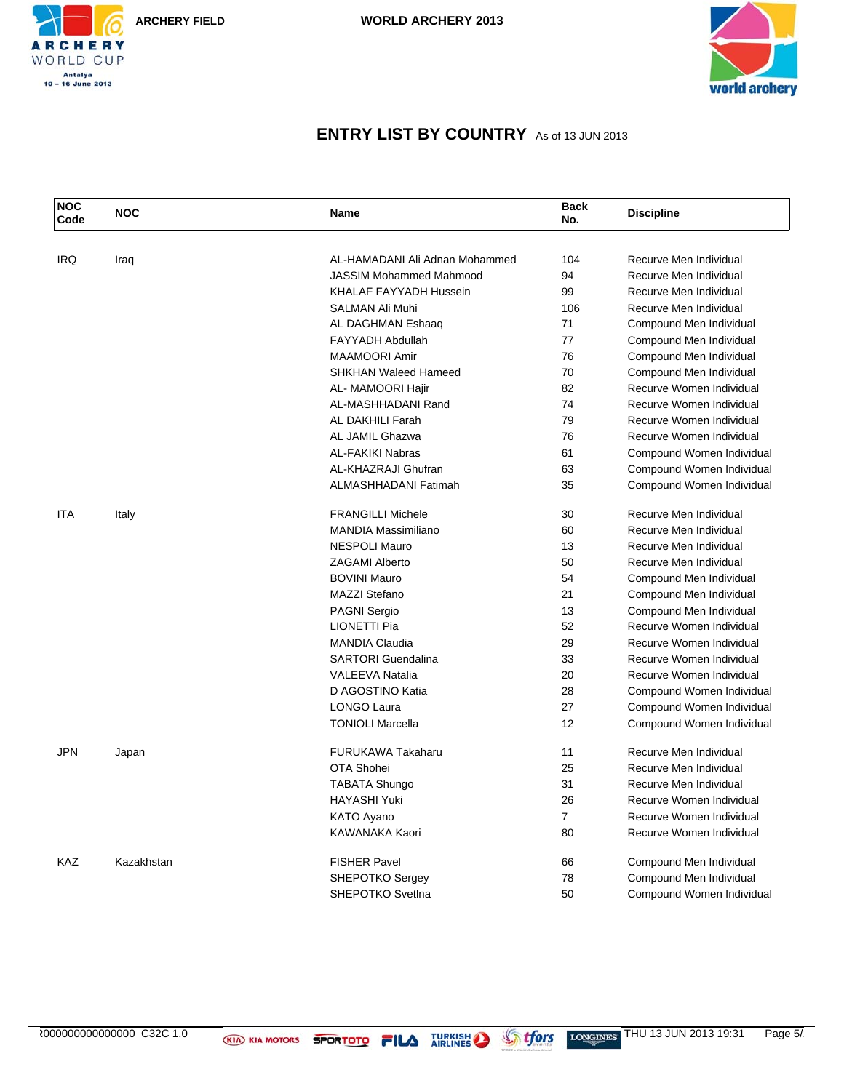





| <b>NOC</b><br>Code | <b>NOC</b> | <b>Name</b>                    | <b>Back</b><br>No. | <b>Discipline</b>         |
|--------------------|------------|--------------------------------|--------------------|---------------------------|
|                    |            |                                |                    |                           |
| <b>IRQ</b>         | Iraq       | AL-HAMADANI Ali Adnan Mohammed | 104                | Recurve Men Individual    |
|                    |            | <b>JASSIM Mohammed Mahmood</b> | 94                 | Recurve Men Individual    |
|                    |            | <b>KHALAF FAYYADH Hussein</b>  | 99                 | Recurve Men Individual    |
|                    |            | SALMAN Ali Muhi                | 106                | Recurve Men Individual    |
|                    |            | AL DAGHMAN Eshaaq              | 71                 | Compound Men Individual   |
|                    |            | <b>FAYYADH Abdullah</b>        | 77                 | Compound Men Individual   |
|                    |            | <b>MAAMOORI Amir</b>           | 76                 | Compound Men Individual   |
|                    |            | <b>SHKHAN Waleed Hameed</b>    | 70                 | Compound Men Individual   |
|                    |            | AL- MAMOORI Hajir              | 82                 | Recurve Women Individual  |
|                    |            | AL-MASHHADANI Rand             | 74                 | Recurve Women Individual  |
|                    |            | AL DAKHILI Farah               | 79                 | Recurve Women Individual  |
|                    |            | AL JAMIL Ghazwa                | 76                 | Recurve Women Individual  |
|                    |            | <b>AL-FAKIKI Nabras</b>        | 61                 | Compound Women Individual |
|                    |            | AL-KHAZRAJI Ghufran            | 63                 | Compound Women Individual |
|                    |            | ALMASHHADANI Fatimah           | 35                 | Compound Women Individual |
| <b>ITA</b>         | Italy      | <b>FRANGILLI Michele</b>       | 30                 | Recurve Men Individual    |
|                    |            | <b>MANDIA Massimiliano</b>     | 60                 | Recurve Men Individual    |
|                    |            | <b>NESPOLI Mauro</b>           | 13                 | Recurve Men Individual    |
|                    |            | <b>ZAGAMI Alberto</b>          | 50                 | Recurve Men Individual    |
|                    |            | <b>BOVINI Mauro</b>            | 54                 | Compound Men Individual   |
|                    |            | <b>MAZZI Stefano</b>           | 21                 | Compound Men Individual   |
|                    |            | <b>PAGNI Sergio</b>            | 13                 | Compound Men Individual   |
|                    |            | <b>LIONETTI Pia</b>            | 52                 | Recurve Women Individual  |
|                    |            | <b>MANDIA Claudia</b>          | 29                 | Recurve Women Individual  |
|                    |            | <b>SARTORI</b> Guendalina      | 33                 | Recurve Women Individual  |
|                    |            | <b>VALEEVA Natalia</b>         | 20                 | Recurve Women Individual  |
|                    |            | D AGOSTINO Katia               | 28                 | Compound Women Individual |
|                    |            | <b>LONGO Laura</b>             | 27                 | Compound Women Individual |
|                    |            | <b>TONIOLI Marcella</b>        | 12                 | Compound Women Individual |
| JPN                | Japan      | <b>FURUKAWA Takaharu</b>       | 11                 | Recurve Men Individual    |
|                    |            | OTA Shohei                     | 25                 | Recurve Men Individual    |
|                    |            | <b>TABATA Shungo</b>           | 31                 | Recurve Men Individual    |
|                    |            | <b>HAYASHI Yuki</b>            | 26                 | Recurve Women Individual  |
|                    |            | KATO Ayano                     | $\overline{7}$     | Recurve Women Individual  |
|                    |            | KAWANAKA Kaori                 | 80                 | Recurve Women Individual  |
| <b>KAZ</b>         | Kazakhstan | <b>FISHER Pavel</b>            | 66                 | Compound Men Individual   |
|                    |            | <b>SHEPOTKO Sergey</b>         | 78                 | Compound Men Individual   |
|                    |            | <b>SHEPOTKO Svetlna</b>        | 50                 | Compound Women Individual |

AR000000000000000\_C32C 1.0 THU 13 JUN 2013 19:31 Page 5/10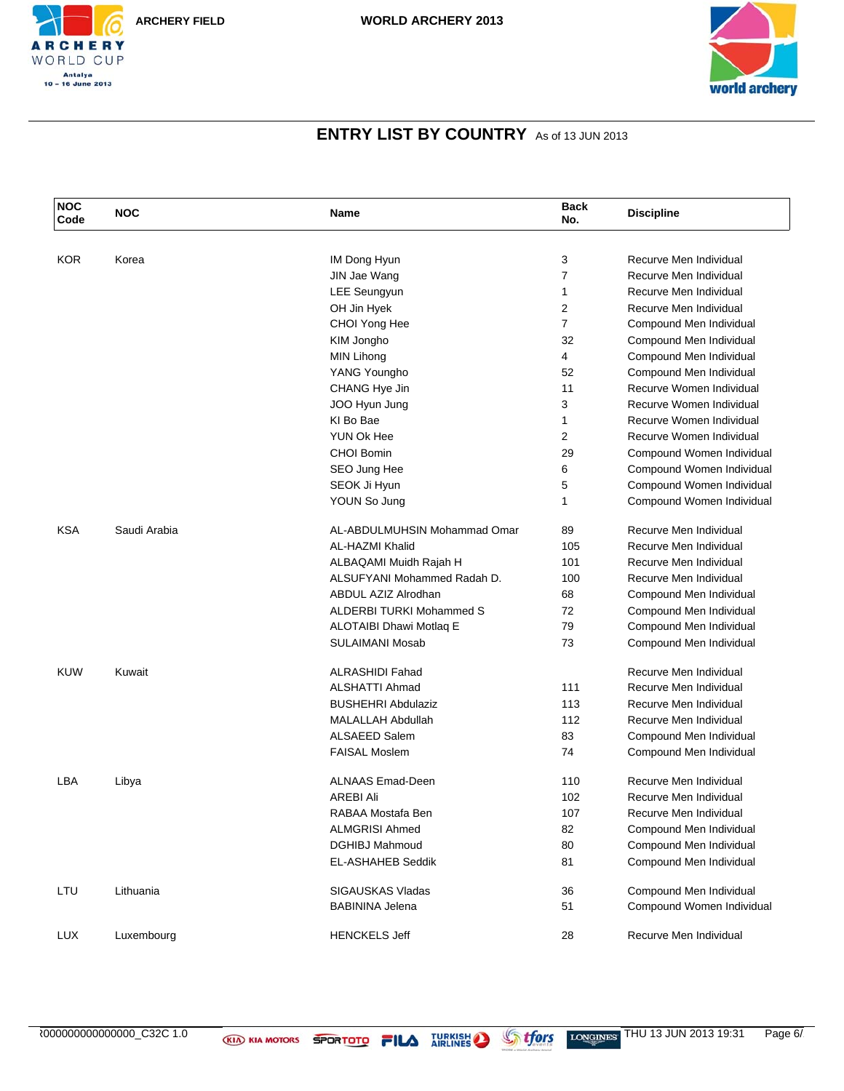



| <b>NOC</b><br>Code | <b>NOC</b>   | Name                            | <b>Back</b><br>No. | <b>Discipline</b>         |
|--------------------|--------------|---------------------------------|--------------------|---------------------------|
|                    |              |                                 |                    |                           |
| <b>KOR</b>         | Korea        | IM Dong Hyun                    | 3                  | Recurve Men Individual    |
|                    |              | JIN Jae Wang                    | $\overline{7}$     | Recurve Men Individual    |
|                    |              | <b>LEE Seungyun</b>             | 1                  | Recurve Men Individual    |
|                    |              | OH Jin Hyek                     | $\overline{2}$     | Recurve Men Individual    |
|                    |              | CHOI Yong Hee                   | $\overline{7}$     | Compound Men Individual   |
|                    |              | KIM Jongho                      | 32                 | Compound Men Individual   |
|                    |              | MIN Lihong                      | 4                  | Compound Men Individual   |
|                    |              | YANG Youngho                    | 52                 | Compound Men Individual   |
|                    |              | CHANG Hye Jin                   | 11                 | Recurve Women Individual  |
|                    |              | JOO Hyun Jung                   | 3                  | Recurve Women Individual  |
|                    |              | KI Bo Bae                       | $\mathbf{1}$       | Recurve Women Individual  |
|                    |              | YUN Ok Hee                      | 2                  | Recurve Women Individual  |
|                    |              | <b>CHOI Bomin</b>               | 29                 | Compound Women Individual |
|                    |              | SEO Jung Hee                    | 6                  | Compound Women Individual |
|                    |              | SEOK Ji Hyun                    | 5                  | Compound Women Individual |
|                    |              | YOUN So Jung                    | 1                  | Compound Women Individual |
| <b>KSA</b>         | Saudi Arabia | AL-ABDULMUHSIN Mohammad Omar    | 89                 | Recurve Men Individual    |
|                    |              | AL-HAZMI Khalid                 | 105                | Recurve Men Individual    |
|                    |              | ALBAQAMI Muidh Rajah H          | 101                | Recurve Men Individual    |
|                    |              | ALSUFYANI Mohammed Radah D.     | 100                | Recurve Men Individual    |
|                    |              | ABDUL AZIZ Alrodhan             | 68                 | Compound Men Individual   |
|                    |              | <b>ALDERBI TURKI Mohammed S</b> | 72                 | Compound Men Individual   |
|                    |              | ALOTAIBI Dhawi Motlaq E         | 79                 | Compound Men Individual   |
|                    |              | <b>SULAIMANI Mosab</b>          | 73                 | Compound Men Individual   |
| <b>KUW</b>         | Kuwait       | <b>ALRASHIDI Fahad</b>          |                    | Recurve Men Individual    |
|                    |              | ALSHATTI Ahmad                  | 111                | Recurve Men Individual    |
|                    |              | <b>BUSHEHRI Abdulaziz</b>       | 113                | Recurve Men Individual    |
|                    |              | <b>MALALLAH Abdullah</b>        | 112                | Recurve Men Individual    |
|                    |              | <b>ALSAEED Salem</b>            | 83                 | Compound Men Individual   |
|                    |              | <b>FAISAL Moslem</b>            | 74                 | Compound Men Individual   |
| LBA                | Libya        | <b>ALNAAS Emad-Deen</b>         | 110                | Recurve Men Individual    |
|                    |              | <b>AREBI Ali</b>                | 102                | Recurve Men Individual    |
|                    |              | RABAA Mostafa Ben               | 107                | Recurve Men Individual    |
|                    |              | <b>ALMGRISI Ahmed</b>           | 82                 | Compound Men Individual   |
|                    |              | <b>DGHIBJ Mahmoud</b>           | 80                 | Compound Men Individual   |
|                    |              | <b>EL-ASHAHEB Seddik</b>        | 81                 | Compound Men Individual   |
| LTU                | Lithuania    | SIGAUSKAS Vladas                | 36                 | Compound Men Individual   |
|                    |              | <b>BABININA Jelena</b>          | 51                 | Compound Women Individual |
| <b>LUX</b>         | Luxembourg   | <b>HENCKELS Jeff</b>            | 28                 | Recurve Men Individual    |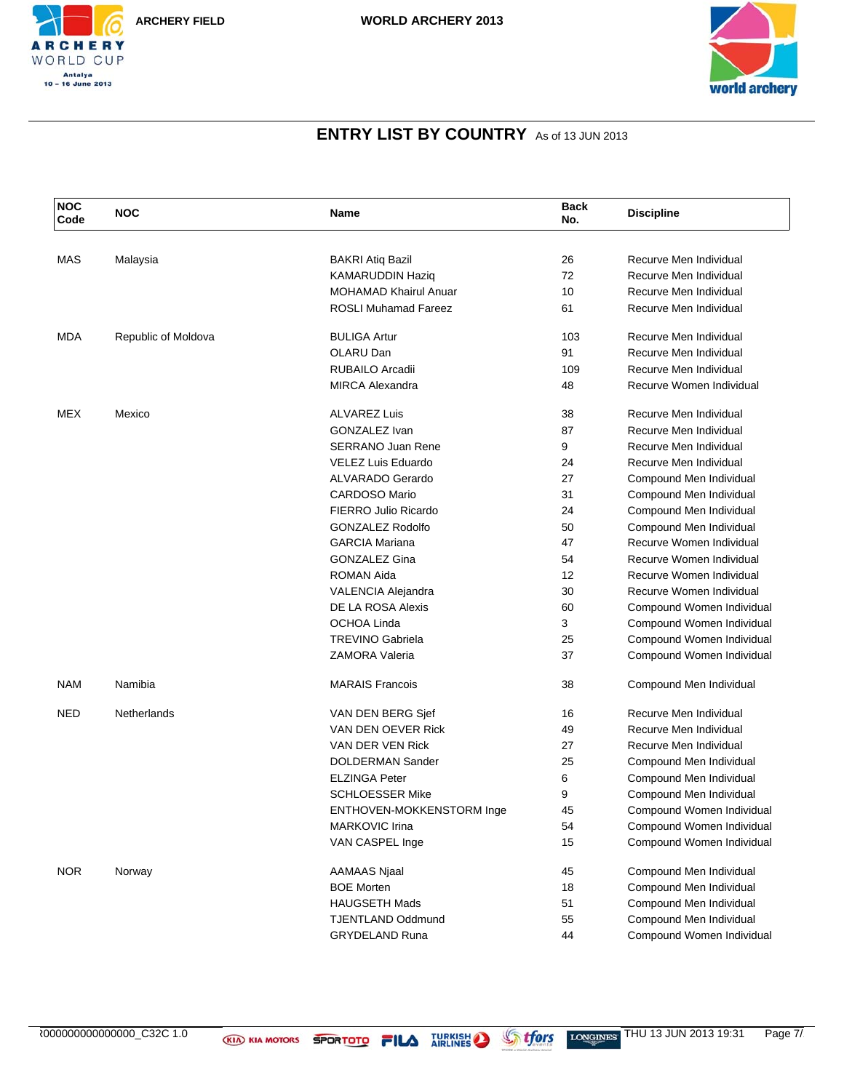



| <b>NOC</b><br>Code | <b>NOC</b>          | Name                         | <b>Back</b><br>No. | <b>Discipline</b>         |  |
|--------------------|---------------------|------------------------------|--------------------|---------------------------|--|
|                    |                     |                              |                    |                           |  |
| <b>MAS</b>         | Malaysia            | <b>BAKRI Atiq Bazil</b>      | 26                 | Recurve Men Individual    |  |
|                    |                     | <b>KAMARUDDIN Haziq</b>      | 72                 | Recurve Men Individual    |  |
|                    |                     | <b>MOHAMAD Khairul Anuar</b> | 10                 | Recurve Men Individual    |  |
|                    |                     | <b>ROSLI Muhamad Fareez</b>  | 61                 | Recurve Men Individual    |  |
| <b>MDA</b>         | Republic of Moldova | <b>BULIGA Artur</b>          | 103                | Recurve Men Individual    |  |
|                    |                     | OLARU Dan                    | 91                 | Recurve Men Individual    |  |
|                    |                     | RUBAILO Arcadii              | 109                | Recurve Men Individual    |  |
|                    |                     | <b>MIRCA Alexandra</b>       | 48                 | Recurve Women Individual  |  |
| MEX                | Mexico              | <b>ALVAREZ Luis</b>          | 38                 | Recurve Men Individual    |  |
|                    |                     | GONZALEZ Ivan                | 87                 | Recurve Men Individual    |  |
|                    |                     | <b>SERRANO Juan Rene</b>     | 9                  | Recurve Men Individual    |  |
|                    |                     | <b>VELEZ Luis Eduardo</b>    | 24                 | Recurve Men Individual    |  |
|                    |                     | <b>ALVARADO Gerardo</b>      | 27                 | Compound Men Individual   |  |
|                    |                     | <b>CARDOSO Mario</b>         | 31                 | Compound Men Individual   |  |
|                    |                     | FIERRO Julio Ricardo         | 24                 | Compound Men Individual   |  |
|                    |                     | <b>GONZALEZ Rodolfo</b>      | 50                 | Compound Men Individual   |  |
|                    |                     | <b>GARCIA Mariana</b>        | 47                 | Recurve Women Individual  |  |
|                    |                     | <b>GONZALEZ Gina</b>         | 54                 | Recurve Women Individual  |  |
|                    |                     | <b>ROMAN Aida</b>            | 12                 | Recurve Women Individual  |  |
|                    |                     | VALENCIA Alejandra           | 30                 | Recurve Women Individual  |  |
|                    |                     | DE LA ROSA Alexis            | 60                 | Compound Women Individual |  |
|                    |                     | OCHOA Linda                  | 3                  | Compound Women Individual |  |
|                    |                     | <b>TREVINO Gabriela</b>      | 25                 | Compound Women Individual |  |
|                    |                     | <b>ZAMORA Valeria</b>        | 37                 | Compound Women Individual |  |
| <b>NAM</b>         | Namibia             | <b>MARAIS Francois</b>       | 38                 | Compound Men Individual   |  |
| <b>NED</b>         | Netherlands         | VAN DEN BERG Sjef            | 16                 | Recurve Men Individual    |  |
|                    |                     | VAN DEN OEVER Rick           | 49                 | Recurve Men Individual    |  |
|                    |                     | VAN DER VEN Rick             | 27                 | Recurve Men Individual    |  |
|                    |                     | <b>DOLDERMAN Sander</b>      | 25                 | Compound Men Individual   |  |
|                    |                     | <b>ELZINGA Peter</b>         | 6                  | Compound Men Individual   |  |
|                    |                     | <b>SCHLOESSER Mike</b>       | 9                  | Compound Men Individual   |  |
|                    |                     | ENTHOVEN-MOKKENSTORM Inge    | 45                 | Compound Women Individual |  |
|                    |                     | MARKOVIC Irina               | 54                 | Compound Women Individual |  |
|                    |                     | VAN CASPEL Inge              | 15                 | Compound Women Individual |  |
| <b>NOR</b>         | Norway              | <b>AAMAAS Njaal</b>          | 45                 | Compound Men Individual   |  |
|                    |                     | <b>BOE Morten</b>            | 18                 | Compound Men Individual   |  |
|                    |                     | <b>HAUGSETH Mads</b>         | 51                 | Compound Men Individual   |  |
|                    |                     | <b>TJENTLAND Oddmund</b>     | 55                 | Compound Men Individual   |  |
|                    |                     | <b>GRYDELAND Runa</b>        | 44                 | Compound Women Individual |  |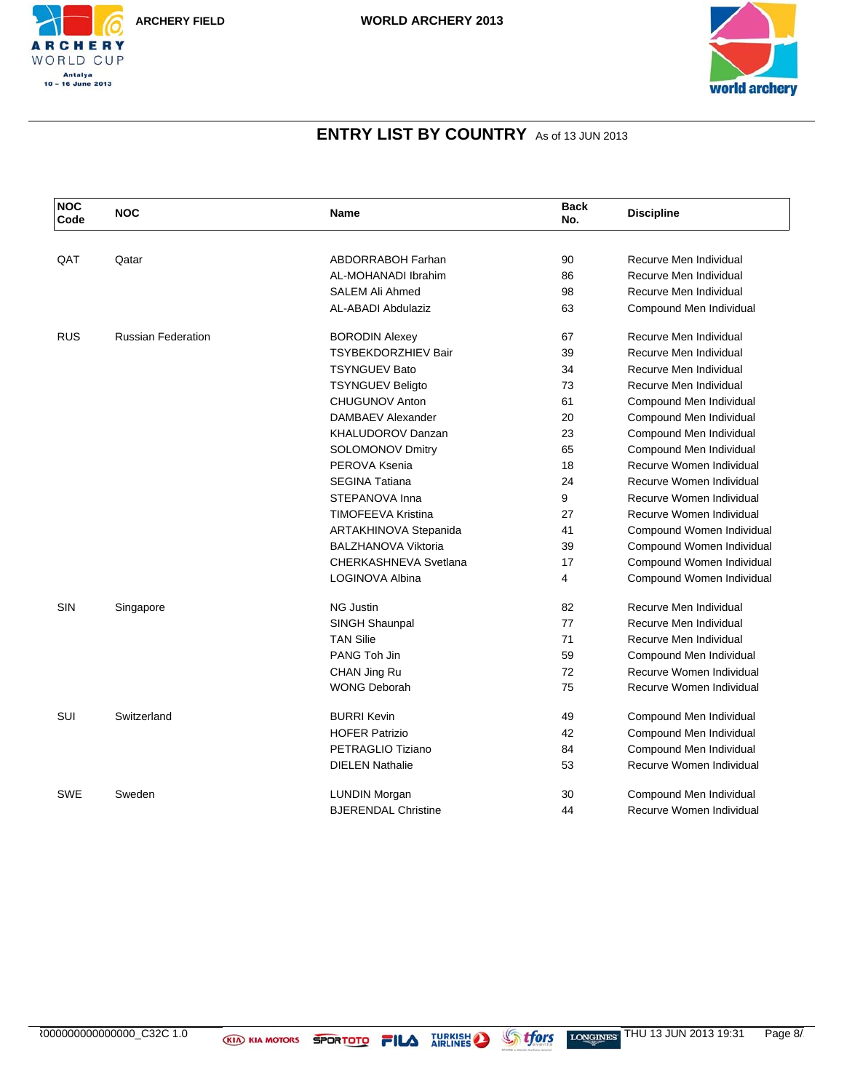



| <b>NOC</b><br>Code | <b>NOC</b>                | Name                       | <b>Back</b><br>No. | <b>Discipline</b>         |
|--------------------|---------------------------|----------------------------|--------------------|---------------------------|
|                    |                           |                            |                    |                           |
| QAT                | Qatar                     | <b>ABDORRABOH Farhan</b>   | 90                 | Recurve Men Individual    |
|                    |                           | AL-MOHANADI Ibrahim        | 86                 | Recurve Men Individual    |
|                    |                           | <b>SALEM Ali Ahmed</b>     | 98                 | Recurve Men Individual    |
|                    |                           | AL-ABADI Abdulaziz         | 63                 | Compound Men Individual   |
| <b>RUS</b>         | <b>Russian Federation</b> | <b>BORODIN Alexey</b>      | 67                 | Recurve Men Individual    |
|                    |                           | <b>TSYBEKDORZHIEV Bair</b> | 39                 | Recurve Men Individual    |
|                    |                           | <b>TSYNGUEV Bato</b>       | 34                 | Recurve Men Individual    |
|                    |                           | <b>TSYNGUEV Beligto</b>    | 73                 | Recurve Men Individual    |
|                    |                           | <b>CHUGUNOV Anton</b>      | 61                 | Compound Men Individual   |
|                    |                           | <b>DAMBAEV Alexander</b>   | 20                 | Compound Men Individual   |
|                    |                           | <b>KHALUDOROV Danzan</b>   | 23                 | Compound Men Individual   |
|                    |                           | SOLOMONOV Dmitry           | 65                 | Compound Men Individual   |
|                    |                           | PEROVA Ksenia              | 18                 | Recurve Women Individual  |
|                    |                           | <b>SEGINA Tatiana</b>      | 24                 | Recurve Women Individual  |
|                    |                           | STEPANOVA Inna             | 9                  | Recurve Women Individual  |
|                    |                           | TIMOFEEVA Kristina         | 27                 | Recurve Women Individual  |
|                    |                           | ARTAKHINOVA Stepanida      | 41                 | Compound Women Individual |
|                    |                           | <b>BALZHANOVA Viktoria</b> | 39                 | Compound Women Individual |
|                    |                           | CHERKASHNEVA Svetlana      | 17                 | Compound Women Individual |
|                    |                           | LOGINOVA Albina            | 4                  | Compound Women Individual |
| <b>SIN</b>         | Singapore                 | <b>NG Justin</b>           | 82                 | Recurve Men Individual    |
|                    |                           | SINGH Shaunpal             | 77                 | Recurve Men Individual    |
|                    |                           | <b>TAN Silie</b>           | 71                 | Recurve Men Individual    |
|                    |                           | PANG Toh Jin               | 59                 | Compound Men Individual   |
|                    |                           | CHAN Jing Ru               | 72                 | Recurve Women Individual  |
|                    |                           | <b>WONG Deborah</b>        | 75                 | Recurve Women Individual  |
| <b>SUI</b>         | Switzerland               | <b>BURRI Kevin</b>         | 49                 | Compound Men Individual   |
|                    |                           | <b>HOFER Patrizio</b>      | 42                 | Compound Men Individual   |
|                    |                           | PETRAGLIO Tiziano          | 84                 | Compound Men Individual   |
|                    |                           | <b>DIELEN Nathalie</b>     | 53                 | Recurve Women Individual  |
| <b>SWE</b>         | Sweden                    | <b>LUNDIN Morgan</b>       | 30                 | Compound Men Individual   |
|                    |                           | <b>BJERENDAL Christine</b> | 44                 | Recurve Women Individual  |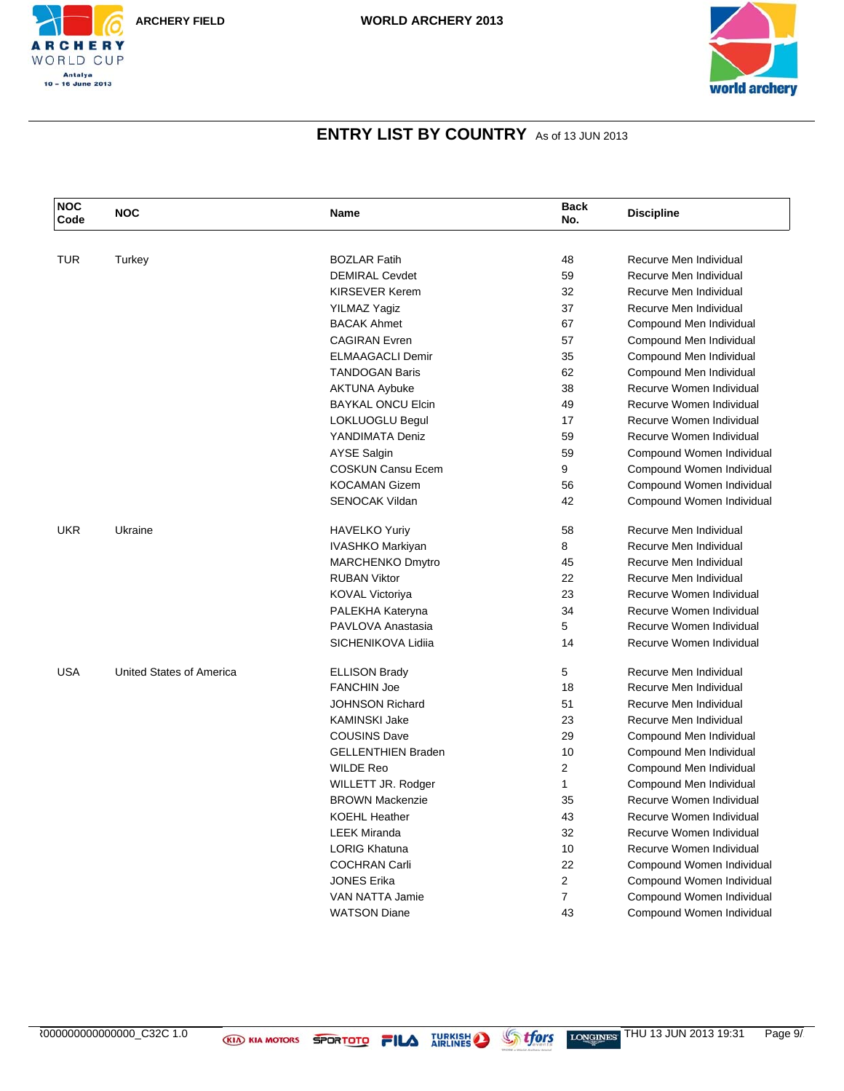



| <b>NOC</b><br>Code | <b>NOC</b>               | Name                      | <b>Back</b><br>No. | <b>Discipline</b>         |
|--------------------|--------------------------|---------------------------|--------------------|---------------------------|
|                    |                          |                           |                    |                           |
| <b>TUR</b>         | Turkey                   | <b>BOZLAR Fatih</b>       | 48                 | Recurve Men Individual    |
|                    |                          | <b>DEMIRAL Cevdet</b>     | 59                 | Recurve Men Individual    |
|                    |                          | <b>KIRSEVER Kerem</b>     | 32                 | Recurve Men Individual    |
|                    |                          | <b>YILMAZ Yagiz</b>       | 37                 | Recurve Men Individual    |
|                    |                          | <b>BACAK Ahmet</b>        | 67                 | Compound Men Individual   |
|                    |                          | <b>CAGIRAN</b> Evren      | 57                 | Compound Men Individual   |
|                    |                          | <b>ELMAAGACLI Demir</b>   | 35                 | Compound Men Individual   |
|                    |                          | <b>TANDOGAN Baris</b>     | 62                 | Compound Men Individual   |
|                    |                          | <b>AKTUNA Aybuke</b>      | 38                 | Recurve Women Individual  |
|                    |                          | <b>BAYKAL ONCU Elcin</b>  | 49                 | Recurve Women Individual  |
|                    |                          | <b>LOKLUOGLU Begul</b>    | 17                 | Recurve Women Individual  |
|                    |                          | YANDIMATA Deniz           | 59                 | Recurve Women Individual  |
|                    |                          | <b>AYSE Salgin</b>        | 59                 | Compound Women Individual |
|                    |                          | <b>COSKUN Cansu Ecem</b>  | 9                  | Compound Women Individual |
|                    |                          | <b>KOCAMAN Gizem</b>      | 56                 | Compound Women Individual |
|                    |                          | <b>SENOCAK Vildan</b>     | 42                 | Compound Women Individual |
| UKR                | Ukraine                  | <b>HAVELKO Yuriy</b>      | 58                 | Recurve Men Individual    |
|                    |                          | IVASHKO Markiyan          | 8                  | Recurve Men Individual    |
|                    |                          | <b>MARCHENKO Dmytro</b>   | 45                 | Recurve Men Individual    |
|                    |                          | <b>RUBAN Viktor</b>       | 22                 | Recurve Men Individual    |
|                    |                          | <b>KOVAL Victoriya</b>    | 23                 | Recurve Women Individual  |
|                    |                          | PALEKHA Kateryna          | 34                 | Recurve Women Individual  |
|                    |                          | PAVLOVA Anastasia         | 5                  | Recurve Women Individual  |
|                    |                          | SICHENIKOVA Lidiia        | 14                 | Recurve Women Individual  |
| <b>USA</b>         | United States of America | <b>ELLISON Brady</b>      | 5                  | Recurve Men Individual    |
|                    |                          | <b>FANCHIN Joe</b>        | 18                 | Recurve Men Individual    |
|                    |                          | <b>JOHNSON Richard</b>    | 51                 | Recurve Men Individual    |
|                    |                          | <b>KAMINSKI Jake</b>      | 23                 | Recurve Men Individual    |
|                    |                          | <b>COUSINS Dave</b>       | 29                 | Compound Men Individual   |
|                    |                          | <b>GELLENTHIEN Braden</b> | 10                 | Compound Men Individual   |
|                    |                          | <b>WILDE Reo</b>          | 2                  | Compound Men Individual   |
|                    |                          | WILLETT JR. Rodger        | $\mathbf{1}$       | Compound Men Individual   |
|                    |                          | <b>BROWN Mackenzie</b>    | 35                 | Recurve Women Individual  |
|                    |                          | <b>KOEHL Heather</b>      | 43                 | Recurve Women Individual  |
|                    |                          | <b>LEEK Miranda</b>       | 32                 | Recurve Women Individual  |
|                    |                          | <b>LORIG Khatuna</b>      | 10                 | Recurve Women Individual  |
|                    |                          | <b>COCHRAN Carli</b>      | 22                 | Compound Women Individual |
|                    |                          | <b>JONES Erika</b>        | 2                  | Compound Women Individual |
|                    |                          | VAN NATTA Jamie           | $\overline{7}$     | Compound Women Individual |
|                    |                          | <b>WATSON Diane</b>       | 43                 | Compound Women Individual |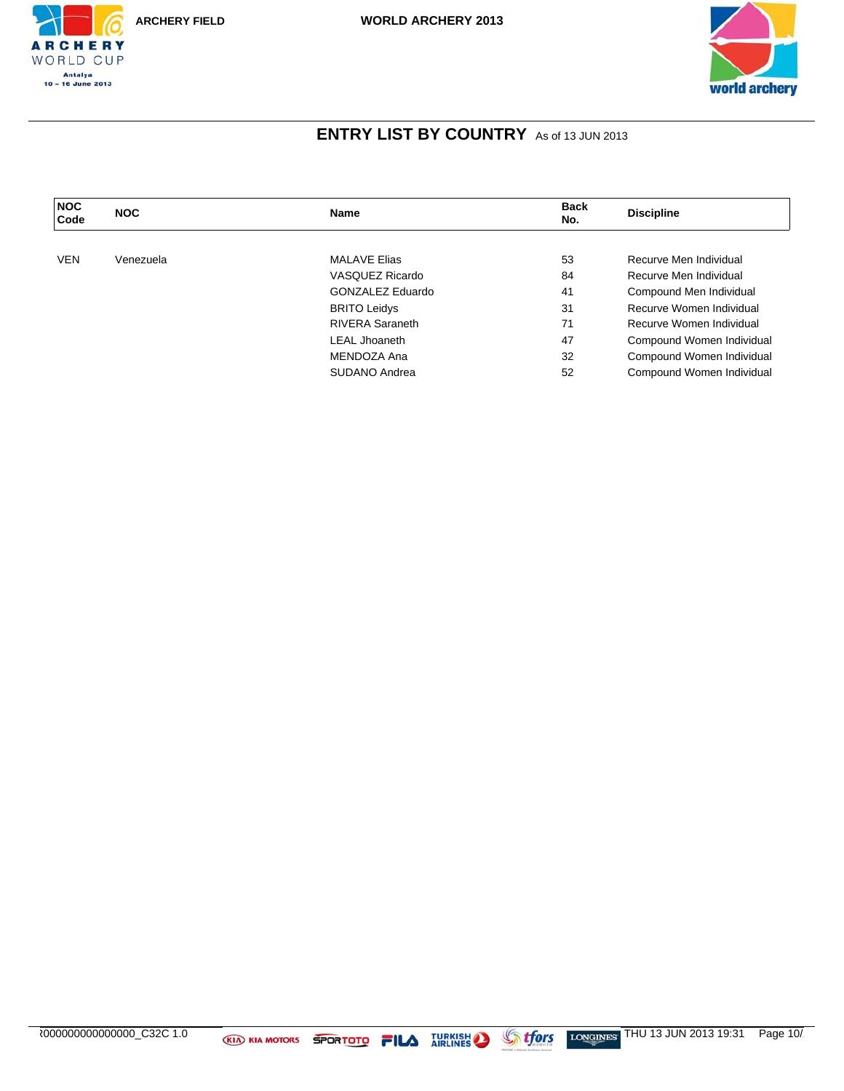



| <b>NOC</b><br>Code | <b>NOC</b> | <b>Name</b>            | <b>Back</b><br>No. | <b>Discipline</b>         |
|--------------------|------------|------------------------|--------------------|---------------------------|
|                    |            |                        |                    |                           |
| <b>VEN</b>         | Venezuela  | <b>MALAVE Elias</b>    | 53                 | Recurve Men Individual    |
|                    |            | VASQUEZ Ricardo        | 84                 | Recurve Men Individual    |
|                    |            | GONZALEZ Eduardo       | 41                 | Compound Men Individual   |
|                    |            | <b>BRITO Leidys</b>    | 31                 | Recurve Women Individual  |
|                    |            | <b>RIVERA Saraneth</b> | 71                 | Recurve Women Individual  |
|                    |            | <b>LEAL Jhoaneth</b>   | 47                 | Compound Women Individual |
|                    |            | MENDOZA Ana            | 32                 | Compound Women Individual |
|                    |            | SUDANO Andrea          | 52                 | Compound Women Individual |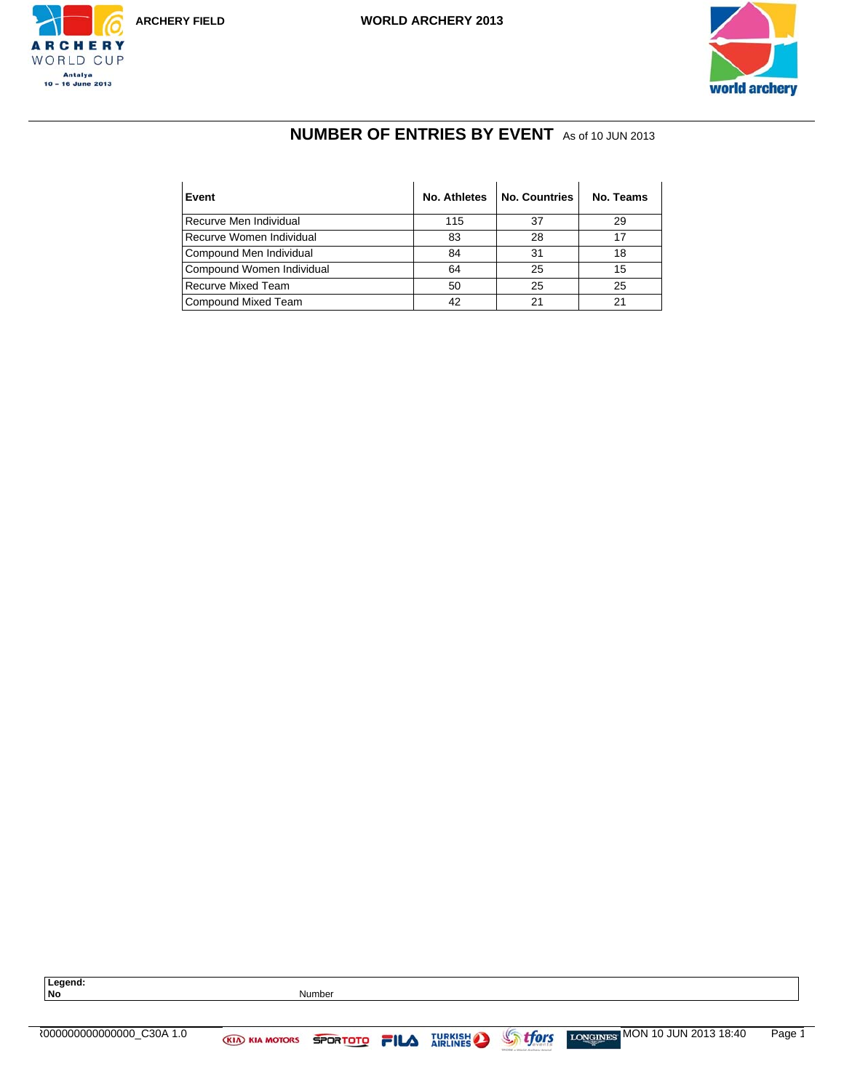



## **NUMBER OF ENTRIES BY EVENT** As of 10 JUN 2013

| Event                     | No. Athletes | <b>No. Countries</b> | No. Teams |
|---------------------------|--------------|----------------------|-----------|
| Recurve Men Individual    | 115          | 37                   | 29        |
| Recurve Women Individual  | 83           | 28                   | 17        |
| Compound Men Individual   | 84           | 31                   | 18        |
| Compound Women Individual | 64           | 25                   | 15        |
| <b>Recurve Mixed Team</b> | 50           | 25                   | 25        |
| Compound Mixed Team       | 42           | 21                   | 21        |

**Legend:**



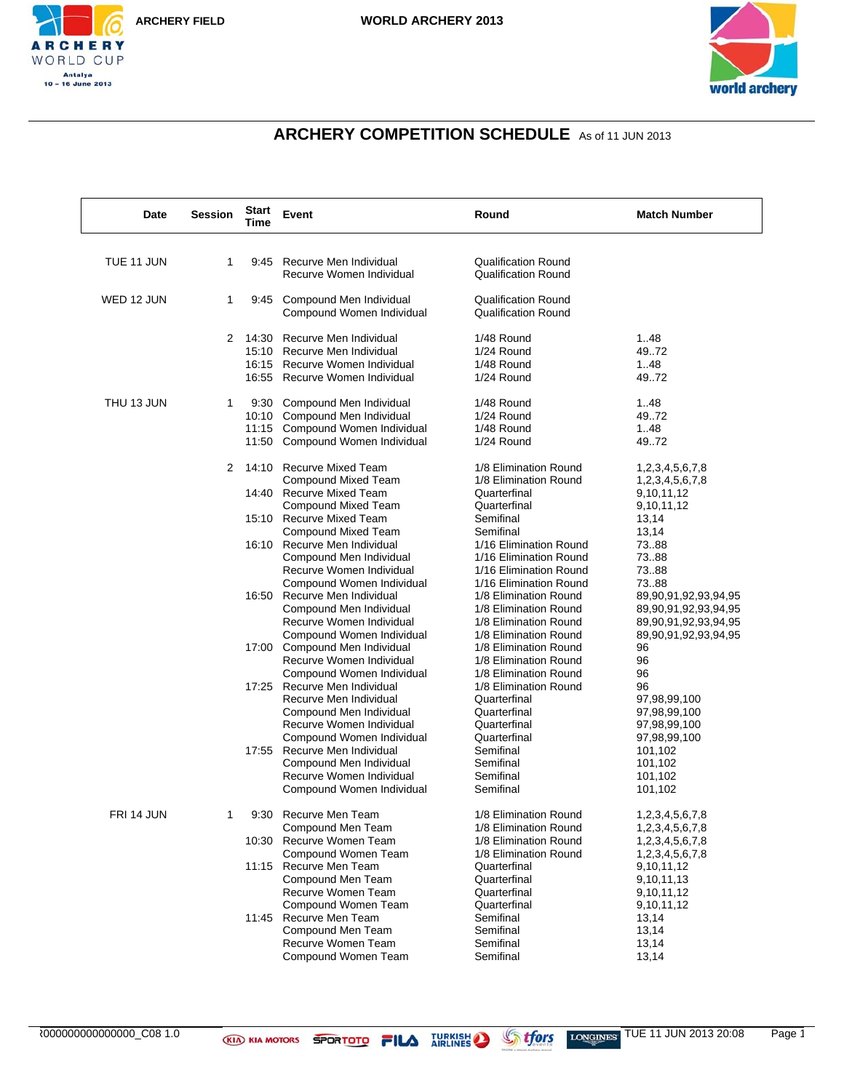



## **ARCHERY COMPETITION SCHEDULE** As of 11 JUN 2013

| Date       | <b>Session</b> | <b>Start</b><br>Time | Event                                                     | Round                                                    | <b>Match Number</b>                          |
|------------|----------------|----------------------|-----------------------------------------------------------|----------------------------------------------------------|----------------------------------------------|
|            | 1              |                      |                                                           |                                                          |                                              |
| TUE 11 JUN |                |                      | 9:45 Recurve Men Individual<br>Recurve Women Individual   | <b>Qualification Round</b><br><b>Qualification Round</b> |                                              |
| WED 12 JUN | 1              |                      | 9:45 Compound Men Individual<br>Compound Women Individual | <b>Qualification Round</b><br><b>Qualification Round</b> |                                              |
|            | 2              |                      | 14:30 Recurve Men Individual                              | 1/48 Round                                               | 1.48                                         |
|            |                |                      | 15:10 Recurve Men Individual                              | 1/24 Round                                               | 49.72                                        |
|            |                |                      | 16:15 Recurve Women Individual                            | 1/48 Round                                               | 1.48                                         |
|            |                |                      | 16:55 Recurve Women Individual                            | 1/24 Round                                               | 4972                                         |
| THU 13 JUN | 1              |                      | 9:30 Compound Men Individual                              | 1/48 Round                                               | 148                                          |
|            |                |                      | 10:10 Compound Men Individual                             | 1/24 Round                                               | 4972                                         |
|            |                |                      | 11:15 Compound Women Individual                           | 1/48 Round                                               | 148                                          |
|            |                |                      | 11:50 Compound Women Individual                           | 1/24 Round                                               | 4972                                         |
|            | 2              |                      | 14:10 Recurve Mixed Team                                  | 1/8 Elimination Round                                    | 1,2,3,4,5,6,7,8                              |
|            |                |                      | Compound Mixed Team                                       | 1/8 Elimination Round                                    | 1,2,3,4,5,6,7,8                              |
|            |                |                      | 14:40 Recurve Mixed Team                                  | Quarterfinal                                             | 9,10,11,12                                   |
|            |                |                      | <b>Compound Mixed Team</b>                                | Quarterfinal                                             | 9,10,11,12                                   |
|            |                |                      | 15:10 Recurve Mixed Team                                  | Semifinal                                                | 13,14                                        |
|            |                |                      | Compound Mixed Team                                       | Semifinal<br>1/16 Elimination Round                      | 13,14                                        |
|            |                |                      | 16:10 Recurve Men Individual                              |                                                          | 7388                                         |
|            |                |                      | Compound Men Individual                                   | 1/16 Elimination Round<br>1/16 Elimination Round         | 7388<br>7388                                 |
|            |                |                      | Recurve Women Individual<br>Compound Women Individual     | 1/16 Elimination Round                                   | 7388                                         |
|            |                |                      | 16:50 Recurve Men Individual                              | 1/8 Elimination Round                                    |                                              |
|            |                |                      | Compound Men Individual                                   | 1/8 Elimination Round                                    | 89,90,91,92,93,94,95<br>89,90,91,92,93,94,95 |
|            |                |                      | Recurve Women Individual                                  | 1/8 Elimination Round                                    | 89,90,91,92,93,94,95                         |
|            |                |                      | Compound Women Individual                                 | 1/8 Elimination Round                                    | 89,90,91,92,93,94,95                         |
|            |                |                      | 17:00 Compound Men Individual                             | 1/8 Elimination Round                                    | 96                                           |
|            |                |                      | Recurve Women Individual                                  | 1/8 Elimination Round                                    | 96                                           |
|            |                |                      | Compound Women Individual                                 | 1/8 Elimination Round                                    | 96                                           |
|            |                |                      | 17:25 Recurve Men Individual                              | 1/8 Elimination Round                                    | 96                                           |
|            |                |                      | Recurve Men Individual                                    | Quarterfinal                                             | 97,98,99,100                                 |
|            |                |                      | Compound Men Individual                                   | Quarterfinal                                             | 97,98,99,100                                 |
|            |                |                      | Recurve Women Individual                                  | Quarterfinal                                             | 97,98,99,100                                 |
|            |                |                      | Compound Women Individual                                 | Quarterfinal                                             | 97,98,99,100                                 |
|            |                |                      | 17:55 Recurve Men Individual                              | Semifinal                                                | 101,102                                      |
|            |                |                      | Compound Men Individual                                   | Semifinal                                                | 101,102                                      |
|            |                |                      | Recurve Women Individual                                  | Semifinal                                                | 101,102                                      |
|            |                |                      | Compound Women Individual                                 | Semifinal                                                | 101,102                                      |
| FRI 14 JUN |                | 9:30                 | Recurve Men Team                                          | 1/8 Elimination Round                                    | 1,2,3,4,5,6,7,8                              |
|            |                |                      | Compound Men Team                                         | 1/8 Elimination Round                                    | 1,2,3,4,5,6,7,8                              |
|            |                |                      | 10:30 Recurve Women Team                                  | 1/8 Elimination Round                                    | 1,2,3,4,5,6,7,8                              |
|            |                |                      | Compound Women Team                                       | 1/8 Elimination Round                                    | 1,2,3,4,5,6,7,8                              |
|            |                |                      | 11:15 Recurve Men Team                                    | Quarterfinal                                             | 9,10,11,12                                   |
|            |                |                      | Compound Men Team                                         | Quarterfinal                                             | 9,10,11,13                                   |
|            |                |                      | Recurve Women Team                                        | Quarterfinal                                             | 9,10,11,12                                   |
|            |                |                      | Compound Women Team                                       | Quarterfinal                                             | 9,10,11,12                                   |
|            |                |                      | 11:45 Recurve Men Team                                    | Semifinal                                                | 13,14                                        |
|            |                |                      | Compound Men Team                                         | Semifinal                                                | 13,14                                        |
|            |                |                      | Recurve Women Team                                        | Semifinal                                                | 13,14                                        |
|            |                |                      | Compound Women Team                                       | Semifinal                                                | 13,14                                        |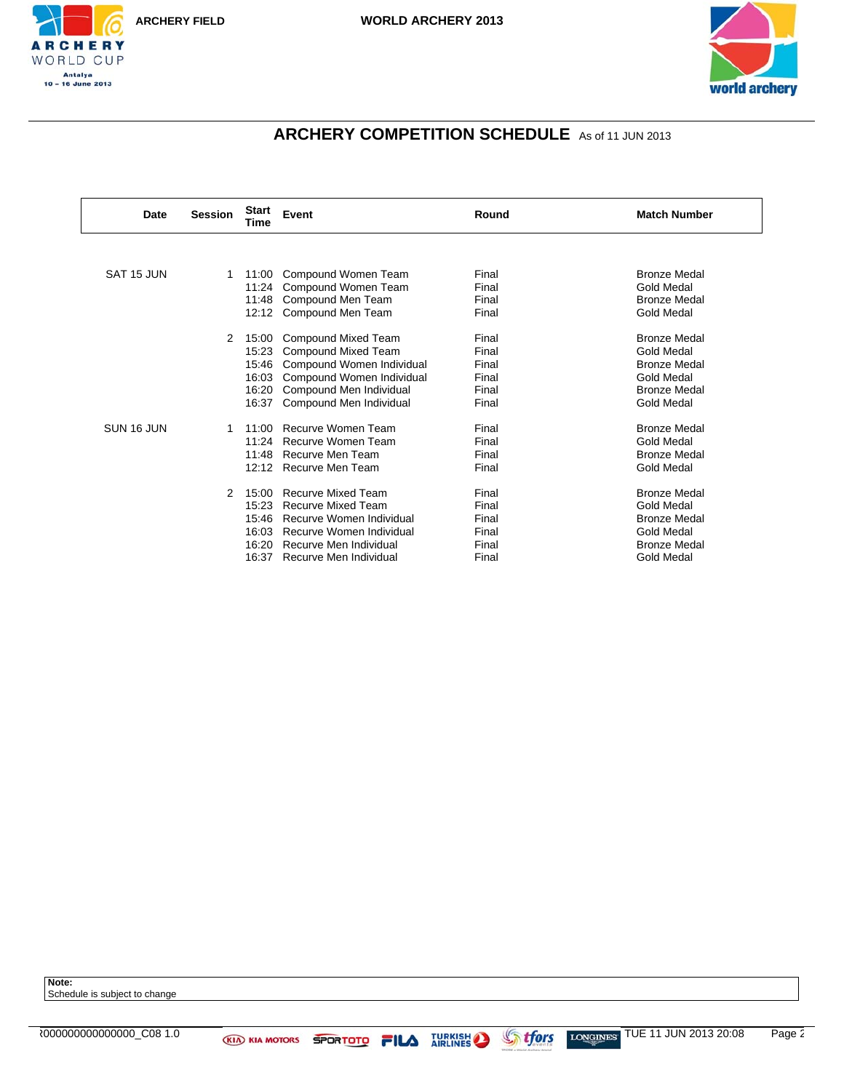



# **ARCHERY COMPETITION SCHEDULE** As of 11 JUN 2013

| Date       | <b>Session</b> | <b>Start</b><br>Time                               | Event                                                                                                                                                              | Round                                              | <b>Match Number</b>                                                                                                |
|------------|----------------|----------------------------------------------------|--------------------------------------------------------------------------------------------------------------------------------------------------------------------|----------------------------------------------------|--------------------------------------------------------------------------------------------------------------------|
|            |                |                                                    |                                                                                                                                                                    |                                                    |                                                                                                                    |
| SAT 15 JUN | 1.             | 11:00<br>11:24<br>11:48                            | Compound Women Team<br>Compound Women Team<br>Compound Men Team<br>12:12 Compound Men Team                                                                         | Final<br>Final<br>Final<br>Final                   | <b>Bronze Medal</b><br><b>Gold Medal</b><br><b>Bronze Medal</b><br>Gold Medal                                      |
|            | 2              | 15:00<br>15:23<br>15:46<br>16:03<br>16:20<br>16:37 | Compound Mixed Team<br>Compound Mixed Team<br>Compound Women Individual<br>Compound Women Individual<br>Compound Men Individual<br>Compound Men Individual         | Final<br>Final<br>Final<br>Final<br>Final<br>Final | <b>Bronze Medal</b><br>Gold Medal<br><b>Bronze Medal</b><br>Gold Medal<br><b>Bronze Medal</b><br><b>Gold Medal</b> |
| SUN 16 JUN |                | 11:00<br>11:24<br>11:48                            | Recurve Women Team<br>Recurve Women Team<br>Recurve Men Team<br>12:12 Recurve Men Team                                                                             | Final<br>Final<br>Final<br>Final                   | <b>Bronze Medal</b><br><b>Gold Medal</b><br><b>Bronze Medal</b><br><b>Gold Medal</b>                               |
|            | 2              | 15:00<br>15:23<br>15:46<br>16:03<br>16:20<br>16:37 | <b>Recurve Mixed Team</b><br><b>Recurve Mixed Team</b><br>Recurve Women Individual<br>Recurve Women Individual<br>Recurve Men Individual<br>Recurve Men Individual | Final<br>Final<br>Final<br>Final<br>Final<br>Final | <b>Bronze Medal</b><br><b>Gold Medal</b><br><b>Bronze Medal</b><br>Gold Medal<br><b>Bronze Medal</b><br>Gold Medal |

**Note:** Schedule is subject to change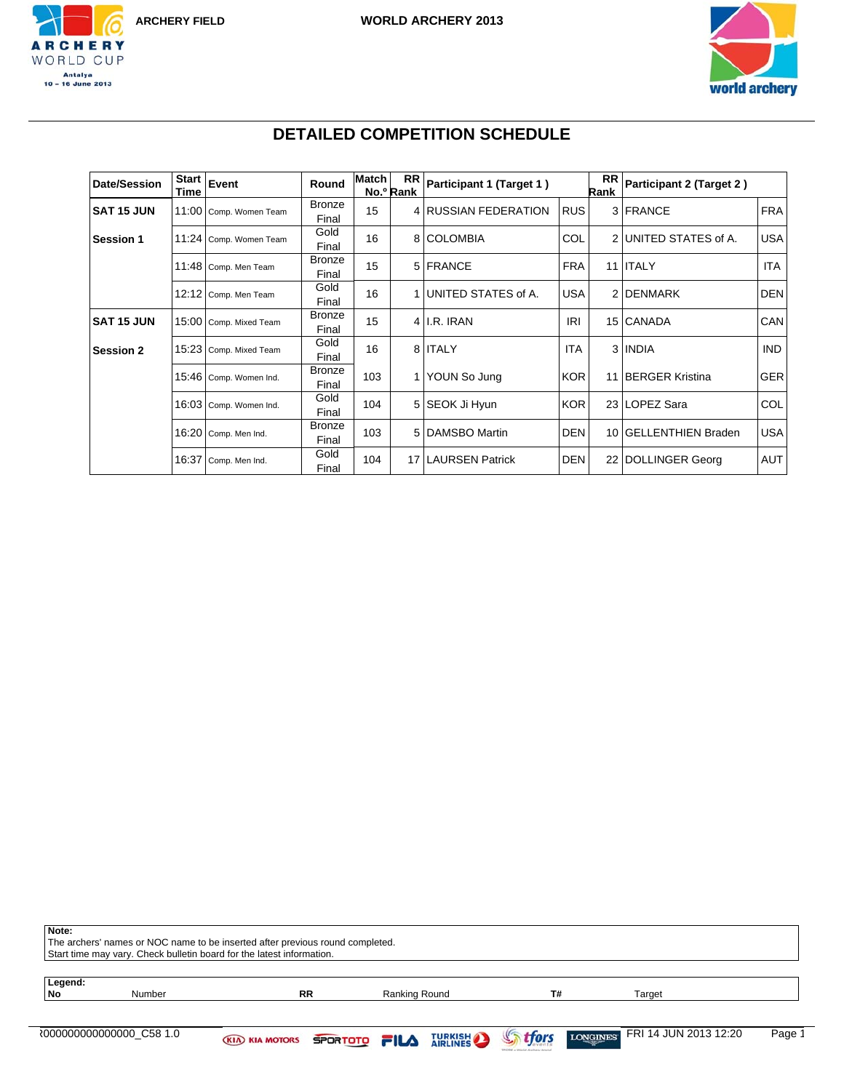



# **DETAILED COMPETITION SCHEDULE**

| <b>Date/Session</b> | <b>Start</b><br>Time | Event                  | Round                  | <b>Match</b> | <b>RR</b><br>No.º Rank | Participant 1 (Target 1) |            | <b>RR</b><br>Rank | Participant 2 (Target 2) |            |
|---------------------|----------------------|------------------------|------------------------|--------------|------------------------|--------------------------|------------|-------------------|--------------------------|------------|
| <b>SAT 15 JUN</b>   | 11:00                | Comp. Women Team       | <b>Bronze</b><br>Final | 15           |                        | 4 RUSSIAN FEDERATION     | <b>RUS</b> |                   | 3 FRANCE                 | <b>FRA</b> |
| <b>Session 1</b>    | 11:24                | Comp. Women Team       | Gold<br>Final          | 16           |                        | 8 COLOMBIA               | COL        |                   | 2 UNITED STATES of A.    | <b>USA</b> |
|                     | 11:48                | Comp. Men Team         | <b>Bronze</b><br>Final | 15           |                        | 5 FRANCE                 | <b>FRA</b> |                   | 11 <b>ITALY</b>          | <b>ITA</b> |
|                     | 12:12                | Comp. Men Team         | Gold<br>Final          | 16           | 1 <sup>1</sup>         | UNITED STATES of A.      | <b>USA</b> |                   | 2 DENMARK                | <b>DEN</b> |
| <b>SAT 15 JUN</b>   |                      | 15:00 Comp. Mixed Team | <b>Bronze</b><br>Final | 15           |                        | $4$ I.R. IRAN            | <b>IRI</b> |                   | 15 CANADA                | CAN        |
| <b>Session 2</b>    | 15:23                | Comp. Mixed Team       | Gold<br>Final          | 16           |                        | 8 ITALY                  | <b>ITA</b> |                   | 3 INDIA                  | <b>IND</b> |
|                     | 15:46                | Comp. Women Ind.       | <b>Bronze</b><br>Final | 103          |                        | 1 YOUN So Jung           | <b>KOR</b> |                   | 11 BERGER Kristina       | <b>GER</b> |
|                     | 16:03                | Comp. Women Ind.       | Gold<br>Final          | 104          |                        | 5 SEOK Ji Hyun           | <b>KOR</b> |                   | 23 LOPEZ Sara            | COL        |
|                     | 16:20                | Comp. Men Ind.         | <b>Bronze</b><br>Final | 103          |                        | 5 DAMSBO Martin          | <b>DEN</b> |                   | 10 GELLENTHIEN Braden    | <b>USA</b> |
|                     | 16:37                | Comp. Men Ind.         | Gold<br>Final          | 104          | 17                     | <b>LAURSEN Patrick</b>   | <b>DEN</b> |                   | 22 DOLLINGER Georg       | AUT        |

| Note:         | The archers' names or NOC name to be inserted after previous round completed.<br>Start time may vary. Check bulletin board for the latest information. |                                             |           |               |  |                |                                          |        |  |
|---------------|--------------------------------------------------------------------------------------------------------------------------------------------------------|---------------------------------------------|-----------|---------------|--|----------------|------------------------------------------|--------|--|
| Legend:<br>No | Number                                                                                                                                                 |                                             | <b>RR</b> | Ranking Round |  | T#             | Target                                   |        |  |
|               |                                                                                                                                                        | <b>KIA KIA MOTORS SPORTOTO FILA TURKISH</b> |           |               |  | <b>Strfors</b> | FRI 14 JUN 2013 12:20<br><b>LONGINES</b> | Page 1 |  |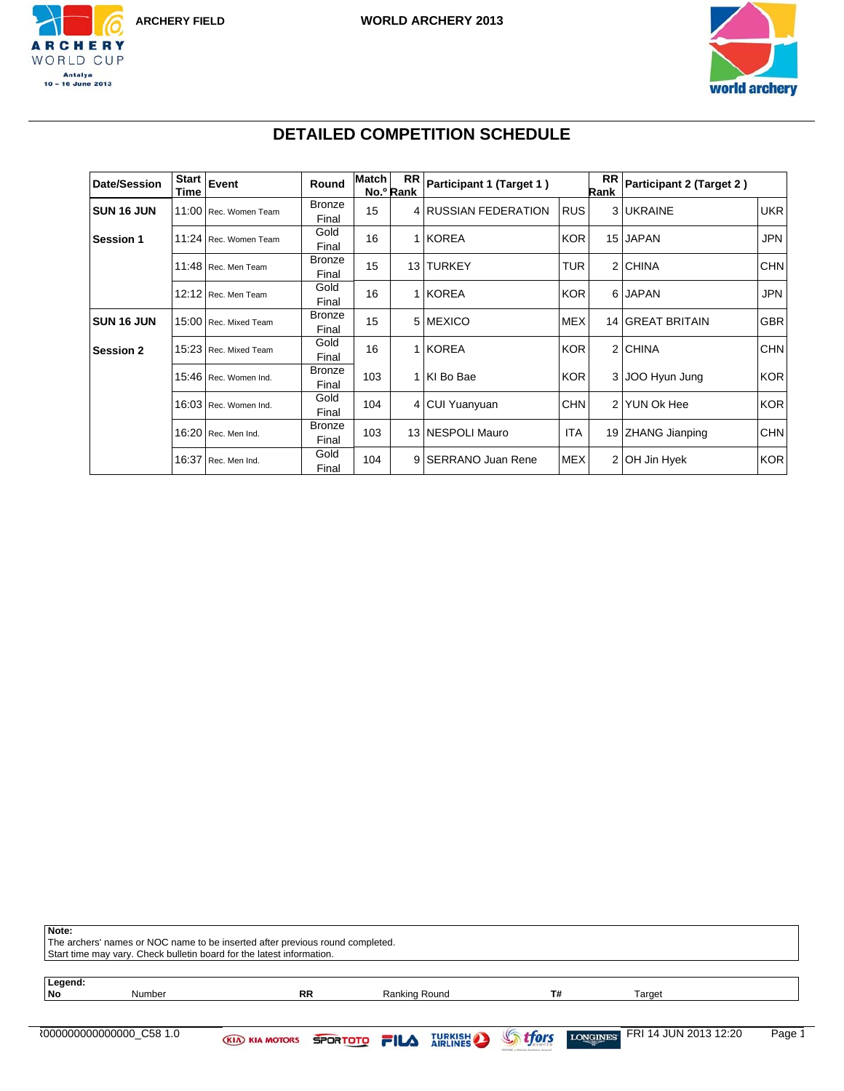



# **DETAILED COMPETITION SCHEDULE**

| <b>Date/Session</b> | <b>Start</b><br>Time | Event                 | Round                  | <b>Match</b> | <b>RR</b><br>No.º Rank | Participant 1 (Target 1) |            | RR<br>Rank | Participant 2 (Target 2) |            |
|---------------------|----------------------|-----------------------|------------------------|--------------|------------------------|--------------------------|------------|------------|--------------------------|------------|
| SUN 16 JUN          |                      | 11:00 Rec. Women Team | Bronze<br>Final        | 15           |                        | 4 RUSSIAN FEDERATION     | <b>RUS</b> |            | 3 UKRAINE                | <b>UKR</b> |
| <b>Session 1</b>    |                      | 11:24 Rec. Women Team | Gold<br>Final          | 16           |                        | 1 KOREA                  | <b>KOR</b> |            | 15 JAPAN                 | <b>JPN</b> |
|                     |                      | 11:48 Rec. Men Team   | <b>Bronze</b><br>Final | 15           | 13 <sup>1</sup>        | <b>TURKEY</b>            | <b>TUR</b> |            | 2 CHINA                  | <b>CHN</b> |
|                     | 12:12                | Rec. Men Team         | Gold<br>Final          | 16           |                        | 1 KOREA                  | <b>KOR</b> |            | 6 JAPAN                  | <b>JPN</b> |
| <b>SUN 16 JUN</b>   |                      | 15:00 Rec. Mixed Team | <b>Bronze</b><br>Final | 15           |                        | 5 MEXICO                 | <b>MEX</b> |            | 14 GREAT BRITAIN         | <b>GBR</b> |
| <b>Session 2</b>    |                      | 15:23 Rec. Mixed Team | Gold<br>Final          | 16           |                        | 1 KOREA                  | <b>KOR</b> |            | 2 CHINA                  | <b>CHN</b> |
|                     |                      | 15:46 Rec. Women Ind. | <b>Bronze</b><br>Final | 103          |                        | 1 KI Bo Bae              | <b>KOR</b> |            | 3 JOO Hyun Jung          | <b>KOR</b> |
|                     |                      | 16:03 Rec. Women Ind. | Gold<br>Final          | 104          |                        | 4 CUI Yuanyuan           | <b>CHN</b> |            | 2 YUN OK Hee             | <b>KOR</b> |
|                     |                      | 16:20 Rec. Men Ind.   | <b>Bronze</b><br>Final | 103          |                        | 13 NESPOLI Mauro         | <b>ITA</b> |            | 19 ZHANG Jianping        | <b>CHN</b> |
|                     | 16:37                | Rec. Men Ind.         | Gold<br>Final          | 104          | 9 <sup>1</sup>         | <b>SERRANO Juan Rene</b> | <b>MEX</b> |            | 2 OH Jin Hyek            | <b>KOR</b> |

| Note:         | The archers' names or NOC name to be inserted after previous round completed.<br>Start time may vary. Check bulletin board for the latest information. |                                             |           |               |  |                |                                          |        |  |
|---------------|--------------------------------------------------------------------------------------------------------------------------------------------------------|---------------------------------------------|-----------|---------------|--|----------------|------------------------------------------|--------|--|
| Legend:<br>No | Number                                                                                                                                                 |                                             | <b>RR</b> | Ranking Round |  | T#             | Target                                   |        |  |
|               |                                                                                                                                                        | <b>KIA KIA MOTORS SPORTOTO FILA TURKISH</b> |           |               |  | <b>Strfors</b> | FRI 14 JUN 2013 12:20<br><b>LONGINES</b> | Page 1 |  |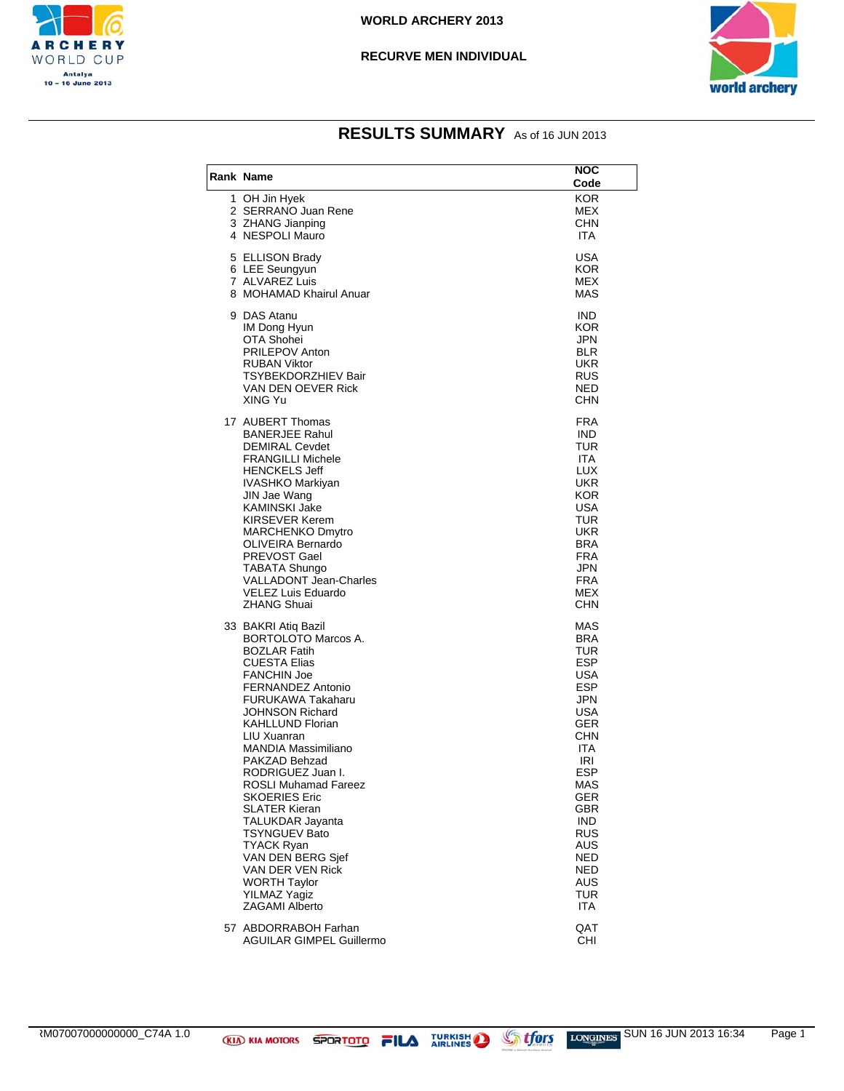



| <b>Rank Name</b>                                                                                                                                                                                                                                                                                                                                                                                                                                                                                                       | NOC<br>Code                                                                                                                                                                                                                                                            |
|------------------------------------------------------------------------------------------------------------------------------------------------------------------------------------------------------------------------------------------------------------------------------------------------------------------------------------------------------------------------------------------------------------------------------------------------------------------------------------------------------------------------|------------------------------------------------------------------------------------------------------------------------------------------------------------------------------------------------------------------------------------------------------------------------|
| 1 OH Jin Hyek<br>2 SERRANO Juan Rene<br>3 ZHANG Jianping<br>4 NESPOLI Mauro                                                                                                                                                                                                                                                                                                                                                                                                                                            | KOR.<br><b>MEX</b><br><b>CHN</b><br><b>ITA</b>                                                                                                                                                                                                                         |
| 5 ELLISON Brady<br>6 LEE Seungyun<br>7 ALVAREZ Luis<br>8 MOHAMAD Khairul Anuar                                                                                                                                                                                                                                                                                                                                                                                                                                         | <b>USA</b><br><b>KOR</b><br>MEX<br>MAS                                                                                                                                                                                                                                 |
| 9 DAS Atanu<br>IM Dong Hyun<br>OTA Shohei<br><b>PRILEPOV Anton</b><br><b>RUBAN Viktor</b><br>TSYBEKDORZHIEV Bair<br>VAN DEN OEVER Rick<br>XING Yu                                                                                                                                                                                                                                                                                                                                                                      | <b>IND</b><br><b>KOR</b><br>JPN<br><b>BLR</b><br><b>UKR</b><br>RUS<br><b>NED</b><br>CHN                                                                                                                                                                                |
| 17 AUBERT Thomas<br><b>BANERJEE Rahul</b><br><b>DEMIRAL Cevdet</b><br><b>FRANGILLI Michele</b><br><b>HENCKELS Jeff</b><br>IVASHKO Markiyan<br>JIN Jae Wang<br><b>KAMINSKI Jake</b><br>KIRSEVER Kerem<br><b>MARCHENKO Dmvtro</b><br>OLIVEIRA Bernardo<br>PREVOST Gael<br>TABATA Shungo<br><b>VALLADONT Jean-Charles</b><br>VELEZ Luis Eduardo<br><b>ZHANG Shuai</b>                                                                                                                                                     | FRA<br><b>IND</b><br>TUR<br><b>ITA</b><br><b>LUX</b><br><b>UKR</b><br><b>KOR</b><br><b>USA</b><br>TUR<br><b>UKR</b><br><b>BRA</b><br>FRA<br>JPN<br>FRA<br>MEX<br>CHN                                                                                                   |
| 33 BAKRI Atiq Bazil<br>BORTOLOTO Marcos A.<br><b>BOZLAR Fatih</b><br>CUESTA Elias<br><b>FANCHIN Joe</b><br>FERNANDEZ Antonio<br>FURUKAWA Takaharu<br>JOHNSON Richard<br>KAHLLUND Florian<br>LIU Xuanran<br>MANDIA Massimiliano<br>PAKZAD Behzad<br>RODRIGUEZ Juan I.<br><b>ROSLI Muhamad Fareez</b><br><b>SKOERIES Eric</b><br>SLATER Kieran<br>TALUKDAR Jayanta<br><b>TSYNGUEV Bato</b><br><b>TYACK Ryan</b><br>VAN DEN BERG Sjef<br>VAN DER VEN Rick<br><b>WORTH Taylor</b><br><b>YILMAZ Yagiz</b><br>ZAGAMI Alberto | MAS<br><b>BRA</b><br>TUR<br><b>ESP</b><br><b>USA</b><br><b>ESP</b><br><b>JPN</b><br><b>USA</b><br><b>GER</b><br>CHN<br><b>ITA</b><br>IRI<br><b>ESP</b><br><b>MAS</b><br>GER<br><b>GBR</b><br><b>IND</b><br>RUS<br>AUS<br><b>NED</b><br>NED<br>AUS<br>TUR<br><b>ITA</b> |
| 57 ABDORRABOH Farhan<br>AGUILAR GIMPEL Guillermo                                                                                                                                                                                                                                                                                                                                                                                                                                                                       | QAT<br>CHI                                                                                                                                                                                                                                                             |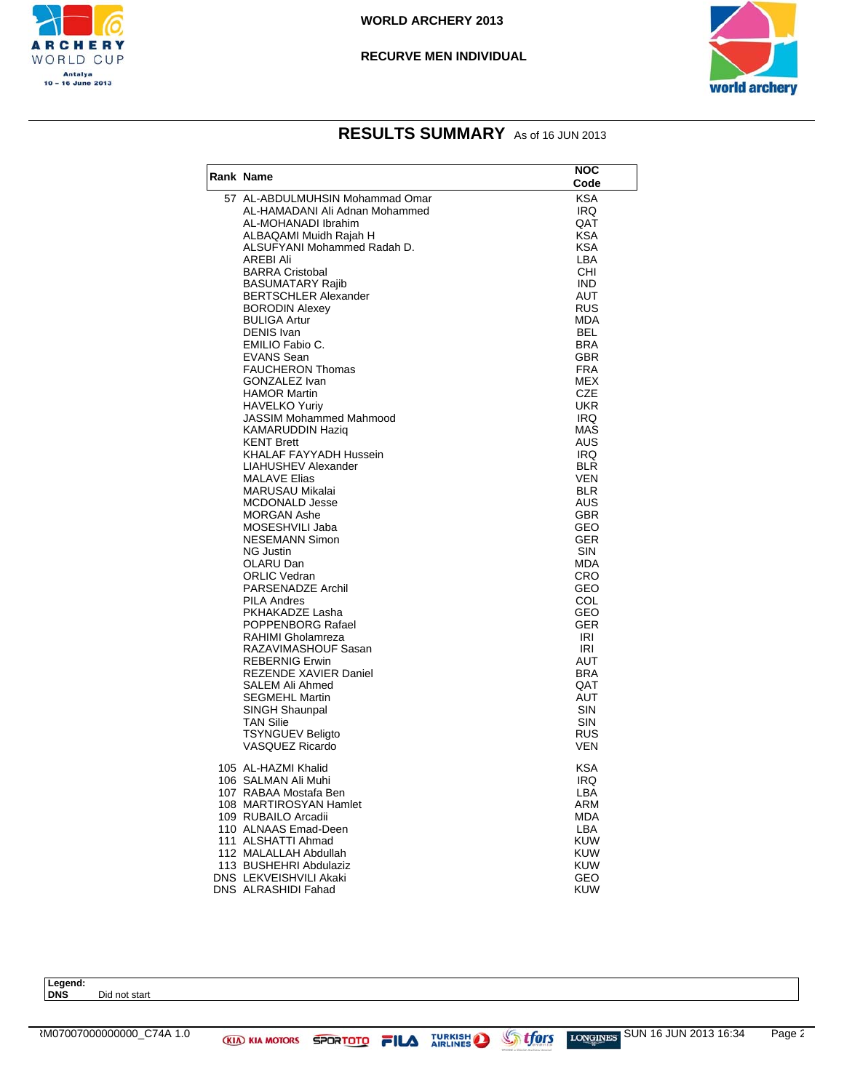



## **RESULTS SUMMARY** As of 16 JUN 2013

| Rank Name                                   | NOC<br>Code              |
|---------------------------------------------|--------------------------|
| 57 AL-ABDULMUHSIN Mohammad Omar             | <b>KSA</b>               |
| AL-HAMADANI Ali Adnan Mohammed              | IRQ.                     |
| AL-MOHANADI Ibrahim                         | QAT                      |
| ALBAQAMI Muidh Rajah H                      | <b>KSA</b>               |
| ALSUFYANI Mohammed Radah D.                 | <b>KSA</b>               |
| AREBI Ali<br><b>BARRA Cristobal</b>         | LBA<br>CHI               |
| <b>BASUMATARY Rajib</b>                     | <b>IND</b>               |
| <b>BERTSCHLER Alexander</b>                 | AUT                      |
| <b>BORODIN Alexey</b>                       | <b>RUS</b>               |
| <b>BULIGA Artur</b>                         | MDA                      |
| <b>DENIS</b> Ivan                           | <b>BEL</b>               |
| EMILIO Fabio C.                             | <b>BRA</b>               |
| <b>EVANS Sean</b>                           | GBR                      |
| <b>FAUCHERON Thomas</b><br>GONZALEZ Ivan    | <b>FRA</b><br>MEX        |
| <b>HAMOR Martin</b>                         | CZE                      |
| <b>HAVELKO Yuriy</b>                        | UKR                      |
| JASSIM Mohammed Mahmood                     | IRQ                      |
| KAMARUDDIN Haziq                            | <b>MAS</b>               |
| <b>KENT Brett</b>                           | AUS                      |
| KHALAF FAYYADH Hussein                      | IRQ.                     |
| LIAHUSHEV Alexander                         | <b>BLR</b>               |
| <b>MALAVE Elias</b><br>MARUSAU Mikalai      | <b>VEN</b><br><b>BLR</b> |
| <b>MCDONALD Jesse</b>                       | AUS                      |
| <b>MORGAN Ashe</b>                          | GBR                      |
| MOSESHVILI Jaba                             | GEO                      |
| <b>NESEMANN Simon</b>                       | <b>GER</b>               |
| NG Justin                                   | <b>SIN</b>               |
| OLARU Dan                                   | MDA                      |
| <b>ORLIC Vedran</b>                         | <b>CRO</b>               |
| PARSENADZE Archil                           | GEO                      |
| PILA Andres<br>PKHAKADZE Lasha              | COL<br>GEO               |
| POPPENBORG Rafael                           | <b>GER</b>               |
| RAHIMI Gholamreza                           | IRI                      |
| RAZAVIMASHOUF Sasan                         | IRI                      |
| <b>REBERNIG Erwin</b>                       | AUT                      |
| REZENDE XAVIER Daniel                       | <b>BRA</b>               |
| SALEM Ali Ahmed                             | QAT                      |
| <b>SEGMEHL Martin</b>                       | AUT                      |
| SINGH Shaunpal<br><b>TAN Silie</b>          | SIN<br><b>SIN</b>        |
| <b>TSYNGUEV Beligto</b>                     | RUS                      |
| VASQUEZ Ricardo                             | <b>VEN</b>               |
| 105 AL-HAZMI Khalid                         | <b>KSA</b>               |
| 106  SALMAN Ali Muhi                        | IRQ                      |
| 107 RABAA Mostafa Ben                       | LBA                      |
| 108 MARTIROSYAN Hamlet                      | <b>ARM</b>               |
| 109 RUBAILO Arcadii<br>110 ALNAAS Emad-Deen | <b>MDA</b>               |
| 111 ALSHATTI Ahmad                          | LBA<br><b>KUW</b>        |
| 112 MALALLAH Abdullah                       | <b>KUW</b>               |
| 113 BUSHEHRI Abdulaziz                      | <b>KUW</b>               |
| <b>DNS LEKVEISHVILI Akaki</b>               | GEO                      |
| DNS ALRASHIDI Fahad                         | <b>KUW</b>               |

**Legend: Did not start**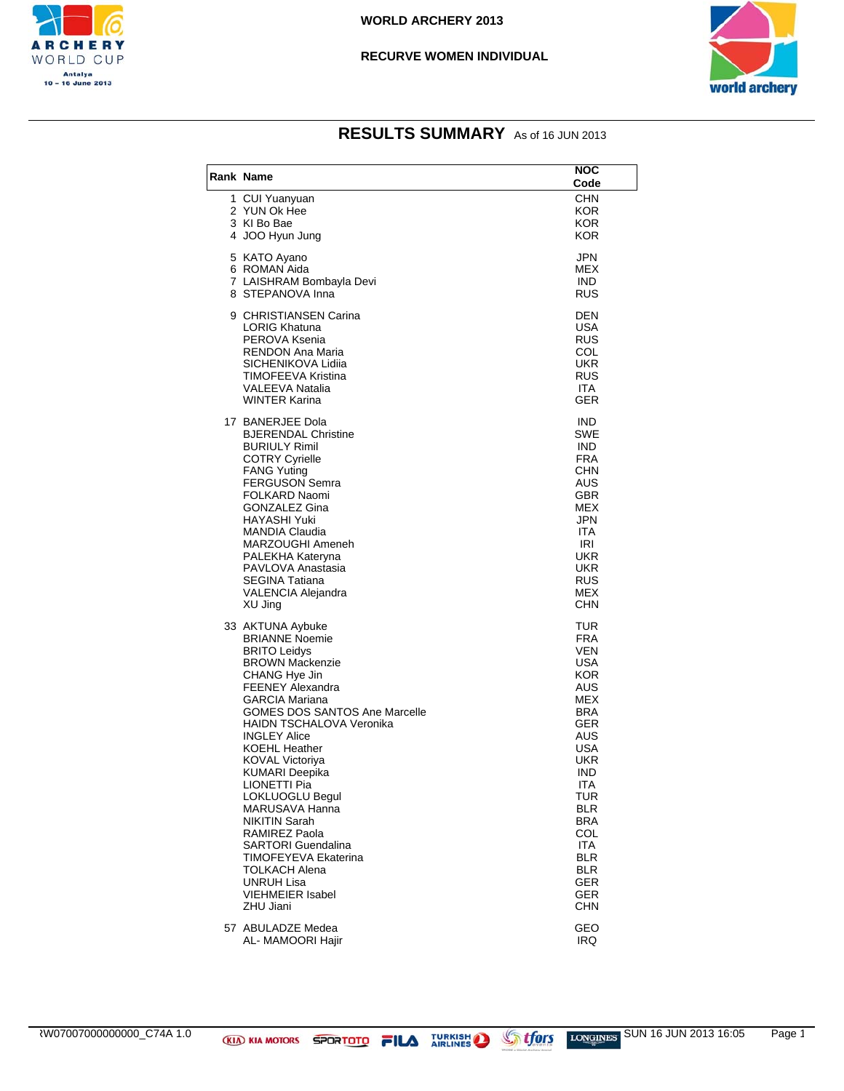



| <b>Rank Name</b>                                                                                                                                                                                                                                                                                                                                                                                                                                                                                                                                                       | NOC<br>Code                                                                                                                                                                                                           |
|------------------------------------------------------------------------------------------------------------------------------------------------------------------------------------------------------------------------------------------------------------------------------------------------------------------------------------------------------------------------------------------------------------------------------------------------------------------------------------------------------------------------------------------------------------------------|-----------------------------------------------------------------------------------------------------------------------------------------------------------------------------------------------------------------------|
| 1 CUI Yuanyuan<br>2 YUN Ok Hee<br>3 KI Bo Bae<br>4 JOO Hyun Jung                                                                                                                                                                                                                                                                                                                                                                                                                                                                                                       | <b>CHN</b><br>KOR.<br><b>KOR</b><br><b>KOR</b>                                                                                                                                                                        |
| 5 KATO Ayano<br>6 ROMAN Aida<br>7 LAISHRAM Bombayla Devi<br>8 STEPANOVA Inna                                                                                                                                                                                                                                                                                                                                                                                                                                                                                           | JPN<br>MEX<br><b>IND</b><br><b>RUS</b>                                                                                                                                                                                |
| 9 CHRISTIANSEN Carina<br>LORIG Khatuna<br>PEROVA Ksenia<br>RENDON Ana Maria<br>SICHENIKOVA Lidiia<br>TIMOFEEVA Kristina<br>VALEEVA Natalia<br><b>WINTER Karina</b>                                                                                                                                                                                                                                                                                                                                                                                                     | <b>DEN</b><br><b>USA</b><br>RUS<br>COL<br><b>UKR</b><br><b>RUS</b><br><b>ITA</b><br><b>GER</b>                                                                                                                        |
| 17 BANERJEE Dola<br><b>BJERENDAL Christine</b><br><b>BURIULY Rimil</b><br><b>COTRY Cyrielle</b><br><b>FANG Yuting</b><br><b>FERGUSON Semra</b><br>FOLKARD Naomi<br>GONZALEZ Gina<br><b>HAYASHI Yuki</b><br><b>MANDIA Claudia</b><br>MARZOUGHI Ameneh<br>PALEKHA Kateryna<br>PAVLOVA Anastasia<br><b>SEGINA Tatiana</b><br>VALENCIA Alejandra<br>XU Jing                                                                                                                                                                                                                | <b>IND</b><br>SWE<br><b>IND</b><br><b>FRA</b><br><b>CHN</b><br>AUS<br><b>GBR</b><br>MEX<br>JPN<br><b>ITA</b><br>IRI<br><b>UKR</b><br><b>UKR</b><br><b>RUS</b><br>MEX<br>CHN                                           |
| 33 AKTUNA Aybuke<br><b>BRIANNE Noemie</b><br><b>BRITO Leidys</b><br><b>BROWN Mackenzie</b><br>CHANG Hye Jin<br><b>FEENEY Alexandra</b><br><b>GARCIA Mariana</b><br><b>GOMES DOS SANTOS Ane Marcelle</b><br><b>HAIDN TSCHALOVA Veronika</b><br><b>INGLEY Alice</b><br><b>KOEHL Heather</b><br>KOVAL Victoriya<br>KUMARI Deepika<br>LIONETTI Pia<br>LOKLUOGLU Begul<br>MARUSAVA Hanna<br><b>NIKITIN Sarah</b><br>RAMIREZ Paola<br>SARTORI Guendalina<br><b>TIMOFEYEVA Ekaterina</b><br><b>TOLKACH Alena</b><br><b>UNRUH Lisa</b><br><b>VIEHMEIER Isabel</b><br>ZHU Jiani | TUR<br>FRA<br><b>VEN</b><br>USA<br><b>KOR</b><br>AUS<br>MEX<br><b>BRA</b><br>GER<br>AUS<br>USA<br>UKR<br>IND<br>ITA<br>TUR<br><b>BLR</b><br>BRA<br>COL<br>ITA<br><b>BLR</b><br><b>BLR</b><br>GER<br>GER<br><b>CHN</b> |
| 57 ABULADZE Medea<br>AL- MAMOORI Haiir                                                                                                                                                                                                                                                                                                                                                                                                                                                                                                                                 | GEO<br>IRQ                                                                                                                                                                                                            |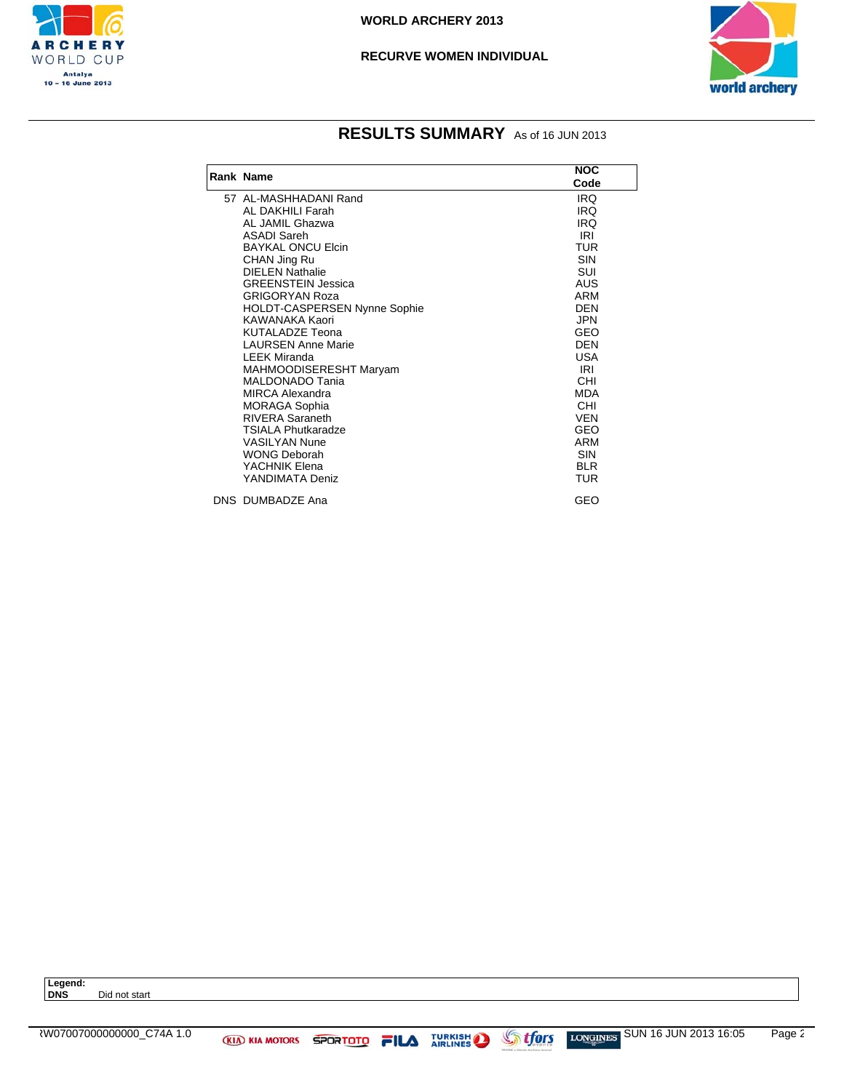



## **RESULTS SUMMARY** As of 16 JUN 2013

|                              | <b>NOC</b> |
|------------------------------|------------|
| Rank Name                    | Code       |
| 57 AL-MASHHADANI Rand        | IRQ        |
| AL DAKHILI Farah             | <b>IRQ</b> |
| AL JAMIL Ghazwa              | <b>IRQ</b> |
| <b>ASADI Sareh</b>           | IRI        |
| <b>BAYKAL ONCU Elcin</b>     | TUR        |
| CHAN Jing Ru                 | <b>SIN</b> |
| <b>DIELEN Nathalie</b>       | SUI        |
| <b>GREENSTEIN Jessica</b>    | AUS        |
| <b>GRIGORYAN Roza</b>        | ARM        |
| HOLDT-CASPERSEN Nynne Sophie | <b>DEN</b> |
| KAWANAKA Kaori               | <b>JPN</b> |
| <b>KUTALADZE Teona</b>       | GEO        |
| <b>LAURSEN Anne Marie</b>    | <b>DEN</b> |
| <b>LEEK Miranda</b>          | <b>USA</b> |
| MAHMOODISERESHT Maryam       | IRI        |
| MALDONADO Tania              | <b>CHI</b> |
| <b>MIRCA Alexandra</b>       | <b>MDA</b> |
| <b>MORAGA Sophia</b>         | <b>CHI</b> |
| <b>RIVERA Saraneth</b>       | <b>VEN</b> |
| <b>TSIALA Phutkaradze</b>    | GEO        |
| <b>VASILYAN Nune</b>         | ARM        |
| <b>WONG Deborah</b>          | <b>SIN</b> |
| YACHNIK Elena                | <b>BLR</b> |
| YANDIMATA Deniz              | <b>TUR</b> |
| DNS DUMBADZE Ana             | GEO        |

**Legend: Did not start**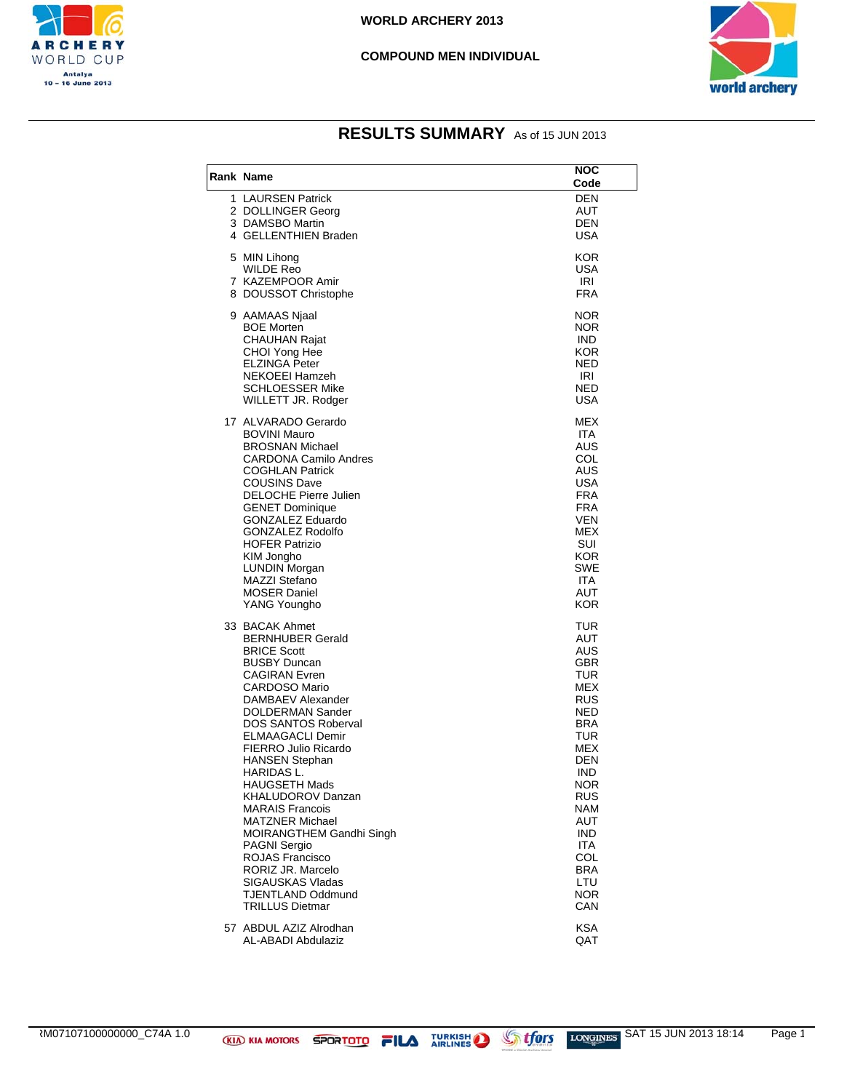

#### **COMPOUND MEN INDIVIDUAL**



| Rank Name                                                                                                                                                                                                                                                                                                                                                                                                                                                                                                                                                              | NOC<br>Code                                                                                                                                                                                               |
|------------------------------------------------------------------------------------------------------------------------------------------------------------------------------------------------------------------------------------------------------------------------------------------------------------------------------------------------------------------------------------------------------------------------------------------------------------------------------------------------------------------------------------------------------------------------|-----------------------------------------------------------------------------------------------------------------------------------------------------------------------------------------------------------|
| 1 LAURSEN Patrick<br>2 DOLLINGER Georg<br>3 DAMSBO Martin<br>4 GELLENTHIEN Braden                                                                                                                                                                                                                                                                                                                                                                                                                                                                                      | <b>DEN</b><br>AUT<br><b>DEN</b><br>USA                                                                                                                                                                    |
| 5 MIN Lihong<br><b>WILDE Reo</b><br>7 KAZEMPOOR Amir<br>8 DOUSSOT Christophe                                                                                                                                                                                                                                                                                                                                                                                                                                                                                           | KOR<br><b>USA</b><br>IRI<br><b>FRA</b>                                                                                                                                                                    |
| 9 AAMAAS Njaal<br><b>BOE Morten</b><br><b>CHAUHAN Rajat</b><br>CHOI Yong Hee<br><b>ELZINGA Peter</b><br>NEKOEEI Hamzeh<br><b>SCHLOESSER Mike</b><br>WILLETT JR. Rodger                                                                                                                                                                                                                                                                                                                                                                                                 | NOR<br>NOR.<br><b>IND</b><br><b>KOR</b><br>NED<br>IRI<br>NED<br>USA                                                                                                                                       |
| 17 ALVARADO Gerardo<br><b>BOVINI Mauro</b><br><b>BROSNAN Michael</b><br><b>CARDONA Camilo Andres</b><br><b>COGHLAN Patrick</b><br><b>COUSINS Dave</b><br><b>DELOCHE Pierre Julien</b><br><b>GENET Dominique</b><br><b>GONZALEZ Eduardo</b><br><b>GONZALEZ Rodolfo</b><br><b>HOFER Patrizio</b><br>KIM Jongho<br>LUNDIN Morgan<br><b>MAZZI Stefano</b><br><b>MOSER Daniel</b><br>YANG Youngho                                                                                                                                                                           | MEX<br><b>ITA</b><br>AUS<br>COL<br>AUS<br>USA<br><b>FRA</b><br><b>FRA</b><br><b>VEN</b><br>MEX<br>SUI<br><b>KOR</b><br><b>SWE</b><br><b>ITA</b><br>AUT<br>KOR                                             |
| 33 BACAK Ahmet<br><b>BERNHUBER Gerald</b><br><b>BRICE Scott</b><br><b>BUSBY Duncan</b><br><b>CAGIRAN Evren</b><br><b>CARDOSO Mario</b><br>DAMBAEV Alexander<br><b>DOLDERMAN Sander</b><br><b>DOS SANTOS Roberval</b><br><b>ELMAAGACLI Demir</b><br>FIERRO Julio Ricardo<br><b>HANSEN Stephan</b><br>HARIDAS L.<br>HAUGSETH Mads<br>KHALUDOROV Danzan<br><b>MARAIS Francois</b><br><b>MATZNER Michael</b><br>MOIRANGTHEM Gandhi Singh<br><b>PAGNI Sergio</b><br>ROJAS Francisco<br>RORIZ JR. Marcelo<br>SIGAUSKAS Vladas<br>TJENTLAND Oddmund<br><b>TRILLUS Dietmar</b> | TUR<br>AUT<br>AUS<br>GBR<br>TUR<br>MEX<br><b>RUS</b><br>NED<br>BRA<br>TUR<br>MEX<br>DEN<br><b>IND</b><br>NOR.<br><b>RUS</b><br>NAM<br>AUT<br>IND.<br>ITA<br>COL<br><b>BRA</b><br>LTU<br><b>NOR</b><br>CAN |
| 57 ABDUL AZIZ Alrodhan<br>AL-ABADI Abdulaziz                                                                                                                                                                                                                                                                                                                                                                                                                                                                                                                           | <b>KSA</b><br>QAT                                                                                                                                                                                         |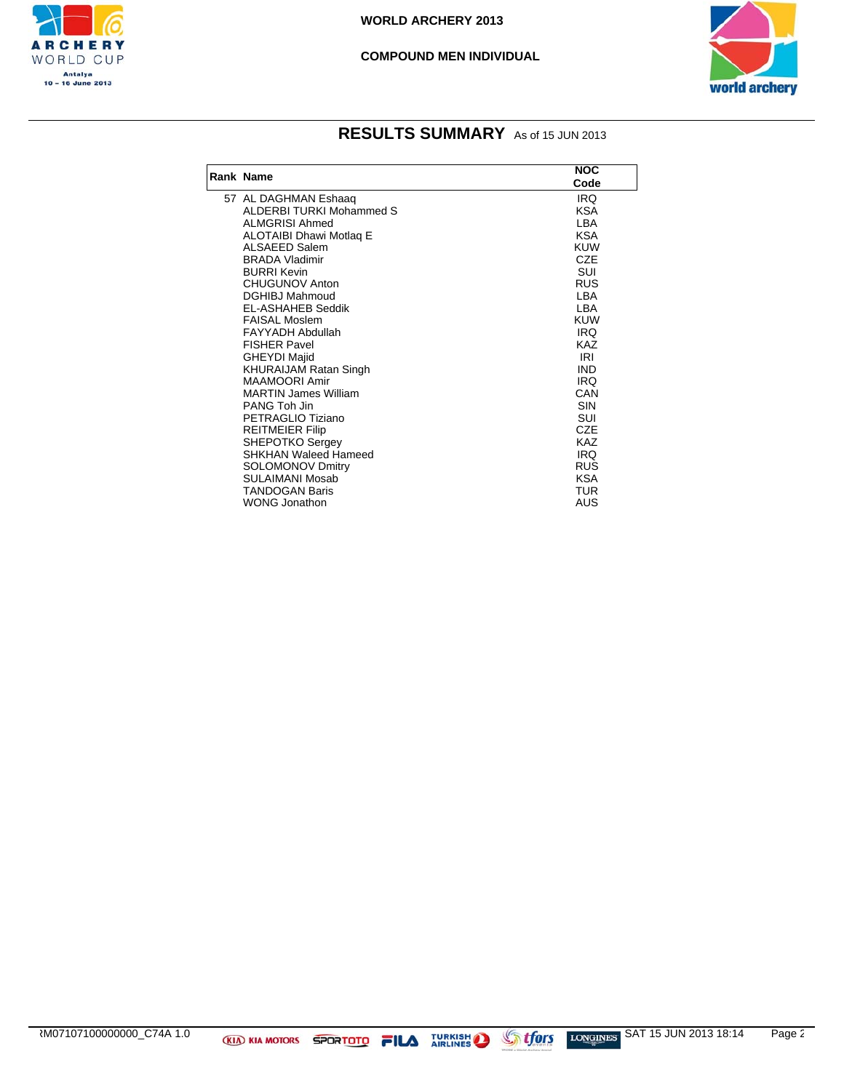

#### **COMPOUND MEN INDIVIDUAL**



| Rank Name                      | <b>NOC</b> |
|--------------------------------|------------|
|                                | Code       |
| 57 AL DAGHMAN Eshaaq           | IRQ        |
| ALDERBI TURKI Mohammed S       | <b>KSA</b> |
| <b>ALMGRISI Ahmed</b>          | LBA        |
| <b>ALOTAIBI Dhawi Motlag E</b> | <b>KSA</b> |
| ALSAEED Salem                  | <b>KUW</b> |
| <b>BRADA Vladimir</b>          | <b>CZE</b> |
| <b>BURRI Kevin</b>             | SUI        |
| <b>CHUGUNOV Anton</b>          | <b>RUS</b> |
| <b>DGHIBJ Mahmoud</b>          | LBA        |
| <b>EL-ASHAHEB Seddik</b>       | LBA        |
| <b>FAISAL Moslem</b>           | <b>KUW</b> |
| <b>FAYYADH Abdullah</b>        | IRQ        |
| <b>FISHER Pavel</b>            | <b>KAZ</b> |
| <b>GHEYDI Majid</b>            | <b>IRI</b> |
| <b>KHURAIJAM Ratan Singh</b>   | <b>IND</b> |
| MAAMOORI Amir                  | IRQ        |
| <b>MARTIN James William</b>    | CAN        |
| PANG Toh Jin                   | <b>SIN</b> |
| PETRAGLIO Tiziano              | SUI        |
| <b>REITMEIER Filip</b>         | <b>CZE</b> |
| <b>SHEPOTKO Sergey</b>         | <b>KAZ</b> |
| <b>SHKHAN Waleed Hameed</b>    | IRQ        |
| <b>SOLOMONOV Dmitry</b>        | <b>RUS</b> |
| SULAIMANI Mosab                | <b>KSA</b> |
| <b>TANDOGAN Baris</b>          | <b>TUR</b> |
| <b>WONG Jonathon</b>           | AUS        |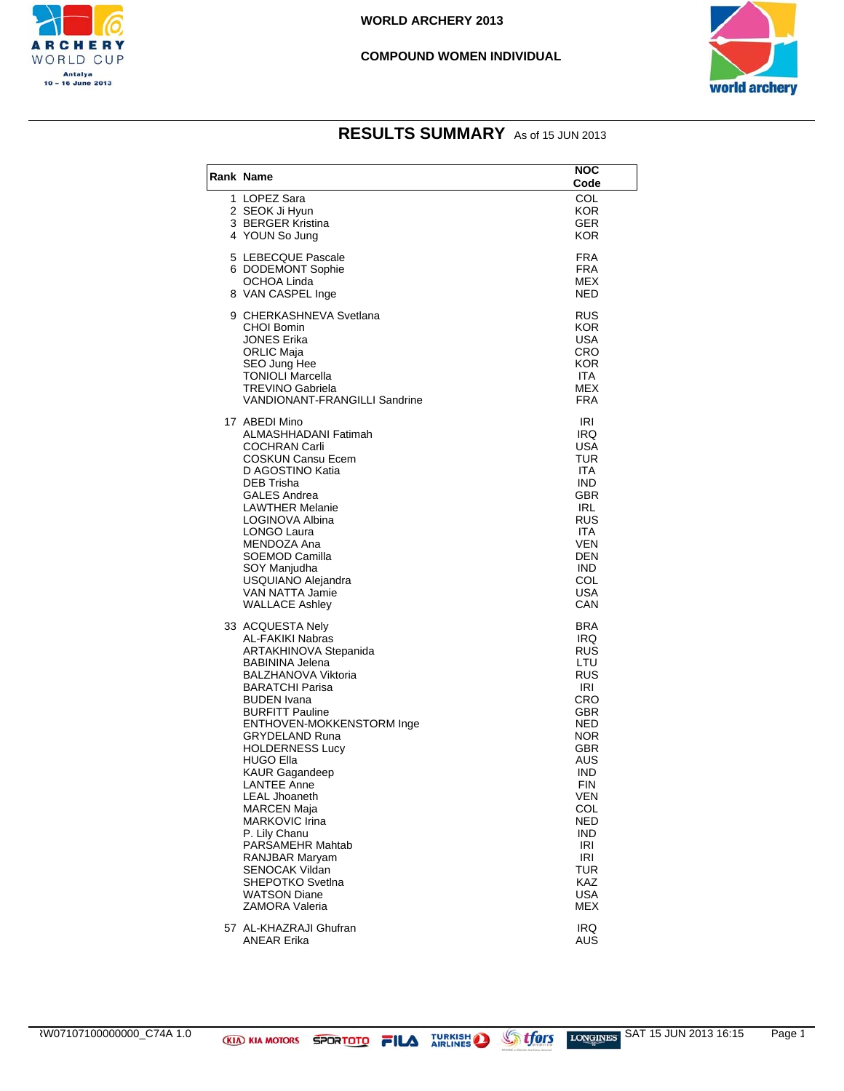

#### **COMPOUND WOMEN INDIVIDUAL**



| Rank Name                                                                                                                                                                                                                                                                                                                                                                                                                                                                                               | NOC<br>Code                                                                                                                                                                                                                                 |
|---------------------------------------------------------------------------------------------------------------------------------------------------------------------------------------------------------------------------------------------------------------------------------------------------------------------------------------------------------------------------------------------------------------------------------------------------------------------------------------------------------|---------------------------------------------------------------------------------------------------------------------------------------------------------------------------------------------------------------------------------------------|
| 1 LOPEZ Sara<br>2 SEOK Ji Hyun<br>3 BERGER Kristina<br>4 YOUN So Jung                                                                                                                                                                                                                                                                                                                                                                                                                                   | COL<br><b>KOR</b><br><b>GER</b><br>KOR                                                                                                                                                                                                      |
| 5 LEBECQUE Pascale<br>6 DODEMONT Sophie<br>OCHOA Linda<br>8 VAN CASPEL Inge                                                                                                                                                                                                                                                                                                                                                                                                                             | <b>FRA</b><br><b>FRA</b><br>MEX<br>NED                                                                                                                                                                                                      |
| 9 CHERKASHNEVA Svetlana<br>CHOI Bomin<br>JONES Erika<br><b>ORLIC Maia</b><br>SEO Jung Hee<br><b>TONIOLI Marcella</b><br><b>TREVINO Gabriela</b><br><b>VANDIONANT-FRANGILLI Sandrine</b>                                                                                                                                                                                                                                                                                                                 | RUS<br>KOR<br>USA<br>CRO<br><b>KOR</b><br><b>ITA</b><br>MEX<br><b>FRA</b>                                                                                                                                                                   |
| 17 ABEDI Mino<br>ALMASHHADANI Fatimah<br>COCHRAN Carli<br>COSKUN Cansu Ecem<br>D AGOSTINO Katia<br>DEB Trisha<br><b>GALES Andrea</b><br><b>LAWTHER Melanie</b><br>LOGINOVA Albina<br>LONGO Laura<br>MENDOZA Ana<br>SOEMOD Camilla<br>SOY Manjudha<br>USQUIANO Alejandra<br>VAN NATTA Jamie<br><b>WALLACE Ashley</b>                                                                                                                                                                                     | IRI<br>IRQ<br><b>USA</b><br>TUR<br><b>ITA</b><br><b>IND</b><br>GBR<br><b>IRL</b><br>RUS<br>ITA.<br><b>VEN</b><br>DEN<br><b>IND</b><br>COL<br><b>USA</b><br>CAN                                                                              |
| 33 ACQUESTA Nely<br>AL-FAKIKI Nabras<br>ARTAKHINOVA Stepanida<br><b>BABININA Jelena</b><br><b>BALZHANOVA Viktoria</b><br><b>BARATCHI Parisa</b><br>BUDEN Ivana<br>BURFITT Pauline<br>ENTHOVEN-MOKKENSTORM Inge<br>GRYDELAND Runa<br><b>HOLDERNESS Lucy</b><br>HUGO Ella<br><b>KAUR Gagandeep</b><br>LANTEE Anne<br>LEAL Jhoaneth<br>MARCEN Maja<br>MARKOVIC Irina<br>P. Lily Chanu<br>PARSAMEHR Mahtab<br>RANJBAR Maryam<br>SENOCAK Vildan<br>SHEPOTKO Svetlna<br><b>WATSON Diane</b><br>ZAMORA Valeria | <b>BRA</b><br>IRQ<br><b>RUS</b><br>LTU<br><b>RUS</b><br>IRI<br>CRO<br>GBR<br>NED<br><b>NOR</b><br>GBR<br>AUS<br><b>IND</b><br><b>FIN</b><br><b>VEN</b><br>COL<br>NED<br>IND.<br>IRI<br>IRI<br><b>TUR</b><br><b>KAZ</b><br><b>USA</b><br>MEX |
| 57 AL-KHAZRAJI Ghufran<br>ANEAR Erika                                                                                                                                                                                                                                                                                                                                                                                                                                                                   | <b>IRQ</b><br>AUS                                                                                                                                                                                                                           |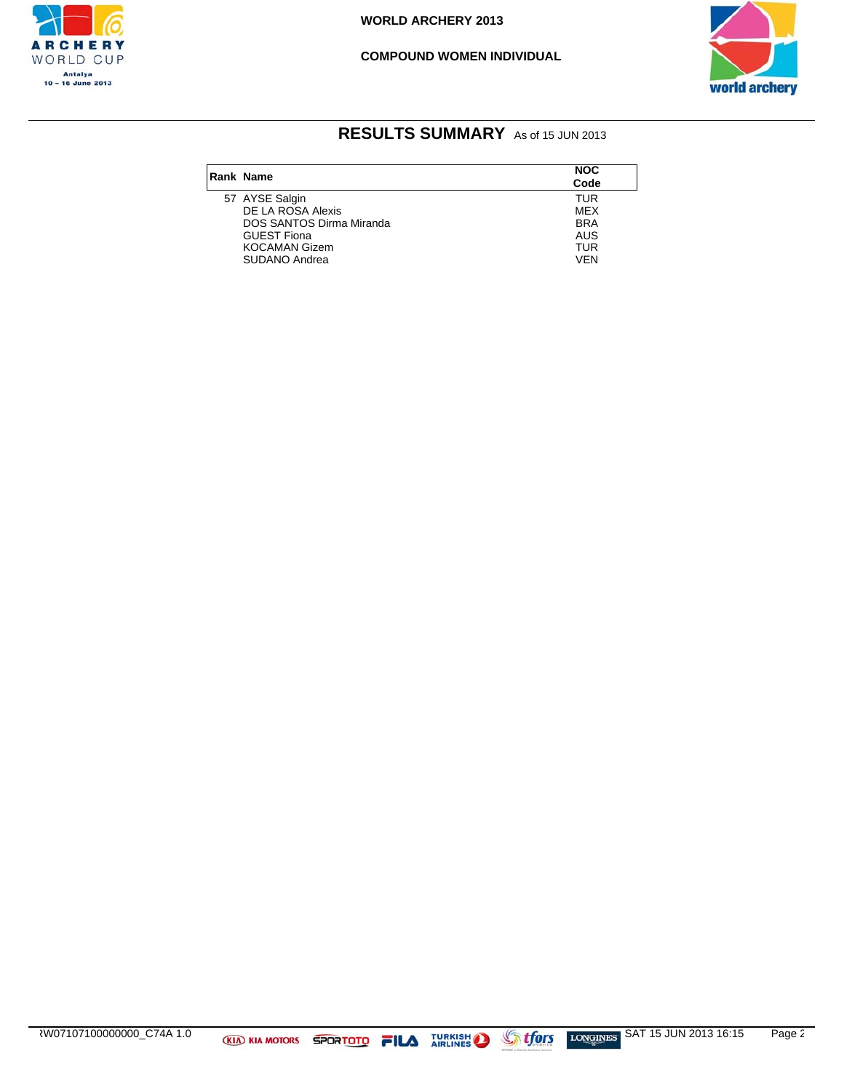

#### **COMPOUND WOMEN INDIVIDUAL**



| Rank Name                       | <b>NOC</b> |  |
|---------------------------------|------------|--|
|                                 | Code       |  |
| 57 AYSE Salgin                  | <b>TUR</b> |  |
| DE LA ROSA Alexis               | <b>MEX</b> |  |
| <b>DOS SANTOS Dirma Miranda</b> | <b>BRA</b> |  |
| <b>GUEST Fiona</b>              | AUS        |  |
| <b>KOCAMAN Gizem</b>            | <b>TUR</b> |  |
| SUDANO Andrea                   | VFN        |  |
|                                 |            |  |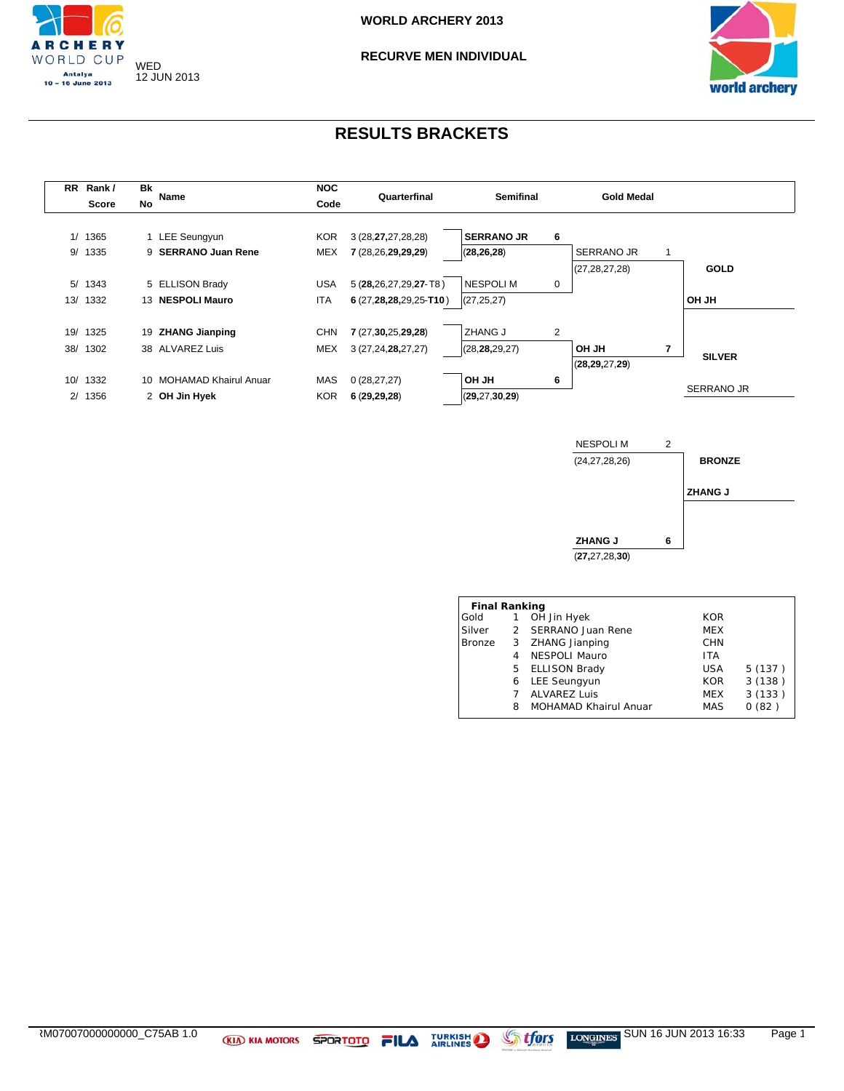



| <b>RR</b> | Rank /       | Bk        | Name                     | <b>NOC</b> | Quarterfinal             | <b>Semifinal</b>  |   | <b>Gold Medal</b> |                   |
|-----------|--------------|-----------|--------------------------|------------|--------------------------|-------------------|---|-------------------|-------------------|
|           | <b>Score</b> | <b>No</b> |                          | Code       |                          |                   |   |                   |                   |
|           |              |           |                          |            |                          |                   |   |                   |                   |
|           | 1/1365       |           | <b>LEE Seungyun</b>      | KOR.       | 3 (28,27,27,28,28)       | <b>SERRANO JR</b> | 6 |                   |                   |
|           | 9/ 1335      | 9         | <b>SERRANO Juan Rene</b> | MEX        | 7 (28,26,29,29,29)       | (28, 26, 28)      |   | SERRANO JR        |                   |
|           |              |           |                          |            |                          |                   |   | (27, 28, 27, 28)  | <b>GOLD</b>       |
|           | 5/1343       |           | 5 ELLISON Brady          | <b>USA</b> | 5 (28,26,27,29,27-T8)    | <b>NESPOLIM</b>   | 0 |                   |                   |
| 13/       | 1332         |           | 13 NESPOLI Mauro         | ITA        | $6(27,28,28,29,25$ -T10) | (27, 25, 27)      |   |                   | <b>OH JH</b>      |
|           |              |           |                          |            |                          |                   |   |                   |                   |
| 19/       | 1325         |           | 19 ZHANG Jianping        | <b>CHN</b> | 7 (27,30,25,29,28)       | <b>ZHANG J</b>    | 2 |                   |                   |
| 38/       | 1302         |           | 38 ALVAREZ Luis          | MEX        | 3 (27,24,28,27,27)       | (28, 28, 29, 27)  |   | 7<br><b>OH JH</b> |                   |
|           |              |           |                          |            |                          |                   |   | (28, 29, 27, 29)  | <b>SILVER</b>     |
| 10/       | 1332         |           | 10 MOHAMAD Khairul Anuar | MAS        | 0(28, 27, 27)            | OH JH             | 6 |                   |                   |
|           | 2/1356       |           | 2 OH Jin Hyek            | <b>KOR</b> | 6(29, 29, 28)            | (29, 27, 30, 29)  |   |                   | <b>SERRANO JR</b> |
|           |              |           |                          |            |                          |                   |   |                   |                   |



| <b>Final Ranking</b> |   |                              |            |        |
|----------------------|---|------------------------------|------------|--------|
| Gold                 | 1 | OH Jin Hyek                  | <b>KOR</b> |        |
| Silver               |   | 2 SERRANO Juan Rene          | <b>MEX</b> |        |
| Bronze               | 3 | ZHANG Jianping               | <b>CHN</b> |        |
|                      | 4 | <b>NESPOLI Mauro</b>         | <b>ITA</b> |        |
|                      |   | 5 ELLISON Brady              | USA        | 5(137) |
|                      | 6 | <b>LEE Seungyun</b>          | <b>KOR</b> | 3(138) |
|                      |   | <b>ALVAREZ Luis</b>          | <b>MEX</b> | 3(133) |
|                      | 8 | <b>MOHAMAD Khairul Anuar</b> | <b>MAS</b> | 0(82)  |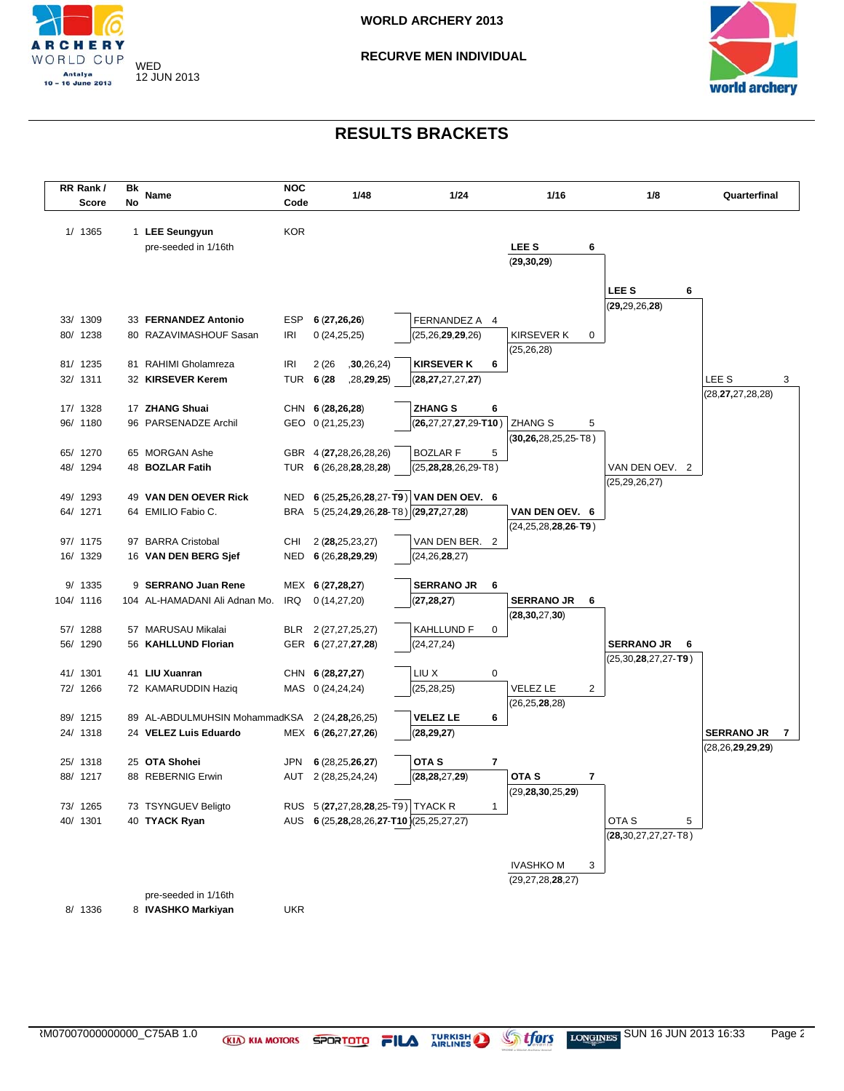



| RR Rank /<br>Score   | Bk<br>No | Name                               | <b>NOC</b><br>Code | 1/48                                     | 1/24                                 |              | 1/16                                  |   | 1/8                                   | Quarterfinal         |   |
|----------------------|----------|------------------------------------|--------------------|------------------------------------------|--------------------------------------|--------------|---------------------------------------|---|---------------------------------------|----------------------|---|
| 1/ 1365              |          | 1 LEE Seungyun                     | <b>KOR</b>         |                                          |                                      |              |                                       |   |                                       |                      |   |
|                      |          | pre-seeded in 1/16th               |                    |                                          |                                      |              | LEE <sub>S</sub>                      | 6 |                                       |                      |   |
|                      |          |                                    |                    |                                          |                                      |              | (29, 30, 29)                          |   |                                       |                      |   |
|                      |          |                                    |                    |                                          |                                      |              |                                       |   |                                       |                      |   |
|                      |          |                                    |                    |                                          |                                      |              |                                       |   | LEE S<br>6                            |                      |   |
| 33/ 1309             |          | 33 FERNANDEZ Antonio               | ESP                | 6(27,26,26)                              | FERNANDEZ A 4                        |              |                                       |   | (29, 29, 26, 28)                      |                      |   |
| 80/ 1238             |          | 80 RAZAVIMASHOUF Sasan             | <b>IRI</b>         | 0(24,25,25)                              | (25, 26, 29, 29, 26)                 |              | <b>KIRSEVER K</b>                     | 0 |                                       |                      |   |
|                      |          |                                    |                    |                                          |                                      |              | (25, 26, 28)                          |   |                                       |                      |   |
| 81/ 1235             |          | 81 RAHIMI Gholamreza               | <b>IRI</b>         | 2(26)<br>,30,26,24)                      | <b>KIRSEVER K</b>                    | 6            |                                       |   |                                       |                      |   |
| 32/ 1311             |          | 32 KIRSEVER Kerem                  |                    | TUR 6 (28<br>,28,29,25)                  | (28, 27, 27, 27, 27)                 |              |                                       |   |                                       | LEE <sub>S</sub>     | 3 |
|                      |          |                                    |                    |                                          |                                      |              |                                       |   |                                       | (28, 27, 27, 28, 28) |   |
| 17/ 1328             |          | 17 ZHANG Shuai                     |                    | CHN 6 (28,26,28)                         | <b>ZHANG S</b>                       | 6            |                                       |   |                                       |                      |   |
| 96/ 1180             |          | 96 PARSENADZE Archil               |                    | GEO 0 (21,25,23)                         | $(26, 27, 27, 27, 29 - T10)$         |              | <b>ZHANG S</b>                        | 5 |                                       |                      |   |
|                      |          |                                    |                    |                                          |                                      |              | (30,26,28,25,25-T8)                   |   |                                       |                      |   |
| 65/ 1270<br>48/ 1294 |          | 65 MORGAN Ashe<br>48 BOZLAR Fatih  |                    | GBR 4 (27,28,26,28,26)                   | <b>BOZLAR F</b>                      | 5            |                                       |   |                                       |                      |   |
|                      |          |                                    |                    | TUR 6 (26,28,28,28,28)                   | (25, <b>28,28</b> ,26,29-T8)         |              |                                       |   | VAN DEN OEV. 2<br>(25,29,26,27)       |                      |   |
| 49/ 1293             |          | 49 VAN DEN OEVER Rick              | NED                |                                          | 6 (25,25,26,28,27-T9) VAN DEN OEV. 6 |              |                                       |   |                                       |                      |   |
| 64/ 1271             |          | 64 EMILIO Fabio C.                 |                    | BRA 5 (25,24,29,26,28-T8) (29,27,27,28)  |                                      |              | VAN DEN OEV. 6                        |   |                                       |                      |   |
|                      |          |                                    |                    |                                          |                                      |              | $(24, 25, 28, 28, 26$ -T9)            |   |                                       |                      |   |
| 97/ 1175             |          | 97 BARRA Cristobal                 | CHI                | 2 (28, 25, 23, 27)                       | VAN DEN BER. 2                       |              |                                       |   |                                       |                      |   |
| 16/ 1329             |          | 16 VAN DEN BERG Sjef               | NED                | 6 (26,28,29,29)                          | (24, 26, 28, 27)                     |              |                                       |   |                                       |                      |   |
|                      |          |                                    |                    |                                          |                                      |              |                                       |   |                                       |                      |   |
| 9/ 1335              |          | 9 SERRANO Juan Rene                |                    | MEX 6 (27,28,27)                         | <b>SERRANO JR</b>                    | 6            |                                       |   |                                       |                      |   |
| 104/ 1116            |          | 104 AL-HAMADANI Ali Adnan Mo.      | IRQ                | 0(14, 27, 20)                            | (27, 28, 27)                         |              | <b>SERRANO JR</b><br>(28, 30, 27, 30) | 6 |                                       |                      |   |
| 57/ 1288             |          | 57 MARUSAU Mikalai                 | BLR                | 2 (27, 27, 25, 27)                       | KAHLLUND F                           | 0            |                                       |   |                                       |                      |   |
| 56/ 1290             |          | 56 KAHLLUND Florian                |                    | GER 6 (27,27,27,28)                      | (24,27,24)                           |              |                                       |   | <b>SERRANO JR</b><br>6                |                      |   |
|                      |          |                                    |                    |                                          |                                      |              |                                       |   | (25,30, <b>28</b> ,27,27- <b>T9</b> ) |                      |   |
| 41/ 1301             |          | 41 LIU Xuanran                     |                    | CHN 6 (28,27,27)                         | LIU X                                | 0            |                                       |   |                                       |                      |   |
| 72/ 1266             |          | 72 KAMARUDDIN Haziq                |                    | MAS 0 (24,24,24)                         | (25, 28, 25)                         |              | <b>VELEZ LE</b>                       | 2 |                                       |                      |   |
|                      |          |                                    |                    |                                          |                                      |              | (26, 25, 28, 28)                      |   |                                       |                      |   |
| 89/ 1215             |          | 89 AL-ABDULMUHSIN MohammadKSA      |                    | 2 (24, 28, 26, 25)                       | <b>VELEZ LE</b>                      | 6            |                                       |   |                                       |                      |   |
| 24/ 1318             |          | 24 VELEZ Luis Eduardo              |                    | MEX 6 (26,27,27,26)                      | (28, 29, 27)                         |              |                                       |   |                                       | <b>SERRANO JR</b>    | 7 |
|                      |          |                                    |                    |                                          | OTA <sub>S</sub>                     |              |                                       |   |                                       | (28, 26, 29, 29, 29) |   |
| 25/ 1318<br>88/ 1217 |          | 25 OTA Shohei<br>88 REBERNIG Erwin | JPN<br>AUT         | 6(28, 25, 26, 27)<br>2 (28,25,24,24)     | (28, 28, 27, 29)                     | 7            | OTA <sub>S</sub>                      | 7 |                                       |                      |   |
|                      |          |                                    |                    |                                          |                                      |              | (29, 28, 30, 25, 29)                  |   |                                       |                      |   |
| 73/ 1265             |          | 73 TSYNGUEV Beligto                |                    | RUS 5 (27,27,28,28,25-T9) TYACK R        |                                      | $\mathbf{1}$ |                                       |   |                                       |                      |   |
| 40/ 1301             |          | 40 TYACK Ryan                      |                    | AUS 6 (25,28,28,26,27-T10) (25,25,27,27) |                                      |              |                                       |   | OTA <sub>S</sub><br>5                 |                      |   |
|                      |          |                                    |                    |                                          |                                      |              |                                       |   | $(28, 30, 27, 27, 27 - T8)$           |                      |   |
|                      |          |                                    |                    |                                          |                                      |              |                                       |   |                                       |                      |   |
|                      |          |                                    |                    |                                          |                                      |              | <b>IVASHKOM</b>                       | 3 |                                       |                      |   |
|                      |          |                                    |                    |                                          |                                      |              | (29, 27, 28, 28, 27)                  |   |                                       |                      |   |
|                      |          | pre-seeded in 1/16th               |                    |                                          |                                      |              |                                       |   |                                       |                      |   |
| 8/ 1336              |          | 8 IVASHKO Markiyan                 | UKR                |                                          |                                      |              |                                       |   |                                       |                      |   |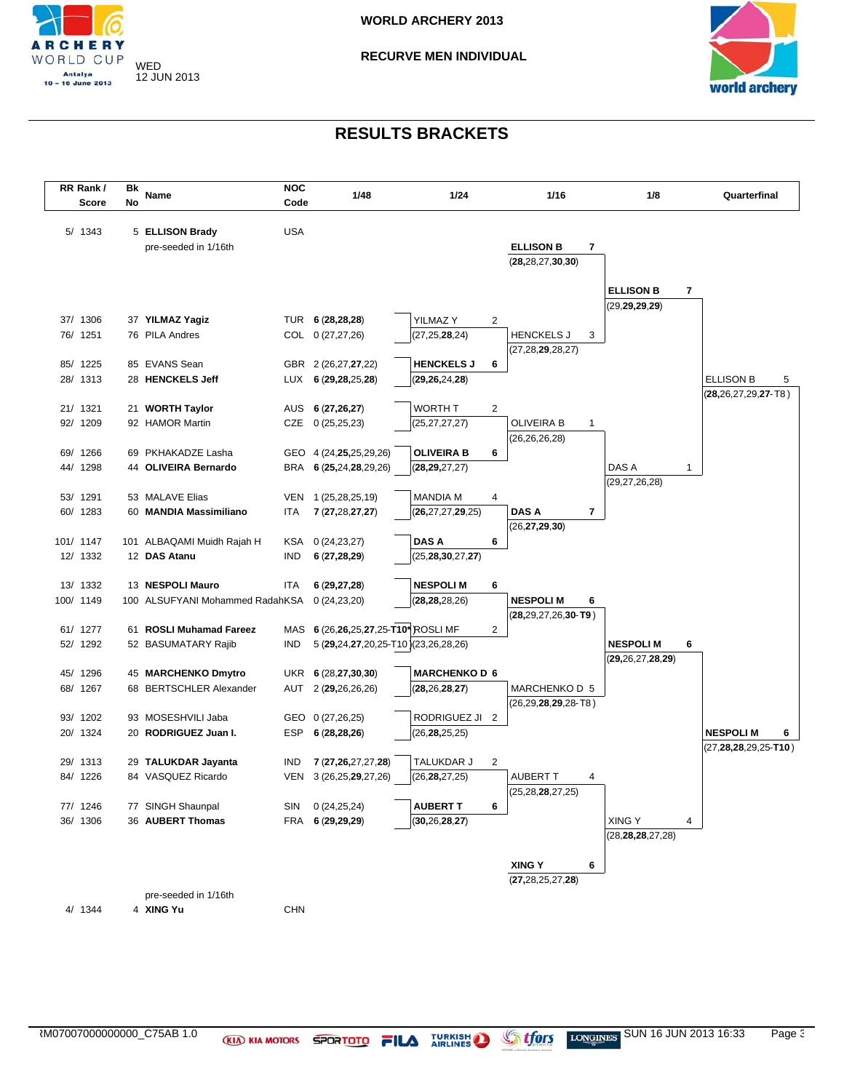



| RR Rank/              |    | Name                                       | <b>NOC</b><br>1/48 |                                            | 1/24                                 |                | 1/16                              | 1/8                  | Quarterfinal                |
|-----------------------|----|--------------------------------------------|--------------------|--------------------------------------------|--------------------------------------|----------------|-----------------------------------|----------------------|-----------------------------|
| Score                 | No |                                            | Code               |                                            |                                      |                |                                   |                      |                             |
| 5/ 1343               |    | 5 ELLISON Brady                            | <b>USA</b>         |                                            |                                      |                |                                   |                      |                             |
|                       |    | pre-seeded in 1/16th                       |                    |                                            |                                      |                | <b>ELLISON B</b><br>7             |                      |                             |
|                       |    |                                            |                    |                                            |                                      |                | (28, 28, 27, 30, 30)              |                      |                             |
|                       |    |                                            |                    |                                            |                                      |                |                                   |                      |                             |
|                       |    |                                            |                    |                                            |                                      |                |                                   | <b>ELLISON B</b>     | 7                           |
|                       |    |                                            |                    |                                            |                                      |                |                                   | (29, 29, 29, 29)     |                             |
| 37/ 1306              |    | 37 YILMAZ Yagiz                            |                    | TUR 6 (28,28,28)                           | YILMAZ Y                             | 2              |                                   |                      |                             |
| 76/ 1251              |    | 76 PILA Andres                             |                    | COL 0 (27,27,26)                           | (27, 25, 28, 24)                     |                | <b>HENCKELS J</b><br>3            |                      |                             |
| 85/ 1225              |    | 85 EVANS Sean                              |                    |                                            | <b>HENCKELS J</b>                    | 6              | (27, 28, 29, 28, 27)              |                      |                             |
| 28/ 1313              |    | 28 HENCKELS Jeff                           |                    | GBR 2 (26,27,27,22)<br>LUX 6 (29,28,25,28) | (29, 26, 24, 28)                     |                |                                   |                      | <b>ELLISON B</b><br>5       |
|                       |    |                                            |                    |                                            |                                      |                |                                   |                      | $(28, 26, 27, 29, 27 - T8)$ |
| 21/ 1321              |    | 21 WORTH Taylor                            |                    | AUS 6 (27,26,27)                           | <b>WORTH T</b>                       | 2              |                                   |                      |                             |
| 92/ 1209              |    | 92 HAMOR Martin                            | CZE                | 0(25,25,23)                                | (25,27,27,27)                        |                | <b>OLIVEIRA B</b><br>$\mathbf{1}$ |                      |                             |
|                       |    |                                            |                    |                                            |                                      |                | (26, 26, 26, 28)                  |                      |                             |
| 69/ 1266              |    | 69 PKHAKADZE Lasha                         |                    | GEO 4 (24, <b>25</b> , 25, 29, 26)         | <b>OLIVEIRA B</b>                    | 6              |                                   |                      |                             |
| 44/ 1298              |    | 44 OLIVEIRA Bernardo                       |                    | BRA 6 (25,24,28,29,26)                     | (28, 29, 27, 27)                     |                |                                   | DAS A                | 1                           |
|                       |    |                                            |                    |                                            |                                      |                |                                   | (29, 27, 26, 28)     |                             |
| 53/ 1291              |    | 53 MALAVE Elias                            | <b>VEN</b>         | 1 (25,28,25,19)                            | <b>MANDIA M</b>                      | 4              |                                   |                      |                             |
| 60/ 1283              |    | 60 MANDIA Massimiliano                     | ITA                | 7 (27,28,27,27)                            | (26, 27, 27, 29, 25)                 |                | <b>DAS A</b><br>7                 |                      |                             |
|                       |    |                                            |                    |                                            |                                      |                | (26, 27, 29, 30)                  |                      |                             |
| 101/ 1147<br>12/ 1332 |    | 101 ALBAQAMI Muidh Rajah H<br>12 DAS Atanu | KSA<br>IND         | 0(24, 23, 27)<br>6(27, 28, 29)             | <b>DAS A</b><br>(25, 28, 30, 27, 27) | 6              |                                   |                      |                             |
|                       |    |                                            |                    |                                            |                                      |                |                                   |                      |                             |
| 13/ 1332              |    | 13 NESPOLI Mauro                           | ITA                | 6(29, 27, 28)                              | <b>NESPOLI M</b>                     | 6              |                                   |                      |                             |
| 100/ 1149             |    | 100 ALSUFYANI Mohammed RadahKSA            |                    | 0(24, 23, 20)                              | (28, 28, 28, 26)                     |                | <b>NESPOLIM</b><br>6              |                      |                             |
|                       |    |                                            |                    |                                            |                                      |                | $(28,29,27,26,30$ -T9)            |                      |                             |
| 61/ 1277              |    | 61 ROSLI Muhamad Fareez                    |                    | MAS 6 (26,26,25,27,25-T10* ROSLI MF        |                                      | $\overline{2}$ |                                   |                      |                             |
| 52/ 1292              |    | 52 BASUMATARY Rajib                        | IND                | 5 (29,24,27,20,25-T10)(23,26,28,26)        |                                      |                |                                   | <b>NESPOLIM</b>      | 6                           |
|                       |    |                                            |                    |                                            |                                      |                |                                   | (29, 26, 27, 28, 29) |                             |
| 45/ 1296              |    | 45 MARCHENKO Dmytro                        |                    | UKR 6 (28,27,30,30)                        | <b>MARCHENKO D 6</b>                 |                |                                   |                      |                             |
| 68/ 1267              |    | 68 BERTSCHLER Alexander                    | AUT                | 2 (29,26,26,26)                            | (28, 26, 28, 27)                     |                | MARCHENKO D 5                     |                      |                             |
|                       |    |                                            |                    |                                            |                                      |                | (26, 29, 28, 29, 28, 78)          |                      |                             |
| 93/ 1202<br>20/ 1324  |    | 93 MOSESHVILI Jaba<br>20 RODRIGUEZ Juan I. | ESP                | GEO 0 (27,26,25)<br>6(28, 28, 26)          | RODRIGUEZ JI 2<br>(26, 28, 25, 25)   |                |                                   |                      | <b>NESPOLI M</b><br>6       |
|                       |    |                                            |                    |                                            |                                      |                |                                   |                      | $(27, 28, 28, 29, 25$ -T10) |
| 29/ 1313              |    | 29 TALUKDAR Jayanta                        | <b>IND</b>         | 7 (27,26,27,27,28)                         | TALUKDAR J                           | $\overline{2}$ |                                   |                      |                             |
| 84/ 1226              |    | 84 VASQUEZ Ricardo                         | <b>VEN</b>         | 3 (26, 25, 29, 27, 26)                     | (26, 28, 27, 25)                     |                | <b>AUBERT T</b><br>4              |                      |                             |
|                       |    |                                            |                    |                                            |                                      |                | (25, 28, 28, 27, 25)              |                      |                             |
| 77/ 1246              |    | 77 SINGH Shaunpal                          | SIN                | 0(24,25,24)                                | <b>AUBERT T</b>                      | 6              |                                   |                      |                             |
| 36/ 1306              |    | 36 AUBERT Thomas                           |                    | FRA 6 (29,29,29)                           | (30, 26, 28, 27)                     |                |                                   | <b>XING Y</b>        | 4                           |
|                       |    |                                            |                    |                                            |                                      |                |                                   | (28, 28, 28, 27, 28) |                             |
|                       |    |                                            |                    |                                            |                                      |                |                                   |                      |                             |
|                       |    |                                            |                    |                                            |                                      |                | <b>XING Y</b><br>6                |                      |                             |
|                       |    | pre-seeded in 1/16th                       |                    |                                            |                                      |                | (27, 28, 25, 27, 28)              |                      |                             |
| 4/ 1344               |    | 4 XING Yu                                  | <b>CHN</b>         |                                            |                                      |                |                                   |                      |                             |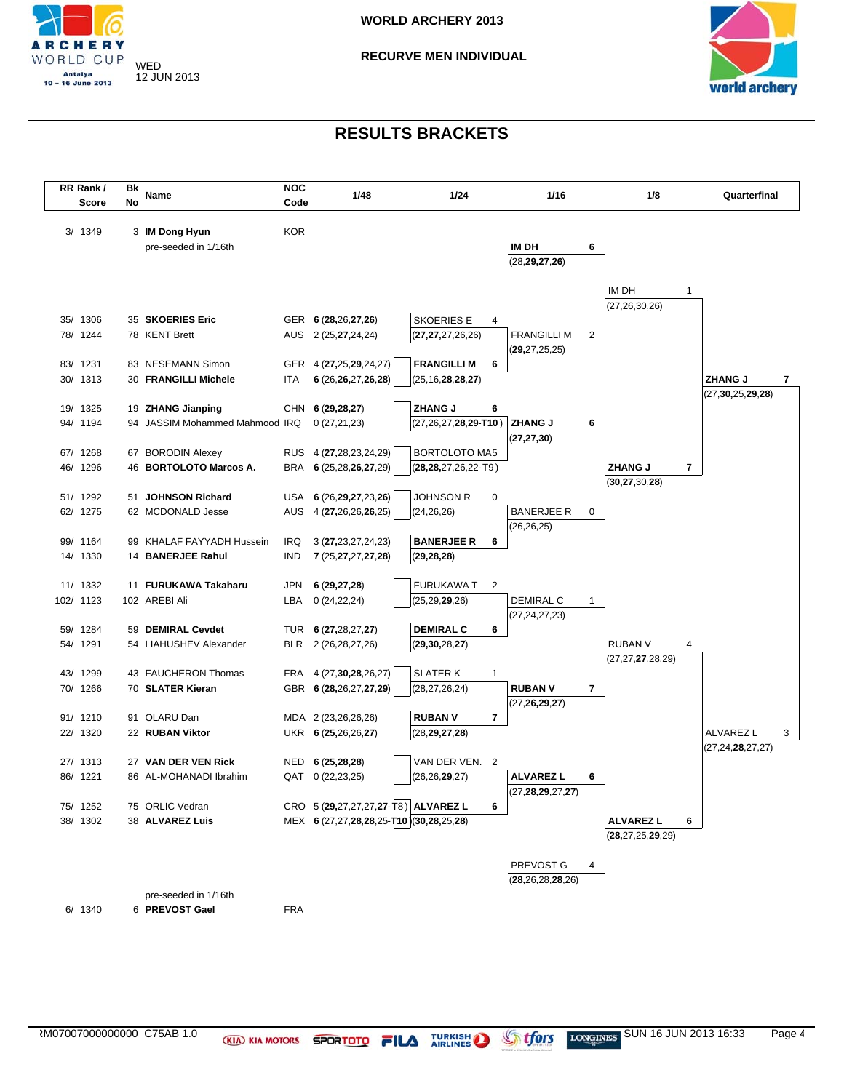



| RR Rank/<br><b>Score</b> | Bk<br>No | Name                                           | <b>NOC</b><br>Code | 1/48                                       | 1/24                   |              | 1/16                 |   | 1/8                       |              | Quarterfinal                           |
|--------------------------|----------|------------------------------------------------|--------------------|--------------------------------------------|------------------------|--------------|----------------------|---|---------------------------|--------------|----------------------------------------|
| 3/ 1349                  |          | 3 IM Dong Hyun                                 | <b>KOR</b>         |                                            |                        |              |                      |   |                           |              |                                        |
|                          |          | pre-seeded in 1/16th                           |                    |                                            |                        |              | IM DH                | 6 |                           |              |                                        |
|                          |          |                                                |                    |                                            |                        |              | (28, 29, 27, 26)     |   |                           |              |                                        |
|                          |          |                                                |                    |                                            |                        |              |                      |   |                           |              |                                        |
|                          |          |                                                |                    |                                            |                        |              |                      |   | IM DH                     | $\mathbf{1}$ |                                        |
|                          |          |                                                |                    |                                            |                        |              |                      |   | (27, 26, 30, 26)          |              |                                        |
| 35/ 1306                 |          | 35 SKOERIES Eric                               |                    | GER 6 (28,26,27,26)                        | <b>SKOERIES E</b>      | 4            |                      |   |                           |              |                                        |
| 78/ 1244                 |          | 78 KENT Brett                                  |                    | AUS 2 (25,27,24,24)                        | (27, 27, 27, 26, 26)   |              | <b>FRANGILLI M</b>   | 2 |                           |              |                                        |
| 83/ 1231                 |          | 83 NESEMANN Simon                              |                    | GER 4 (27,25,29,24,27)                     | <b>FRANGILLI M</b>     | 6            | (29, 27, 25, 25)     |   |                           |              |                                        |
| 30/ 1313                 |          | 30 FRANGILLI Michele                           | ITA                | 6 (26,26,27,26,28)                         | (25, 16, 28, 28, 27)   |              |                      |   |                           |              | <b>ZHANG J</b><br>7                    |
|                          |          |                                                |                    |                                            |                        |              |                      |   |                           |              | (27, 30, 25, 29, 28)                   |
| 19/ 1325                 |          | 19 ZHANG Jianping                              |                    | CHN 6 (29,28,27)                           | <b>ZHANG J</b>         | 6            |                      |   |                           |              |                                        |
| 94/ 1194                 |          | 94 JASSIM Mohammed Mahmood IRQ                 |                    | 0(27,21,23)                                | (27,26,27,28,29-T10)   |              | <b>ZHANG J</b>       | 6 |                           |              |                                        |
|                          |          |                                                |                    |                                            |                        |              | (27, 27, 30)         |   |                           |              |                                        |
| 67/ 1268                 |          | 67 BORODIN Alexey                              |                    | RUS 4 (27,28,23,24,29)                     | BORTOLOTO MA5          |              |                      |   |                           |              |                                        |
| 46/ 1296                 |          | 46 BORTOLOTO Marcos A.                         |                    | BRA 6 (25,28,26,27,29)                     | (28,28,27,26,22-T9)    |              |                      |   | <b>ZHANG J</b>            | 7            |                                        |
|                          |          |                                                |                    |                                            |                        |              |                      |   | (30, 27, 30, 28)          |              |                                        |
| 51/ 1292                 |          | 51 JOHNSON Richard                             |                    | USA 6 (26,29,27,23,26)                     | Johnson R              | 0            |                      |   |                           |              |                                        |
| 62/ 1275                 |          | 62 MCDONALD Jesse                              |                    | AUS 4 (27,26,26,26,25)                     | (24, 26, 26)           |              | BANERJEE R           | 0 |                           |              |                                        |
|                          |          |                                                |                    |                                            |                        |              | (26, 26, 25)         |   |                           |              |                                        |
| 99/ 1164<br>14/ 1330     |          | 99 KHALAF FAYYADH Hussein<br>14 BANERJEE Rahul | IRQ<br><b>IND</b>  | 3 (27, 23, 27, 24, 23)                     | <b>BANERJEE R</b>      | 6            |                      |   |                           |              |                                        |
|                          |          |                                                |                    | 7 (25, 27, 27, 27, 28)                     | (29, 28, 28)           |              |                      |   |                           |              |                                        |
| 11/ 1332                 |          | 11 FURUKAWA Takaharu                           | JPN                | 6(29, 27, 28)                              | <b>FURUKAWA T</b>      | 2            |                      |   |                           |              |                                        |
| 102/ 1123                |          | 102 AREBI Ali                                  | LBA                | 0(24, 22, 24)                              | (25,29, <b>29</b> ,26) |              | DEMIRAL C            | 1 |                           |              |                                        |
|                          |          |                                                |                    |                                            |                        |              | (27, 24, 27, 23)     |   |                           |              |                                        |
| 59/ 1284                 |          | 59 DEMIRAL Cevdet                              |                    | TUR 6 (27,28,27,27)                        | <b>DEMIRAL C</b>       | 6            |                      |   |                           |              |                                        |
| 54/ 1291                 |          | 54 LIAHUSHEV Alexander                         | BLR                | 2 (26, 28, 27, 26)                         | (29, 30, 28, 27)       |              |                      |   | <b>RUBAN V</b>            | 4            |                                        |
|                          |          |                                                |                    |                                            |                        |              |                      |   | (27,27, <b>27</b> ,28,29) |              |                                        |
| 43/ 1299                 |          | 43 FAUCHERON Thomas                            | FRA                | 4 (27, 30, 28, 26, 27)                     | <b>SLATER K</b>        | $\mathbf{1}$ |                      |   |                           |              |                                        |
| 70/ 1266                 |          | 70 SLATER Kieran                               |                    | GBR 6 (28,26,27,27,29)                     | (28, 27, 26, 24)       |              | <b>RUBAN V</b>       | 7 |                           |              |                                        |
|                          |          |                                                |                    |                                            |                        |              | (27, 26, 29, 27)     |   |                           |              |                                        |
| 91/ 1210<br>22/ 1320     |          | 91 OLARU Dan<br>22 RUBAN Viktor                |                    | MDA 2 (23,26,26,26)<br>UKR 6 (25,26,26,27) | <b>RUBAN V</b>         | 7            |                      |   |                           |              |                                        |
|                          |          |                                                |                    |                                            | (28, 29, 27, 28)       |              |                      |   |                           |              | ALVAREZ L<br>3<br>(27, 24, 28, 27, 27) |
| 27/ 1313                 |          | 27 VAN DER VEN Rick                            | NED                | 6(25, 28, 28)                              | VAN DER VEN. 2         |              |                      |   |                           |              |                                        |
| 86/ 1221                 |          | 86 AL-MOHANADI Ibrahim                         | QAT                | 0(22, 23, 25)                              | (26, 26, 29, 27)       |              | ALVAREZ L            | 6 |                           |              |                                        |
|                          |          |                                                |                    |                                            |                        |              | (27, 28, 29, 27, 27) |   |                           |              |                                        |
| 75/ 1252                 |          | 75 ORLIC Vedran                                |                    | CRO 5 (29,27,27,27,27-T8) ALVAREZ L        |                        | 6            |                      |   |                           |              |                                        |
| 38/ 1302                 |          | 38 ALVAREZ Luis                                |                    | MEX 6 (27,27,28,28,25-T10)(30,28,25,28)    |                        |              |                      |   | <b>ALVAREZ L</b>          | 6            |                                        |
|                          |          |                                                |                    |                                            |                        |              |                      |   | (28, 27, 25, 29, 29)      |              |                                        |
|                          |          |                                                |                    |                                            |                        |              |                      |   |                           |              |                                        |
|                          |          |                                                |                    |                                            |                        |              | PREVOST G            | 4 |                           |              |                                        |
|                          |          |                                                |                    |                                            |                        |              | (28, 26, 28, 28, 26) |   |                           |              |                                        |
|                          |          | pre-seeded in 1/16th                           |                    |                                            |                        |              |                      |   |                           |              |                                        |
| 6/ 1340                  |          | 6 PREVOST Gael                                 | <b>FRA</b>         |                                            |                        |              |                      |   |                           |              |                                        |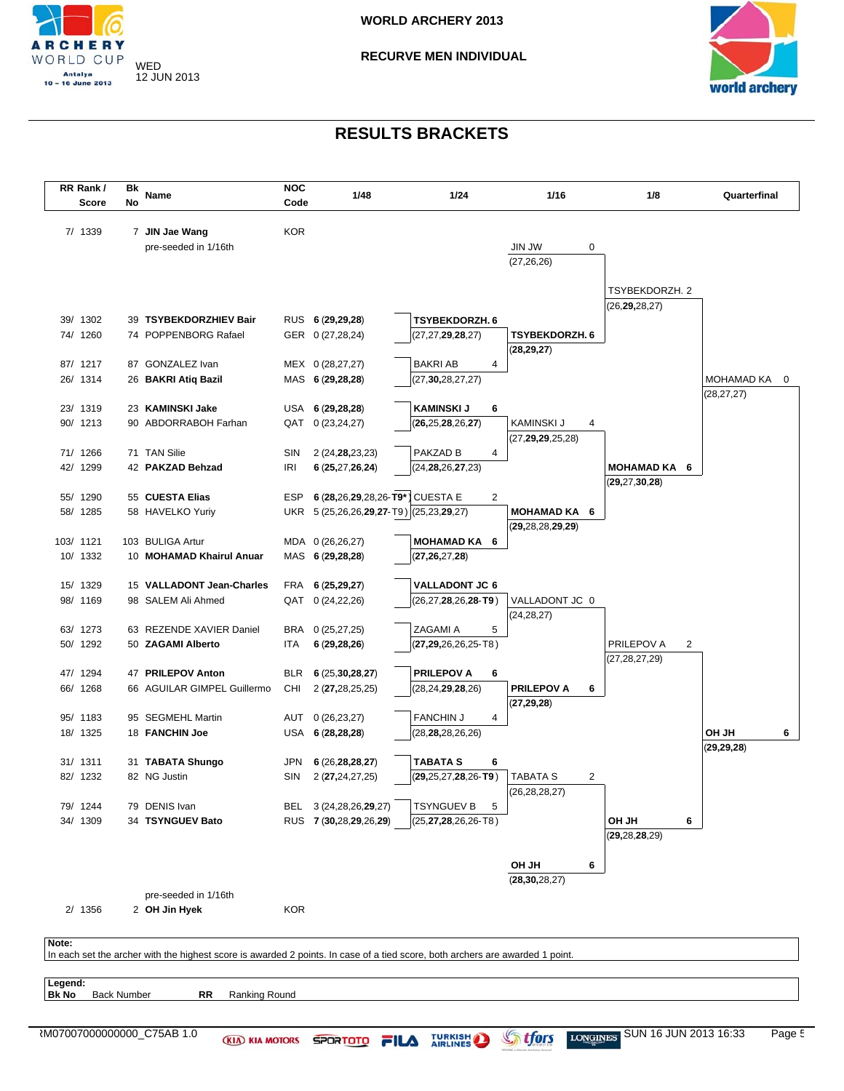



|              | RR Rank/<br>Score  | Βk<br>No | Name                                                                                                                          | <b>NOC</b><br>Code | 1/48                                    | 1/24                         | 1/16                                        | 1/8                                      | Quarterfinal                 |
|--------------|--------------------|----------|-------------------------------------------------------------------------------------------------------------------------------|--------------------|-----------------------------------------|------------------------------|---------------------------------------------|------------------------------------------|------------------------------|
|              | 7/ 1339            |          | 7 JIN Jae Wang<br>pre-seeded in 1/16th                                                                                        | <b>KOR</b>         |                                         |                              | <b>JIN JW</b><br>0<br>(27, 26, 26)          |                                          |                              |
|              |                    |          |                                                                                                                               |                    |                                         |                              |                                             | TSYBEKDORZH. 2<br>(26, <b>29,</b> 28,27) |                              |
|              | 39/ 1302           |          | 39 TSYBEKDORZHIEV Bair                                                                                                        |                    | RUS 6 (29,29,28)                        | TSYBEKDORZH. 6               |                                             |                                          |                              |
|              | 74/ 1260           |          | 74 POPPENBORG Rafael                                                                                                          |                    | GER 0 (27,28,24)                        | (27, 27, 29, 28, 27)         | <b>TSYBEKDORZH. 6</b><br>(28, 29, 27)       |                                          |                              |
|              | 87/ 1217           |          | 87 GONZALEZ Ivan                                                                                                              |                    | MEX 0 (28,27,27)                        | <b>BAKRI AB</b><br>4         |                                             |                                          |                              |
|              | 26/ 1314           |          | 26 BAKRI Atiq Bazil                                                                                                           |                    | MAS 6 (29,28,28)                        | (27, 30, 28, 27, 27)         |                                             |                                          | MOHAMAD KA<br>(28, 27, 27)   |
|              | 23/ 1319           |          | 23 KAMINSKI Jake                                                                                                              |                    | USA 6 (29,28,28)                        | <b>KAMINSKI J</b><br>6       |                                             |                                          |                              |
|              | 90/ 1213           |          | 90 ABDORRABOH Farhan                                                                                                          | QAT                | 0(23, 24, 27)                           | (26, 25, 28, 26, 27)         | KAMINSKI J<br>4<br>(27, 29, 29, 25, 28)     |                                          |                              |
|              | 71/ 1266           |          | 71 TAN Silie                                                                                                                  | SIN                | 2 (24, 28, 23, 23)                      | PAKZAD B<br>4                |                                             |                                          |                              |
|              | 42/ 1299           |          | 42 PAKZAD Behzad                                                                                                              | <b>IRI</b>         | 6 (25,27,26,24)                         | (24, 28, 26, 27, 23)         |                                             | MOHAMAD KA 6<br>(29, 27, 30, 28)         |                              |
|              | 55/ 1290           |          | 55 CUESTA Elias                                                                                                               | <b>ESP</b>         | 6 (28,26,29,28,26-T9*) CUESTA E         | $\overline{2}$               |                                             |                                          |                              |
|              | 58/ 1285           |          | 58 HAVELKO Yuriy                                                                                                              |                    | UKR 5 (25,26,26,29,27-T9) (25,23,29,27) |                              | <b>MOHAMAD KA 6</b><br>(29, 28, 28, 29, 29) |                                          |                              |
|              | 103/ 1121          |          | 103 BULIGA Artur                                                                                                              |                    | MDA 0 (26,26,27)                        | <b>MOHAMAD KA 6</b>          |                                             |                                          |                              |
|              | 10/ 1332           |          | 10 MOHAMAD Khairul Anuar                                                                                                      |                    | MAS 6 (29,28,28)                        | (27, 26, 27, 28)             |                                             |                                          |                              |
|              | 15/ 1329           |          | 15 VALLADONT Jean-Charles                                                                                                     |                    | FRA 6 (25,29,27)                        | <b>VALLADONT JC 6</b>        |                                             |                                          |                              |
|              | 98/ 1169           |          | 98 SALEM Ali Ahmed                                                                                                            |                    | QAT 0 (24,22,26)                        | $(26, 27, 28, 26, 28 - T9)$  | VALLADONT JC 0<br>(24, 28, 27)              |                                          |                              |
|              | 63/ 1273           |          | 63 REZENDE XAVIER Daniel                                                                                                      |                    | BRA 0 (25,27,25)                        | ZAGAMI A<br>5                |                                             |                                          |                              |
|              | 50/ 1292           |          | 50 ZAGAMI Alberto                                                                                                             | ITA                | 6(29, 28, 26)                           | ( <b>27,29,</b> 26,26,25-T8) |                                             | PRILEPOV A<br>2<br>(27,28,27,29)         |                              |
|              | 47/ 1294           |          | 47 PRILEPOV Anton                                                                                                             | <b>BLR</b>         | 6(25,30,28,27)                          | <b>PRILEPOV A</b><br>6       |                                             |                                          |                              |
|              | 66/ 1268           |          | 66 AGUILAR GIMPEL Guillermo                                                                                                   | CHI                | 2 (27,28,25,25)                         | (28, 24, 29, 28, 26)         | <b>PRILEPOV A</b><br>6<br>(27, 29, 28)      |                                          |                              |
|              | 95/ 1183           |          | 95 SEGMEHL Martin                                                                                                             | AUT                | 0(26, 23, 27)                           | <b>FANCHIN J</b><br>4        |                                             |                                          |                              |
|              | 18/ 1325           |          | 18 FANCHIN Joe                                                                                                                |                    | USA 6 (28,28,28)                        | (28, 28, 28, 26, 26)         |                                             |                                          | <b>OH JH</b><br>(29, 29, 28) |
|              | 31/ 1311           |          | 31 TABATA Shungo                                                                                                              | JPN                | 6(26,28,28,27)                          | <b>TABATA S</b><br>6         |                                             |                                          |                              |
|              | 82/ 1232           |          | 82 NG Justin                                                                                                                  | SIN                | 2 (27,24,27,25)                         | $(29, 25, 27, 28, 26 - T9)$  | TABATA S<br>2<br>(26, 28, 28, 27)           |                                          |                              |
|              | 79/ 1244           |          | 79 DENIS Ivan                                                                                                                 |                    | BEL 3 (24,28,26,29,27)                  | <b>TSYNGUEV B</b><br>5       |                                             |                                          |                              |
|              | 34/ 1309           |          | 34 TSYNGUEV Bato                                                                                                              |                    | RUS 7 (30,28,29,26,29)                  | (25, <b>27,28</b> ,26,26-T8) |                                             | <b>HL HO</b><br>6<br>(29, 28, 28, 29)    |                              |
|              |                    |          |                                                                                                                               |                    |                                         |                              | HL HO<br>6                                  |                                          |                              |
|              |                    |          |                                                                                                                               |                    |                                         |                              | (28, 30, 28, 27)                            |                                          |                              |
|              | 2/ 1356            |          | pre-seeded in 1/16th<br>2 OH Jin Hyek                                                                                         | <b>KOR</b>         |                                         |                              |                                             |                                          |                              |
| Note:        |                    |          |                                                                                                                               |                    |                                         |                              |                                             |                                          |                              |
|              |                    |          | In each set the archer with the highest score is awarded 2 points. In case of a tied score, both archers are awarded 1 point. |                    |                                         |                              |                                             |                                          |                              |
| Legend:      | <b>Back Number</b> |          | RR<br>Ranking Round                                                                                                           |                    |                                         |                              |                                             |                                          |                              |
| <b>Bk No</b> |                    |          | N07007000000000_C75AB 1.0<br><b>KIA KIA MOTORS</b>                                                                            |                    | <b>SPORTOTO</b>                         | <b>TURKISH</b><br>FILA       | S<br>tfors<br><b>LONGINES</b>               | SUN 16 JUN 2013 16:33                    |                              |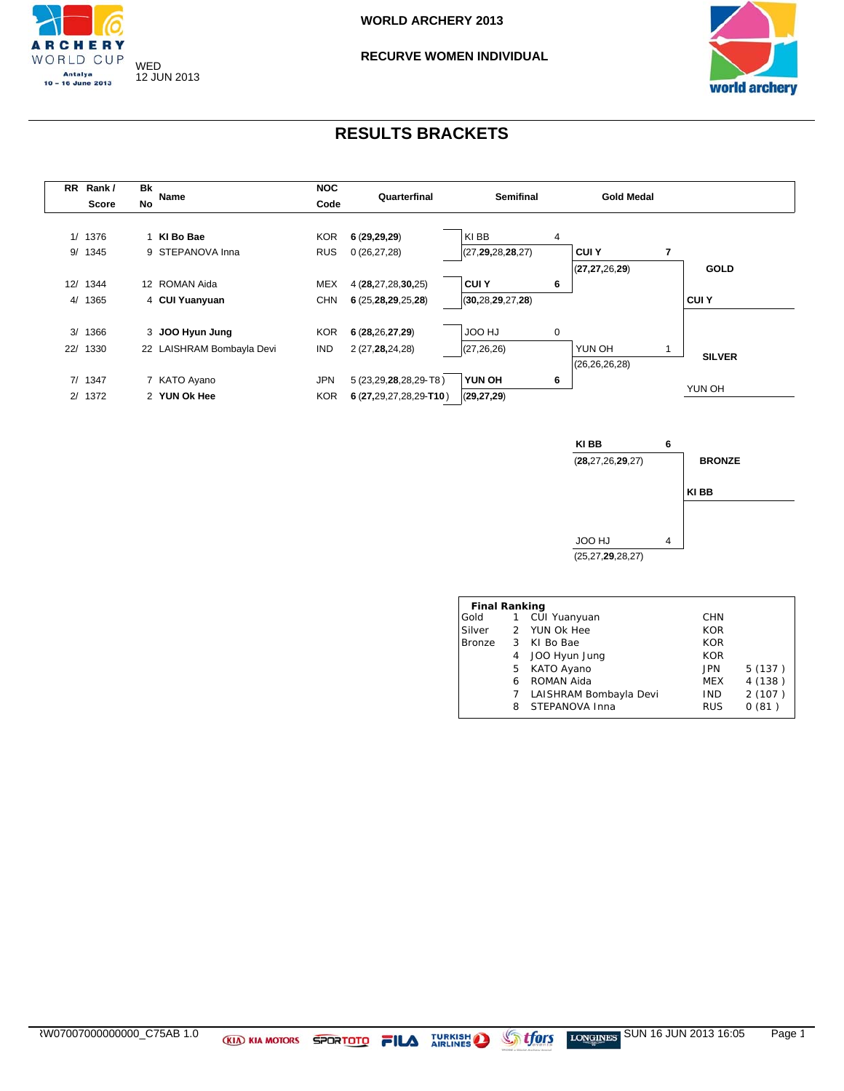







| <b>Final Ranking</b> |                           |                        |            |        |  |  |  |  |  |  |
|----------------------|---------------------------|------------------------|------------|--------|--|--|--|--|--|--|
| Gold                 | 1                         | CUI Yuanyuan           | <b>CHN</b> |        |  |  |  |  |  |  |
| Silver               |                           | 2 YUN Ok Hee           | <b>KOR</b> |        |  |  |  |  |  |  |
| <b>Bronze</b>        | $\overline{\phantom{a}3}$ | KI Bo Bae              | <b>KOR</b> |        |  |  |  |  |  |  |
|                      | 4                         | JOO Hyun Jung          | <b>KOR</b> |        |  |  |  |  |  |  |
|                      | 5                         | KATO Ayano             | <b>JPN</b> | 5(137) |  |  |  |  |  |  |
|                      | 6                         | ROMAN Aida             | MEX        | 4(138) |  |  |  |  |  |  |
|                      | 7                         | LAISHRAM Bombayla Devi | <b>IND</b> | 2(107) |  |  |  |  |  |  |
|                      | 8                         | STEPANOVA Inna         | <b>RUS</b> | 0(81)  |  |  |  |  |  |  |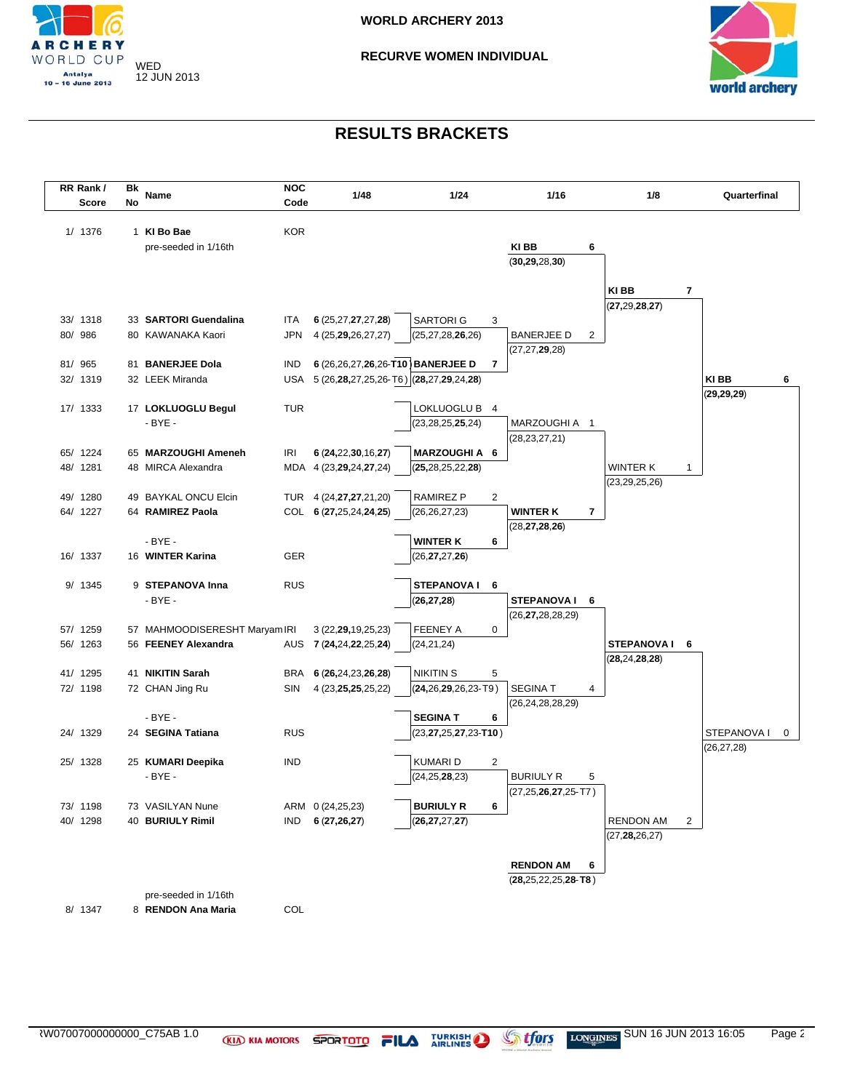



| RR Rank/<br><b>Score</b> | Bk<br>No | Name                                       | <b>NOC</b><br>Code | 1/48                                       | 1/24                        | 1/16                        | 1/8                                | Quarterfinal     |
|--------------------------|----------|--------------------------------------------|--------------------|--------------------------------------------|-----------------------------|-----------------------------|------------------------------------|------------------|
|                          |          |                                            |                    |                                            |                             |                             |                                    |                  |
| 1/ 1376                  |          | 1 KI Bo Bae                                | <b>KOR</b>         |                                            |                             |                             |                                    |                  |
|                          |          | pre-seeded in 1/16th                       |                    |                                            |                             | KI BB<br>6                  |                                    |                  |
|                          |          |                                            |                    |                                            |                             | (30, 29, 28, 30)            |                                    |                  |
|                          |          |                                            |                    |                                            |                             |                             |                                    |                  |
|                          |          |                                            |                    |                                            |                             |                             | KI BB<br>7                         |                  |
|                          |          |                                            |                    |                                            |                             |                             | (27, 29, 28, 27)                   |                  |
| 33/ 1318<br>80/ 986      |          | 33 SARTORI Guendalina<br>80 KAWANAKA Kaori | <b>ITA</b><br>JPN  | 6 (25,27,27,27,28)                         | <b>SARTORIG</b>             | 3<br><b>BANERJEE D</b><br>2 |                                    |                  |
|                          |          |                                            |                    | 4 (25, 29, 26, 27, 27)                     | (25, 27, 28, 26, 26)        | (27, 27, 29, 28)            |                                    |                  |
| 81/ 965                  |          | 81 BANERJEE Dola                           | <b>IND</b>         | 6 (26,26,27,26,26-T10) BANERJEE D          |                             | 7                           |                                    |                  |
| 32/ 1319                 |          | 32 LEEK Miranda                            |                    | USA 5 (26,28,27,25,26-T6) (28,27,29,24,28) |                             |                             |                                    | KI BB<br>6       |
|                          |          |                                            |                    |                                            |                             |                             |                                    | (29, 29, 29)     |
| 17/ 1333                 |          | 17 LOKLUOGLU Begul                         | TUR                |                                            | LOKLUOGLU B 4               |                             |                                    |                  |
|                          |          | $-BYE -$                                   |                    |                                            | (23, 28, 25, 25, 24)        | MARZOUGHI A 1               |                                    |                  |
|                          |          |                                            |                    |                                            |                             | (28, 23, 27, 21)            |                                    |                  |
| 65/ 1224                 |          | 65 MARZOUGHI Ameneh                        | IRI                | 6 (24,22,30,16,27)                         | <b>MARZOUGHIA 6</b>         |                             |                                    |                  |
| 48/ 1281                 |          | 48 MIRCA Alexandra                         |                    | MDA 4 (23,29,24,27,24)                     | (25, 28, 25, 22, 28)        |                             | WINTER K<br>1                      |                  |
|                          |          |                                            |                    |                                            |                             |                             | (23, 29, 25, 26)                   |                  |
| 49/ 1280                 |          | 49 BAYKAL ONCU Elcin                       |                    | TUR 4 (24, 27, 27, 21, 20)                 | RAMIREZ P                   | 2                           |                                    |                  |
| 64/ 1227                 |          | 64 RAMIREZ Paola                           |                    | COL 6 (27,25,24,24,25)                     | (26, 26, 27, 23)            | <b>WINTER K</b><br>7        |                                    |                  |
|                          |          | $-BYE -$                                   |                    |                                            | <b>WINTER K</b>             | (28, 27, 28, 26)<br>6       |                                    |                  |
| 16/ 1337                 |          | 16 WINTER Karina                           | <b>GER</b>         |                                            | (26, 27, 27, 26)            |                             |                                    |                  |
|                          |          |                                            |                    |                                            |                             |                             |                                    |                  |
| 9/ 1345                  |          | 9 STEPANOVA Inna                           | <b>RUS</b>         |                                            | <b>STEPANOVA I</b>          | 6                           |                                    |                  |
|                          |          | $-BYE -$                                   |                    |                                            | (26, 27, 28)                | STEPANOVAI 6                |                                    |                  |
|                          |          |                                            |                    |                                            |                             | (26, 27, 28, 28, 29)        |                                    |                  |
| 57/ 1259                 |          | 57 MAHMOODISERESHT Maryam IRI              |                    | 3 (22, 29, 19, 25, 23)                     | <b>FEENEY A</b>             | 0                           |                                    |                  |
| 56/ 1263                 |          | 56 FEENEY Alexandra                        | AUS                | 7 (24,24,22,25,24)                         | (24, 21, 24)                |                             | STEPANOVAI 6                       |                  |
|                          |          |                                            |                    |                                            |                             |                             | (28, 24, 28, 28)                   |                  |
| 41/ 1295                 |          | 41 NIKITIN Sarah                           | BRA                | 6 (26,24,23,26,28)                         | <b>NIKITIN S</b>            | 5                           |                                    |                  |
| 72/ 1198                 |          | 72 CHAN Jing Ru                            | SIN                | 4 (23, 25, 25, 25, 22)                     | $(24, 26, 29, 26, 23 - T9)$ | <b>SEGINAT</b><br>4         |                                    |                  |
|                          |          | $-BYE -$                                   |                    |                                            | <b>SEGINA T</b>             | (26, 24, 28, 28, 29)<br>6   |                                    |                  |
| 24/ 1329                 |          | 24 SEGINA Tatiana                          | <b>RUS</b>         |                                            | (23,27,25,27,23-T10)        |                             |                                    | STEPANOVA I<br>0 |
|                          |          |                                            |                    |                                            |                             |                             |                                    | (26, 27, 28)     |
| 25/ 1328                 |          | 25 KUMARI Deepika                          | IND                |                                            | <b>KUMARI D</b>             | $\overline{2}$              |                                    |                  |
|                          |          | $-BYE -$                                   |                    |                                            | (24, 25, 28, 23)            | <b>BURIULY R</b><br>5       |                                    |                  |
|                          |          |                                            |                    |                                            |                             | $(27, 25, 26, 27, 25$ -T7)  |                                    |                  |
| 73/ 1198                 |          | 73 VASILYAN Nune                           |                    | ARM 0 (24,25,23)                           | <b>BURIULY R</b>            | 6                           |                                    |                  |
| 40/ 1298                 |          | 40 BURIULY Rimil                           | IND                | 6(27,26,27)                                | (26, 27, 27, 27)            |                             | <b>RENDON AM</b><br>$\overline{2}$ |                  |
|                          |          |                                            |                    |                                            |                             |                             | (27, 28, 26, 27)                   |                  |
|                          |          |                                            |                    |                                            |                             |                             |                                    |                  |
|                          |          |                                            |                    |                                            |                             | <b>RENDON AM</b><br>6       |                                    |                  |
|                          |          |                                            |                    |                                            |                             | $(28, 25, 22, 25, 28 - T8)$ |                                    |                  |
|                          |          | pre-seeded in 1/16th                       |                    |                                            |                             |                             |                                    |                  |
| 8/ 1347                  |          | 8 RENDON Ana Maria                         | COL                |                                            |                             |                             |                                    |                  |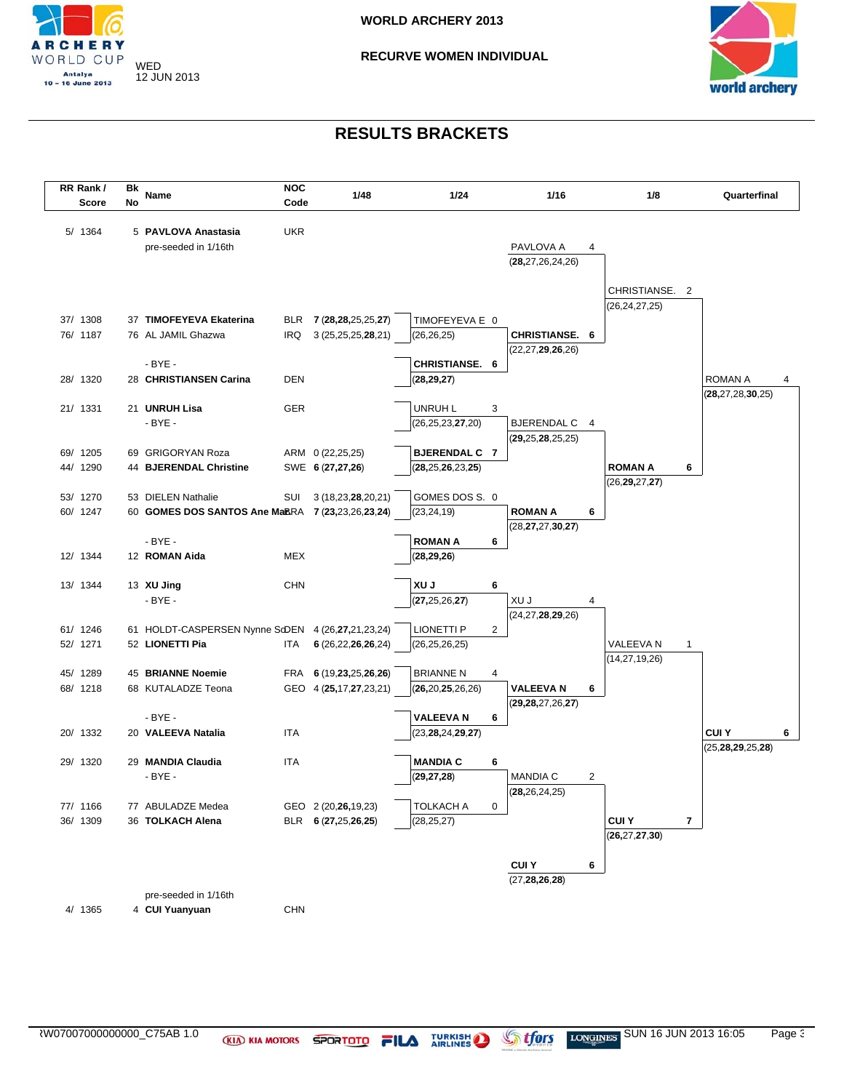



| RR Rank/ | Bk |                                                   | <b>NOC</b> |                        |                                 |                |                                   |   |                  |                |                      |   |
|----------|----|---------------------------------------------------|------------|------------------------|---------------------------------|----------------|-----------------------------------|---|------------------|----------------|----------------------|---|
| Score    | No | Name                                              | Code       | 1/48                   | 1/24                            |                | 1/16                              |   | 1/8              |                | Quarterfinal         |   |
|          |    |                                                   |            |                        |                                 |                |                                   |   |                  |                |                      |   |
| 5/ 1364  |    | 5 PAVLOVA Anastasia                               | <b>UKR</b> |                        |                                 |                |                                   |   |                  |                |                      |   |
|          |    | pre-seeded in 1/16th                              |            |                        |                                 |                | PAVLOVA A<br>(28, 27, 26, 24, 26) | 4 |                  |                |                      |   |
|          |    |                                                   |            |                        |                                 |                |                                   |   |                  |                |                      |   |
|          |    |                                                   |            |                        |                                 |                |                                   |   | CHRISTIANSE. 2   |                |                      |   |
|          |    |                                                   |            |                        |                                 |                |                                   |   | (26, 24, 27, 25) |                |                      |   |
| 37/ 1308 |    | 37 TIMOFEYEVA Ekaterina                           |            | BLR 7 (28,28,25,25,27) | TIMOFEYEVA E 0                  |                |                                   |   |                  |                |                      |   |
| 76/ 1187 |    | 76 AL JAMIL Ghazwa                                | IRQ        | 3 (25, 25, 25, 28, 21) | (26, 26, 25)                    |                | <b>CHRISTIANSE. 6</b>             |   |                  |                |                      |   |
|          |    |                                                   |            |                        |                                 |                | (22, 27, 29, 26, 26)              |   |                  |                |                      |   |
|          |    | $-BYE -$                                          |            |                        | CHRISTIANSE. 6                  |                |                                   |   |                  |                |                      |   |
| 28/ 1320 |    | 28 CHRISTIANSEN Carina                            | <b>DEN</b> |                        | (28, 29, 27)                    |                |                                   |   |                  | <b>ROMAN A</b> |                      | 4 |
|          |    |                                                   |            |                        |                                 |                |                                   |   |                  |                | (28, 27, 28, 30, 25) |   |
| 21/ 1331 |    | 21 UNRUH Lisa<br>$-BYE -$                         | <b>GER</b> |                        | UNRUH L<br>(26, 25, 23, 27, 20) | 3              | BJERENDAL C 4                     |   |                  |                |                      |   |
|          |    |                                                   |            |                        |                                 |                | (29, 25, 28, 25, 25)              |   |                  |                |                      |   |
| 69/ 1205 |    | 69 GRIGORYAN Roza                                 |            | ARM 0 (22,25,25)       | <b>BJERENDAL C 7</b>            |                |                                   |   |                  |                |                      |   |
| 44/ 1290 |    | 44 BJERENDAL Christine                            |            | SWE 6 (27,27,26)       | (28, 25, 26, 23, 25)            |                |                                   |   | <b>ROMAN A</b>   | 6              |                      |   |
|          |    |                                                   |            |                        |                                 |                |                                   |   | (26, 29, 27, 27) |                |                      |   |
| 53/ 1270 |    | 53 DIELEN Nathalie                                | SUI        | 3(18,23,28,20,21)      | GOMES DOS S. 0                  |                |                                   |   |                  |                |                      |   |
| 60/ 1247 |    | 60 GOMES DOS SANTOS Ane MaBRA 7 (23,23,26,23,24)  |            |                        | (23, 24, 19)                    |                | <b>ROMAN A</b>                    | 6 |                  |                |                      |   |
|          |    |                                                   |            |                        |                                 |                | (28, 27, 27, 30, 27)              |   |                  |                |                      |   |
|          |    | $-BYE -$                                          |            |                        | <b>ROMAN A</b>                  | 6              |                                   |   |                  |                |                      |   |
| 12/ 1344 |    | 12 ROMAN Aida                                     | MEX        |                        | (28, 29, 26)                    |                |                                   |   |                  |                |                      |   |
| 13/ 1344 |    | 13 XU Jing                                        | <b>CHN</b> |                        | XU J                            | 6              |                                   |   |                  |                |                      |   |
|          |    | $-BYE -$                                          |            |                        | (27, 25, 26, 27)                |                | XU J                              | 4 |                  |                |                      |   |
|          |    |                                                   |            |                        |                                 |                | (24, 27, 28, 29, 26)              |   |                  |                |                      |   |
| 61/ 1246 |    | 61 HOLDT-CASPERSEN Nynne SdDEN 4 (26,27,21,23,24) |            |                        | <b>LIONETTI P</b>               | $\overline{2}$ |                                   |   |                  |                |                      |   |
| 52/ 1271 |    | 52 LIONETTI Pia                                   | ITA        | 6 (26,22,26,26,24)     | (26, 25, 26, 25)                |                |                                   |   | VALEEVA N        | 1              |                      |   |
|          |    |                                                   |            |                        |                                 |                |                                   |   | (14, 27, 19, 26) |                |                      |   |
| 45/ 1289 |    | 45 BRIANNE Noemie                                 |            | FRA 6 (19,23,25,26,26) | <b>BRIANNE N</b>                | 4              |                                   |   |                  |                |                      |   |
| 68/ 1218 |    | 68 KUTALADZE Teona                                |            | GEO 4 (25,17,27,23,21) | (26, 20, 25, 26, 26)            |                | <b>VALEEVAN</b>                   | 6 |                  |                |                      |   |
|          |    |                                                   |            |                        |                                 |                | (29, 28, 27, 26, 27)              |   |                  |                |                      |   |
|          |    | $-BYE -$                                          |            |                        | <b>VALEEVA N</b>                | 6              |                                   |   |                  |                |                      |   |
| 20/ 1332 |    | 20 VALEEVA Natalia                                | <b>ITA</b> |                        | (23, 28, 24, 29, 27)            |                |                                   |   |                  | <b>CUIY</b>    |                      | 6 |
| 29/ 1320 |    | 29 MANDIA Claudia                                 | <b>ITA</b> |                        | <b>MANDIA C</b>                 | 6              |                                   |   |                  |                | (25, 28, 29, 25, 28) |   |
|          |    | $-BYE -$                                          |            |                        | (29, 27, 28)                    |                | <b>MANDIA C</b>                   | 2 |                  |                |                      |   |
|          |    |                                                   |            |                        |                                 |                | (28, 26, 24, 25)                  |   |                  |                |                      |   |
| 77/ 1166 |    | 77 ABULADZE Medea                                 |            | GEO 2 (20,26,19,23)    | <b>TOLKACH A</b>                | $\pmb{0}$      |                                   |   |                  |                |                      |   |
| 36/ 1309 |    | 36 TOLKACH Alena                                  |            | BLR 6 (27,25,26,25)    | (28, 25, 27)                    |                |                                   |   | <b>CUIY</b>      | 7              |                      |   |
|          |    |                                                   |            |                        |                                 |                |                                   |   | (26, 27, 27, 30) |                |                      |   |
|          |    |                                                   |            |                        |                                 |                |                                   |   |                  |                |                      |   |
|          |    |                                                   |            |                        |                                 |                | <b>CUIY</b>                       | 6 |                  |                |                      |   |
|          |    |                                                   |            |                        |                                 |                | (27, 28, 26, 28)                  |   |                  |                |                      |   |
|          |    | pre-seeded in 1/16th                              |            |                        |                                 |                |                                   |   |                  |                |                      |   |
| 4/ 1365  |    | 4 CUI Yuanyuan                                    | <b>CHN</b> |                        |                                 |                |                                   |   |                  |                |                      |   |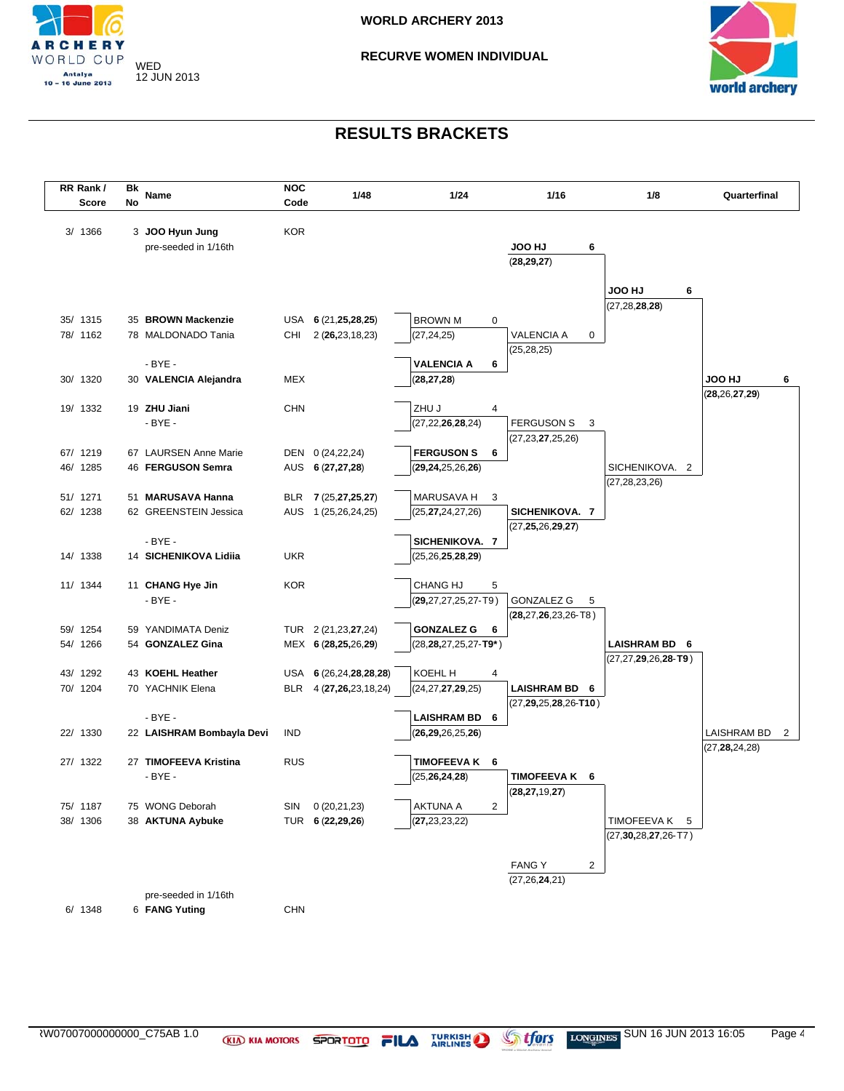

### **RECURVE WOMEN INDIVIDUAL**



| RR Rank /            | Bk                        | <b>NOC</b> |                                      |                                        |                              |                             |                    |
|----------------------|---------------------------|------------|--------------------------------------|----------------------------------------|------------------------------|-----------------------------|--------------------|
| <b>Score</b>         | Name<br>No                | Code       | 1/48                                 | 1/24                                   | 1/16                         | 1/8                         | Quarterfinal       |
|                      |                           |            |                                      |                                        |                              |                             |                    |
| 3/ 1366              | 3 JOO Hyun Jung           | <b>KOR</b> |                                      |                                        |                              |                             |                    |
|                      | pre-seeded in 1/16th      |            |                                      |                                        | <b>UH OOL</b><br>6           |                             |                    |
|                      |                           |            |                                      |                                        | (28, 29, 27)                 |                             |                    |
|                      |                           |            |                                      |                                        |                              | <b>UH OOL</b><br>6          |                    |
|                      |                           |            |                                      |                                        |                              | (27, 28, 28, 28)            |                    |
| 35/ 1315             | 35 BROWN Mackenzie        |            | USA $6(21,25,28,25)$                 | <b>BROWN M</b><br>$\mathbf 0$          |                              |                             |                    |
| 78/ 1162             | 78 MALDONADO Tania        | CHI        | 2(26, 23, 18, 23)                    | (27,24,25)                             | <b>VALENCIA A</b><br>0       |                             |                    |
|                      |                           |            |                                      |                                        | (25, 28, 25)                 |                             |                    |
|                      | $-BYE -$                  |            |                                      | <b>VALENCIA A</b><br>6                 |                              |                             |                    |
| 30/ 1320             | 30 VALENCIA Alejandra     | MEX        |                                      | (28, 27, 28)                           |                              |                             | <b>UH OOL</b><br>6 |
|                      |                           |            |                                      |                                        |                              |                             | (28, 26, 27, 29)   |
| 19/ 1332             | 19 ZHU Jiani              | <b>CHN</b> |                                      | ZHU J<br>4                             |                              |                             |                    |
|                      | $-BYE -$                  |            |                                      | (27, 22, 26, 28, 24)                   | <b>FERGUSON S</b><br>3       |                             |                    |
|                      | 67 LAURSEN Anne Marie     |            |                                      | <b>FERGUSON S</b>                      | (27, 23, 27, 25, 26)         |                             |                    |
| 67/ 1219<br>46/ 1285 | 46 FERGUSON Semra         |            | DEN 0 (24,22,24)<br>AUS 6 (27,27,28) | 6<br>(29, 24, 25, 26, 26)              |                              | SICHENIKOVA. 2              |                    |
|                      |                           |            |                                      |                                        |                              | (27, 28, 23, 26)            |                    |
| 51/ 1271             | 51 MARUSAVA Hanna         |            | BLR 7 (25,27,25,27)                  | MARUSAVA H<br>3                        |                              |                             |                    |
| 62/ 1238             | 62 GREENSTEIN Jessica     |            | AUS 1 (25,26,24,25)                  | (25, <b>27,</b> 24,27,26)              | SICHENIKOVA. 7               |                             |                    |
|                      |                           |            |                                      |                                        | (27, 25, 26, 29, 27)         |                             |                    |
|                      | $-BYE -$                  |            |                                      | SICHENIKOVA. 7                         |                              |                             |                    |
| 14/ 1338             | 14 SICHENIKOVA Lidiia     | <b>UKR</b> |                                      | (25, 26, 25, 28, 29)                   |                              |                             |                    |
|                      |                           |            |                                      |                                        |                              |                             |                    |
| 11/ 1344             | 11 CHANG Hye Jin          | <b>KOR</b> |                                      | <b>CHANG HJ</b><br>5                   |                              |                             |                    |
|                      | $-BYE -$                  |            |                                      | $(29, 27, 27, 25, 27 - T9)$            | <b>GONZALEZ G</b><br>5       |                             |                    |
| 59/ 1254             | 59 YANDIMATA Deniz        |            | TUR 2 (21,23,27,24)                  | <b>GONZALEZ G</b><br>6                 | (28,27,26,23,26-T8)          |                             |                    |
| 54/ 1266             | 54 GONZALEZ Gina          |            | MEX 6 (28,25,26,29)                  | (28, <b>28,</b> 27,25,27- <b>T9</b> *) |                              | LAISHRAM BD 6               |                    |
|                      |                           |            |                                      |                                        |                              | $(27, 27, 29, 26, 28 - T9)$ |                    |
| 43/ 1292             | 43 KOEHL Heather          |            | USA 6 (26,24,28,28,28)               | KOEHL H<br>4                           |                              |                             |                    |
| 70/ 1204             | 70 YACHNIK Elena          |            | BLR 4 (27,26,23,18,24)               | (24, 27, 27, 29, 25)                   | LAISHRAM BD 6                |                             |                    |
|                      |                           |            |                                      |                                        | $(27, 29, 25, 28, 26 - T10)$ |                             |                    |
|                      | $-BYE -$                  |            |                                      | LAISHRAM BD 6                          |                              |                             |                    |
| 22/ 1330             | 22 LAISHRAM Bombayla Devi | <b>IND</b> |                                      | ( <b>26,29,</b> 26,25, <b>26</b> )     |                              |                             | LAISHRAM BD<br>2   |
|                      |                           |            |                                      |                                        |                              |                             | (27, 28, 24, 28)   |
| 27/ 1322             | 27 TIMOFEEVA Kristina     | <b>RUS</b> |                                      | TIMOFEEVAK 6                           |                              |                             |                    |
|                      | $-BYE -$                  |            |                                      | (25, 26, 24, 28)                       | TIMOFEEVA K 6                |                             |                    |
| 75/ 1187             | 75 WONG Deborah           | SIN        | 0 (20,21,23)                         | $\overline{2}$<br>AKTUNA A             | (28, 27, 19, 27)             |                             |                    |
| 38/ 1306             | 38 AKTUNA Aybuke          |            | TUR 6 (22,29,26)                     | (27, 23, 23, 22)                       |                              | TIMOFEEVA K<br>5            |                    |
|                      |                           |            |                                      |                                        |                              | $(27, 30, 28, 27, 26$ -T7)  |                    |
|                      |                           |            |                                      |                                        |                              |                             |                    |
|                      |                           |            |                                      |                                        | <b>FANGY</b><br>2            |                             |                    |
|                      |                           |            |                                      |                                        | (27, 26, 24, 21)             |                             |                    |
|                      | pre-seeded in 1/16th      |            |                                      |                                        |                              |                             |                    |
| 6/ 1348              | 6 FANG Yuting             | <b>CHN</b> |                                      |                                        |                              |                             |                    |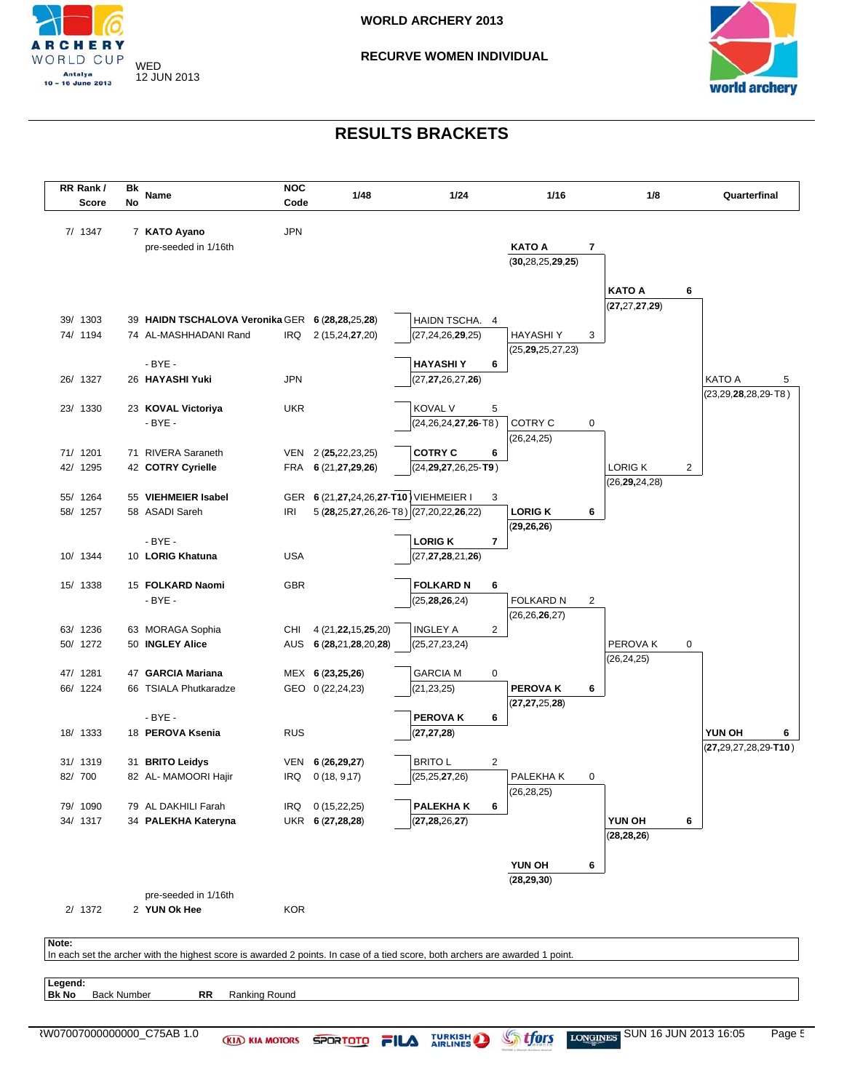

### **RECURVE WOMEN INDIVIDUAL**



|         | RR Rank/<br>Score | Bk<br>No           | Name                                                                                                                          | <b>NOC</b><br>Code | 1/48                   | 1/24                                   | 1/16                  |                          | 1/8              |                | Quarterfinal                |
|---------|-------------------|--------------------|-------------------------------------------------------------------------------------------------------------------------------|--------------------|------------------------|----------------------------------------|-----------------------|--------------------------|------------------|----------------|-----------------------------|
|         |                   |                    |                                                                                                                               |                    |                        |                                        |                       |                          |                  |                |                             |
|         | 7/ 1347           |                    | 7 KATO Ayano                                                                                                                  | <b>JPN</b>         |                        |                                        |                       |                          |                  |                |                             |
|         |                   |                    | pre-seeded in 1/16th                                                                                                          |                    |                        |                                        | <b>KATO A</b>         | $\overline{\phantom{a}}$ |                  |                |                             |
|         |                   |                    |                                                                                                                               |                    |                        |                                        | (30, 28, 25, 29, 25)  |                          |                  |                |                             |
|         |                   |                    |                                                                                                                               |                    |                        |                                        |                       |                          | <b>KATO A</b>    | 6              |                             |
|         |                   |                    |                                                                                                                               |                    |                        |                                        |                       |                          | (27, 27, 27, 29) |                |                             |
|         | 39/ 1303          |                    | 39 HAIDN TSCHALOVA Veronika GER 6 (28,28,25,28)                                                                               |                    |                        | HAIDN TSCHA. 4                         |                       |                          |                  |                |                             |
|         | 74/ 1194          |                    | 74 AL-MASHHADANI Rand                                                                                                         |                    | IRQ 2 (15,24,27,20)    | (27, 24, 26, 29, 25)                   | <b>HAYASHIY</b>       | 3                        |                  |                |                             |
|         |                   |                    |                                                                                                                               |                    |                        |                                        | (25, 29, 25, 27, 23)  |                          |                  |                |                             |
|         |                   |                    | $-BYE -$                                                                                                                      |                    |                        | <b>HAYASHIY</b>                        | 6                     |                          |                  |                |                             |
|         | 26/ 1327          |                    | 26 HAYASHI Yuki                                                                                                               | <b>JPN</b>         |                        | (27, 27, 26, 27, 26)                   |                       |                          |                  |                | <b>KATO A</b>               |
|         |                   |                    |                                                                                                                               |                    |                        |                                        |                       |                          |                  |                | $(23, 29, 28, 28, 29 - T8)$ |
|         | 23/ 1330          |                    | 23 KOVAL Victoriya                                                                                                            | <b>UKR</b>         |                        | <b>KOVAL V</b>                         | 5                     |                          |                  |                |                             |
|         |                   |                    | - BYE -                                                                                                                       |                    |                        | $(24, 26, 24, 27, 26 - T8)$            | COTRY C               | 0                        |                  |                |                             |
|         |                   |                    |                                                                                                                               |                    |                        |                                        | (26, 24, 25)          |                          |                  |                |                             |
|         | 71/ 1201          |                    | 71 RIVERA Saraneth                                                                                                            |                    | VEN 2 (25,22,23,25)    | <b>COTRY C</b>                         | 6                     |                          |                  |                |                             |
|         | 42/ 1295          |                    | 42 COTRY Cyrielle                                                                                                             |                    | FRA 6 (21,27,29,26)    | $(24, 29, 27, 26, 25 - T9)$            |                       |                          | LORIG K          | $\overline{2}$ |                             |
|         | 55/ 1264          |                    | 55 VIEHMEIER Isabel                                                                                                           |                    |                        | GER 6 (21,27,24,26,27-T10) VIEHMEIER I |                       |                          | (26, 29, 24, 28) |                |                             |
|         | 58/ 1257          |                    | 58 ASADI Sareh                                                                                                                | IRI                |                        | 5 (28,25,27,26,26-T8) (27,20,22,26,22) | 3<br><b>LORIGK</b>    | 6                        |                  |                |                             |
|         |                   |                    |                                                                                                                               |                    |                        |                                        | (29, 26, 26)          |                          |                  |                |                             |
|         |                   |                    | $-BYE -$                                                                                                                      |                    |                        | <b>LORIGK</b>                          | 7                     |                          |                  |                |                             |
|         | 10/ 1344          |                    | 10 LORIG Khatuna                                                                                                              | <b>USA</b>         |                        | (27, 27, 28, 21, 26)                   |                       |                          |                  |                |                             |
|         |                   |                    |                                                                                                                               |                    |                        |                                        |                       |                          |                  |                |                             |
|         | 15/ 1338          |                    | 15 FOLKARD Naomi                                                                                                              | <b>GBR</b>         |                        | <b>FOLKARD N</b>                       | 6                     |                          |                  |                |                             |
|         |                   |                    | $-BYE -$                                                                                                                      |                    |                        | (25, 28, 26, 24)                       | <b>FOLKARD N</b>      | 2                        |                  |                |                             |
|         |                   |                    |                                                                                                                               |                    |                        |                                        | (26, 26, 26, 27)      |                          |                  |                |                             |
|         | 63/ 1236          |                    | 63 MORAGA Sophia                                                                                                              | CHI                | 4 (21, 22, 15, 25, 20) | <b>INGLEY A</b>                        | $\overline{2}$        |                          |                  |                |                             |
|         | 50/ 1272          |                    | 50 INGLEY Alice                                                                                                               |                    | AUS 6 (28,21,28,20,28) | (25, 27, 23, 24)                       |                       |                          | PEROVA K         | 0              |                             |
|         |                   |                    |                                                                                                                               |                    |                        |                                        |                       |                          | (26, 24, 25)     |                |                             |
|         | 47/ 1281          |                    | 47 GARCIA Mariana                                                                                                             |                    | MEX 6 (23,25,26)       | <b>GARCIA M</b>                        | 0                     |                          |                  |                |                             |
|         | 66/ 1224          |                    | 66 TSIALA Phutkaradze                                                                                                         |                    | GEO 0 (22,24,23)       | (21,23,25)                             | <b>PEROVAK</b>        | 6                        |                  |                |                             |
|         |                   |                    | $-BYE -$                                                                                                                      |                    |                        | <b>PEROVAK</b>                         | (27, 27, 25, 28)<br>6 |                          |                  |                |                             |
|         | 18/ 1333          |                    | 18 PEROVA Ksenia                                                                                                              | <b>RUS</b>         |                        | (27, 27, 28)                           |                       |                          |                  |                | YUN OH                      |
|         |                   |                    |                                                                                                                               |                    |                        |                                        |                       |                          |                  |                | $(27,29,27,28,29-T10)$      |
|         | 31/ 1319          |                    | 31 BRITO Leidys                                                                                                               |                    | VEN 6 (26,29,27)       | <b>BRITO L</b>                         | $\overline{2}$        |                          |                  |                |                             |
|         | 82/ 700           |                    | 82 AL- MAMOORI Hajir                                                                                                          | IRQ                | 0(18, 9,17)            | (25, 25, 27, 26)                       | PALEKHA K             | 0                        |                  |                |                             |
|         |                   |                    |                                                                                                                               |                    |                        |                                        | (26, 28, 25)          |                          |                  |                |                             |
|         | 79/ 1090          |                    | 79 AL DAKHILI Farah                                                                                                           |                    | IRQ 0 (15,22,25)       | <b>PALEKHAK</b>                        | 6                     |                          |                  |                |                             |
|         | 34/ 1317          |                    | 34 PALEKHA Kateryna                                                                                                           |                    | UKR 6 (27,28,28)       | (27, 28, 26, 27)                       |                       |                          | YUN OH           | 6              |                             |
|         |                   |                    |                                                                                                                               |                    |                        |                                        |                       |                          | (28, 28, 26)     |                |                             |
|         |                   |                    |                                                                                                                               |                    |                        |                                        |                       |                          |                  |                |                             |
|         |                   |                    |                                                                                                                               |                    |                        |                                        | YUN OH                | 6                        |                  |                |                             |
|         |                   |                    |                                                                                                                               |                    |                        |                                        | (28, 29, 30)          |                          |                  |                |                             |
|         | 2/1372            |                    | pre-seeded in 1/16th<br>2 YUN Ok Hee                                                                                          | <b>KOR</b>         |                        |                                        |                       |                          |                  |                |                             |
|         |                   |                    |                                                                                                                               |                    |                        |                                        |                       |                          |                  |                |                             |
|         |                   |                    |                                                                                                                               |                    |                        |                                        |                       |                          |                  |                |                             |
| Note:   |                   |                    | In each set the archer with the highest score is awarded 2 points. In case of a tied score, both archers are awarded 1 point. |                    |                        |                                        |                       |                          |                  |                |                             |
|         |                   |                    |                                                                                                                               |                    |                        |                                        |                       |                          |                  |                |                             |
| Legend: |                   |                    |                                                                                                                               |                    |                        |                                        |                       |                          |                  |                |                             |
| Bk No   |                   | <b>Back Number</b> | Ranking Round<br>RR                                                                                                           |                    |                        |                                        |                       |                          |                  |                |                             |
|         |                   |                    |                                                                                                                               |                    |                        |                                        |                       |                          |                  |                |                             |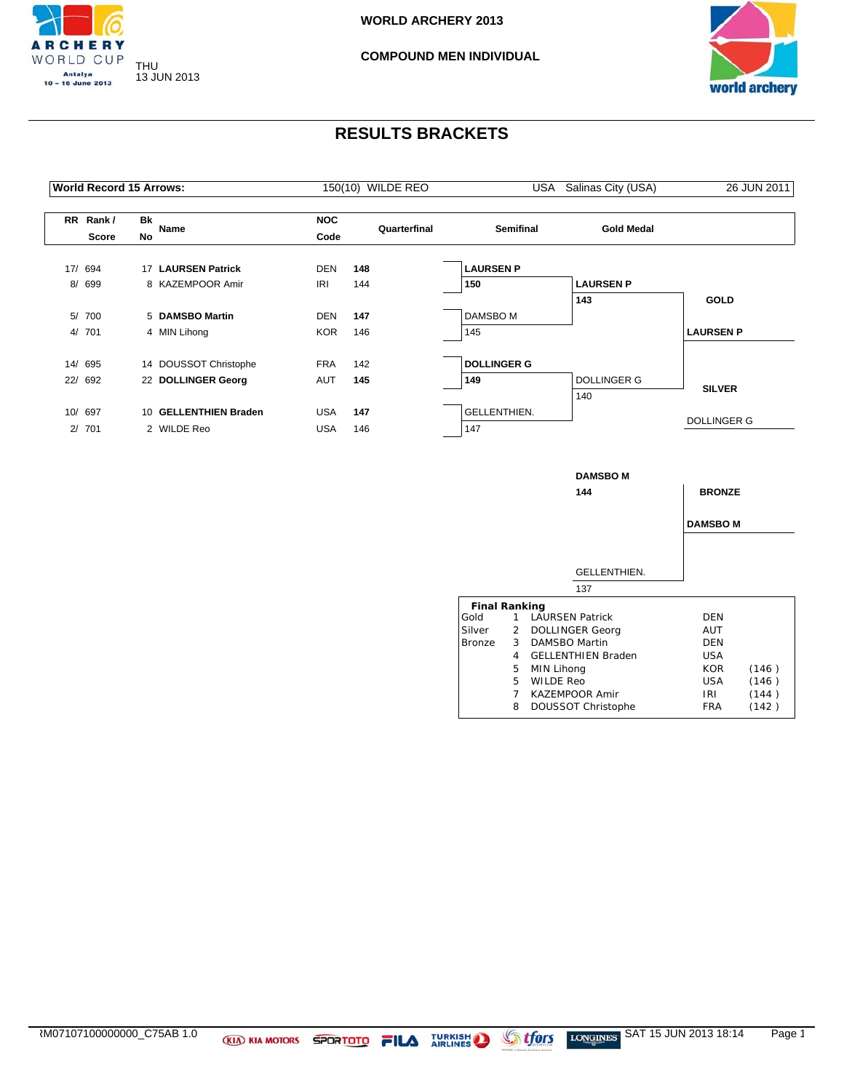



|           | <b>World Record 15 Arrows:</b> |                 |                        | USA Salinas City (USA) | 26 JUN 2011  |                    |                    |                    |
|-----------|--------------------------------|-----------------|------------------------|------------------------|--------------|--------------------|--------------------|--------------------|
| <b>RR</b> | Rank /<br>Score                | Bk<br><b>No</b> | Name                   | <b>NOC</b><br>Code     | Quarterfinal | <b>Semifinal</b>   | <b>Gold Medal</b>  |                    |
|           | 17/ 694                        | 17              | <b>LAURSEN Patrick</b> | <b>DEN</b>             | 148          | <b>LAURSEN P</b>   |                    |                    |
|           | 8/ 699                         |                 | 8 KAZEMPOOR Amir       | <b>IRI</b>             | 144          | 150                | <b>LAURSEN P</b>   |                    |
|           |                                |                 |                        |                        |              |                    | 143                | <b>GOLD</b>        |
|           | 5/ 700                         |                 | 5 DAMSBO Martin        | <b>DEN</b>             | 147          | DAMSBO M           |                    |                    |
|           | 4/ 701                         |                 | 4 MIN Lihong           | <b>KOR</b>             | 146          | 145                |                    | <b>LAURSEN P</b>   |
|           | 14/ 695                        |                 | 14 DOUSSOT Christophe  | <b>FRA</b>             | 142          | <b>DOLLINGER G</b> |                    |                    |
|           | 22/ 692                        |                 | 22 DOLLINGER Georg     | AUT                    | 145          | 149                | <b>DOLLINGER G</b> |                    |
|           |                                |                 |                        |                        |              |                    | 140                | <b>SILVER</b>      |
|           | 10/ 697                        |                 | 10 GELLENTHIEN Braden  | <b>USA</b>             | 147          | GELLENTHIEN.       |                    |                    |
| 2/        | 701                            |                 | 2 WILDE Reo            | <b>USA</b>             | 146          | 147                |                    | <b>DOLLINGER G</b> |

|                      |             | <b>DAMSBO M</b><br>144    | <b>BRONZE</b>   |       |
|----------------------|-------------|---------------------------|-----------------|-------|
|                      |             | GELLENTHIEN.              | <b>DAMSBO M</b> |       |
|                      |             | 137                       |                 |       |
| <b>Final Ranking</b> |             |                           |                 |       |
| Gold                 |             | 1 LAURSEN Patrick         | DEN             |       |
| Silver               |             | 2 DOLLINGER Georg         | <b>AUT</b>      |       |
| Bronze               |             | 3 DAMSBO Martin           | DEN             |       |
|                      | 4           | <b>GELLENTHIEN Braden</b> | USA             |       |
|                      | 5           | MIN Lihong                | <b>KOR</b>      | (146) |
|                      | 5           | <b>WILDE Reo</b>          | USA             | (146) |
|                      | $7^{\circ}$ | KAZEMPOOR Amir            | IRI             | (144) |
|                      | 8           | DOUSSOT Christophe        | <b>FRA</b>      | (142) |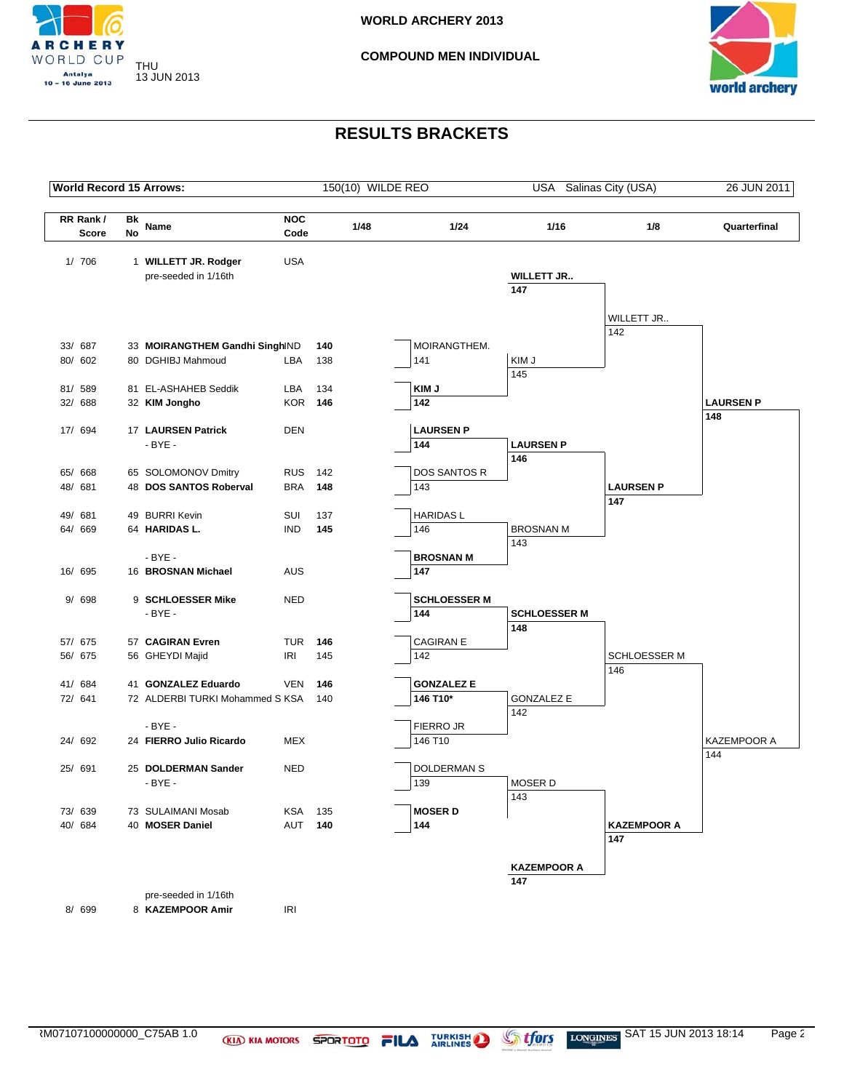



| <b>World Record 15 Arrows:</b> |          |                                 |                    |     | 150(10) WILDE REO |                     | USA Salinas City (USA)  |                     | 26 JUN 2011      |
|--------------------------------|----------|---------------------------------|--------------------|-----|-------------------|---------------------|-------------------------|---------------------|------------------|
| RR Rank/<br>Score              | Bk<br>No | Name                            | <b>NOC</b><br>Code |     | 1/48              | 1/24                | 1/16                    | 1/8                 | Quarterfinal     |
|                                |          |                                 |                    |     |                   |                     |                         |                     |                  |
| 1/706                          |          | 1 WILLETT JR. Rodger            | <b>USA</b>         |     |                   |                     |                         |                     |                  |
|                                |          | pre-seeded in 1/16th            |                    |     |                   |                     | <b>WILLETT JR</b>       |                     |                  |
|                                |          |                                 |                    |     |                   |                     | 147                     |                     |                  |
|                                |          |                                 |                    |     |                   |                     |                         |                     |                  |
|                                |          |                                 |                    |     |                   |                     |                         | WILLETT JR<br>142   |                  |
| 33/ 687                        |          | 33 MOIRANGTHEM Gandhi SinghIND  |                    | 140 |                   | MOIRANGTHEM.        |                         |                     |                  |
| 80/ 602                        |          | 80 DGHIBJ Mahmoud               | LBA                | 138 |                   | 141                 | KIM J                   |                     |                  |
|                                |          |                                 |                    |     |                   |                     | 145                     |                     |                  |
| 81/ 589                        |          | 81 EL-ASHAHEB Seddik            | LBA                | 134 |                   | KIM J               |                         |                     |                  |
| 32/ 688                        |          | 32 KIM Jongho                   | <b>KOR 146</b>     |     |                   | 142                 |                         |                     | <b>LAURSEN P</b> |
|                                |          |                                 |                    |     |                   |                     |                         |                     | 148              |
| 17/ 694                        |          | 17 LAURSEN Patrick              | <b>DEN</b>         |     |                   | <b>LAURSEN P</b>    |                         |                     |                  |
|                                |          | $-BYE -$                        |                    |     |                   | 144                 | <b>LAURSEN P</b>        |                     |                  |
|                                |          |                                 |                    |     |                   |                     | 146                     |                     |                  |
| 65/ 668                        |          | 65 SOLOMONOV Dmitry             | <b>RUS</b>         | 142 |                   | <b>DOS SANTOS R</b> |                         |                     |                  |
| 48/ 681                        |          | 48 DOS SANTOS Roberval          | <b>BRA</b>         | 148 |                   | 143                 |                         | <b>LAURSEN P</b>    |                  |
|                                |          |                                 |                    |     |                   |                     |                         | 147                 |                  |
| 49/ 681                        |          | 49 BURRI Kevin                  | SUI                | 137 |                   | <b>HARIDASL</b>     |                         |                     |                  |
| 64/ 669                        |          | 64 HARIDAS L.                   | <b>IND</b>         | 145 |                   | 146                 | <b>BROSNAN M</b><br>143 |                     |                  |
|                                |          | $-BYE -$                        |                    |     |                   | <b>BROSNAN M</b>    |                         |                     |                  |
| 16/ 695                        |          | 16 BROSNAN Michael              | <b>AUS</b>         |     |                   | 147                 |                         |                     |                  |
|                                |          |                                 |                    |     |                   |                     |                         |                     |                  |
| 9/698                          |          | 9 SCHLOESSER Mike               | <b>NED</b>         |     |                   | <b>SCHLOESSER M</b> |                         |                     |                  |
|                                |          | $-BYE -$                        |                    |     |                   | 144                 | <b>SCHLOESSER M</b>     |                     |                  |
|                                |          |                                 |                    |     |                   |                     | 148                     |                     |                  |
| 57/ 675                        |          | 57 CAGIRAN Evren                | TUR                | 146 |                   | <b>CAGIRAN E</b>    |                         |                     |                  |
| 56/ 675                        |          | 56 GHEYDI Majid                 | IRI                | 145 |                   | 142                 |                         | <b>SCHLOESSER M</b> |                  |
|                                |          |                                 |                    |     |                   |                     |                         | 146                 |                  |
| 41/ 684                        |          | 41 GONZALEZ Eduardo             | <b>VEN</b>         | 146 |                   | <b>GONZALEZ E</b>   |                         |                     |                  |
| 72/ 641                        |          | 72 ALDERBI TURKI Mohammed S KSA |                    | 140 |                   | 146 T10*            | <b>GONZALEZ E</b>       |                     |                  |
|                                |          | $-BYE -$                        |                    |     |                   | FIERRO JR           | 142                     |                     |                  |
| 24/ 692                        |          | 24 FIERRO Julio Ricardo         | MEX                |     |                   | 146 T10             |                         |                     | KAZEMPOOR A      |
|                                |          |                                 |                    |     |                   |                     |                         |                     | 144              |
| 25/ 691                        |          | 25 DOLDERMAN Sander             | <b>NED</b>         |     |                   | DOLDERMAN S         |                         |                     |                  |
|                                |          | $-BYE -$                        |                    |     |                   | 139                 | <b>MOSERD</b>           |                     |                  |
|                                |          |                                 |                    |     |                   |                     | 143                     |                     |                  |
| 73/ 639                        |          | 73 SULAIMANI Mosab              | KSA                | 135 |                   | <b>MOSER D</b>      |                         |                     |                  |
| 40/684                         |          | 40 MOSER Daniel                 | AUT 140            |     |                   | 144                 |                         | <b>KAZEMPOOR A</b>  |                  |
|                                |          |                                 |                    |     |                   |                     |                         | 147                 |                  |
|                                |          |                                 |                    |     |                   |                     |                         |                     |                  |
|                                |          |                                 |                    |     |                   |                     | <b>KAZEMPOOR A</b>      |                     |                  |
|                                |          |                                 |                    |     |                   |                     | 147                     |                     |                  |
|                                |          | pre-seeded in 1/16th            |                    |     |                   |                     |                         |                     |                  |
| 8/ 699                         |          | 8 KAZEMPOOR Amir                | IRI                |     |                   |                     |                         |                     |                  |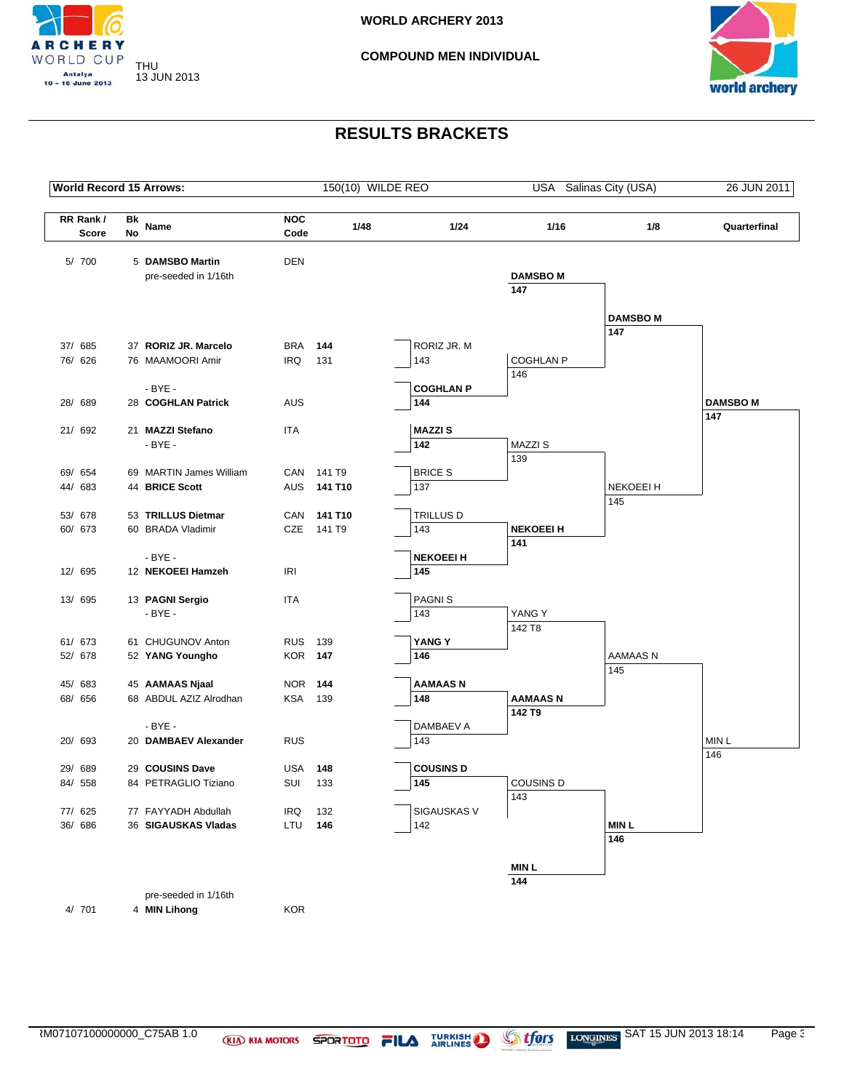



| <b>World Record 15 Arrows:</b> |                 |                                           |                    | 150(10) WILDE REO     |                       |                  | USA Salinas City (USA) | 26 JUN 2011      |
|--------------------------------|-----------------|-------------------------------------------|--------------------|-----------------------|-----------------------|------------------|------------------------|------------------|
| RR Rank/<br><b>Score</b>       | Bk<br><b>No</b> | Name                                      | <b>NOC</b><br>Code | 1/48                  | 1/24                  | 1/16             | 1/8                    | Quarterfinal     |
|                                |                 |                                           |                    |                       |                       |                  |                        |                  |
| 5/ 700                         |                 | 5 DAMSBO Martin                           | <b>DEN</b>         |                       |                       |                  |                        |                  |
|                                |                 | pre-seeded in 1/16th                      |                    |                       |                       | <b>DAMSBOM</b>   |                        |                  |
|                                |                 |                                           |                    |                       |                       | 147              |                        |                  |
|                                |                 |                                           |                    |                       |                       |                  | <b>DAMSBOM</b>         |                  |
|                                |                 |                                           |                    |                       |                       |                  | 147                    |                  |
| 37/ 685                        |                 | 37 RORIZ JR. Marcelo                      | BRA                | 144                   | RORIZ JR. M           |                  |                        |                  |
| 76/ 626                        |                 | 76 MAAMOORI Amir                          | <b>IRQ</b>         | 131                   | 143                   | <b>COGHLAN P</b> |                        |                  |
|                                |                 |                                           |                    |                       |                       | 146              |                        |                  |
|                                |                 | $-BYE -$                                  |                    |                       | <b>COGHLAN P</b>      |                  |                        |                  |
| 28/ 689                        |                 | 28 COGHLAN Patrick                        | <b>AUS</b>         |                       | 144                   |                  |                        | <b>DAMSBOM</b>   |
|                                |                 |                                           |                    |                       |                       |                  |                        | 147              |
| 21/ 692                        |                 | 21 MAZZI Stefano                          | <b>ITA</b>         |                       | <b>MAZZIS</b>         |                  |                        |                  |
|                                |                 | $-BYE -$                                  |                    |                       | 142                   | <b>MAZZIS</b>    |                        |                  |
|                                |                 |                                           |                    |                       |                       | 139              |                        |                  |
| 69/ 654                        |                 | 69 MARTIN James William<br>44 BRICE Scott |                    | CAN 141 T9<br>141 T10 | <b>BRICE S</b><br>137 |                  | <b>NEKOEEI H</b>       |                  |
| 44/ 683                        |                 |                                           | AUS                |                       |                       |                  | 145                    |                  |
| 53/ 678                        |                 | 53 TRILLUS Dietmar                        | CAN                | 141 T10               | TRILLUS D             |                  |                        |                  |
| 60/ 673                        |                 | 60 BRADA Vladimir                         | CZE                | 141 T9                | 143                   | <b>NEKOEEI H</b> |                        |                  |
|                                |                 |                                           |                    |                       |                       | 141              |                        |                  |
|                                |                 | - BYE -                                   |                    |                       | <b>NEKOEEI H</b>      |                  |                        |                  |
| 12/ 695                        |                 | 12 NEKOEEI Hamzeh                         | IRI                |                       | 145                   |                  |                        |                  |
| 13/ 695                        |                 | 13 PAGNI Sergio                           | ITA                |                       | PAGNI <sub>S</sub>    |                  |                        |                  |
|                                |                 | $-BYE -$                                  |                    |                       | 143                   | YANG Y           |                        |                  |
|                                |                 |                                           |                    |                       |                       | 142 T8           |                        |                  |
| 61/ 673                        |                 | 61 CHUGUNOV Anton                         | <b>RUS</b>         | 139                   | YANG Y                |                  |                        |                  |
| 52/ 678                        |                 | 52 YANG Youngho                           | <b>KOR 147</b>     |                       | 146                   |                  | AAMAAS N               |                  |
|                                |                 |                                           |                    |                       |                       |                  | 145                    |                  |
| 45/683                         |                 | 45 AAMAAS Njaal                           | <b>NOR 144</b>     |                       | <b>AAMAASN</b>        |                  |                        |                  |
| 68/ 656                        |                 | 68 ABDUL AZIZ Alrodhan                    | KSA                | 139                   | 148                   | <b>AAMAASN</b>   |                        |                  |
|                                |                 |                                           |                    |                       |                       | 142 T9           |                        |                  |
|                                |                 | $-BYE -$                                  |                    |                       | DAMBAEV A             |                  |                        |                  |
| 20/ 693                        |                 | 20 DAMBAEV Alexander                      | <b>RUS</b>         |                       | 143                   |                  |                        | MIN <sub>L</sub> |
| 29/ 689                        |                 | 29 COUSINS Dave                           | USA                | 148                   | <b>COUSINS D</b>      |                  |                        | 146              |
| 84/ 558                        |                 | 84 PETRAGLIO Tiziano                      | SUI                | 133                   | 145                   | <b>COUSINS D</b> |                        |                  |
|                                |                 |                                           |                    |                       |                       | 143              |                        |                  |
| 77/ 625                        |                 | 77 FAYYADH Abdullah                       | IRQ                | 132                   | SIGAUSKAS V           |                  |                        |                  |
| 36/ 686                        |                 | 36 SIGAUSKAS Vladas                       | LTU                | 146                   | 142                   |                  | <b>MINL</b>            |                  |
|                                |                 |                                           |                    |                       |                       |                  | 146                    |                  |
|                                |                 |                                           |                    |                       |                       | <b>MINL</b>      |                        |                  |
|                                |                 |                                           |                    |                       |                       | 144              |                        |                  |
|                                |                 | pre-seeded in 1/16th                      |                    |                       |                       |                  |                        |                  |
| 4/ 701                         |                 | 4 MIN Lihong                              | <b>KOR</b>         |                       |                       |                  |                        |                  |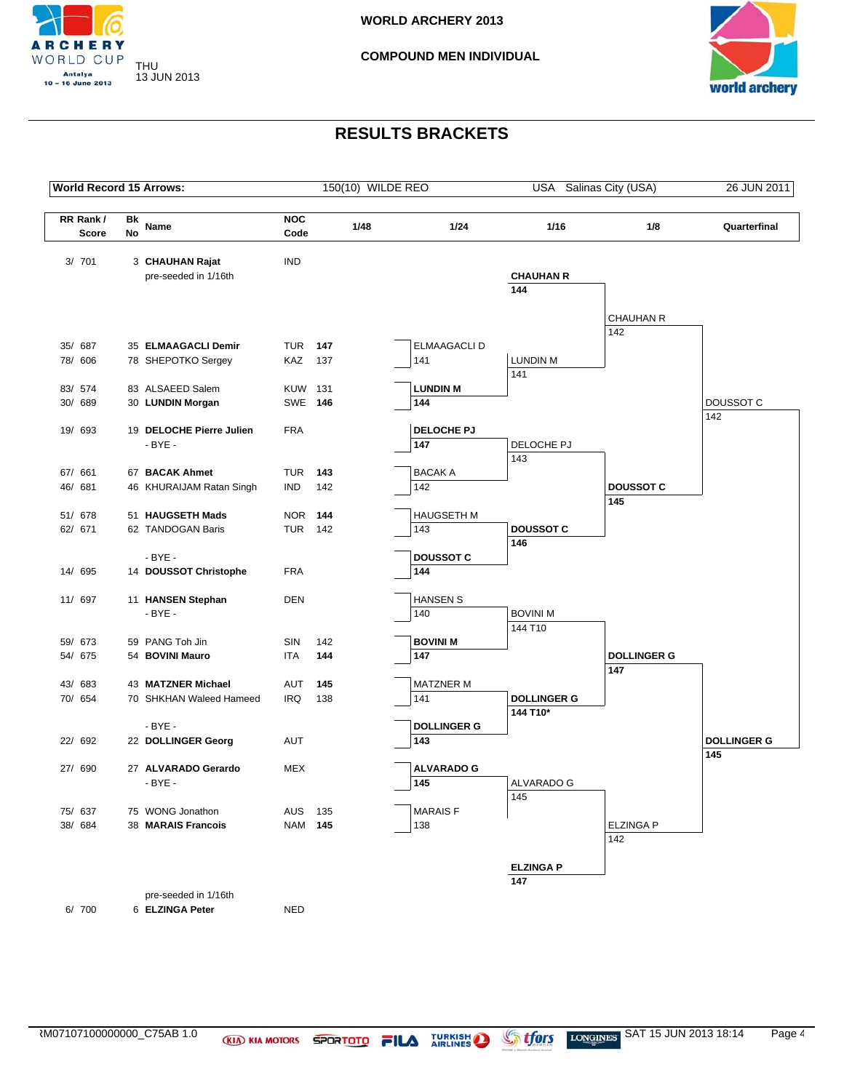



| <b>World Record 15 Arrows:</b> |          |                                        |                    |     |      | 150(10) WILDE REO     |                    | USA Salinas City (USA) | 26 JUN 2011        |
|--------------------------------|----------|----------------------------------------|--------------------|-----|------|-----------------------|--------------------|------------------------|--------------------|
| RR Rank/<br><b>Score</b>       | Bk<br>No | Name                                   | <b>NOC</b><br>Code |     | 1/48 | 1/24                  | 1/16               | 1/8                    | Quarterfinal       |
| 3/701                          |          | 3 CHAUHAN Rajat                        | <b>IND</b>         |     |      |                       |                    |                        |                    |
|                                |          | pre-seeded in 1/16th                   |                    |     |      |                       | <b>CHAUHAN R</b>   |                        |                    |
|                                |          |                                        |                    |     |      |                       | 144                |                        |                    |
|                                |          |                                        |                    |     |      |                       |                    |                        |                    |
|                                |          |                                        |                    |     |      |                       |                    | CHAUHAN R<br>142       |                    |
| 35/ 687                        |          | 35 ELMAAGACLI Demir                    | <b>TUR 147</b>     |     |      | <b>ELMAAGACLI D</b>   |                    |                        |                    |
| 78/ 606                        |          | 78 SHEPOTKO Sergey                     | KAZ                | 137 |      | 141                   | <b>LUNDIN M</b>    |                        |                    |
|                                |          |                                        |                    |     |      |                       | 141                |                        |                    |
| 83/ 574                        |          | 83 ALSAEED Salem                       | <b>KUW 131</b>     |     |      | <b>LUNDIN M</b>       |                    |                        |                    |
| 30/ 689                        |          | 30 LUNDIN Morgan                       | <b>SWE 146</b>     |     |      | 144                   |                    |                        | DOUSSOT C<br>142   |
| 19/ 693                        |          | 19 DELOCHE Pierre Julien               | <b>FRA</b>         |     |      | <b>DELOCHE PJ</b>     |                    |                        |                    |
|                                |          | $-BYE -$                               |                    |     |      | 147                   | DELOCHE PJ         |                        |                    |
|                                |          |                                        |                    |     |      |                       | 143                |                        |                    |
| 67/ 661                        |          | 67 BACAK Ahmet                         | TUR                | 143 |      | <b>BACAKA</b>         |                    |                        |                    |
| 46/ 681                        |          | 46 KHURAIJAM Ratan Singh               | IND                | 142 |      | 142                   |                    | <b>DOUSSOT C</b>       |                    |
|                                |          |                                        |                    |     |      |                       |                    | 145                    |                    |
| 51/ 678                        |          | 51 HAUGSETH Mads                       | <b>NOR 144</b>     |     |      | <b>HAUGSETH M</b>     |                    |                        |                    |
| 62/ 671                        |          | 62 TANDOGAN Baris                      | <b>TUR 142</b>     |     |      | 143                   | <b>DOUSSOT C</b>   |                        |                    |
|                                |          | $-BYE -$                               |                    |     |      | <b>DOUSSOT C</b>      | 146                |                        |                    |
| 14/ 695                        |          | 14 DOUSSOT Christophe                  | <b>FRA</b>         |     |      | 144                   |                    |                        |                    |
|                                |          |                                        |                    |     |      |                       |                    |                        |                    |
| 11/ 697                        |          | 11 HANSEN Stephan                      | <b>DEN</b>         |     |      | <b>HANSEN S</b>       |                    |                        |                    |
|                                |          | $-BYE -$                               |                    |     |      | 140                   | <b>BOVINI M</b>    |                        |                    |
|                                |          |                                        |                    |     |      |                       | 144 T10            |                        |                    |
| 59/ 673                        |          | 59 PANG Toh Jin                        | SIN                | 142 |      | <b>BOVINI M</b>       |                    |                        |                    |
| 54/ 675                        |          | 54 BOVINI Mauro                        | ITA                | 144 |      | 147                   |                    | <b>DOLLINGER G</b>     |                    |
|                                |          | 43 MATZNER Michael                     |                    | 145 |      | <b>MATZNER M</b>      |                    | 147                    |                    |
| 43/ 683<br>70/ 654             |          | 70 SHKHAN Waleed Hameed                | AUT<br>IRQ         | 138 |      | 141                   | <b>DOLLINGER G</b> |                        |                    |
|                                |          |                                        |                    |     |      |                       | 144 T10*           |                        |                    |
|                                |          | $-BYE -$                               |                    |     |      | <b>DOLLINGER G</b>    |                    |                        |                    |
| 22/ 692                        |          | 22 DOLLINGER Georg                     | AUT                |     |      | 143                   |                    |                        | <b>DOLLINGER G</b> |
|                                |          |                                        |                    |     |      |                       |                    |                        | 145                |
| 27/ 690                        |          | 27 ALVARADO Gerardo                    | MEX                |     |      | <b>ALVARADO G</b>     |                    |                        |                    |
|                                |          | $-BYE -$                               |                    |     |      | 145                   | ALVARADO G         |                        |                    |
|                                |          |                                        |                    |     |      |                       | $\overline{145}$   |                        |                    |
| 75/ 637<br>38/ 684             |          | 75 WONG Jonathon<br>38 MARAIS Francois | AUS<br>NAM 145     | 135 |      | <b>MARAISF</b><br>138 |                    | <b>ELZINGA P</b>       |                    |
|                                |          |                                        |                    |     |      |                       |                    | 142                    |                    |
|                                |          |                                        |                    |     |      |                       |                    |                        |                    |
|                                |          |                                        |                    |     |      |                       | <b>ELZINGA P</b>   |                        |                    |
|                                |          |                                        |                    |     |      |                       | 147                |                        |                    |
|                                |          | pre-seeded in 1/16th                   |                    |     |      |                       |                    |                        |                    |
| 6/700                          |          | 6 ELZINGA Peter                        | <b>NED</b>         |     |      |                       |                    |                        |                    |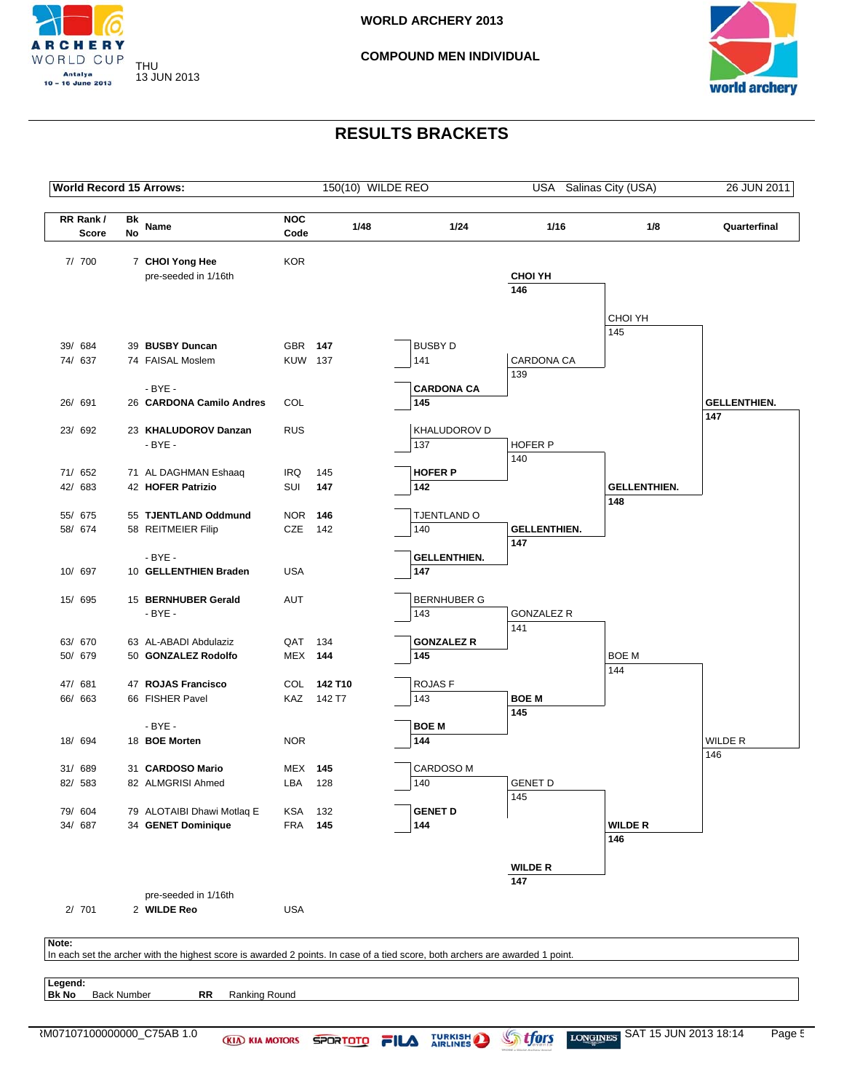



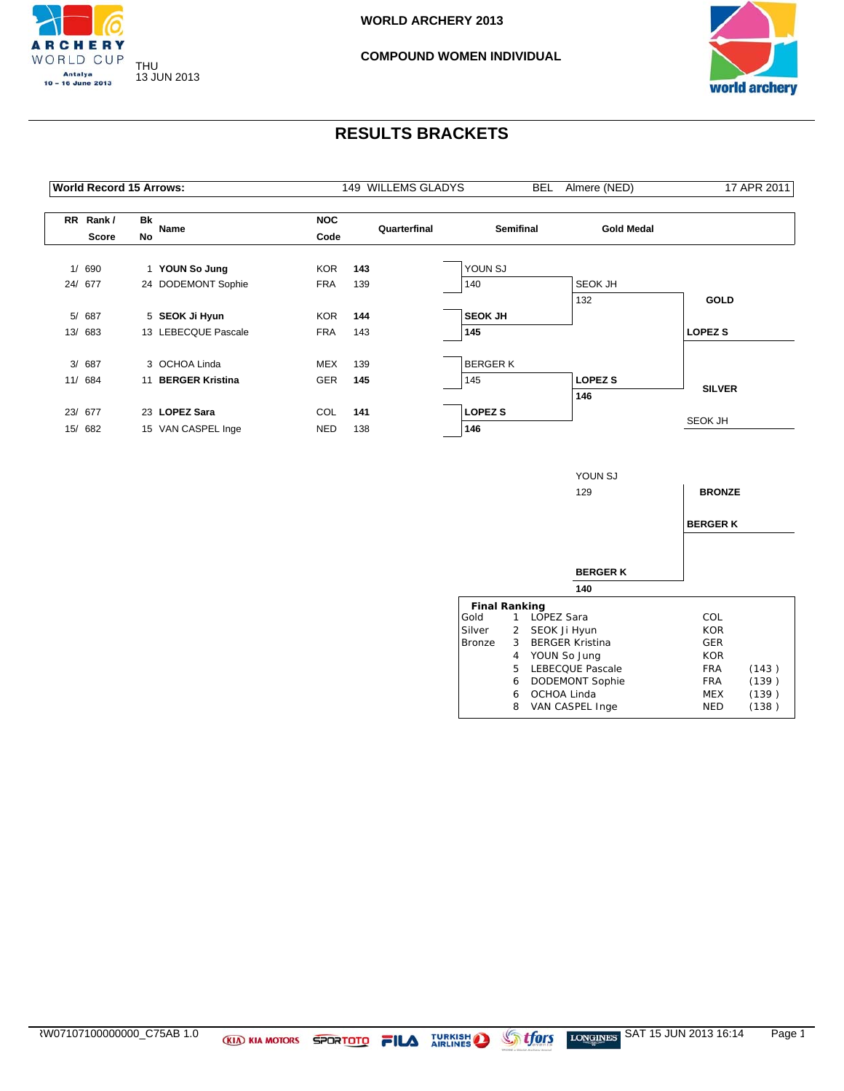



| <b>World Record 15 Arrows:</b> |          |                     | 149 WILLEMS GLADYS | BEL          | Almere (NED)     | 17 APR 2011       |                |
|--------------------------------|----------|---------------------|--------------------|--------------|------------------|-------------------|----------------|
| RR Rank/<br><b>Score</b>       | Bk<br>No | Name                | <b>NOC</b><br>Code | Quarterfinal | <b>Semifinal</b> | <b>Gold Medal</b> |                |
|                                |          |                     |                    |              |                  |                   |                |
| 1/ 690                         |          | 1 YOUN So Jung      | <b>KOR</b>         | 143          | YOUN SJ          |                   |                |
| 24/ 677                        |          | 24 DODEMONT Sophie  | <b>FRA</b>         | 139          | 140              | SEOK JH           |                |
|                                |          |                     |                    |              |                  | 132               | GOLD           |
| 5/ 687                         |          | 5 SEOK Ji Hyun      | KOR                | 144          | <b>SEOK JH</b>   |                   |                |
| 13/683                         |          | 13 LEBECQUE Pascale | <b>FRA</b>         | 143          | 145              |                   | <b>LOPEZ S</b> |
|                                |          |                     |                    |              |                  |                   |                |
| 3/ 687                         |          | 3 OCHOA Linda       | <b>MEX</b>         | 139          | <b>BERGERK</b>   |                   |                |
| 11/ 684                        |          | 11 BERGER Kristina  | <b>GER</b>         | 145          | 145              | <b>LOPEZ S</b>    | <b>SILVER</b>  |
|                                |          |                     |                    |              |                  | 146               |                |
| 23/ 677                        |          | 23 LOPEZ Sara       | COL                | 141          | <b>LOPEZ S</b>   |                   |                |
| 15/ 682                        |          | 15 VAN CASPEL Inge  | <b>NED</b>         | 138          | 146              |                   | SEOK JH        |
|                                |          |                     |                    |              |                  |                   |                |
|                                |          |                     |                    |              |                  | YOUN SJ           |                |
|                                |          |                     |                    |              |                  | 129               | <b>BRONZE</b>  |
|                                |          |                     |                    |              |                  |                   | <b>BERGERK</b> |
|                                |          |                     |                    |              |                  |                   |                |
|                                |          |                     |                    |              |                  | <b>BERGERK</b>    |                |

|                      |    | 140                    |            |       |
|----------------------|----|------------------------|------------|-------|
| <b>Final Ranking</b> |    |                        |            |       |
| Gold                 |    | LOPEZ Sara             | COL        |       |
| Silver               |    | 2 SEOK Ji Hyun         | <b>KOR</b> |       |
| <b>Bronze</b>        | 3  | <b>BERGER Kristina</b> | <b>GER</b> |       |
|                      | 4  | YOUN So Jung           | <b>KOR</b> |       |
|                      | 5. | LEBECQUE Pascale       | <b>FRA</b> | (143) |
|                      | 6  | <b>DODEMONT Sophie</b> | <b>FRA</b> | (139) |
|                      | 6  | OCHOA Linda            | MEX        | (139) |
|                      | 8  | VAN CASPEL Inge        | <b>NED</b> | (138) |
|                      |    |                        |            |       |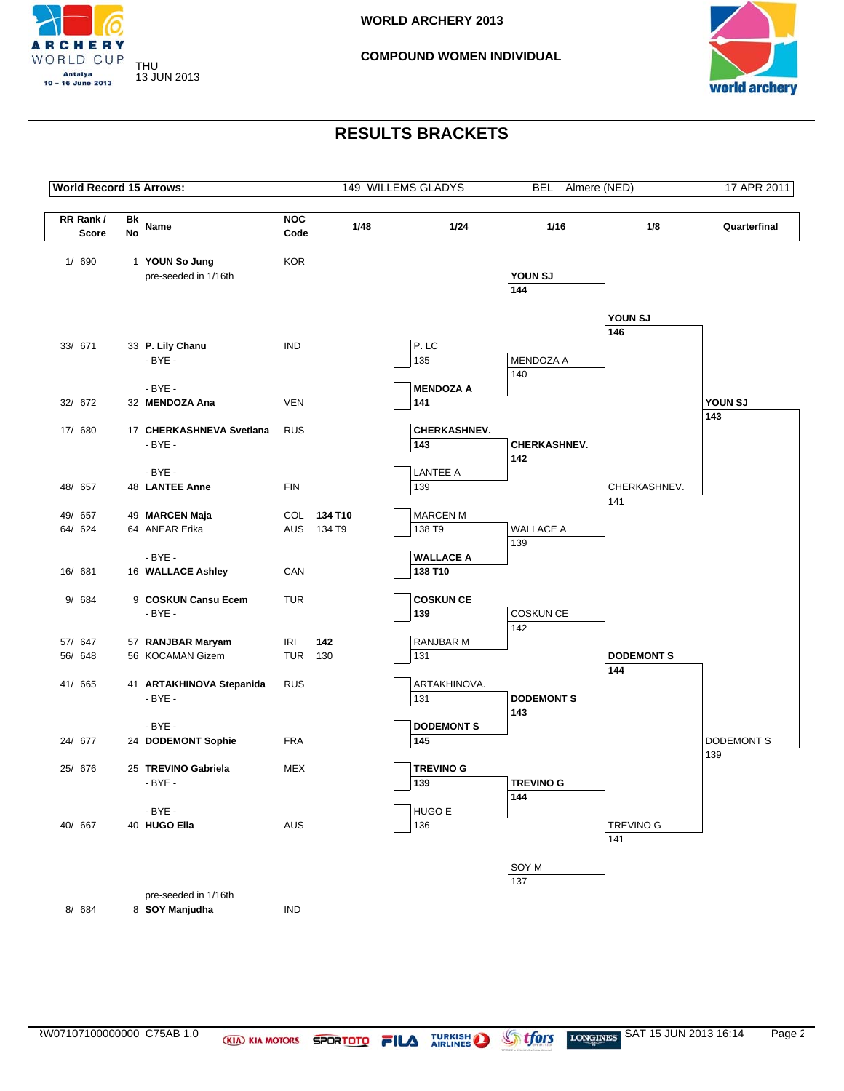



| <b>World Record 15 Arrows:</b> |          |                                        |                    |             | 149 WILLEMS GLADYS          | <b>BEL</b>               | Almere (NED)        | 17 APR 2011  |
|--------------------------------|----------|----------------------------------------|--------------------|-------------|-----------------------------|--------------------------|---------------------|--------------|
| RR Rank/<br>Score              | Bk<br>No | Name                                   | <b>NOC</b><br>Code | 1/48        | 1/24                        | 1/16                     | 1/8                 | Quarterfinal |
| 1/ 690                         |          | 1 YOUN So Jung<br>pre-seeded in 1/16th | <b>KOR</b>         |             |                             | YOUN SJ                  |                     |              |
|                                |          |                                        |                    |             |                             | 144                      |                     |              |
|                                |          |                                        |                    |             |                             |                          | YOUN SJ             |              |
|                                |          |                                        |                    |             |                             |                          | 146                 |              |
| 33/ 671                        |          | 33 P. Lily Chanu<br>$-BYE -$           | <b>IND</b>         |             | P.LC<br>135                 | MENDOZA A                |                     |              |
|                                |          |                                        |                    |             |                             | 140                      |                     |              |
|                                |          | $-BYE -$                               |                    |             | <b>MENDOZA A</b>            |                          |                     |              |
| 32/ 672                        |          | 32 MENDOZA Ana                         | <b>VEN</b>         |             | 141                         |                          |                     | YOUN SJ      |
| 17/ 680                        |          | 17 CHERKASHNEVA Svetlana               | <b>RUS</b>         |             | CHERKASHNEV.                |                          |                     | 143          |
|                                |          | - BYE -                                |                    |             | 143                         | <b>CHERKASHNEV.</b>      |                     |              |
|                                |          |                                        |                    |             |                             | 142                      |                     |              |
|                                |          | $-BYE -$                               |                    |             | <b>LANTEE A</b>             |                          |                     |              |
| 48/ 657                        |          | 48 LANTEE Anne                         | <b>FIN</b>         |             | 139                         |                          | CHERKASHNEV.<br>141 |              |
| 49/ 657                        |          | 49 MARCEN Maja                         |                    | COL 134 T10 | <b>MARCEN M</b>             |                          |                     |              |
| 64/ 624                        |          | 64 ANEAR Erika                         |                    | AUS 134 T9  | 138 T9                      | <b>WALLACE A</b>         |                     |              |
|                                |          |                                        |                    |             |                             | 139                      |                     |              |
|                                |          | $-BYE -$                               |                    |             | <b>WALLACE A</b><br>138 T10 |                          |                     |              |
| 16/ 681                        |          | 16 WALLACE Ashley                      | CAN                |             |                             |                          |                     |              |
| 9/ 684                         |          | 9 COSKUN Cansu Ecem                    | <b>TUR</b>         |             | <b>COSKUN CE</b>            |                          |                     |              |
|                                |          | $-BYE -$                               |                    |             | 139                         | <b>COSKUN CE</b>         |                     |              |
| 57/ 647                        |          | 57 RANJBAR Maryam                      | <b>IRI</b>         | 142         | RANJBAR M                   | 142                      |                     |              |
| 56/ 648                        |          | 56 KOCAMAN Gizem                       | TUR                | 130         | 131                         |                          | <b>DODEMONTS</b>    |              |
|                                |          |                                        |                    |             |                             |                          | 144                 |              |
| 41/ 665                        |          | 41 ARTAKHINOVA Stepanida               | <b>RUS</b>         |             | ARTAKHINOVA.                |                          |                     |              |
|                                |          | $-BYE -$                               |                    |             | 131                         | <b>DODEMONT S</b><br>143 |                     |              |
|                                |          | $-BYE -$                               |                    |             | <b>DODEMONTS</b>            |                          |                     |              |
| 24/ 677                        |          | 24 DODEMONT Sophie                     | <b>FRA</b>         |             | 145                         |                          |                     | DODEMONT S   |
|                                |          |                                        |                    |             |                             |                          |                     | 139          |
| 25/ 676                        |          | 25 TREVINO Gabriela<br>$-BYE -$        | <b>MEX</b>         |             | <b>TREVINO G</b><br>139     | <b>TREVINO G</b>         |                     |              |
|                                |          |                                        |                    |             |                             | 144                      |                     |              |
|                                |          | $-BYE -$                               |                    |             | HUGO E                      |                          |                     |              |
| 40/ 667                        |          | 40 HUGO Ella                           | AUS                |             | 136                         |                          | <b>TREVINO G</b>    |              |
|                                |          |                                        |                    |             |                             |                          | 141                 |              |
|                                |          |                                        |                    |             |                             | SOY M                    |                     |              |
|                                |          |                                        |                    |             |                             | 137                      |                     |              |
|                                |          | pre-seeded in 1/16th                   |                    |             |                             |                          |                     |              |
| 8/ 684                         |          | 8 SOY Manjudha                         | <b>IND</b>         |             |                             |                          |                     |              |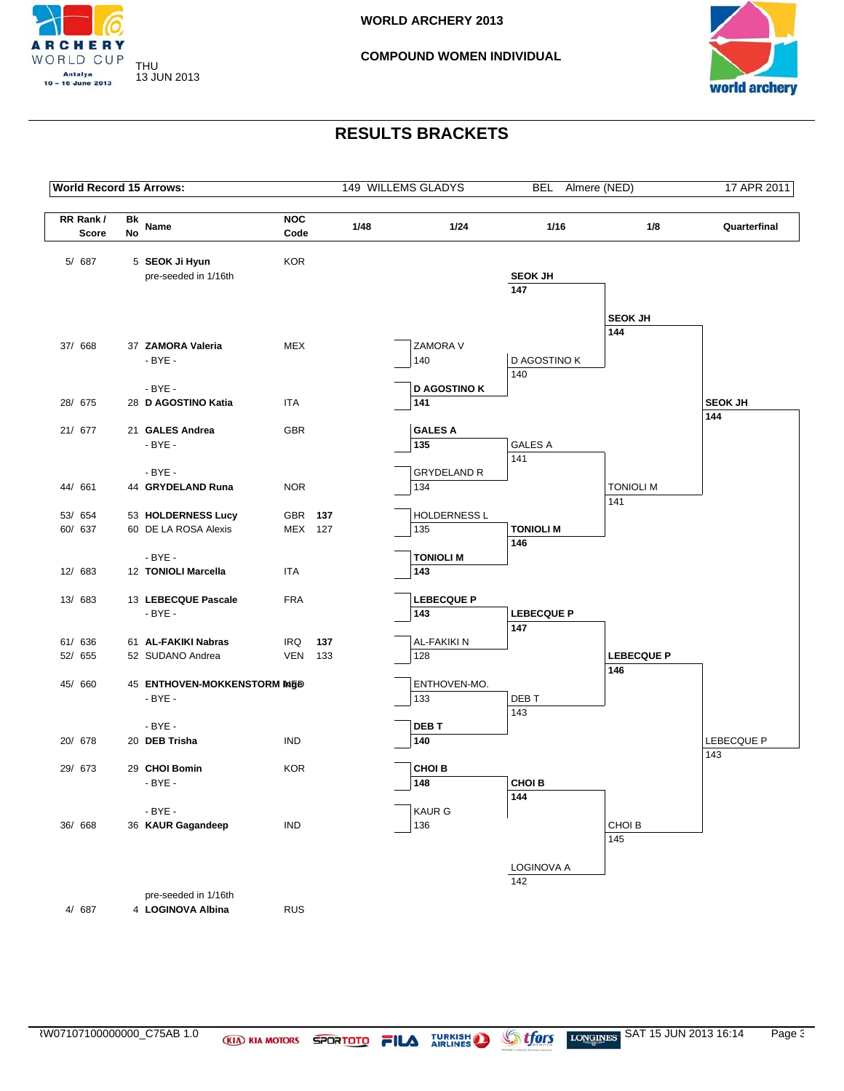



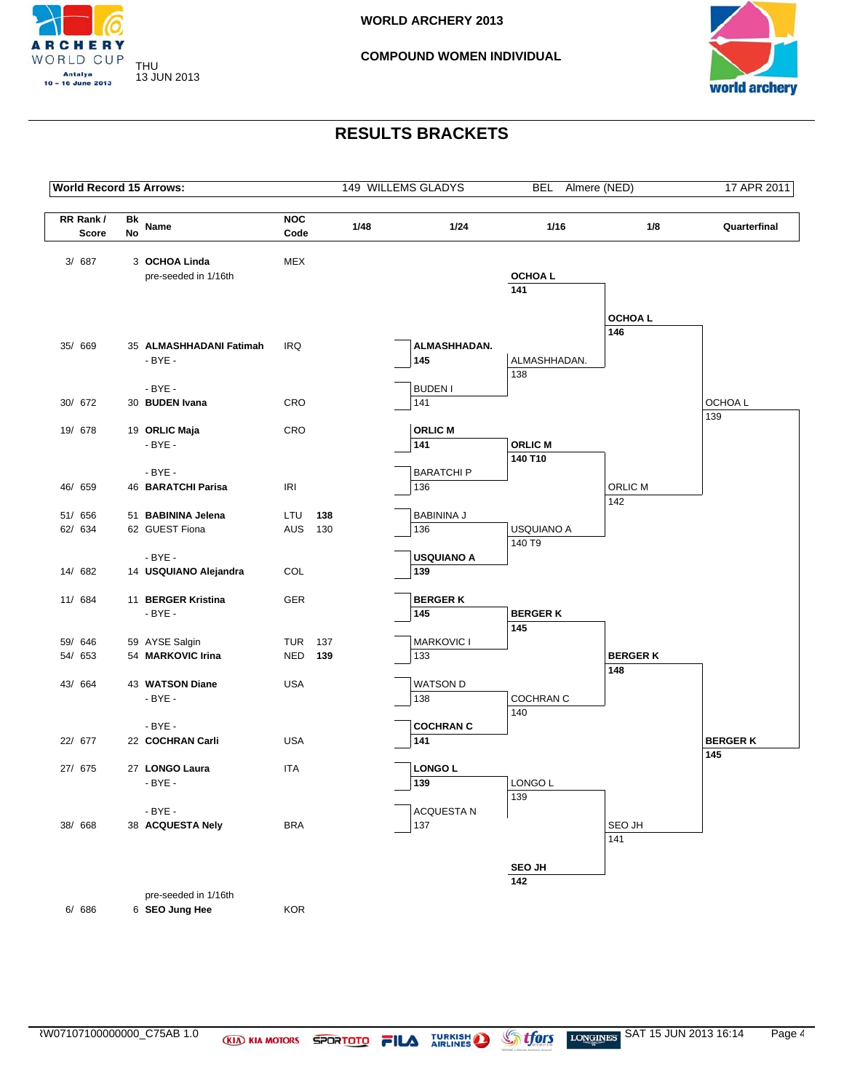



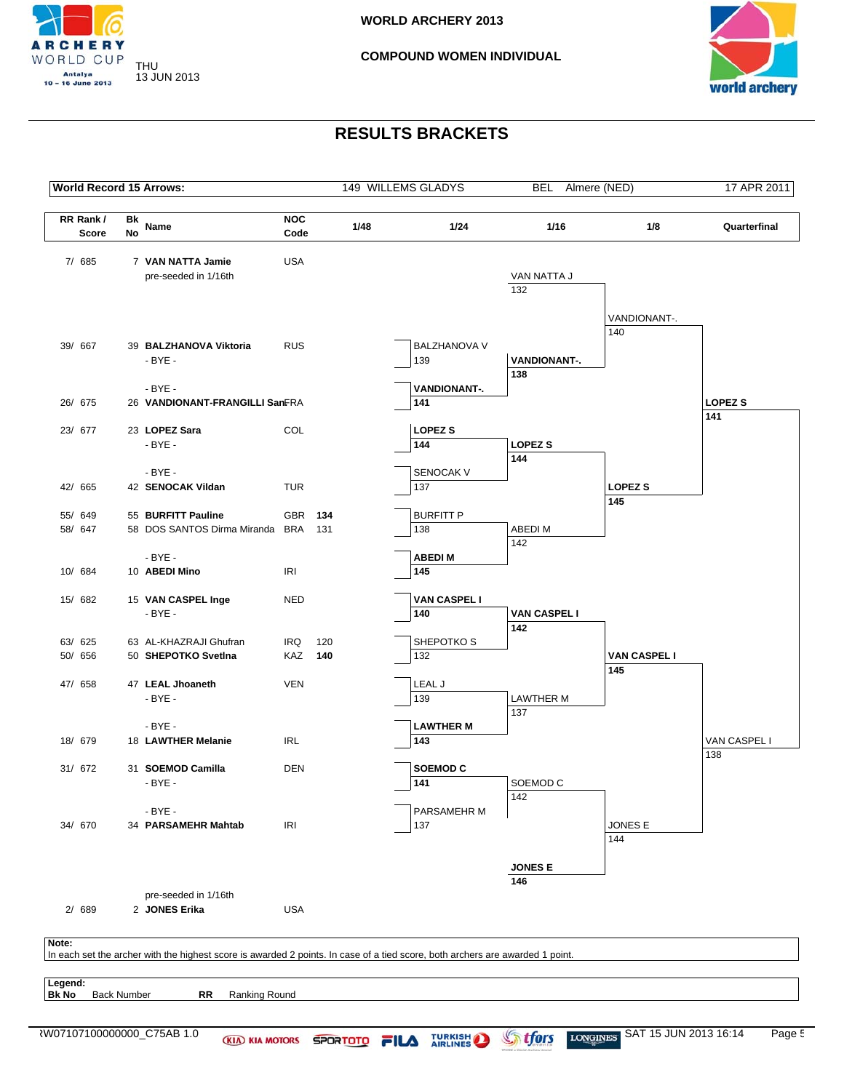![](_page_47_Picture_0.jpeg)

![](_page_47_Picture_3.jpeg)

![](_page_47_Figure_5.jpeg)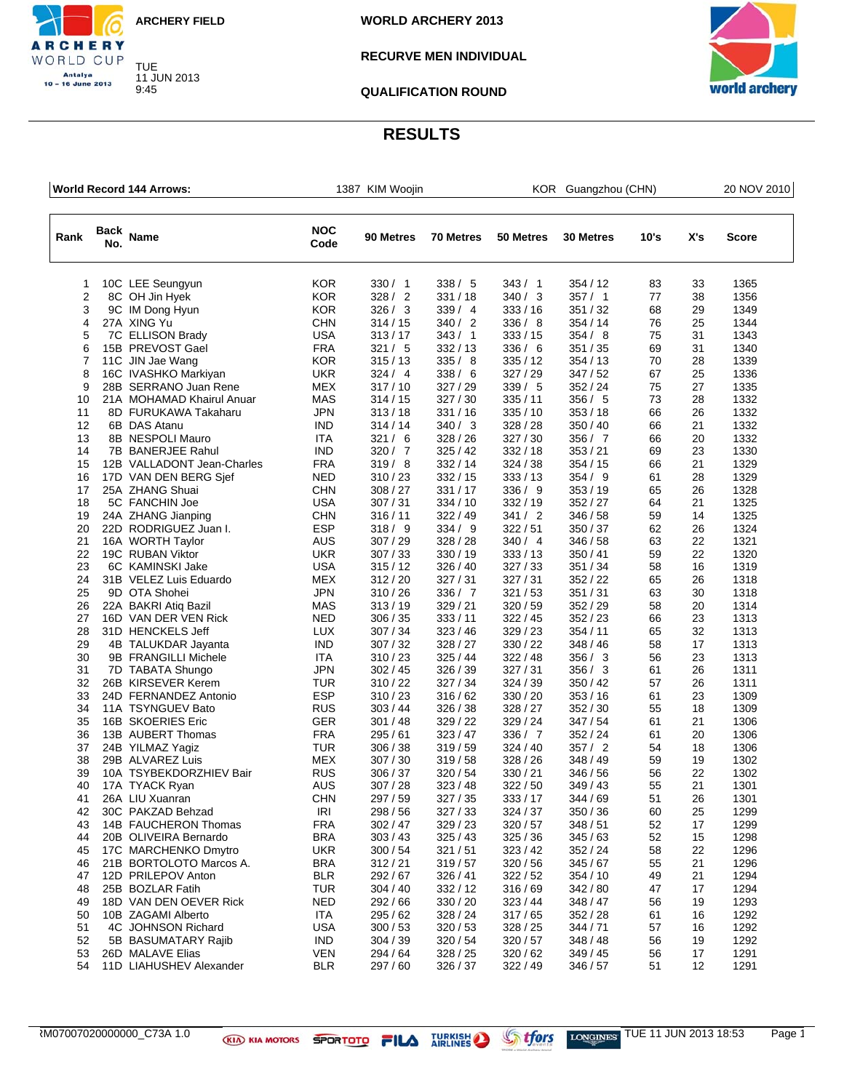![](_page_48_Picture_0.jpeg)

9:45

CHERY WORLD CUP Antalya<br>10 – 16 June 2013

**WORLD ARCHERY 2013**

### **RECURVE MEN INDIVIDUAL**

**QUALIFICATION ROUND**

![](_page_48_Picture_5.jpeg)

|                | World Record 144 Arrows: |                            |                    | 1387 KIM Woojin |                  | KOR Guangzhou (CHN) |           |      |     | 20 NOV 2010 |  |
|----------------|--------------------------|----------------------------|--------------------|-----------------|------------------|---------------------|-----------|------|-----|-------------|--|
| Rank           | Back<br>No.              | <b>Name</b>                | <b>NOC</b><br>Code | 90 Metres       | <b>70 Metres</b> | 50 Metres           | 30 Metres | 10's | X's | Score       |  |
| 1              |                          | 10C LEE Seungyun           | <b>KOR</b>         | 330 / 1         | 338 / 5          | 343/1               | 354 / 12  | 83   | 33  | 1365        |  |
| $\overline{2}$ |                          | 8C OH Jin Hyek             | <b>KOR</b>         | 328/2           | 331/18           | 340 / 3             | 357/1     | 77   | 38  | 1356        |  |
| 3              |                          | 9C IM Dong Hyun            | <b>KOR</b>         | 326 / 3         | 339/4            | 333/16              | 351 / 32  | 68   | 29  | 1349        |  |
| 4              |                          | 27A XING Yu                | CHN                | 314/15          | 340/2            | 336 / 8             | 354 / 14  | 76   | 25  | 1344        |  |
| 5              |                          | 7C ELLISON Brady           | USA                | 313/17          | 343 / 1          | 333/15              | 354/8     | 75   | 31  | 1343        |  |
| 6              |                          | 15B PREVOST Gael           | <b>FRA</b>         | 321 / 5         | 332/13           | 336/6               | 351 / 35  | 69   | 31  | 1340        |  |
| 7              |                          | 11C JIN Jae Wang           | <b>KOR</b>         | 315/13          | 335/8            | 335/12              | 354 / 13  | 70   | 28  | 1339        |  |
| 8              |                          | 16C IVASHKO Markiyan       | <b>UKR</b>         | 324/4           | 338/6            | 327/29              | 347/52    | 67   | 25  | 1336        |  |
| 9              |                          | 28B SERRANO Juan Rene      | <b>MEX</b>         | 317/10          | 327/29           | 339/5               | 352/24    | 75   | 27  | 1335        |  |
| 10             |                          | 21A MOHAMAD Khairul Anuar  | <b>MAS</b>         | 314/15          | 327/30           | 335/11              | 356 / 5   | 73   | 28  | 1332        |  |
| 11             |                          | 8D FURUKAWA Takaharu       | <b>JPN</b>         | 313/18          | 331/16           | 335/10              | 353/18    | 66   | 26  | 1332        |  |
| 12             |                          | 6B DAS Atanu               | IND                | 314/14          | 340 / 3          | 328 / 28            | 350 / 40  | 66   | 21  | 1332        |  |
| 13             |                          | 8B NESPOLI Mauro           | ITA                | 321/6           | 328/26           | 327/30              | 356/7     | 66   | 20  | 1332        |  |
| 14             |                          | 7B BANERJEE Rahul          | IND                | 320 / 7         | 325/42           | 332/18              | 353 / 21  | 69   | 23  | 1330        |  |
| 15             |                          | 12B VALLADONT Jean-Charles | <b>FRA</b>         | 319/8           | 332/14           | 324 / 38            | 354 / 15  | 66   | 21  | 1329        |  |
| 16             |                          | 17D VAN DEN BERG Sjef      | <b>NED</b>         | 310/23          | 332/15           | 333/13              | 354/9     | 61   | 28  | 1329        |  |
| 17             |                          | 25A ZHANG Shuai            | <b>CHN</b>         | 308/27          | 331/17           | 336 / 9             | 353 / 19  | 65   | 26  | 1328        |  |
| 18             |                          | 5C FANCHIN Joe             | USA                | 307 / 31        | 334/10           | 332/19              | 352 / 27  | 64   | 21  | 1325        |  |
| 19             |                          | 24A ZHANG Jianping         | <b>CHN</b>         | 316/11          | 322/49           | 341 / 2             | 346 / 58  | 59   | 14  | 1325        |  |
| 20             |                          | 22D RODRIGUEZ Juan I.      | <b>ESP</b>         | 318/9           | 334 / 9          | 322/51              | 350 / 37  | 62   | 26  | 1324        |  |
| 21             |                          | 16A WORTH Taylor           | AUS                | 307/29          | 328/28           | 340/4               | 346 / 58  | 63   | 22  | 1321        |  |
| 22             |                          | 19C RUBAN Viktor           | <b>UKR</b>         | 307/33          | 330/19           | 333/13              | 350 / 41  | 59   | 22  | 1320        |  |
| 23             |                          | 6C KAMINSKI Jake           | <b>USA</b>         | 315/12          | 326/40           | 327/33              | 351 / 34  | 58   | 16  | 1319        |  |
| 24             |                          | 31B VELEZ Luis Eduardo     | MEX                | 312/20          | 327/31           | 327/31              | 352 / 22  | 65   | 26  | 1318        |  |
| 25             |                          | 9D OTA Shohei              | JPN                | 310/26          | 336 / 7          | 321/53              | 351 / 31  | 63   | 30  | 1318        |  |
| 26             |                          | 22A BAKRI Atiq Bazil       | <b>MAS</b>         | 313/19          | 329/21           | 320/59              | 352 / 29  | 58   | 20  | 1314        |  |
| 27             |                          | 16D VAN DER VEN Rick       | <b>NED</b>         | 306 / 35        | 333/11           | 322/45              | 352 / 23  | 66   | 23  | 1313        |  |
| 28             |                          | 31D HENCKELS Jeff          | <b>LUX</b>         | 307 / 34        | 323/46           | 329 / 23            | 354/11    | 65   | 32  | 1313        |  |
| 29             |                          | 4B TALUKDAR Jayanta        | <b>IND</b>         | 307/32          | 328/27           | 330 / 22            | 348 / 46  | 58   | 17  | 1313        |  |
| 30             |                          | 9B FRANGILLI Michele       | <b>ITA</b>         | 310/23          | 325/44           | 322 / 48            | 356 / 3   | 56   | 23  | 1313        |  |
| 31             |                          | 7D TABATA Shungo           | JPN                | 302 / 45        | 326 / 39         | 327/31              | 356/3     | 61   | 26  | 1311        |  |
| 32             |                          | 26B KIRSEVER Kerem         | TUR                | 310/22          | 327/34           | 324/39              | 350 / 42  | 57   | 26  | 1311        |  |
| 33             |                          | 24D FERNANDEZ Antonio      | <b>ESP</b>         | 310/23          | 316/62           | 330 / 20            | 353/16    | 61   | 23  | 1309        |  |
| 34             |                          | 11A TSYNGUEV Bato          | <b>RUS</b>         | 303/44          | 326/38           | 328/27              | 352 / 30  | 55   | 18  | 1309        |  |
| 35             |                          | 16B SKOERIES Eric          | GER                | 301/48          | 329 / 22         | 329/24              | 347/54    | 61   | 21  | 1306        |  |
| 36             |                          | 13B AUBERT Thomas          | <b>FRA</b>         | 295 / 61        | 323/47           | 336 / 7             | 352/24    | 61   | 20  | 1306        |  |
| 37             |                          | 24B YILMAZ Yagiz           | <b>TUR</b>         | 306 / 38        | 319/59           | 324/40              | 357/2     | 54   | 18  | 1306        |  |
| 38             |                          | 29B ALVAREZ Luis           | MEX                | 307/30          | 319/58           | 328 / 26            | 348 / 49  | 59   | 19  | 1302        |  |
| 39             |                          | 10A TSYBEKDORZHIEV Bair    | <b>RUS</b>         | 306 / 37        | 320 / 54         | 330 / 21            | 346 / 56  | 56   | 22  | 1302        |  |
| 40             |                          | 17A TYACK Ryan             | AUS                | 307/28          | 323/48           | 322/50              | 349 / 43  | 55   | 21  | 1301        |  |
| 41             |                          | 26A LIU Xuanran            | <b>CHN</b>         | 297 / 59        | 327 / 35         | 333 / 17            | 344 / 69  | 51   | 26  | 1301        |  |
| 42             |                          | 30C PAKZAD Behzad          | <b>IRI</b>         | 298 / 56        | 327/33           | 324/37              | 350 / 36  | 60   | 25  | 1299        |  |
| 43             |                          | 14B FAUCHERON Thomas       | <b>FRA</b>         | 302 / 47        | 329 / 23         | 320/57              | 348 / 51  | 52   | 17  | 1299        |  |
| 44             |                          | 20B OLIVEIRA Bernardo      | <b>BRA</b>         | 303/43          | 325/43           | 325/36              | 345/63    | 52   | 15  | 1298        |  |
| 45             |                          | 17C MARCHENKO Dmytro       | <b>UKR</b>         | 300/54          | 321/51           | 323/42              | 352/24    | 58   | 22  | 1296        |  |
| 46             |                          | 21B BORTOLOTO Marcos A.    | <b>BRA</b>         | 312/21          | 319/57           | 320/56              | 345/67    | 55   | 21  | 1296        |  |
| 47             |                          | 12D PRILEPOV Anton         | BLR                | 292 / 67        | 326/41           | 322/52              | 354/10    | 49   | 21  | 1294        |  |
| 48             |                          | 25B BOZLAR Fatih           | <b>TUR</b>         | 304 / 40        | 332/12           | 316/69              | 342 / 80  | 47   | 17  | 1294        |  |
| 49             |                          | 18D VAN DEN OEVER Rick     | <b>NED</b>         | 292 / 66        | 330 / 20         | 323/44              | 348 / 47  | 56   | 19  | 1293        |  |
| 50             |                          | 10B ZAGAMI Alberto         | <b>ITA</b>         | 295 / 62        | 328/24           | 317/65              | 352/28    | 61   | 16  | 1292        |  |
| 51             |                          | 4C JOHNSON Richard         | <b>USA</b>         | 300/53          | 320/53           | 328 / 25            | 344 / 71  | 57   | 16  | 1292        |  |
| 52             |                          | 5B BASUMATARY Rajib        | <b>IND</b>         | 304 / 39        | 320/54           | 320/57              | 348 / 48  | 56   | 19  | 1292        |  |
| 53             |                          | 26D MALAVE Elias           | <b>VEN</b>         | 294 / 64        | 328/25           | 320/62              | 349/45    | 56   | 17  | 1291        |  |
| 54             |                          | 11D LIAHUSHEV Alexander    | <b>BLR</b>         | 297 / 60        | 326 / 37         | 322 / 49            | 346 / 57  | 51   | 12  | 1291        |  |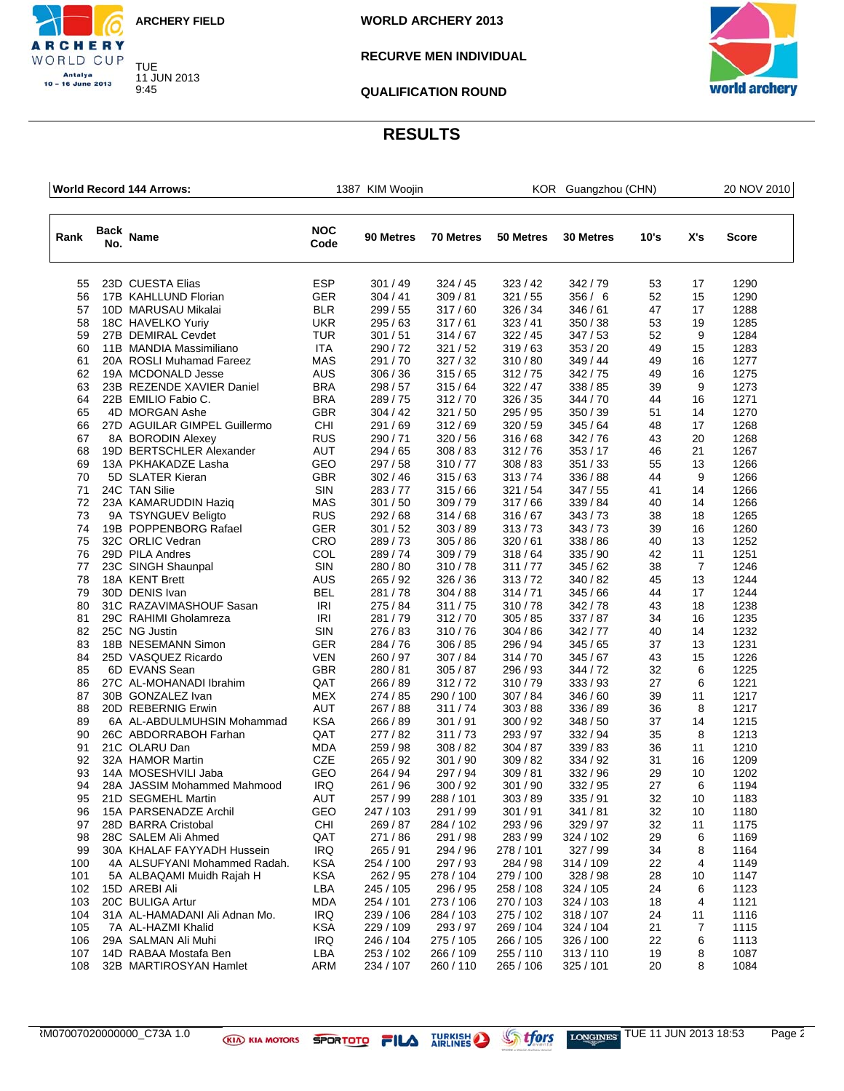![](_page_49_Picture_0.jpeg)

**RCHERY** WORLD CUP Antalya<br>10 – 16 June 2013

**WORLD ARCHERY 2013**

### **RECURVE MEN INDIVIDUAL**

**QUALIFICATION ROUND**

![](_page_49_Picture_5.jpeg)

|      | World Record 144 Arrows: |                               |                    | 1387 KIM Woojin |           | KOR Guangzhou (CHN) |           |      |     | 20 NOV 2010  |
|------|--------------------------|-------------------------------|--------------------|-----------------|-----------|---------------------|-----------|------|-----|--------------|
| Rank | Back<br>No.              | Name                          | <b>NOC</b><br>Code | 90 Metres       | 70 Metres | 50 Metres           | 30 Metres | 10's | X's | <b>Score</b> |
| 55   |                          | 23D CUESTA Elias              | <b>ESP</b>         | 301/49          | 324/45    | 323/42              | 342/79    | 53   | 17  | 1290         |
| 56   |                          | 17B KAHLLUND Florian          | <b>GER</b>         | 304/41          | 309/81    | 321/55              | 356/6     | 52   | 15  | 1290         |
| 57   |                          | 10D MARUSAU Mikalai           | <b>BLR</b>         | 299 / 55        | 317/60    | 326/34              | 346/61    | 47   | 17  | 1288         |
| 58   |                          | 18C HAVELKO Yuriy             | <b>UKR</b>         | 295/63          | 317/61    | 323/41              | 350/38    | 53   | 19  | 1285         |
| 59   |                          | 27B DEMIRAL Cevdet            | <b>TUR</b>         | 301/51          | 314/67    | 322/45              | 347/53    | 52   | 9   | 1284         |
| 60   |                          | 11B MANDIA Massimiliano       | <b>ITA</b>         | 290/72          | 321/52    | 319/63              | 353/20    | 49   | 15  | 1283         |
| 61   |                          | 20A ROSLI Muhamad Fareez      | MAS                | 291/70          | 327/32    | 310/80              | 349/44    | 49   | 16  | 1277         |
| 62   |                          | 19A MCDONALD Jesse            | <b>AUS</b>         | 306 / 36        | 315/65    | 312/75              | 342/75    | 49   | 16  | 1275         |
| 63   |                          | 23B REZENDE XAVIER Daniel     | <b>BRA</b>         | 298 / 57        | 315/64    | 322/47              | 338 / 85  | 39   | 9   | 1273         |
| 64   |                          | 22B EMILIO Fabio C.           | <b>BRA</b>         | 289/75          | 312/70    | 326/35              | 344 / 70  | 44   | 16  | 1271         |
| 65   |                          | 4D MORGAN Ashe                | <b>GBR</b>         | 304 / 42        | 321/50    | 295 / 95            | 350 / 39  | 51   | 14  | 1270         |
| 66   |                          | 27D AGUILAR GIMPEL Guillermo  | CHI                | 291/69          | 312/69    | 320/59              | 345/64    | 48   | 17  | 1268         |
| 67   |                          | 8A BORODIN Alexey             | <b>RUS</b>         | 290/71          | 320/56    | 316/68              | 342/76    | 43   | 20  | 1268         |
| 68   |                          | 19D BERTSCHLER Alexander      | <b>AUT</b>         | 294 / 65        | 308/83    | 312/76              | 353/17    | 46   | 21  | 1267         |
| 69   |                          | 13A PKHAKADZE Lasha           | GEO                | 297 / 58        | 310/77    | 308/83              | 351/33    | 55   | 13  | 1266         |
| 70   |                          | 5D SLATER Kieran              | <b>GBR</b>         | 302/46          | 315/63    | 313/74              | 336 / 88  | 44   | 9   | 1266         |
| 71   |                          | 24C TAN Silie                 | <b>SIN</b>         | 283/77          | 315/66    | 321/54              | 347/55    | 41   | 14  | 1266         |
| 72   |                          | 23A KAMARUDDIN Haziq          | <b>MAS</b>         | 301/50          | 309 / 79  | 317/66              | 339 / 84  | 40   | 14  | 1266         |
| 73   |                          | 9A TSYNGUEV Beligto           | <b>RUS</b>         | 292 / 68        | 314/68    | 316/67              | 343/73    | 38   | 18  | 1265         |
| 74   |                          | 19B POPPENBORG Rafael         | <b>GER</b>         | 301/52          | 303/89    | 313/73              | 343/73    | 39   | 16  | 1260         |
| 75   |                          | 32C ORLIC Vedran              | <b>CRO</b>         | 289/73          | 305/86    | 320/61              | 338 / 86  | 40   | 13  | 1252         |
| 76   |                          | 29D PILA Andres               | COL                | 289/74          | 309/79    | 318/64              | 335 / 90  | 42   | 11  | 1251         |
| 77   |                          | 23C SINGH Shaunpal            | SIN                | 280/80          | 310/78    | 311/77              | 345/62    | 38   | 7   | 1246         |
| 78   |                          | 18A KENT Brett                | <b>AUS</b>         | 265 / 92        | 326/36    | 313/72              | 340 / 82  | 45   | 13  | 1244         |
| 79   |                          | 30D DENIS Ivan                | <b>BEL</b>         | 281/78          | 304/88    | 314/71              | 345/66    | 44   | 17  | 1244         |
| 80   |                          | 31C RAZAVIMASHOUF Sasan       | IRI                | 275 / 84        | 311/75    | 310/78              | 342/78    | 43   | 18  | 1238         |
| 81   |                          | 29C RAHIMI Gholamreza         | IRI                | 281/79          | 312/70    | 305/85              | 337 / 87  | 34   | 16  | 1235         |
| 82   |                          | 25C NG Justin                 | SIN                | 276 / 83        | 310/76    | 304/86              | 342/77    | 40   | 14  | 1232         |
| 83   |                          | 18B NESEMANN Simon            | GER                | 284 / 76        | 306 / 85  | 296 / 94            | 345/65    | 37   | 13  | 1231         |
| 84   |                          | 25D VASQUEZ Ricardo           | VEN                | 260/97          | 307/84    | 314/70              | 345 / 67  | 43   | 15  | 1226         |
| 85   |                          | 6D EVANS Sean                 | <b>GBR</b>         | 280 / 81        | 305/87    | 296 / 93            | 344 / 72  | 32   | 6   | 1225         |
| 86   |                          | 27C AL-MOHANADI Ibrahim       | QAT                | 266 / 89        | 312/72    | 310/79              | 333 / 93  | 27   | 6   | 1221         |
| 87   |                          | 30B GONZALEZ Ivan             | MEX                | 274 / 85        | 290 / 100 | 307/84              | 346/60    | 39   | 11  | 1217         |
| 88   |                          | 20D REBERNIG Erwin            | AUT                | 267 / 88        | 311/74    | 303/88              | 336 / 89  | 36   | 8   | 1217         |
| 89   |                          | 6A AL-ABDULMUHSIN Mohammad    | <b>KSA</b>         | 266 / 89        | 301/91    | 300/92              | 348/50    | 37   | 14  | 1215         |
| 90   |                          | 26C ABDORRABOH Farhan         | QAT                | 277/82          | 311/73    | 293 / 97            | 332 / 94  | 35   | 8   | 1213         |
| 91   |                          | 21C OLARU Dan                 | <b>MDA</b>         | 259 / 98        | 308/82    | 304/87              | 339/83    | 36   | 11  | 1210         |
| 92   |                          | 32A HAMOR Martin              | <b>CZE</b>         | 265 / 92        | 301/90    | 309/82              | 334 / 92  | 31   | 16  | 1209         |
| 93   |                          | 14A MOSESHVILI Jaba           | GEO                | 264 / 94        | 297 / 94  | 309/81              | 332 / 96  | 29   | 10  | 1202         |
| 94   |                          | 28A JASSIM Mohammed Mahmood   | <b>IRQ</b>         | 261/96          | 300/92    | 301/90              | 332 / 95  | 27   | 6   | 1194         |
| 95   |                          | 21D SEGMEHL Martin            | AUT                | 257 / 99        | 288 / 101 | 303 / 89            | 335 / 91  | 32   | 10  | 1183         |
| 96   |                          | 15A PARSENADZE Archil         | GEO                | 247 / 103       | 291 / 99  | 301/91              | 341/81    | 32   | 10  | 1180         |
| 97   |                          | 28D BARRA Cristobal           | CHI                | 269 / 87        | 284 / 102 | 293 / 96            | 329 / 97  | 32   | 11  | 1175         |
| 98   |                          | 28C SALEM Ali Ahmed           | QAT                | 271/86          | 291 / 98  | 283 / 99            | 324 / 102 | 29   | 6   | 1169         |
| 99   |                          | 30A KHALAF FAYYADH Hussein    | <b>IRQ</b>         | 265 / 91        | 294 / 96  | 278 / 101           | 327 / 99  | 34   | 8   | 1164         |
| 100  |                          | 4A ALSUFYANI Mohammed Radah.  | KSA                | 254 / 100       | 297 / 93  | 284 / 98            | 314 / 109 | 22   | 4   | 1149         |
| 101  |                          | 5A ALBAQAMI Muidh Rajah H     | KSA                | 262 / 95        | 278 / 104 | 279 / 100           | 328 / 98  | 28   | 10  | 1147         |
| 102  |                          | 15D AREBI Ali                 | LBA                | 245 / 105       | 296 / 95  | 258 / 108           | 324 / 105 | 24   | 6   | 1123         |
| 103  |                          | 20C BULIGA Artur              | <b>MDA</b>         | 254 / 101       | 273 / 106 | 270 / 103           | 324 / 103 | 18   | 4   | 1121         |
| 104  |                          | 31A AL-HAMADANI Ali Adnan Mo. | IRQ                | 239 / 106       | 284 / 103 | 275 / 102           | 318 / 107 | 24   | 11  | 1116         |
| 105  |                          | 7A AL-HAZMI Khalid            | KSA                | 229 / 109       | 293/97    | 269 / 104           | 324 / 104 | 21   | 7   | 1115         |
| 106  |                          | 29A SALMAN Ali Muhi           | <b>IRQ</b>         | 246 / 104       | 275 / 105 | 266 / 105           | 326 / 100 | 22   | 6   | 1113         |
| 107  |                          | 14D RABAA Mostafa Ben         | LBA                | 253 / 102       | 266 / 109 | 255 / 110           | 313/110   | 19   | 8   | 1087         |
| 108  |                          | 32B MARTIROSYAN Hamlet        | ARM                | 234 / 107       | 260/110   | 265 / 106           | 325 / 101 | 20   | 8   | 1084         |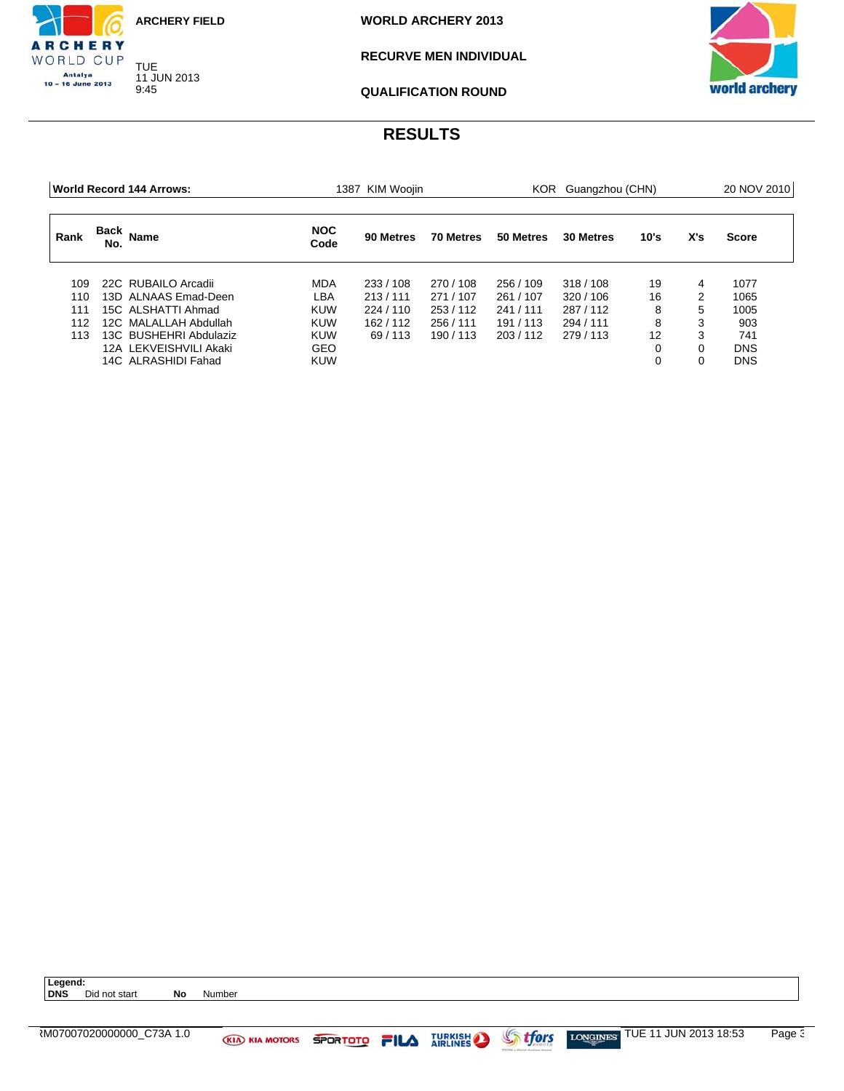TUE 11 JUN 2013 9:45

CHERY WORLD CUP Antalya<br>10 – 16 June 2013

**WORLD ARCHERY 2013**

### **RECURVE MEN INDIVIDUAL**

![](_page_50_Picture_4.jpeg)

**QUALIFICATION ROUND**

| World Record 144 Arrows: |             |                        |                    | KIM Woojin<br>1387 |           |           | KOR Guangzhou (CHN) |          |     |              |
|--------------------------|-------------|------------------------|--------------------|--------------------|-----------|-----------|---------------------|----------|-----|--------------|
| Rank                     | Back<br>No. | <b>Name</b>            | <b>NOC</b><br>Code | 90 Metres          | 70 Metres | 50 Metres | 30 Metres           | 10's     | X's | <b>Score</b> |
| 109.                     |             | 22C RUBAILO Arcadii    | <b>MDA</b>         | 233/108            | 270/108   | 256 / 109 | 318/108             | 19       | 4   | 1077         |
| 110                      |             | 13D ALNAAS Emad-Deen   | LBA                | 213/111            | 271/107   | 261 / 107 | 320/106             | 16       | 2   | 1065         |
| 111                      |             | 15C ALSHATTI Ahmad     | <b>KUW</b>         | 224/110            | 253/112   | 241/111   | 287/112             | 8        | 5   | 1005         |
| 112                      |             | 12C MALALLAH Abdullah  | <b>KUW</b>         | 162/112            | 256/111   | 191/113   | 294 / 111           | 8        | 3   | 903          |
| 113                      |             | 13C BUSHEHRI Abdulaziz | <b>KUW</b>         | 69/113             | 190/113   | 203/112   | 279/113             | 12       | 3   | 741          |
|                          |             | 12A LEKVEISHVILI Akaki | <b>GEO</b>         |                    |           |           |                     | $\Omega$ |     | <b>DNS</b>   |
|                          |             | 14C ALRASHIDI Fahad    | <b>KUW</b>         |                    |           |           |                     | $\Omega$ |     | <b>DNS</b>   |

![](_page_50_Picture_10.jpeg)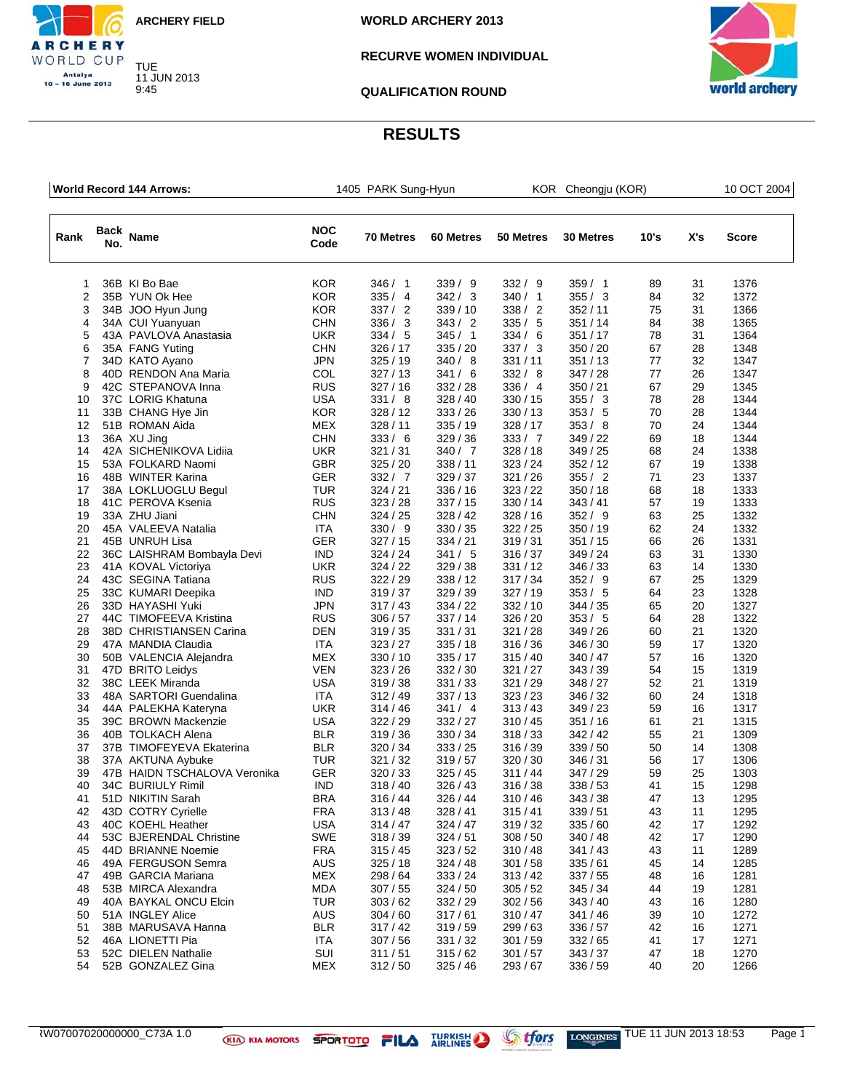![](_page_51_Picture_0.jpeg)

CHERY WORLD CUP Antalya<br>10 – 16 June 2013

**WORLD ARCHERY 2013**

### **RECURVE WOMEN INDIVIDUAL**

**QUALIFICATION ROUND**

![](_page_51_Picture_5.jpeg)

|                |     | World Record 144 Arrows:     |                    | 1405 PARK Sung-Hyun |           | KOR Cheongju (KOR) |                  |      |     | 10 OCT 2004 |  |
|----------------|-----|------------------------------|--------------------|---------------------|-----------|--------------------|------------------|------|-----|-------------|--|
| Rank           | No. | Back Name                    | <b>NOC</b><br>Code | 70 Metres           | 60 Metres | 50 Metres          | <b>30 Metres</b> | 10's | X's | Score       |  |
| 1              |     | 36B KI Bo Bae                | <b>KOR</b>         | 346/1               | 339/9     | 332 / 9            | 359/1            | 89   | 31  | 1376        |  |
| $\overline{2}$ |     | 35B YUN Ok Hee               | <b>KOR</b>         | 335/4               | 342 / 3   | 340 / 1            | 355/3            | 84   | 32  | 1372        |  |
| 3              |     | 34B JOO Hyun Jung            | <b>KOR</b>         | 337 / 2             | 339/10    | 338 / 2            | 352/11           | 75   | 31  | 1366        |  |
| 4              |     | 34A CUI Yuanyuan             | <b>CHN</b>         | 336 / 3             | 343 / 2   | 335/5              | 351/14           | 84   | 38  | 1365        |  |
| 5              |     | 43A PAVLOVA Anastasia        | <b>UKR</b>         | 334 / 5             | 345/1     | 334 / 6            | 351/17           | 78   | 31  | 1364        |  |
| 6              |     | 35A FANG Yuting              | <b>CHN</b>         | 326/17              | 335/20    | 337/3              | 350 / 20         | 67   | 28  | 1348        |  |
| $\overline{7}$ |     | 34D KATO Ayano               | <b>JPN</b>         | 325/19              | 340/8     | 331/11             | 351/13           | 77   | 32  | 1347        |  |
| 8              |     | 40D RENDON Ana Maria         | COL                | 327/13              | 341 / 6   | 332 / 8            | 347/28           | 77   | 26  | 1347        |  |
| 9              |     | 42C STEPANOVA Inna           | <b>RUS</b>         | 327/16              | 332 / 28  | 336 / 4            | 350 / 21         | 67   | 29  | 1345        |  |
| 10             |     | 37C LORIG Khatuna            | <b>USA</b>         | 331 / 8             | 328/40    | 330 / 15           | 355 / 3          | 78   | 28  | 1344        |  |
| 11             |     | 33B CHANG Hye Jin            | <b>KOR</b>         | 328/12              | 333 / 26  | 330/13             | 353 / 5          | 70   | 28  | 1344        |  |
| 12             |     | 51B ROMAN Aida               | <b>MEX</b>         | 328/11              | 335/19    | 328 / 17           | 353/8            | 70   | 24  | 1344        |  |
| 13             |     | 36A XU Jing                  | <b>CHN</b>         | 333 / 6             | 329/36    | 333 / 7            | 349 / 22         | 69   | 18  | 1344        |  |
| 14             |     | 42A SICHENIKOVA Lidiia       | <b>UKR</b>         | 321/31              | 340 / 7   | 328/18             | 349/25           | 68   | 24  | 1338        |  |
| 15             |     | 53A FOLKARD Naomi            | <b>GBR</b>         | 325/20              | 338 / 11  | 323/24             | 352/12           | 67   | 19  | 1338        |  |
| 16             |     | 48B WINTER Karina            | GER                | 332 / 7             | 329/37    | 321/26             | 355 / 2          | 71   | 23  | 1337        |  |
| 17             |     | 38A LOKLUOGLU Begul          | TUR                | 324/21              | 336 / 16  | 323 / 22           | 350/18           | 68   | 18  | 1333        |  |
| 18             |     | 41C PEROVA Ksenia            | <b>RUS</b>         | 323/28              | 337/15    | 330/14             | 343/41           | 57   | 19  | 1333        |  |
| 19             |     | 33A ZHU Jiani                | <b>CHN</b>         | 324/25              | 328/42    | 328/16             | 352 / 9          | 63   | 25  | 1332        |  |
| 20             |     | 45A VALEEVA Natalia          | <b>ITA</b>         | 330 / 9             | 330 / 35  | 322/25             | 350 / 19         | 62   | 24  | 1332        |  |
| 21             |     | 45B UNRUH Lisa               | GER                | 327/15              | 334/21    | 319/31             | 351/15           | 66   | 26  | 1331        |  |
| 22             |     | 36C LAISHRAM Bombayla Devi   | <b>IND</b>         | 324/24              | 341 / 5   | 316/37             | 349 / 24         | 63   | 31  | 1330        |  |
| 23             |     | 41A KOVAL Victoriya          | <b>UKR</b>         | 324/22              | 329/38    | 331/12             | 346 / 33         | 63   | 14  | 1330        |  |
| 24             |     | 43C SEGINA Tatiana           | <b>RUS</b>         | 322/29              | 338/12    | 317/34             | 352 / 9          | 67   | 25  | 1329        |  |
| 25             |     | 33C KUMARI Deepika           | <b>IND</b>         | 319/37              | 329 / 39  | 327/19             | 353 / 5          | 64   | 23  | 1328        |  |
| 26             |     | 33D HAYASHI Yuki             | <b>JPN</b>         | 317/43              | 334 / 22  | 332/10             | 344 / 35         | 65   | 20  | 1327        |  |
| 27             |     | 44C TIMOFEEVA Kristina       | <b>RUS</b>         | 306 / 57            | 337/14    | 326 / 20           | 353/5            | 64   | 28  | 1322        |  |
| 28             |     | 38D CHRISTIANSEN Carina      | <b>DEN</b>         | 319/35              | 331/31    | 321/28             | 349 / 26         | 60   | 21  | 1320        |  |
| 29             |     | 47A MANDIA Claudia           | <b>ITA</b>         | 323/27              | 335/18    | 316/36             | 346 / 30         | 59   | 17  | 1320        |  |
| 30             |     | 50B VALENCIA Alejandra       | MEX                | 330/10              | 335/17    | 315/40             | 340 / 47         | 57   | 16  | 1320        |  |
| 31             |     | 47D BRITO Leidys             | <b>VEN</b>         | 323/26              | 332 / 30  | 321 / 27           | 343/39           | 54   | 15  | 1319        |  |
| 32             |     | 38C LEEK Miranda             | <b>USA</b>         | 319/38              | 331 / 33  | 321 / 29           | 348 / 27         | 52   | 21  | 1319        |  |
| 33             |     | 48A SARTORI Guendalina       | ITA                | 312/49              | 337/13    | 323/23             | 346 / 32         | 60   | 24  | 1318        |  |
| 34             |     | 44A PALEKHA Kateryna         | <b>UKR</b>         | 314/46              | 341 / 4   | 313/43             | 349/23           | 59   | 16  | 1317        |  |
| 35             |     | 39C BROWN Mackenzie          | <b>USA</b>         | 322/29              | 332 / 27  | 310/45             | 351/16           | 61   | 21  | 1315        |  |
| 36             |     | 40B TOLKACH Alena            | <b>BLR</b>         | 319/36              | 330 / 34  | 318/33             | 342/42           | 55   | 21  | 1309        |  |
| 37             |     | 37B TIMOFEYEVA Ekaterina     | <b>BLR</b>         | 320 / 34            | 333 / 25  | 316 / 39           | 339 / 50         | 50   | 14  | 1308        |  |
| 38             |     | 37A AKTUNA Aybuke            | <b>TUR</b>         | 321/32              | 319/57    | 320/30             | 346 / 31         | 56   | 17  | 1306        |  |
| 39             |     | 47B HAIDN TSCHALOVA Veronika | GER                | 320/33              | 325/45    | 311/44             | 347 / 29         | 59   | 25  | 1303        |  |
| 40             |     | 34C BURIULY Rimil            | IND                | 318/40              | 326/43    | 316/38             | 338/53           | 41   | 15  | 1298        |  |
| 41             |     | 51D NIKITIN Sarah            | <b>BRA</b>         | 316/44              | 326 / 44  | 310 / 46           | 343 / 38         | 47   | 13  | 1295        |  |
| 42             |     | 43D COTRY Cyrielle           | <b>FRA</b>         | 313/48              | 328/41    | 315/41             | 339/51           | 43   | 11  | 1295        |  |
| 43             |     | 40C KOEHL Heather            | <b>USA</b>         | 314/47              | 324/47    | 319/32             | 335/60           | 42   | 17  | 1292        |  |
| 44             |     | 53C BJERENDAL Christine      | <b>SWE</b>         | 318/39              | 324/51    | 308/50             | 340 / 48         | 42   | 17  | 1290        |  |
| 45             |     | 44D BRIANNE Noemie           | <b>FRA</b>         | 315/45              | 323/52    | 310/48             | 341/43           | 43   | 11  | 1289        |  |
| 46             |     | 49A FERGUSON Semra           | AUS                | 325/18              | 324/48    | 301 / 58           | 335/61           | 45   | 14  | 1285        |  |
| 47             |     | 49B GARCIA Mariana           | <b>MEX</b>         | 298 / 64            | 333 / 24  | 313/42             | 337/55           | 48   | 16  | 1281        |  |
| 48             |     | 53B MIRCA Alexandra          | <b>MDA</b>         | 307/55              | 324/50    | 305/52             | 345/34           | 44   | 19  | 1281        |  |
| 49             |     | 40A BAYKAL ONCU Elcin        | <b>TUR</b>         | 303/62              | 332 / 29  | 302/56             | 343/40           | 43   | 16  | 1280        |  |
| 50             |     | 51A INGLEY Alice             | <b>AUS</b>         | 304/60              | 317/61    | 310/47             | 341 / 46         | 39   | 10  | 1272        |  |
| 51             |     | 38B MARUSAVA Hanna           | <b>BLR</b>         | 317/42              | 319/59    | 299 / 63           | 336 / 57         | 42   | 16  | 1271        |  |
| 52             |     | 46A LIONETTI Pia             | <b>ITA</b>         | 307/56              | 331 / 32  | 301 / 59           | 332/65           | 41   | 17  | 1271        |  |
| 53             |     | 52C DIELEN Nathalie          | SUI                | 311/51              | 315/62    | 301 / 57           | 343/37           | 47   | 18  | 1270        |  |
| 54             |     | 52B GONZALEZ Gina            | <b>MEX</b>         | 312/50              | 325 / 46  | 293 / 67           | 336 / 59         | 40   | 20  | 1266        |  |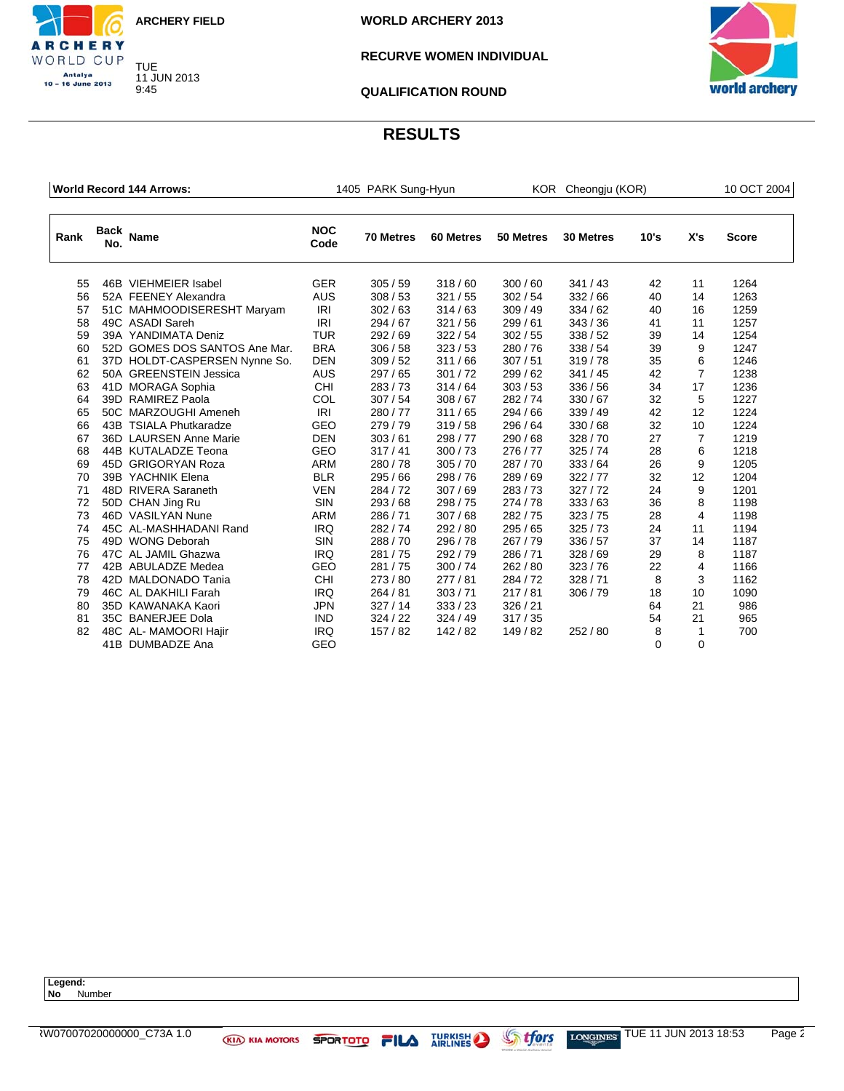![](_page_52_Picture_0.jpeg)

CHERY WORLD CUP Antalya<br>10 – 16 June 2013

**WORLD ARCHERY 2013**

### **RECURVE WOMEN INDIVIDUAL**

![](_page_52_Picture_4.jpeg)

**QUALIFICATION ROUND**

### **RESULTS**

|      |                    | <b>World Record 144 Arrows:</b> | 1405 PARK Sung-Hyun |           |           | KOR Cheongju (KOR) |           |          |                | 10 OCT 2004  |  |
|------|--------------------|---------------------------------|---------------------|-----------|-----------|--------------------|-----------|----------|----------------|--------------|--|
| Rank | <b>Back</b><br>No. | Name                            | <b>NOC</b><br>Code  | 70 Metres | 60 Metres | 50 Metres          | 30 Metres | 10's     | X's            | <b>Score</b> |  |
| 55   |                    | 46B VIEHMEIER Isabel            | <b>GER</b>          | 305/59    | 318/60    | 300/60             | 341/43    | 42       | 11             | 1264         |  |
| 56   |                    | 52A FEENEY Alexandra            | <b>AUS</b>          | 308/53    | 321/55    | 302/54             | 332/66    | 40       | 14             | 1263         |  |
| 57   |                    | 51C MAHMOODISERESHT Maryam      | <b>IRI</b>          | 302/63    | 314/63    | 309/49             | 334/62    | 40       | 16             | 1259         |  |
| 58   |                    | 49C ASADI Sareh                 | <b>IRI</b>          | 294 / 67  | 321/56    | 299/61             | 343/36    | 41       | 11             | 1257         |  |
| 59   |                    | 39A YANDIMATA Deniz             | <b>TUR</b>          | 292/69    | 322/54    | 302/55             | 338/52    | 39       | 14             | 1254         |  |
| 60   |                    | 52D GOMES DOS SANTOS Ane Mar.   | <b>BRA</b>          | 306/58    | 323/53    | 280/76             | 338/54    | 39       | 9              | 1247         |  |
| 61   |                    | 37D HOLDT-CASPERSEN Nynne So.   | <b>DEN</b>          | 309/52    | 311/66    | 307/51             | 319/78    | 35       | 6              | 1246         |  |
| 62   |                    | 50A GREENSTEIN Jessica          | <b>AUS</b>          | 297/65    | 301/72    | 299/62             | 341/45    | 42       | $\overline{7}$ | 1238         |  |
| 63   |                    | 41D MORAGA Sophia               | <b>CHI</b>          | 283/73    | 314/64    | 303/53             | 336/56    | 34       | 17             | 1236         |  |
| 64   |                    | 39D RAMIREZ Paola               | COL                 | 307/54    | 308/67    | 282/74             | 330/67    | 32       | 5              | 1227         |  |
| 65   |                    | 50C MARZOUGHI Ameneh            | <b>IRI</b>          | 280/77    | 311/65    | 294/66             | 339/49    | 42       | 12             | 1224         |  |
| 66   |                    | 43B TSIALA Phutkaradze          | GEO                 | 279/79    | 319/58    | 296 / 64           | 330 / 68  | 32       | 10             | 1224         |  |
| 67   |                    | 36D LAURSEN Anne Marie          | <b>DEN</b>          | 303/61    | 298/77    | 290/68             | 328/70    | 27       | $\overline{7}$ | 1219         |  |
| 68   |                    | 44B KUTALADZE Teona             | <b>GEO</b>          | 317/41    | 300/73    | 276/77             | 325/74    | 28       | 6              | 1218         |  |
| 69   |                    | 45D GRIGORYAN Roza              | <b>ARM</b>          | 280/78    | 305/70    | 287/70             | 333/64    | 26       | 9              | 1205         |  |
| 70   |                    | 39B YACHNIK Elena               | <b>BLR</b>          | 295 / 66  | 298/76    | 289/69             | 322/77    | 32       | 12             | 1204         |  |
| 71   |                    | 48D RIVERA Saraneth             | <b>VEN</b>          | 284/72    | 307/69    | 283/73             | 327/72    | 24       | 9              | 1201         |  |
| 72   |                    | 50D CHAN Jing Ru                | <b>SIN</b>          | 293/68    | 298/75    | 274/78             | 333/63    | 36       | 8              | 1198         |  |
| 73   |                    | 46D VASILYAN Nune               | <b>ARM</b>          | 286/71    | 307/68    | 282/75             | 323/75    | 28       | $\overline{4}$ | 1198         |  |
| 74   |                    | 45C AL-MASHHADANI Rand          | <b>IRQ</b>          | 282/74    | 292 / 80  | 295/65             | 325/73    | 24       | 11             | 1194         |  |
| 75   |                    | 49D WONG Deborah                | <b>SIN</b>          | 288/70    | 296/78    | 267/79             | 336/57    | 37       | 14             | 1187         |  |
| 76   |                    | 47C AL JAMIL Ghazwa             | <b>IRQ</b>          | 281/75    | 292/79    | 286/71             | 328/69    | 29       | 8              | 1187         |  |
| 77   |                    | 42B ABULADZE Medea              | <b>GEO</b>          | 281/75    | 300/74    | 262/80             | 323/76    | 22       | 4              | 1166         |  |
| 78   |                    | 42D MALDONADO Tania             | <b>CHI</b>          | 273/80    | 277/81    | 284/72             | 328/71    | 8        | 3              | 1162         |  |
| 79   |                    | 46C AL DAKHILI Farah            | <b>IRQ</b>          | 264 / 81  | 303 / 71  | 217/81             | 306 / 79  | 18       | 10             | 1090         |  |
| 80   |                    | 35D KAWANAKA Kaori              | <b>JPN</b>          | 327/14    | 333 / 23  | 326/21             |           | 64       | 21             | 986          |  |
| 81   |                    | 35C BANERJEE Dola               | <b>IND</b>          | 324 / 22  | 324/49    | 317/35             |           | 54       | 21             | 965          |  |
| 82   |                    | 48C AL-MAMOORI Hajir            | <b>IRQ</b>          | 157/82    | 142/82    | 149 / 82           | 252 / 80  | 8        | 1              | 700          |  |
|      |                    | 41B DUMBADZE Ana                | <b>GEO</b>          |           |           |                    |           | $\Omega$ | $\Omega$       |              |  |

**Legend: No** Number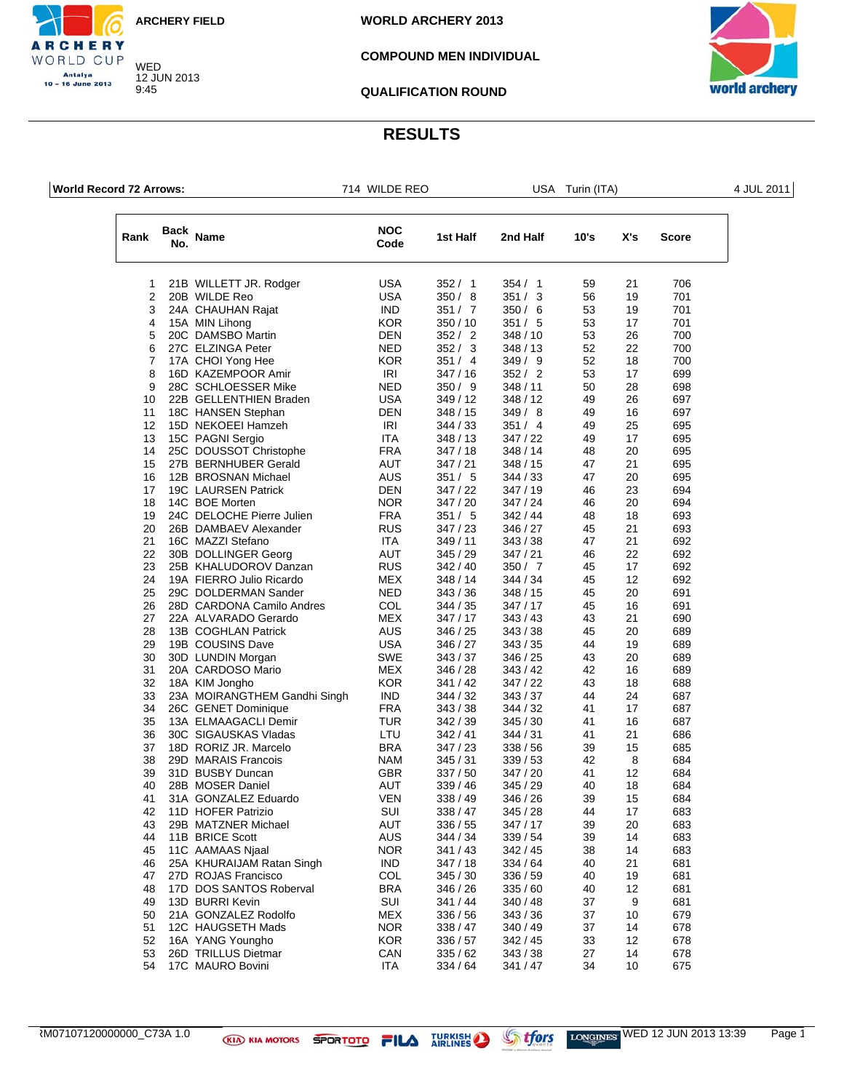WED 12 JUN 2013 9:45

CHERY WORLD CUP Antalya<br>10 – 16 June 2013

**WORLD ARCHERY 2013**

### **COMPOUND MEN INDIVIDUAL**

world archery

### **QUALIFICATION ROUND**

| <b>World Record 72 Arrows:</b> |             | 714 WILDE REO                               |                          | USA Turin (ITA)      |                      |          |          | 4 JUL 2011   |  |
|--------------------------------|-------------|---------------------------------------------|--------------------------|----------------------|----------------------|----------|----------|--------------|--|
| Rank                           | Back<br>No. | <b>Name</b>                                 | <b>NOC</b><br>Code       | 1st Half             | 2nd Half             | 10's     | X's      | <b>Score</b> |  |
| 1                              |             | 21B WILLETT JR. Rodger                      | <b>USA</b>               | 352/1                | 354/1                | 59       | 21       | 706          |  |
| 2                              |             | 20B WILDE Reo                               | <b>USA</b>               | 350/8                | 351 / 3              | 56       | 19       | 701          |  |
| 3                              |             | 24A CHAUHAN Rajat                           | <b>IND</b>               | 351 / 7              | 350/6                | 53       | 19       | 701          |  |
| 4                              |             | 15A MIN Lihong                              | <b>KOR</b>               | 350/10               | 351 / 5              | 53       | 17       | 701          |  |
| 5<br>6                         |             | 20C DAMSBO Martin<br>27C ELZINGA Peter      | DEN<br><b>NED</b>        | 352 / 2<br>352 / 3   | 348 / 10             | 53<br>52 | 26<br>22 | 700<br>700   |  |
| 7                              |             | 17A CHOI Yong Hee                           | <b>KOR</b>               | 351 / 4              | 348 / 13<br>349/9    | 52       | 18       | 700          |  |
| 8                              |             | 16D KAZEMPOOR Amir                          | IRI                      | 347/16               | 352 / 2              | 53       | 17       | 699          |  |
| 9                              |             | 28C SCHLOESSER Mike                         | <b>NED</b>               | 350/9                | 348 / 11             | 50       | 28       | 698          |  |
| 10                             |             | 22B GELLENTHIEN Braden                      | <b>USA</b>               | 349/12               | 348 / 12             | 49       | 26       | 697          |  |
| 11                             |             | 18C HANSEN Stephan                          | DEN                      | 348/15               | 349/8                | 49       | 16       | 697          |  |
| 12                             |             | 15D NEKOEEI Hamzeh                          | IRI                      | 344 / 33             | 351 / 4              | 49       | 25       | 695          |  |
| 13                             |             | 15C PAGNI Sergio                            | <b>ITA</b>               | 348/13               | 347/22               | 49       | 17       | 695          |  |
| 14                             |             | 25C DOUSSOT Christophe                      | <b>FRA</b>               | 347/18               | 348 / 14             | 48       | 20       | 695          |  |
| 15                             |             | 27B BERNHUBER Gerald                        | AUT                      | 347/21               | 348 / 15             | 47       | 21       | 695          |  |
| 16                             |             | 12B BROSNAN Michael                         | <b>AUS</b>               | 351 / 5              | 344 / 33             | 47       | 20       | 695          |  |
| 17                             |             | 19C LAURSEN Patrick                         | DEN                      | 347/22               | 347/19               | 46       | 23       | 694          |  |
| 18<br>19                       |             | 14C BOE Morten<br>24C DELOCHE Pierre Julien | <b>NOR</b><br><b>FRA</b> | 347 / 20<br>351 / 5  | 347/24<br>342/44     | 46<br>48 | 20<br>18 | 694<br>693   |  |
| 20                             |             | 26B DAMBAEV Alexander                       | <b>RUS</b>               | 347/23               | 346 / 27             | 45       | 21       | 693          |  |
| 21                             |             | 16C MAZZI Stefano                           | <b>ITA</b>               | 349/11               | 343 / 38             | 47       | 21       | 692          |  |
| 22                             |             | 30B DOLLINGER Georg                         | AUT                      | 345/29               | 347 / 21             | 46       | 22       | 692          |  |
| 23                             |             | 25B KHALUDOROV Danzan                       | <b>RUS</b>               | 342/40               | 350 / 7              | 45       | 17       | 692          |  |
| 24                             |             | 19A FIERRO Julio Ricardo                    | <b>MEX</b>               | 348/14               | 344 / 34             | 45       | 12       | 692          |  |
| 25                             |             | 29C DOLDERMAN Sander                        | <b>NED</b>               | 343/36               | 348 / 15             | 45       | 20       | 691          |  |
| 26                             |             | 28D CARDONA Camilo Andres                   | COL                      | 344 / 35             | 347 / 17             | 45       | 16       | 691          |  |
| 27                             |             | 22A ALVARADO Gerardo                        | <b>MEX</b>               | 347/17               | 343 / 43             | 43       | 21       | 690          |  |
| 28                             |             | 13B COGHLAN Patrick                         | AUS                      | 346/25               | 343/38               | 45       | 20       | 689          |  |
| 29                             |             | 19B COUSINS Dave                            | <b>USA</b>               | 346 / 27             | 343 / 35             | 44       | 19       | 689          |  |
| 30<br>31                       |             | 30D LUNDIN Morgan<br>20A CARDOSO Mario      | <b>SWE</b><br><b>MEX</b> | 343/37<br>346 / 28   | 346 / 25<br>343 / 42 | 43<br>42 | 20<br>16 | 689<br>689   |  |
| 32                             |             | 18A KIM Jongho                              | <b>KOR</b>               | 341/42               | 347/22               | 43       | 18       | 688          |  |
| 33                             |             | 23A MOIRANGTHEM Gandhi Singh                | <b>IND</b>               | 344 / 32             | 343/37               | 44       | 24       | 687          |  |
| 34                             |             | 26C GENET Dominique                         | <b>FRA</b>               | 343/38               | 344 / 32             | 41       | 17       | 687          |  |
| 35                             |             | 13A ELMAAGACLI Demir                        | <b>TUR</b>               | 342/39               | 345/30               | 41       | 16       | 687          |  |
| 36                             |             | 30C SIGAUSKAS Vladas                        | LTU                      | 342/41               | 344 / 31             | 41       | 21       | 686          |  |
| 37                             |             | 18D RORIZ JR. Marcelo                       | <b>BRA</b>               | 347/23               | 338 / 56             | 39       | 15       | 685          |  |
| 38                             |             | 29D MARAIS Francois                         | <b>NAM</b>               | 345/31               | 339/53               | 42       | 8        | 684          |  |
| 39                             |             | 31D BUSBY Duncan                            | <b>GBR</b>               | 337/50               | 347/20               | 41       | 12       | 684          |  |
| 40                             |             | 28B MOSER Daniel                            | AUT                      | 339 / 46             | 345/29               | 40       | 18       | 684          |  |
| 41                             |             | 31A GONZALEZ Eduardo<br>11D HOFER Patrizio  | <b>VEN</b><br>SUI        | 338 / 49             | 346 / 26             | 39       | 15       | 684          |  |
| 42<br>43                       |             | 29B MATZNER Michael                         | AUT                      | 338 / 47<br>336 / 55 | 345 / 28<br>347/17   | 44<br>39 | 17<br>20 | 683<br>683   |  |
| 44                             |             | 11B BRICE Scott                             | <b>AUS</b>               | 344 / 34             | 339/54               | 39       | 14       | 683          |  |
| 45                             |             | 11C AAMAAS Njaal                            | <b>NOR</b>               | 341/43               | 342/45               | 38       | 14       | 683          |  |
| 46                             |             | 25A KHURAIJAM Ratan Singh                   | <b>IND</b>               | 347/18               | 334/64               | 40       | 21       | 681          |  |
| 47                             |             | 27D ROJAS Francisco                         | COL                      | 345/30               | 336 / 59             | 40       | 19       | 681          |  |
| 48                             |             | 17D DOS SANTOS Roberval                     | <b>BRA</b>               | 346/26               | 335/60               | 40       | 12       | 681          |  |
| 49                             |             | 13D BURRI Kevin                             | <b>SUI</b>               | 341/44               | 340 / 48             | 37       | 9        | 681          |  |
| 50                             |             | 21A GONZALEZ Rodolfo                        | <b>MEX</b>               | 336 / 56             | 343/36               | 37       | 10       | 679          |  |
| 51                             |             | 12C HAUGSETH Mads                           | <b>NOR</b>               | 338 / 47             | 340 / 49             | 37       | 14       | 678          |  |
| 52                             |             | 16A YANG Youngho                            | <b>KOR</b>               | 336 / 57             | 342 / 45             | 33       | 12       | 678          |  |
| 53                             |             | 26D TRILLUS Dietmar                         | CAN                      | 335/62               | 343/38               | 27       | 14       | 678          |  |
| 54                             |             | 17C MAURO Bovini                            | ITA                      | 334 / 64             | 341 / 47             | 34       | 10       | 675          |  |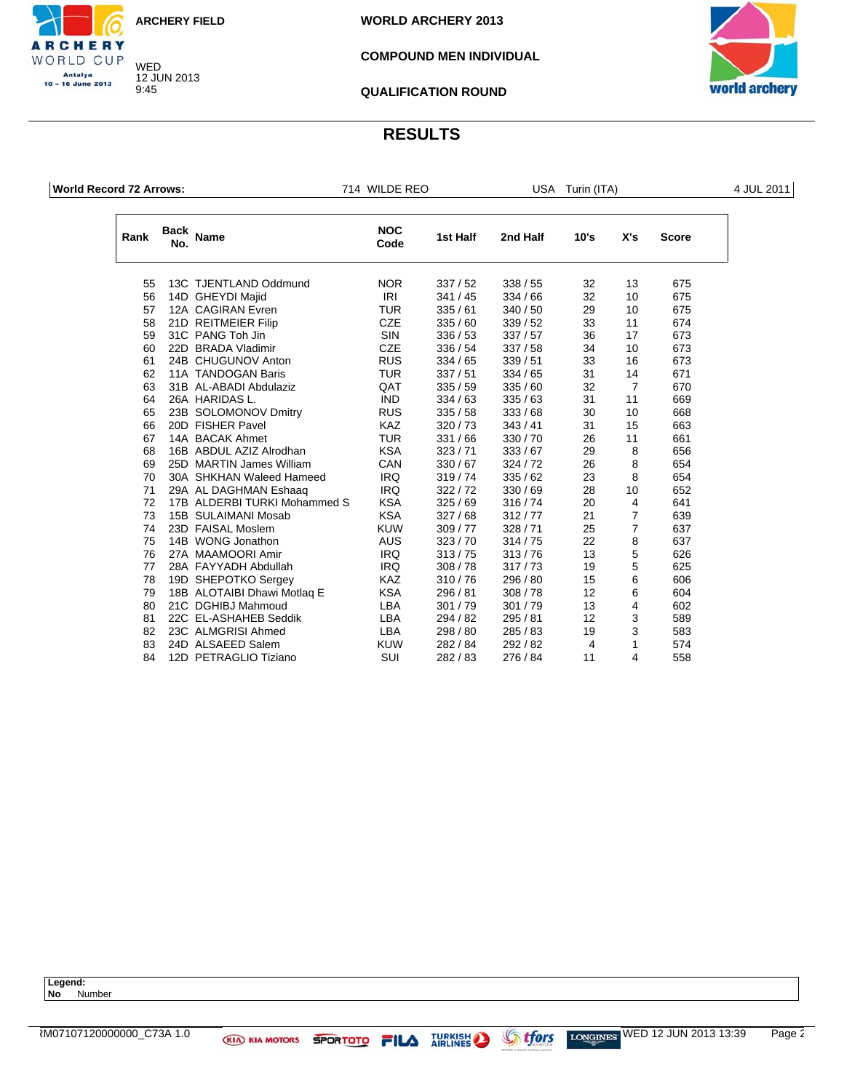WED 12 JUN 2013 9:45

CHERY WORLD CUP Antalya 10 - 16 June 2013

**WORLD ARCHERY 2013**

### **COMPOUND MEN INDIVIDUAL**

![](_page_54_Picture_4.jpeg)

**QUALIFICATION ROUND**

## **RESULTS**

**World Record 72 Arrows:** 714 WILDE REO USA Turin (ITA) 4 JUL 2011

| Rank | <b>Back</b><br>No. | <b>Name</b>                  | <b>NOC</b><br>Code | 1st Half | 2nd Half | 10's           | X's            | <b>Score</b> |
|------|--------------------|------------------------------|--------------------|----------|----------|----------------|----------------|--------------|
| 55   |                    | 13C TJENTLAND Oddmund        | <b>NOR</b>         | 337/52   | 338/55   | 32             | 13             | 675          |
| 56   |                    | 14D GHEYDI Majid             | <b>IRI</b>         | 341/45   | 334/66   | 32             | 10             | 675          |
| 57   |                    | 12A CAGIRAN Evren            | <b>TUR</b>         | 335/61   | 340/50   | 29             | 10             | 675          |
| 58   |                    | 21D REITMEIER Filip          | <b>CZE</b>         | 335/60   | 339/52   | 33             | 11             | 674          |
| 59   |                    | 31C PANG Toh Jin             | <b>SIN</b>         | 336/53   | 337/57   | 36             | 17             | 673          |
| 60   |                    | 22D BRADA Vladimir           | <b>CZE</b>         | 336/54   | 337/58   | 34             | 10             | 673          |
| 61   |                    | 24B CHUGUNOV Anton           | <b>RUS</b>         | 334/65   | 339/51   | 33             | 16             | 673          |
| 62   |                    | 11A TANDOGAN Baris           | <b>TUR</b>         | 337/51   | 334/65   | 31             | 14             | 671          |
| 63   |                    | 31B AL-ABADI Abdulaziz       | QAT                | 335/59   | 335/60   | 32             | $\overline{7}$ | 670          |
| 64   |                    | 26A HARIDAS L.               | <b>IND</b>         | 334/63   | 335/63   | 31             | 11             | 669          |
| 65   |                    | 23B SOLOMONOV Dmitry         | <b>RUS</b>         | 335/58   | 333/68   | 30             | 10             | 668          |
| 66   |                    | 20D FISHER Pavel             | <b>KAZ</b>         | 320/73   | 343/41   | 31             | 15             | 663          |
| 67   |                    | 14A BACAK Ahmet              | <b>TUR</b>         | 331/66   | 330/70   | 26             | 11             | 661          |
| 68   |                    | 16B ABDUL AZIZ Alrodhan      | <b>KSA</b>         | 323/71   | 333/67   | 29             | 8              | 656          |
| 69   |                    | 25D MARTIN James William     | CAN                | 330/67   | 324/72   | 26             | 8              | 654          |
| 70   |                    | 30A SHKHAN Waleed Hameed     | <b>IRQ</b>         | 319/74   | 335/62   | 23             | 8              | 654          |
| 71   |                    | 29A AL DAGHMAN Eshaag        | <b>IRQ</b>         | 322/72   | 330/69   | 28             | 10             | 652          |
| 72   |                    | 17B ALDERBI TURKI Mohammed S | <b>KSA</b>         | 325/69   | 316/74   | 20             | $\overline{4}$ | 641          |
| 73   |                    | 15B SULAIMANI Mosab          | <b>KSA</b>         | 327/68   | 312/77   | 21             | $\overline{7}$ | 639          |
| 74   |                    | 23D FAISAL Moslem            | <b>KUW</b>         | 309/77   | 328/71   | 25             | $\overline{7}$ | 637          |
| 75   |                    | 14B WONG Jonathon            | <b>AUS</b>         | 323/70   | 314/75   | 22             | 8              | 637          |
| 76   |                    | 27A MAAMOORI Amir            | <b>IRQ</b>         | 313/75   | 313/76   | 13             | 5              | 626          |
| 77   |                    | 28A FAYYADH Abdullah         | <b>IRQ</b>         | 308/78   | 317/73   | 19             | 5              | 625          |
| 78   |                    | 19D SHEPOTKO Sergey          | KAZ                | 310/76   | 296 / 80 | 15             | 6              | 606          |
| 79   |                    | 18B ALOTAIBI Dhawi Motlag E  | <b>KSA</b>         | 296 / 81 | 308/78   | 12             | 6              | 604          |
| 80   |                    | 21C DGHIBJ Mahmoud           | <b>LBA</b>         | 301/79   | 301/79   | 13             | 4              | 602          |
| 81   |                    | 22C EL-ASHAHEB Seddik        | <b>LBA</b>         | 294/82   | 295 / 81 | 12             | 3              | 589          |
| 82   |                    | 23C ALMGRISI Ahmed           | <b>LBA</b>         | 298 / 80 | 285/83   | 19             | 3              | 583          |
| 83   |                    | 24D ALSAEED Salem            | <b>KUW</b>         | 282 / 84 | 292/82   | $\overline{4}$ | 1              | 574          |
| 84   |                    | 12D PETRAGLIO Tiziano        | <b>SUI</b>         | 282/83   | 276 / 84 | 11             | 4              | 558          |

**Legend: No** Number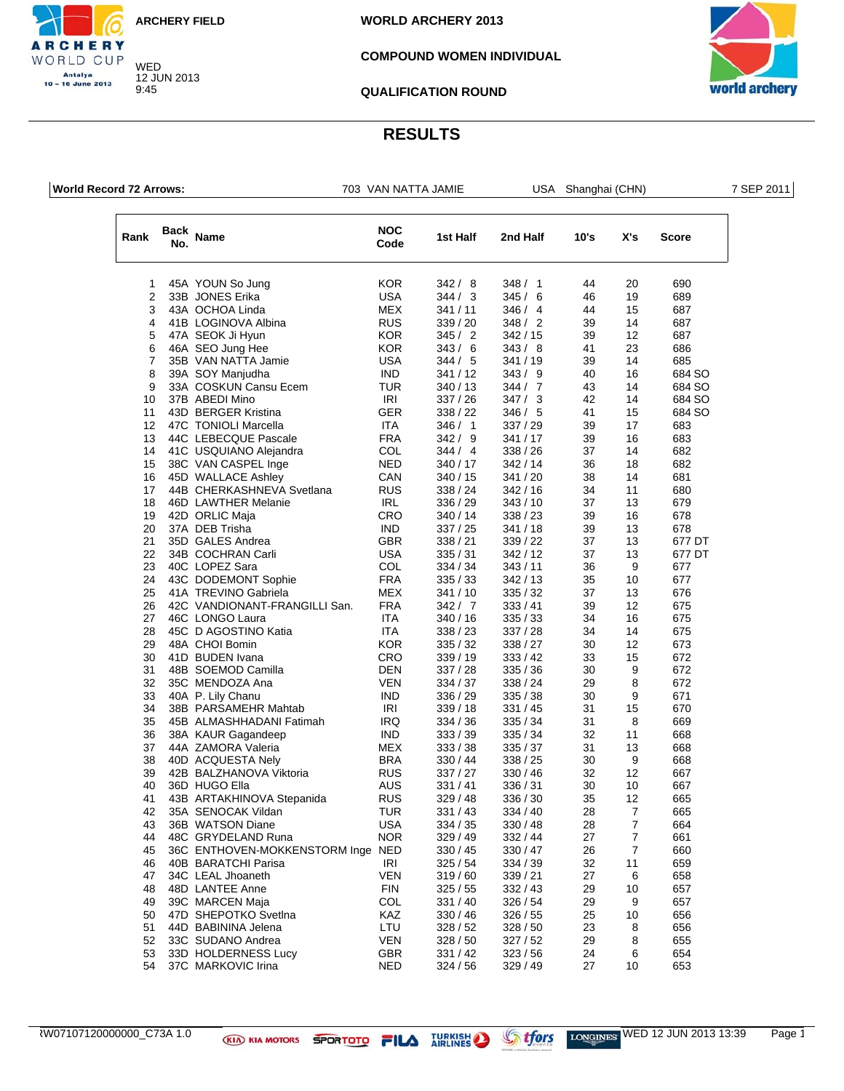WED 12 JUN 2013 9:45

**WORLD ARCHERY 2013**

### **COMPOUND WOMEN INDIVIDUAL**

![](_page_55_Picture_4.jpeg)

### **QUALIFICATION ROUND**

### **RESULTS**

|  | <b>World Record 72 Arrows:</b> |
|--|--------------------------------|
|  |                                |

CHERY WORLD CUP Antalya<br>10 – 16 June 2013

**WORLD REFORE THE RECORD REP 2011** USA Shanghai (CHN) 7 SEP 2011

| Rank           | Back<br>No. | Name                              | <b>NOC</b><br>Code | 1st Half | 2nd Half | 10's | X's              | Score  |
|----------------|-------------|-----------------------------------|--------------------|----------|----------|------|------------------|--------|
| 1              |             | 45A YOUN So Jung                  | <b>KOR</b>         | 342/8    | 348/1    | 44   | 20               | 690    |
| $\overline{2}$ |             | 33B JONES Erika                   | <b>USA</b>         | 344 / 3  | 345/6    | 46   | 19               | 689    |
| 3              |             | 43A OCHOA Linda                   | <b>MEX</b>         | 341/11   | 346 / 4  | 44   | 15               | 687    |
| 4              |             | 41B LOGINOVA Albina               | <b>RUS</b>         | 339 / 20 | 348/2    | 39   | 14               | 687    |
| 5              |             | 47A SEOK Ji Hyun                  | <b>KOR</b>         | 345/2    | 342/15   | 39   | 12               | 687    |
| 6              |             | 46A SEO Jung Hee                  | <b>KOR</b>         | 343/6    | 343/8    | 41   | 23               | 686    |
| $\overline{7}$ |             | 35B VAN NATTA Jamie               | <b>USA</b>         | 344 / 5  | 341 / 19 | 39   | 14               | 685    |
| 8              |             | 39A SOY Manjudha                  | <b>IND</b>         | 341/12   | 343/9    | 40   | 16               | 684 SO |
| 9              |             | 33A COSKUN Cansu Ecem             | TUR                | 340 / 13 | 344 / 7  | 43   | 14               | 684 SO |
| 10             |             | 37B ABEDI Mino                    | IRI                | 337 / 26 | 347/3    | 42   | 14               | 684 SO |
| 11             |             | 43D BERGER Kristina               | GER                | 338 / 22 | 346/5    | 41   | 15               | 684 SO |
| 12             |             | 47C TONIOLI Marcella              | <b>ITA</b>         | 346/1    | 337 / 29 | 39   | 17               | 683    |
| 13             |             | 44C LEBECQUE Pascale              | <b>FRA</b>         | 342/9    | 341/17   | 39   | 16               | 683    |
| 14             |             | 41C USQUIANO Alejandra            | COL                | 344 / 4  | 338 / 26 | 37   | 14               | 682    |
| 15             |             | 38C VAN CASPEL Inge               | <b>NED</b>         | 340 / 17 | 342 / 14 | 36   | 18               | 682    |
| 16             |             | 45D WALLACE Ashley                | CAN                | 340 / 15 | 341 / 20 | 38   | 14               | 681    |
| 17             |             | 44B CHERKASHNEVA Svetlana         | <b>RUS</b>         | 338 / 24 | 342 / 16 | 34   | 11               | 680    |
| 18             |             | 46D LAWTHER Melanie               | IRL                | 336 / 29 | 343/10   | 37   | 13               | 679    |
| 19             |             | 42D ORLIC Maja                    | CRO                | 340/14   | 338 / 23 | 39   | 16               | 678    |
| 20             |             | 37A DEB Trisha                    | <b>IND</b>         | 337/25   | 341/18   | 39   | 13               | 678    |
| 21             |             | 35D GALES Andrea                  | <b>GBR</b>         | 338 / 21 | 339 / 22 | 37   | 13               | 677 DT |
| 22             |             | 34B COCHRAN Carli                 | <b>USA</b>         | 335/31   | 342 / 12 | 37   | 13               | 677 DT |
| 23             |             | 40C LOPEZ Sara                    | COL                | 334 / 34 | 343/11   | 36   | 9                | 677    |
| 24             |             | 43C DODEMONT Sophie               | <b>FRA</b>         | 335/33   | 342 / 13 | 35   | 10               | 677    |
| 25             |             | 41A TREVINO Gabriela              | MEX                | 341 / 10 | 335/32   | 37   | 13               | 676    |
| 26             |             | 42C VANDIONANT-FRANGILLI San.     | <b>FRA</b>         | 342/7    | 333/41   | 39   | 12               | 675    |
| 27             |             | 46C LONGO Laura                   | ITA                | 340 / 16 | 335/33   | 34   | 16               | 675    |
| 28             |             | 45C D AGOSTINO Katia              | ITA                | 338 / 23 | 337 / 28 | 34   | 14               | 675    |
| 29             |             | 48A CHOI Bomin                    | <b>KOR</b>         | 335/32   | 338 / 27 | 30   | 12               | 673    |
| 30             |             | 41D BUDEN Ivana                   | CRO                | 339 / 19 | 333/42   | 33   | 15               | 672    |
| 31             |             | 48B SOEMOD Camilla                | <b>DEN</b>         | 337/28   | 335 / 36 | 30   | 9                | 672    |
| 32             |             | 35C MENDOZA Ana                   | <b>VEN</b>         | 334 / 37 | 338 / 24 | 29   | 8                | 672    |
| 33             |             | 40A P. Lily Chanu                 | <b>IND</b>         | 336 / 29 | 335 / 38 | 30   | 9                | 671    |
| 34             |             | 38B PARSAMEHR Mahtab              | IRI                | 339/18   | 331 / 45 | 31   | 15               | 670    |
| 35             |             | 45B ALMASHHADANI Fatimah          | <b>IRQ</b>         | 334 / 36 | 335 / 34 | 31   | 8                | 669    |
| 36             |             | 38A KAUR Gagandeep                | <b>IND</b>         | 333/39   | 335 / 34 | 32   | 11               | 668    |
| 37             |             | 44A ZAMORA Valeria                | <b>MEX</b>         | 333/38   | 335 / 37 | 31   | 13               | 668    |
| 38             |             | 40D ACQUESTA Nely                 | <b>BRA</b>         | 330 / 44 | 338 / 25 | 30   | 9                | 668    |
| 39             |             | 42B BALZHANOVA Viktoria           | <b>RUS</b>         | 337 / 27 | 330 / 46 | 32   | 12               | 667    |
| 40             |             | 36D HUGO Ella                     | <b>AUS</b>         | 331 / 41 | 336/31   | 30   | 10               | 667    |
| 41             |             | 43B ARTAKHINOVA Stepanida         | <b>RUS</b>         | 329 / 48 | 336/30   | 35   | 12               | 665    |
| 42             |             | 35A SENOCAK Vildan                | TUR                | 331/43   | 334 / 40 | 28   | 7                | 665    |
| 43             |             | 36B WATSON Diane                  | <b>USA</b>         | 334 / 35 | 330 / 48 | 28   | 7                | 664    |
| 44             |             | 48C GRYDELAND Runa                | <b>NOR</b>         | 329/49   | 332 / 44 | 27   | $\boldsymbol{7}$ | 661    |
| 45             |             | 36C ENTHOVEN-MOKKENSTORM Inge NED |                    | 330 / 45 | 330 / 47 | 26   | $\overline{7}$   | 660    |
| 46             |             | 40B BARATCHI Parisa               | <b>IRI</b>         | 325/54   | 334 / 39 | 32   | 11               | 659    |
| 47             |             | 34C LEAL Jhoaneth                 | <b>VEN</b>         | 319/60   | 339/21   | 27   | 6                | 658    |
| 48             |             | 48D LANTEE Anne                   | <b>FIN</b>         | 325/55   | 332 / 43 | 29   | 10               | 657    |
| 49             |             | 39C MARCEN Maja                   | COL                | 331 / 40 | 326 / 54 | 29   | 9                | 657    |
| 50             |             | 47D SHEPOTKO Svetlna              | KAZ                | 330 / 46 | 326/55   | 25   | 10               | 656    |
| 51             |             | 44D BABININA Jelena               | LTU                | 328/52   | 328/50   | 23   | 8                | 656    |
| 52             |             | 33C SUDANO Andrea                 | <b>VEN</b>         | 328/50   | 327/52   | 29   | 8                | 655    |
| 53             |             | 33D HOLDERNESS Lucy               | GBR                | 331/42   | 323 / 56 | 24   | 6                | 654    |
| 54             |             | 37C MARKOVIC Irina                | <b>NED</b>         | 324 / 56 | 329 / 49 | 27   | 10               | 653    |

![](_page_55_Picture_15.jpeg)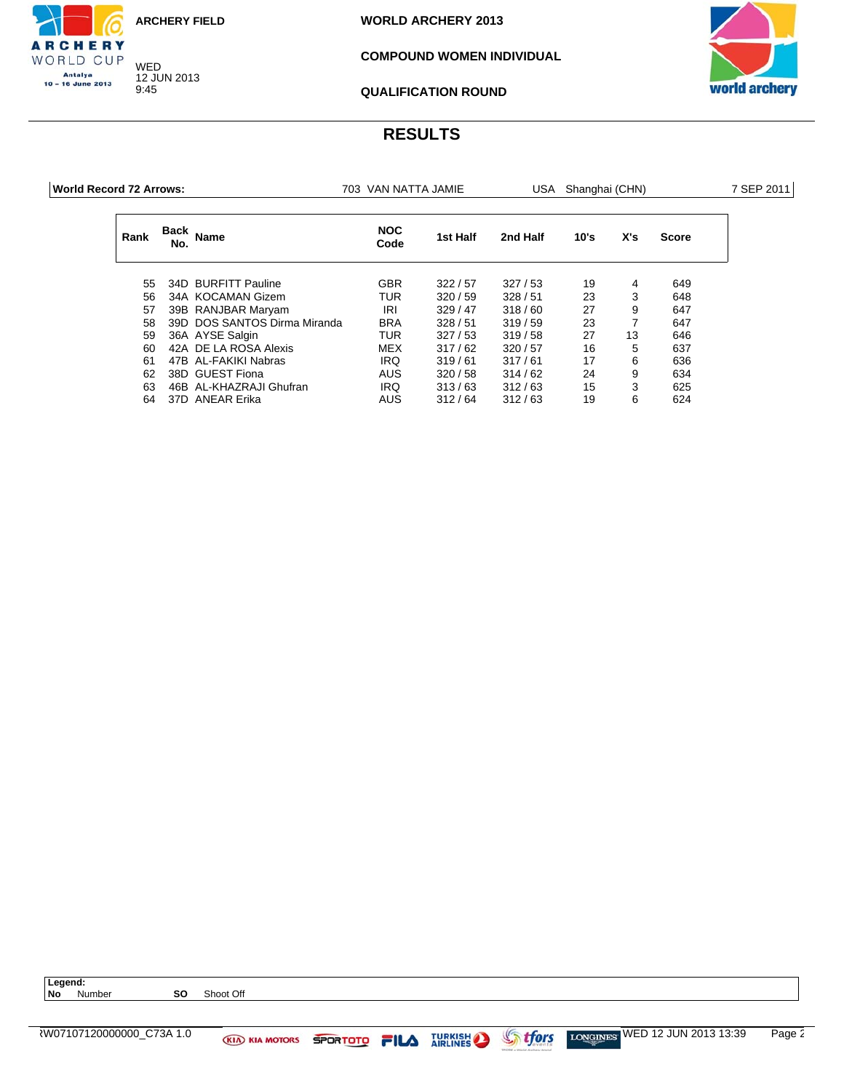WED 12 JUN 2013 9:45

CHERY WORLD CUP Antalya<br>10 – 16 June 2013

**WORLD ARCHERY 2013**

### **COMPOUND WOMEN INDIVIDUAL**

![](_page_56_Picture_4.jpeg)

**QUALIFICATION ROUND**

| World Record 72 Arrows: |             |                              | 703 VAN NATTA JAMIE |          | USA Shanghai (CHN) |      |     |              |  |
|-------------------------|-------------|------------------------------|---------------------|----------|--------------------|------|-----|--------------|--|
| Rank                    | Back<br>No. | Name                         | <b>NOC</b><br>Code  | 1st Half | 2nd Half           | 10's | X's | <b>Score</b> |  |
| 55                      |             | 34D BURFITT Pauline          | <b>GBR</b>          | 322/57   | 327/53             | 19   | 4   | 649          |  |
| 56                      |             | 34A KOCAMAN Gizem            | <b>TUR</b>          | 320/59   | 328/51             | 23   | 3   | 648          |  |
| 57                      |             | 39B RANJBAR Maryam           | IRI                 | 329/47   | 318/60             | 27   | 9   | 647          |  |
| 58                      |             | 39D DOS SANTOS Dirma Miranda | <b>BRA</b>          | 328/51   | 319/59             | 23   | 7   | 647          |  |
| 59                      |             | 36A AYSE Salgin              | TUR.                | 327/53   | 319/58             | 27   | 13  | 646          |  |
| 60                      |             | 42A DE LA ROSA Alexis        | MEX                 | 317/62   | 320/57             | 16   | 5   | 637          |  |
| 61                      |             | 47B AL-FAKIKI Nabras         | IRQ                 | 319/61   | 317/61             | 17   | 6   | 636          |  |
| 62                      |             | 38D GUEST Fiona              | <b>AUS</b>          | 320/58   | 314/62             | 24   | 9   | 634          |  |
| 63                      |             | 46B AL-KHAZRAJI Ghufran      | IRQ                 | 313/63   | 312/63             | 15   | 3   | 625          |  |
| 64                      |             | 37D ANEAR Erika              | <b>AUS</b>          | 312/64   | 312/63             | 19   | 6   | 624          |  |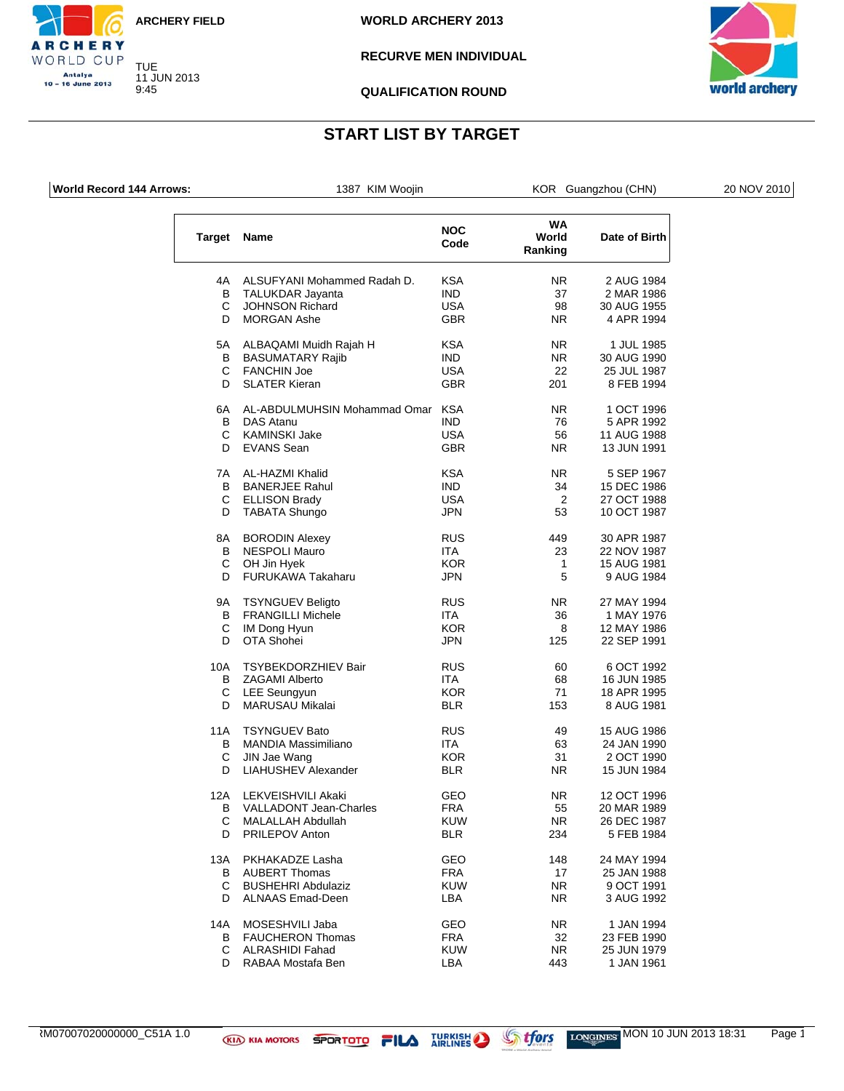![](_page_57_Picture_0.jpeg)

CHERY

WORLD CUP Antalya<br>10 – 16 June 2013

B

**WORLD ARCHERY 2013**

### **RECURVE MEN INDIVIDUAL**

![](_page_57_Picture_4.jpeg)

**QUALIFICATION ROUND**

## **START LIST BY TARGET**

| World Record 144 Arrows: |                    | 1387 KIM Woojin                  |                    |                        | KOR Guangzhou (CHN) | 20 NOV 2010 |
|--------------------------|--------------------|----------------------------------|--------------------|------------------------|---------------------|-------------|
|                          | <b>Target Name</b> |                                  | <b>NOC</b><br>Code | WA<br>World<br>Ranking | Date of Birth       |             |
|                          | 4A                 | ALSUFYANI Mohammed Radah D.      | <b>KSA</b>         | <b>NR</b>              | 2 AUG 1984          |             |
|                          | В                  | TALUKDAR Jayanta                 | <b>IND</b>         | 37                     | 2 MAR 1986          |             |
|                          | С                  | <b>JOHNSON Richard</b>           | <b>USA</b>         | 98                     | 30 AUG 1955         |             |
|                          | D                  | <b>MORGAN Ashe</b>               | <b>GBR</b>         | NR.                    | 4 APR 1994          |             |
|                          | 5A                 | ALBAQAMI Muidh Rajah H           | <b>KSA</b>         | NR.                    | 1 JUL 1985          |             |
|                          | В                  | <b>BASUMATARY Rajib</b>          | <b>IND</b>         | NR.                    | 30 AUG 1990         |             |
|                          | С                  | <b>FANCHIN Joe</b>               | <b>USA</b>         | 22                     | 25 JUL 1987         |             |
|                          | D                  | <b>SLATER Kieran</b>             | <b>GBR</b>         | 201                    | 8 FEB 1994          |             |
|                          | 6A                 | AL-ABDULMUHSIN Mohammad Omar KSA |                    | <b>NR</b>              | 1 OCT 1996          |             |
|                          | В                  | DAS Atanu                        | <b>IND</b>         | 76                     | 5 APR 1992          |             |
|                          | С                  | <b>KAMINSKI Jake</b>             | <b>USA</b>         | 56                     | 11 AUG 1988         |             |
|                          | D                  | <b>EVANS</b> Sean                | <b>GBR</b>         | NR.                    | 13 JUN 1991         |             |
|                          | 7A                 | AL-HAZMI Khalid                  | <b>KSA</b>         | NR.                    | 5 SEP 1967          |             |
|                          | В                  | <b>BANERJEE Rahul</b>            | <b>IND</b>         | 34                     | 15 DEC 1986         |             |
|                          | С                  | <b>ELLISON Brady</b>             | <b>USA</b>         | $\overline{2}$         | 27 OCT 1988         |             |
|                          | D                  | TABATA Shungo                    | <b>JPN</b>         | 53                     | 10 OCT 1987         |             |
|                          | 8A                 | <b>BORODIN Alexey</b>            | <b>RUS</b>         | 449                    | 30 APR 1987         |             |
|                          | В                  | <b>NESPOLI Mauro</b>             | ITA                | 23                     | 22 NOV 1987         |             |
|                          | С                  | OH Jin Hyek                      | <b>KOR</b>         | 1                      | 15 AUG 1981         |             |
|                          | D                  | FURUKAWA Takaharu                | <b>JPN</b>         | 5                      | 9 AUG 1984          |             |
|                          | 9Α                 | <b>TSYNGUEV Beligto</b>          | <b>RUS</b>         | <b>NR</b>              | 27 MAY 1994         |             |
|                          | в                  | <b>FRANGILLI Michele</b>         | ITA                | 36                     | 1 MAY 1976          |             |
|                          | С                  | <b>IM Dong Hyun</b>              | <b>KOR</b>         | 8                      | 12 MAY 1986         |             |
|                          | D                  | OTA Shohei                       | JPN                | 125                    | 22 SEP 1991         |             |
|                          | 10A                | TSYBEKDORZHIEV Bair              | <b>RUS</b>         | 60                     | 6 OCT 1992          |             |
|                          | В                  | <b>ZAGAMI Alberto</b>            | ITA.               | 68                     | 16 JUN 1985         |             |
|                          | С                  | <b>LEE Seungyun</b>              | <b>KOR</b>         | 71                     | 18 APR 1995         |             |
|                          | D                  | MARUSAU Mikalai                  | <b>BLR</b>         | 153                    | 8 AUG 1981          |             |
|                          | 11A                | <b>TSYNGUEV Bato</b>             | <b>RUS</b>         | 49                     | 15 AUG 1986         |             |
|                          | В                  | MANDIA Massimiliano              | ITA                | 63                     | 24 JAN 1990         |             |
|                          | С                  | JIN Jae Wang                     | <b>KOR</b>         | 31                     | 2 OCT 1990          |             |
|                          | D                  | <b>LIAHUSHEV Alexander</b>       | <b>BLR</b>         | NR.                    | 15 JUN 1984         |             |
|                          |                    | 12A LEKVEISHVILI Akaki           | GEO                | ${\sf NR}$             | 12 OCT 1996         |             |
|                          |                    | <b>B</b> VALLADONT Jean-Charles  | <b>FRA</b>         | 55                     | 20 MAR 1989         |             |
|                          |                    | C MALALLAH Abdullah              | <b>KUW</b>         | NR.                    | 26 DEC 1987         |             |
|                          | D                  | PRILEPOV Anton                   | <b>BLR</b>         | 234                    | 5 FEB 1984          |             |
|                          | 13A                | PKHAKADZE Lasha                  | GEO                | 148                    | 24 MAY 1994         |             |
|                          |                    | <b>B</b> AUBERT Thomas           | <b>FRA</b>         | 17                     | 25 JAN 1988         |             |
|                          |                    | C BUSHEHRI Abdulaziz             | <b>KUW</b>         | NR.                    | 9 OCT 1991          |             |
|                          | D                  | <b>ALNAAS Emad-Deen</b>          | LBA                | NR.                    | 3 AUG 1992          |             |
|                          |                    | 14A MOSESHVILI Jaba              | GEO                | NR.                    | 1 JAN 1994          |             |
|                          |                    | <b>B</b> FAUCHERON Thomas        | <b>FRA</b>         | 32                     | 23 FEB 1990         |             |
|                          |                    | C ALRASHIDI Fahad                | <b>KUW</b>         | <b>NR</b>              | 25 JUN 1979         |             |
|                          | D                  | RABAA Mostafa Ben                | LBA                | 443                    | 1 JAN 1961          |             |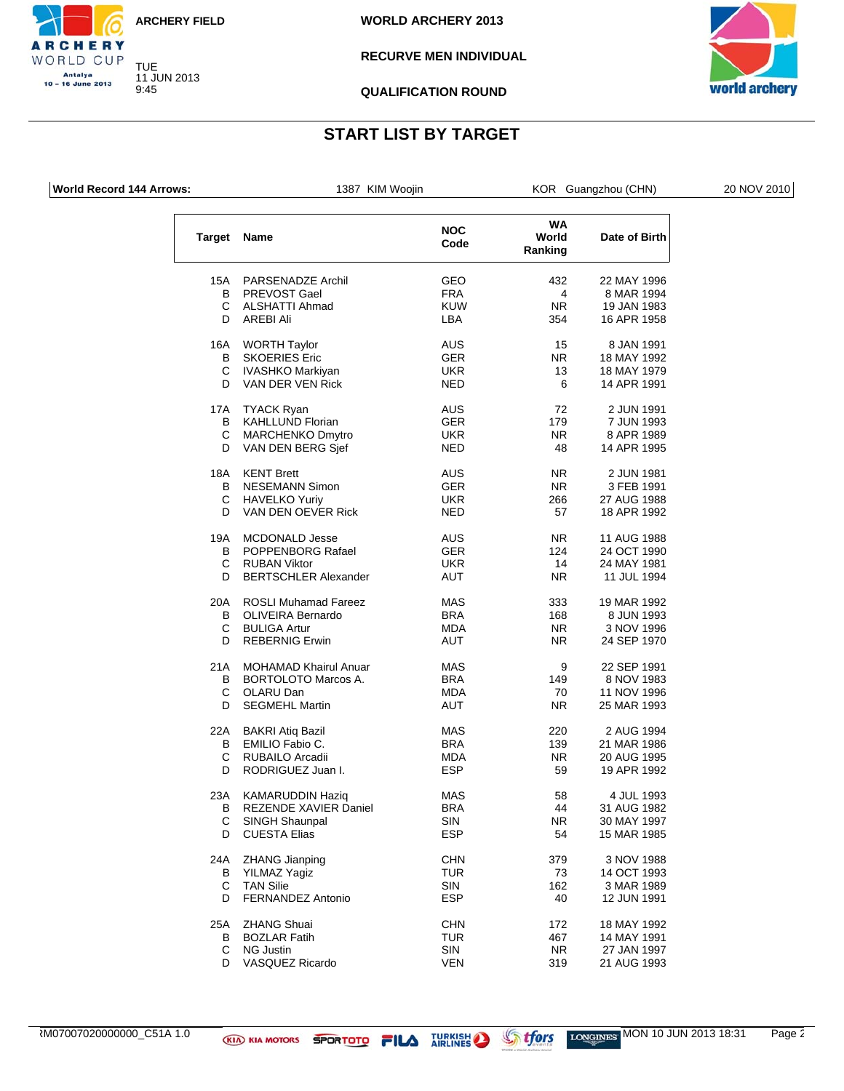![](_page_58_Picture_0.jpeg)

**WORLD ARCHERY 2013**

### **RECURVE MEN INDIVIDUAL**

![](_page_58_Picture_4.jpeg)

**QUALIFICATION ROUND**

# **START LIST BY TARGET**

**World Record 144 Arrows:** 1387 KIM Woojin KOR Guangzhou (CHN) 20 NOV 2010

CHERY WORLD CUP Antalya<br>10 – 16 June 2013

|               |                              |            | WA        |               |
|---------------|------------------------------|------------|-----------|---------------|
|               |                              | <b>NOC</b> |           |               |
| <b>Target</b> | <b>Name</b>                  | Code       | World     | Date of Birth |
|               |                              |            | Ranking   |               |
|               |                              |            |           |               |
|               |                              |            |           |               |
| 15A           | PARSENADZE Archil            | GEO        | 432       | 22 MAY 1996   |
| В             | PREVOST Gael                 | <b>FRA</b> | 4         | 8 MAR 1994    |
| С             | <b>ALSHATTI Ahmad</b>        | <b>KUW</b> | NR.       | 19 JAN 1983   |
| D             | AREBI Ali                    | LBA        | 354       | 16 APR 1958   |
|               |                              |            |           |               |
| 16A           | <b>WORTH Taylor</b>          | <b>AUS</b> | 15        | 8 JAN 1991    |
|               |                              |            |           |               |
| в             | <b>SKOERIES Eric</b>         | <b>GER</b> | NR.       | 18 MAY 1992   |
| C             | IVASHKO Markiyan             | UKR.       | 13        | 18 MAY 1979   |
| D             | VAN DER VEN Rick             | NED        | 6         | 14 APR 1991   |
|               |                              |            |           |               |
| 17A           | <b>TYACK Ryan</b>            | <b>AUS</b> | 72        | 2 JUN 1991    |
| B             |                              |            | 179       |               |
|               | <b>KAHLLUND Florian</b>      | <b>GER</b> |           | 7 JUN 1993    |
| C             | <b>MARCHENKO Dmytro</b>      | <b>UKR</b> | NR.       | 8 APR 1989    |
| D             | VAN DEN BERG Sjef            | NED        | 48        | 14 APR 1995   |
|               |                              |            |           |               |
| 18A           | <b>KENT Brett</b>            | <b>AUS</b> | NR.       | 2 JUN 1981    |
| B             | <b>NESEMANN Simon</b>        | <b>GER</b> | NR.       | 3 FEB 1991    |
|               |                              |            |           |               |
| С             | <b>HAVELKO Yuriy</b>         | <b>UKR</b> | 266       | 27 AUG 1988   |
| D             | VAN DEN OEVER Rick           | <b>NED</b> | 57        | 18 APR 1992   |
|               |                              |            |           |               |
| 19A           | <b>MCDONALD Jesse</b>        | <b>AUS</b> | NR.       | 11 AUG 1988   |
| в             | POPPENBORG Rafael            | <b>GER</b> | 124       | 24 OCT 1990   |
|               |                              |            |           |               |
| C.            | <b>RUBAN Viktor</b>          | UKR        | 14        | 24 MAY 1981   |
| D             | <b>BERTSCHLER Alexander</b>  | AUT        | NR.       | 11 JUL 1994   |
|               |                              |            |           |               |
| 20A           | <b>ROSLI Muhamad Fareez</b>  | <b>MAS</b> | 333       | 19 MAR 1992   |
| в             | <b>OLIVEIRA Bernardo</b>     | <b>BRA</b> | 168       | 8 JUN 1993    |
| С             | <b>BULIGA Artur</b>          | <b>MDA</b> | NR.       | 3 NOV 1996    |
| D             | <b>REBERNIG Erwin</b>        | AUT        | NR.       | 24 SEP 1970   |
|               |                              |            |           |               |
|               |                              |            |           |               |
| 21A           | <b>MOHAMAD Khairul Anuar</b> | <b>MAS</b> | 9         | 22 SEP 1991   |
| В             | <b>BORTOLOTO Marcos A.</b>   | <b>BRA</b> | 149       | 8 NOV 1983    |
| C             | OLARU Dan                    | MDA        | 70        | 11 NOV 1996   |
| D             | <b>SEGMEHL Martin</b>        | AUT        | NR.       | 25 MAR 1993   |
|               |                              |            |           |               |
|               |                              |            |           |               |
| 22A           | <b>BAKRI Atiq Bazil</b>      | <b>MAS</b> | 220       | 2 AUG 1994    |
| В             | EMILIO Fabio C.              | <b>BRA</b> | 139       | 21 MAR 1986   |
| C             | <b>RUBAILO Arcadii</b>       | MDA        | NR.       | 20 AUG 1995   |
| D             | RODRIGUEZ Juan I.            | <b>ESP</b> | 59        | 19 APR 1992   |
|               |                              |            |           |               |
| 23A           | KAMARUDDIN Haziq             | <b>MAS</b> | 58        | 4 JUL 1993    |
|               |                              |            |           |               |
| В             | REZENDE XAVIER Daniel        | <b>BRA</b> | 44        | 31 AUG 1982   |
| С             | SINGH Shaunpal               | SIN        | NR.       | 30 MAY 1997   |
| D             | <b>CUESTA Elias</b>          | <b>ESP</b> | 54        | 15 MAR 1985   |
|               |                              |            |           |               |
| 24A           | <b>ZHANG Jianping</b>        | <b>CHN</b> | 379       | 3 NOV 1988    |
| В             | YILMAZ Yagiz                 | <b>TUR</b> | 73        | 14 OCT 1993   |
|               |                              |            |           |               |
| C             | <b>TAN Silie</b>             | SIN        | 162       | 3 MAR 1989    |
| D             | FERNANDEZ Antonio            | <b>ESP</b> | 40        | 12 JUN 1991   |
|               |                              |            |           |               |
| 25A           | <b>ZHANG Shuai</b>           | <b>CHN</b> | 172       | 18 MAY 1992   |
| В             | <b>BOZLAR Fatih</b>          | <b>TUR</b> | 467       | 14 MAY 1991   |
| С             | <b>NG Justin</b>             | SIN        | <b>NR</b> | 27 JAN 1997   |
| D             | VASQUEZ Ricardo              | <b>VEN</b> | 319       | 21 AUG 1993   |
|               |                              |            |           |               |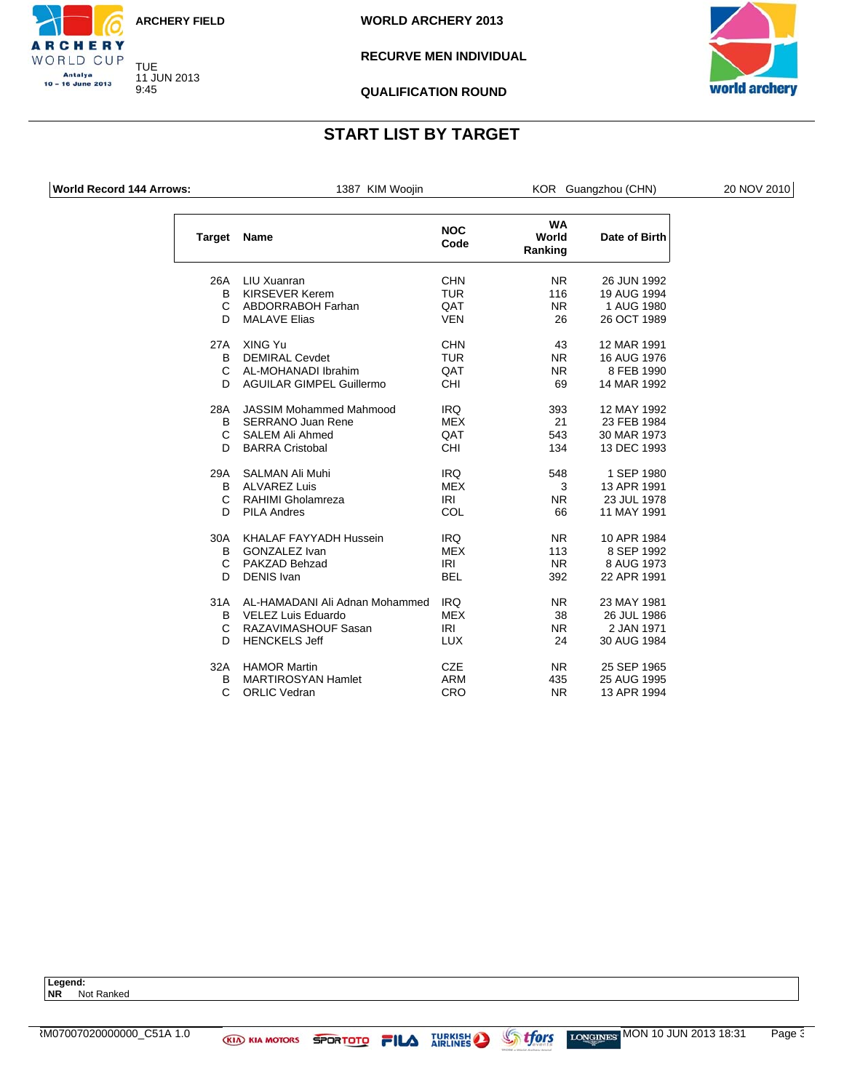![](_page_59_Picture_0.jpeg)

**WORLD ARCHERY 2013**

### **RECURVE MEN INDIVIDUAL**

![](_page_59_Picture_4.jpeg)

**QUALIFICATION ROUND**

# **START LIST BY TARGET**

CHERY WORLD CUP Antalya<br>10 – 16 June 2013

| <b>World Record 144 Arrows:</b> |                    | 1387 KIM Woojin                 |                    |                               | KOR Guangzhou (CHN) | 20 NOV 2010 |
|---------------------------------|--------------------|---------------------------------|--------------------|-------------------------------|---------------------|-------------|
|                                 | <b>Target Name</b> |                                 | <b>NOC</b><br>Code | <b>WA</b><br>World<br>Ranking | Date of Birth       |             |
|                                 | 26A                | LIU Xuanran                     | <b>CHN</b>         | <b>NR</b>                     | 26 JUN 1992         |             |
|                                 | B                  | <b>KIRSEVER Kerem</b>           | <b>TUR</b>         | 116                           | 19 AUG 1994         |             |
|                                 | C                  | ABDORRABOH Farhan               | QAT                | NR.                           | 1 AUG 1980          |             |
|                                 | D.                 | <b>MALAVE Elias</b>             | <b>VEN</b>         | 26                            | 26 OCT 1989         |             |
|                                 | 27A                | XING Yu                         | <b>CHN</b>         | 43                            | 12 MAR 1991         |             |
|                                 | B                  | <b>DEMIRAL Cevdet</b>           | <b>TUR</b>         | NR.                           | 16 AUG 1976         |             |
|                                 | C                  | AL-MOHANADI Ibrahim             | QAT                | NR.                           | 8 FEB 1990          |             |
|                                 | D                  | <b>AGUILAR GIMPEL Guillermo</b> | CHI                | 69                            | 14 MAR 1992         |             |
|                                 | 28A                | <b>JASSIM Mohammed Mahmood</b>  | <b>IRQ</b>         | 393                           | 12 MAY 1992         |             |
|                                 | B                  | <b>SERRANO Juan Rene</b>        | MEX                | 21                            | 23 FEB 1984         |             |
|                                 | С                  | <b>SALEM Ali Ahmed</b>          | QAT                | 543                           | 30 MAR 1973         |             |
|                                 | D                  | <b>BARRA Cristobal</b>          | CHI                | 134                           | 13 DEC 1993         |             |
|                                 | 29A                | SALMAN Ali Muhi                 | <b>IRQ</b>         | 548                           | 1 SEP 1980          |             |
|                                 | B                  | <b>ALVAREZ Luis</b>             | <b>MEX</b>         | 3                             | 13 APR 1991         |             |
|                                 | С                  | RAHIMI Gholamreza               | <b>IRI</b>         | NR.                           | 23 JUL 1978         |             |
|                                 | D                  | <b>PILA Andres</b>              | COL                | 66                            | 11 MAY 1991         |             |
|                                 | 30A                | KHALAF FAYYADH Hussein          | <b>IRQ</b>         | NR.                           | 10 APR 1984         |             |
|                                 | в                  | <b>GONZALEZ Ivan</b>            | <b>MEX</b>         | 113                           | 8 SEP 1992          |             |
|                                 | С                  | PAKZAD Behzad                   | IRI                | <b>NR</b>                     | 8 AUG 1973          |             |
|                                 | D                  | <b>DENIS Ivan</b>               | <b>BEL</b>         | 392                           | 22 APR 1991         |             |
|                                 | 31A                | AL-HAMADANI Ali Adnan Mohammed  | <b>IRQ</b>         | NR.                           | 23 MAY 1981         |             |
|                                 | B                  | <b>VELEZ Luis Eduardo</b>       | <b>MEX</b>         | 38                            | 26 JUL 1986         |             |
|                                 | С                  | RAZAVIMASHOUF Sasan             | IRI                | NR.                           | 2 JAN 1971          |             |
|                                 | D                  | <b>HENCKELS Jeff</b>            | <b>LUX</b>         | 24                            | 30 AUG 1984         |             |
|                                 | 32A                | <b>HAMOR Martin</b>             | <b>CZE</b>         | NR.                           | 25 SEP 1965         |             |
|                                 | в                  | <b>MARTIROSYAN Hamlet</b>       | <b>ARM</b>         | 435                           | 25 AUG 1995         |             |
|                                 | C                  | <b>ORLIC Vedran</b>             | CRO                | NR.                           | 13 APR 1994         |             |

**Legend: NR** Not Ranked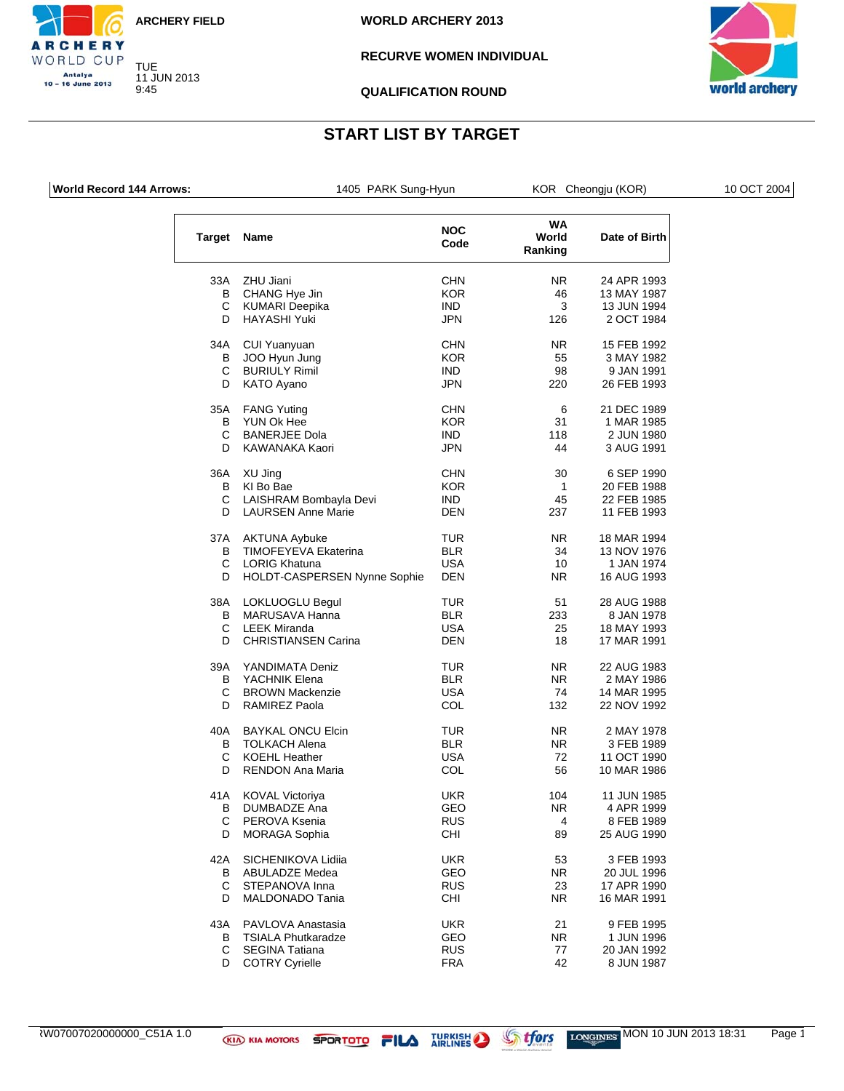![](_page_60_Picture_0.jpeg)

**WORLD ARCHERY 2013**

### **RECURVE WOMEN INDIVIDUAL**

![](_page_60_Picture_4.jpeg)

**QUALIFICATION ROUND**

## **START LIST BY TARGET**

**RCHERY** WORLD CUP Antalya 10 - 16 June 2013

| <b>World Record 144 Arrows:</b> |        | 1405 PARK Sung-Hyun                                         |                    |                        | KOR Cheongju (KOR)        | 10 OCT 2004 |
|---------------------------------|--------|-------------------------------------------------------------|--------------------|------------------------|---------------------------|-------------|
|                                 |        | Target Name                                                 | <b>NOC</b><br>Code | WA<br>World<br>Ranking | Date of Birth             |             |
|                                 | 33A    | ZHU Jiani                                                   | <b>CHN</b>         | NR.                    | 24 APR 1993               |             |
|                                 | B      | CHANG Hye Jin                                               | <b>KOR</b>         | 46                     | 13 MAY 1987               |             |
|                                 | C      | <b>KUMARI Deepika</b>                                       | <b>IND</b>         | 3                      | 13 JUN 1994               |             |
|                                 | D      | <b>HAYASHI Yuki</b>                                         | JPN                | 126                    | 2 OCT 1984                |             |
|                                 | 34A    | CUI Yuanyuan                                                | <b>CHN</b>         | NR.                    | 15 FEB 1992               |             |
|                                 | B      | JOO Hyun Jung                                               | <b>KOR</b>         | 55                     | 3 MAY 1982                |             |
|                                 | C      | <b>BURIULY Rimil</b>                                        | IND.               | 98                     | 9 JAN 1991                |             |
|                                 | D      | KATO Ayano                                                  | <b>JPN</b>         | 220                    | 26 FEB 1993               |             |
|                                 | 35A    | <b>FANG Yuting</b>                                          | <b>CHN</b>         | 6                      | 21 DEC 1989               |             |
|                                 | В      | YUN Ok Hee                                                  | <b>KOR</b>         | 31                     | 1 MAR 1985                |             |
|                                 | С      | <b>BANERJEE Dola</b>                                        | <b>IND</b>         | 118                    | 2 JUN 1980                |             |
|                                 | D      | KAWANAKA Kaori                                              | <b>JPN</b>         | 44                     | 3 AUG 1991                |             |
|                                 |        | 36A XU Jing                                                 | <b>CHN</b>         | 30                     | 6 SEP 1990                |             |
|                                 | B      | KI Bo Bae                                                   | <b>KOR</b>         | $\mathbf{1}$           | 20 FEB 1988               |             |
|                                 | C      | LAISHRAM Bombayla Devi                                      | <b>IND</b>         | 45                     | 22 FEB 1985               |             |
|                                 | D      | <b>LAURSEN Anne Marie</b>                                   | <b>DEN</b>         | 237                    | 11 FEB 1993               |             |
|                                 |        |                                                             |                    |                        |                           |             |
|                                 | 37A    | <b>AKTUNA Aybuke</b>                                        | <b>TUR</b>         | NR.                    | 18 MAR 1994               |             |
|                                 | В      | <b>TIMOFEYEVA Ekaterina</b>                                 | <b>BLR</b>         | 34                     | 13 NOV 1976               |             |
|                                 | С<br>D | <b>LORIG Khatuna</b><br><b>HOLDT-CASPERSEN Nynne Sophie</b> | <b>USA</b><br>DEN  | 10<br>NR.              | 1 JAN 1974<br>16 AUG 1993 |             |
|                                 | 38A    | LOKLUOGLU Begul                                             | TUR                | 51                     | 28 AUG 1988               |             |
|                                 | B      | MARUSAVA Hanna                                              | <b>BLR</b>         | 233                    | 8 JAN 1978                |             |
|                                 | С      | <b>LEEK Miranda</b>                                         | <b>USA</b>         | 25                     |                           |             |
|                                 |        |                                                             |                    |                        | 18 MAY 1993               |             |
|                                 | D      | <b>CHRISTIANSEN Carina</b>                                  | DEN                | 18                     | 17 MAR 1991               |             |
|                                 | 39A    | YANDIMATA Deniz                                             | TUR                | NR.                    | 22 AUG 1983               |             |
|                                 | В      | YACHNIK Elena                                               | <b>BLR</b>         | NR.                    | 2 MAY 1986                |             |
|                                 | С      | <b>BROWN Mackenzie</b>                                      | <b>USA</b>         | 74                     | 14 MAR 1995               |             |
|                                 | D      | <b>RAMIREZ Paola</b>                                        | COL                | 132                    | 22 NOV 1992               |             |
|                                 | 40A    | <b>BAYKAL ONCU Elcin</b>                                    | TUR                | NR.                    | 2 MAY 1978                |             |
|                                 | В      | <b>TOLKACH Alena</b>                                        | <b>BLR</b>         | NR.                    | 3 FEB 1989                |             |
|                                 | С      | <b>KOEHL Heather</b>                                        | <b>USA</b>         | 72                     | 11 OCT 1990               |             |
|                                 | D      | <b>RENDON Ana Maria</b>                                     | COL                | 56                     | 10 MAR 1986               |             |
|                                 |        | 41A KOVAL Victoriya                                         | <b>UKR</b>         | 104                    | 11 JUN 1985               |             |
|                                 | В      | DUMBADZE Ana                                                | GEO                | NR.                    | 4 APR 1999                |             |
|                                 | С      | PEROVA Ksenia                                               | <b>RUS</b>         | 4                      | 8 FEB 1989                |             |
|                                 | D      | <b>MORAGA Sophia</b>                                        | <b>CHI</b>         | 89                     | 25 AUG 1990               |             |
|                                 | 42A    | SICHENIKOVA Lidiia                                          | <b>UKR</b>         | 53                     | 3 FEB 1993                |             |
|                                 | В      | ABULADZE Medea                                              | GEO                | NR.                    | 20 JUL 1996               |             |
|                                 | С      | STEPANOVA Inna                                              | <b>RUS</b>         | 23                     | 17 APR 1990               |             |
|                                 |        |                                                             |                    |                        | 16 MAR 1991               |             |
|                                 | D      | MALDONADO Tania                                             | CHI                | NR.                    |                           |             |
|                                 | 43A    | PAVLOVA Anastasia                                           | <b>UKR</b>         | 21                     | 9 FEB 1995                |             |

D COTRY Cyrielle

B TSIALA Phutkaradze GEO NR 1 JUN 1996

C SEGINA Tatiana RUS 77 20 JAN 1992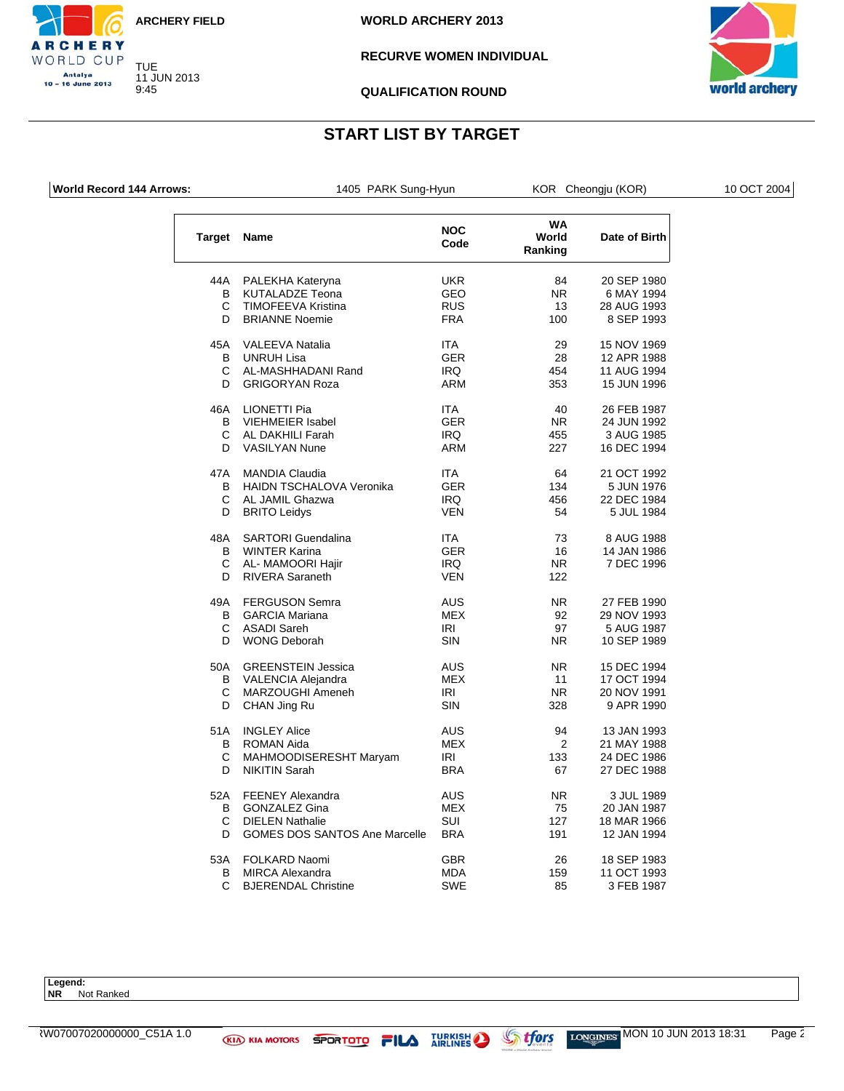![](_page_61_Picture_0.jpeg)

**WORLD ARCHERY 2013**

#### **RECURVE WOMEN INDIVIDUAL**

![](_page_61_Picture_4.jpeg)

**QUALIFICATION ROUND**

## **START LIST BY TARGET**

**RCHERY** WORLD CUP Antalya 10 - 16 June 2013

| <b>World Record 144 Arrows:</b> | 1405 PARK Sung-Hyun                                   |                          |                               | KOR Cheongju (KOR)         | 10 OCT 2004 |
|---------------------------------|-------------------------------------------------------|--------------------------|-------------------------------|----------------------------|-------------|
|                                 | <b>Target Name</b>                                    | <b>NOC</b><br>Code       | <b>WA</b><br>World<br>Ranking | Date of Birth              |             |
| 44A                             | PALEKHA Kateryna                                      | <b>UKR</b>               | 84                            | 20 SEP 1980                |             |
|                                 | B<br><b>KUTALADZE Teona</b>                           | <b>GEO</b>               | NR.                           | 6 MAY 1994                 |             |
|                                 | С<br>TIMOFEEVA Kristina                               | <b>RUS</b>               | 13                            | 28 AUG 1993                |             |
|                                 | D<br><b>BRIANNE Noemie</b>                            | <b>FRA</b>               | 100                           | 8 SEP 1993                 |             |
| 45A                             | <b>VALEEVA Natalia</b>                                | ITA                      | 29                            | 15 NOV 1969                |             |
|                                 | В<br>UNRUH Lisa                                       | <b>GER</b>               | 28                            | 12 APR 1988                |             |
|                                 |                                                       |                          |                               |                            |             |
|                                 | С<br>AL-MASHHADANI Rand<br>D<br><b>GRIGORYAN Roza</b> | <b>IRQ</b><br><b>ARM</b> | 454<br>353                    | 11 AUG 1994<br>15 JUN 1996 |             |
|                                 |                                                       |                          |                               |                            |             |
| 46A                             | <b>LIONETTI Pia</b>                                   | <b>ITA</b>               | 40                            | 26 FEB 1987                |             |
|                                 | В<br><b>VIEHMEIER Isabel</b>                          | <b>GER</b>               | NR.                           | 24 JUN 1992                |             |
|                                 | С<br>AL DAKHILI Farah                                 | IRQ                      | 455                           | 3 AUG 1985                 |             |
|                                 | D<br><b>VASILYAN Nune</b>                             | <b>ARM</b>               | 227                           | 16 DEC 1994                |             |
| 47A                             | <b>MANDIA Claudia</b>                                 | <b>ITA</b>               | 64                            | 21 OCT 1992                |             |
|                                 | <b>HAIDN TSCHALOVA Veronika</b><br>В                  | <b>GER</b>               | 134                           | 5 JUN 1976                 |             |
|                                 | С<br>AL JAMIL Ghazwa                                  | <b>IRQ</b>               | 456                           | 22 DEC 1984                |             |
|                                 | D<br><b>BRITO Leidys</b>                              | <b>VEN</b>               | 54                            | 5 JUL 1984                 |             |
| 48A                             | <b>SARTORI</b> Guendalina                             | <b>ITA</b>               | 73                            | 8 AUG 1988                 |             |
|                                 |                                                       |                          |                               |                            |             |
|                                 | В<br><b>WINTER Karina</b>                             | <b>GER</b>               | 16                            | 14 JAN 1986                |             |
|                                 | C<br>AL- MAMOORI Hajir                                | <b>IRQ</b>               | N <sub>R</sub>                | 7 DEC 1996                 |             |
|                                 | D<br><b>RIVERA Saraneth</b>                           | <b>VEN</b>               | 122                           |                            |             |
| 49A                             | <b>FERGUSON Semra</b>                                 | <b>AUS</b>               | NR.                           | 27 FEB 1990                |             |
|                                 | В<br><b>GARCIA Mariana</b>                            | MEX                      | 92                            | 29 NOV 1993                |             |
|                                 | C<br><b>ASADI Sareh</b>                               | IRI                      | 97                            | 5 AUG 1987                 |             |
|                                 | <b>WONG Deborah</b><br>D                              | SIN                      | NR                            | 10 SEP 1989                |             |
| 50A                             | <b>GREENSTEIN Jessica</b>                             | AUS                      | NR.                           | 15 DEC 1994                |             |
|                                 | В<br>VALENCIA Alejandra                               | MEX                      | 11                            | 17 OCT 1994                |             |
|                                 | С<br>MARZOUGHI Ameneh                                 | IRI                      | NR.                           | 20 NOV 1991                |             |
|                                 | D<br>CHAN Jing Ru                                     | SIN                      | 328                           | 9 APR 1990                 |             |
| 51A                             | <b>INGLEY Alice</b>                                   | AUS                      | 94                            |                            |             |
|                                 |                                                       |                          |                               | 13 JAN 1993                |             |
|                                 | В<br><b>ROMAN Aida</b>                                | <b>MEX</b>               | 2                             | 21 MAY 1988                |             |
|                                 | С<br>MAHMOODISERESHT Maryam                           | IRI                      | 133                           | 24 DEC 1986                |             |
|                                 | D<br><b>NIKITIN Sarah</b>                             | <b>BRA</b>               | 67                            | 27 DEC 1988                |             |
| 52A                             | <b>FEENEY Alexandra</b>                               | AUS                      | NR.                           | 3 JUL 1989                 |             |
|                                 | B<br><b>GONZALEZ Gina</b>                             | MEX                      | 75                            | 20 JAN 1987                |             |
|                                 | С<br><b>DIELEN Nathalie</b>                           | <b>SUI</b>               | 127                           | 18 MAR 1966                |             |
|                                 | <b>GOMES DOS SANTOS Ane Marcelle</b><br>D             | <b>BRA</b>               | 191                           | 12 JAN 1994                |             |
| 53A                             | <b>FOLKARD Naomi</b>                                  | GBR                      | 26                            | 18 SEP 1983                |             |
|                                 | B<br><b>MIRCA Alexandra</b>                           | <b>MDA</b>               | 159                           | 11 OCT 1993                |             |
|                                 |                                                       |                          |                               |                            |             |

B MIRCA Alexandra MDA 159 11 OCT 1993

C BJERENDAL Christine

**Legend: NR** Not Ranked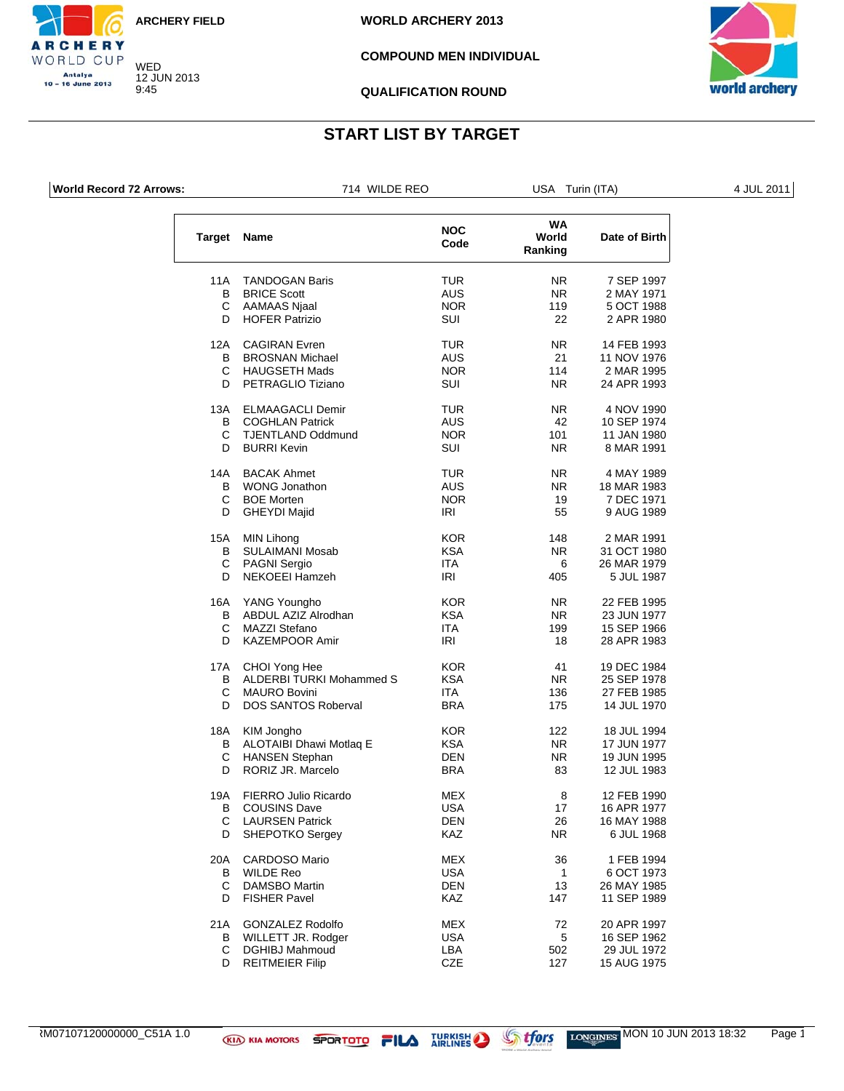![](_page_62_Picture_0.jpeg)

**WORLD ARCHERY 2013**

#### **COMPOUND MEN INDIVIDUAL**

![](_page_62_Picture_4.jpeg)

**QUALIFICATION ROUND**

## **START LIST BY TARGET**

**RCHERY** WORLD CUP **Antalya** 10 - 16 June 2013

| <b>World Record 72 Arrows:</b> |                    | 714 WILDE REO            |                    | USA Turin (ITA)        |               | 4 JUL 2011 |
|--------------------------------|--------------------|--------------------------|--------------------|------------------------|---------------|------------|
|                                | <b>Target Name</b> |                          | <b>NOC</b><br>Code | WA<br>World<br>Ranking | Date of Birth |            |
|                                | 11A                | <b>TANDOGAN Baris</b>    | <b>TUR</b>         | NR.                    | 7 SEP 1997    |            |
|                                | B                  | <b>BRICE Scott</b>       | <b>AUS</b>         | <b>NR</b>              | 2 MAY 1971    |            |
|                                | С                  | AAMAAS Njaal             | <b>NOR</b>         | 119                    | 5 OCT 1988    |            |
|                                | D                  | <b>HOFER Patrizio</b>    | <b>SUI</b>         | 22                     | 2 APR 1980    |            |
|                                | 12A                | <b>CAGIRAN</b> Evren     | <b>TUR</b>         | NR.                    | 14 FEB 1993   |            |
|                                | B                  | <b>BROSNAN Michael</b>   | <b>AUS</b>         | 21                     | 11 NOV 1976   |            |
|                                | C                  | <b>HAUGSETH Mads</b>     | <b>NOR</b>         | 114                    | 2 MAR 1995    |            |
|                                | D                  | PETRAGLIO Tiziano        | SUI                | NR.                    | 24 APR 1993   |            |
|                                | 13A                | <b>ELMAAGACLI Demir</b>  | <b>TUR</b>         | NR.                    | 4 NOV 1990    |            |
|                                | B                  | <b>COGHLAN Patrick</b>   | <b>AUS</b>         | 42                     | 10 SEP 1974   |            |
|                                | С                  | <b>TJENTLAND Oddmund</b> | <b>NOR</b>         | 101                    | 11 JAN 1980   |            |
|                                | D                  | <b>BURRI Kevin</b>       | SUI                | <b>NR</b>              | 8 MAR 1991    |            |
|                                | 14A                | <b>BACAK Ahmet</b>       | <b>TUR</b>         | N <sub>R</sub>         | 4 MAY 1989    |            |
|                                | B                  | <b>WONG Jonathon</b>     | <b>AUS</b>         | NR.                    | 18 MAR 1983   |            |
|                                | C                  | <b>BOE Morten</b>        | <b>NOR</b>         | 19                     | 7 DEC 1971    |            |
|                                | D                  | <b>GHEYDI Majid</b>      | IRI                | 55                     | 9 AUG 1989    |            |
|                                | 15A                | <b>MIN Lihong</b>        | <b>KOR</b>         | 148                    | 2 MAR 1991    |            |
|                                | B                  | <b>SULAIMANI Mosab</b>   | <b>KSA</b>         | <b>NR</b>              | 31 OCT 1980   |            |
|                                | С                  | <b>PAGNI Sergio</b>      | <b>ITA</b>         | 6                      | 26 MAR 1979   |            |
|                                | D                  | NEKOEEI Hamzeh           | <b>IRI</b>         | 405                    | 5 JUL 1987    |            |
|                                | 16A                | YANG Youngho             | <b>KOR</b>         | NR.                    | 22 FEB 1995   |            |
|                                | B                  | ABDUL AZIZ Alrodhan      | <b>KSA</b>         | <b>NR</b>              | 23 JUN 1977   |            |
|                                | С                  | <b>MAZZI Stefano</b>     | <b>ITA</b>         | 199                    | 15 SEP 1966   |            |
|                                | D                  | <b>KAZEMPOOR Amir</b>    | IRI                | 18                     | 28 APR 1983   |            |
|                                | 17A                | CHOI Yong Hee            | <b>KOR</b>         | 41                     | 19 DEC 1984   |            |
|                                | B                  | ALDERBI TURKI Mohammed S | <b>KSA</b>         | <b>NR</b>              | 25 SEP 1978   |            |
|                                | С                  | <b>MAURO Bovini</b>      | ITA                | 136                    | 27 FEB 1985   |            |
|                                | D                  | DOS SANTOS Roberval      | <b>BRA</b>         | 175                    | 14 JUL 1970   |            |
|                                | 18A                | KIM Jongho               | <b>KOR</b>         | 122                    | 18 JUL 1994   |            |
|                                |                    |                          |                    |                        |               |            |

| KIM Jongho<br>ALOTAIBI Dhawi Motlaq E<br><b>HANSEN Stephan</b> | <b>KOR</b><br><b>KSA</b><br><b>DEN</b> | 122<br>NR.<br>NR. | 18 JUL 1994<br>17 JUN 1977<br>19 JUN 1995<br>12 JUL 1983 |
|----------------------------------------------------------------|----------------------------------------|-------------------|----------------------------------------------------------|
|                                                                |                                        |                   |                                                          |
| FIERRO Julio Ricardo                                           | <b>MEX</b>                             | 8                 | 12 FEB 1990                                              |
| <b>COUSINS Dave</b>                                            | <b>USA</b>                             | 17                | 16 APR 1977                                              |
| <b>LAURSEN Patrick</b>                                         | <b>DEN</b>                             | 26                | 16 MAY 1988                                              |
| <b>SHEPOTKO Sergey</b>                                         | <b>KAZ</b>                             | NR.               | 6 JUL 1968                                               |
| <b>CARDOSO Mario</b>                                           | <b>MEX</b>                             | 36                | 1 FEB 1994                                               |
| <b>WILDE Reo</b>                                               | <b>USA</b>                             | 1                 | 6 OCT 1973                                               |
| <b>DAMSBO Martin</b>                                           | <b>DEN</b>                             | 13                | 26 MAY 1985                                              |
| <b>FISHER Pavel</b>                                            | <b>KAZ</b>                             | 147               | 11 SEP 1989                                              |
| <b>GONZALEZ Rodolfo</b>                                        | <b>MEX</b>                             | 72                | 20 APR 1997                                              |
| WILLETT JR. Rodger                                             | <b>USA</b>                             | 5                 | 16 SEP 1962                                              |
| <b>DGHIBJ Mahmoud</b>                                          | LBA                                    | 502               | 29 JUL 1972                                              |
| <b>REITMEIER Filip</b>                                         | <b>CZE</b>                             | 127               | 15 AUG 1975                                              |
|                                                                | RORIZ JR. Marcelo                      | <b>BRA</b>        | 83                                                       |

RM07107120000000\_C51A 1.0 **WEID KIA MOTORS SPORTOTO FILA** TURKISH STORING LONGINGS MON 10 JUN 2013 18:32 Page 1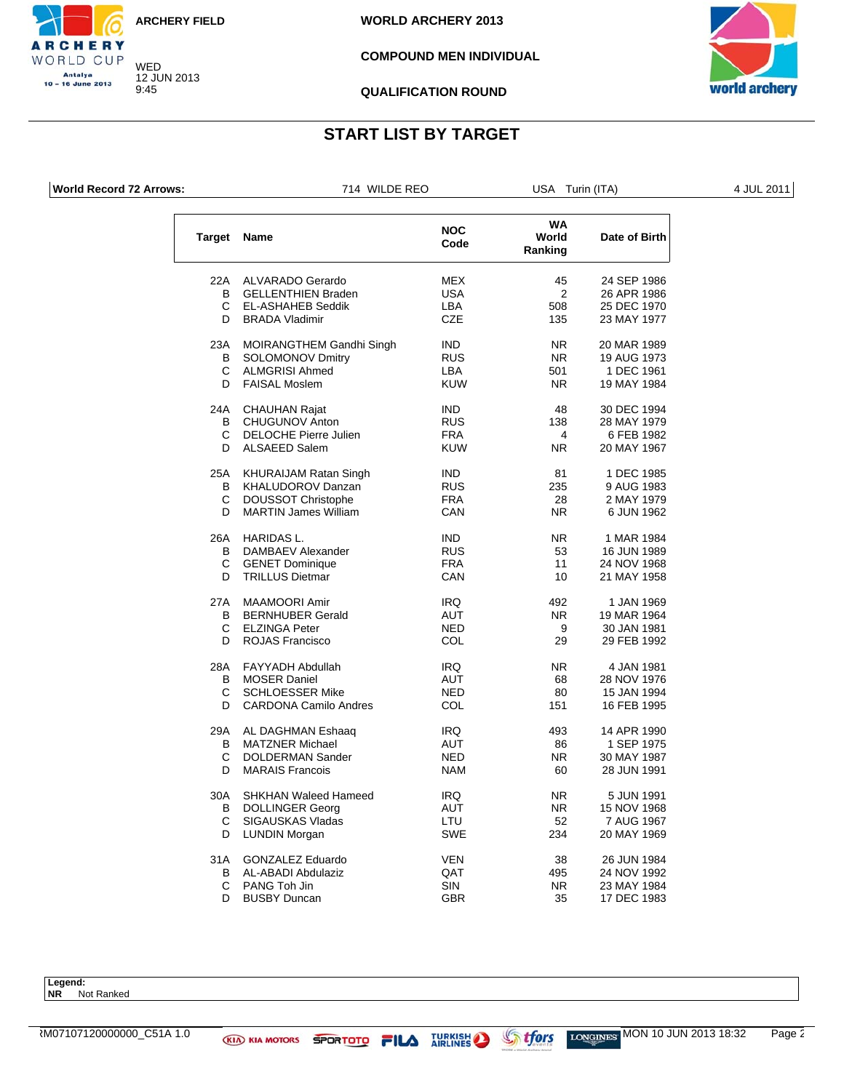![](_page_63_Picture_0.jpeg)

**WORLD ARCHERY 2013**

#### **COMPOUND MEN INDIVIDUAL**

![](_page_63_Picture_4.jpeg)

 $\overline{\phantom{a}}$ 

**QUALIFICATION ROUND**

## **START LIST BY TARGET**

**World Record 72 Arrows:** T14 WILDE REO USA Turin (ITA) 4 JUL 2011

CHERY WORLD CUP Antalya 10 - 16 June 2013

|  | WII DE REO |  |
|--|------------|--|
|  |            |  |

|                                                                                                 |  | the contract of the contract of the contract of the contract of the contract of the contract of |
|-------------------------------------------------------------------------------------------------|--|-------------------------------------------------------------------------------------------------|
|                                                                                                 |  |                                                                                                 |
|                                                                                                 |  |                                                                                                 |
|                                                                                                 |  |                                                                                                 |
|                                                                                                 |  |                                                                                                 |
|                                                                                                 |  |                                                                                                 |
|                                                                                                 |  |                                                                                                 |
|                                                                                                 |  |                                                                                                 |
|                                                                                                 |  |                                                                                                 |
|                                                                                                 |  |                                                                                                 |
| the contract of the contract of the contract of the contract of the contract of the contract of |  | __                                                                                              |
|                                                                                                 |  |                                                                                                 |
|                                                                                                 |  |                                                                                                 |

| <b>Target</b> | Name                         | <b>NOC</b><br>Code | WA<br>World<br>Ranking | Date of Birth |
|---------------|------------------------------|--------------------|------------------------|---------------|
| 22A           | <b>ALVARADO Gerardo</b>      | <b>MEX</b>         | 45                     | 24 SEP 1986   |
| B             | <b>GELLENTHIEN Braden</b>    | <b>USA</b>         | $\overline{2}$         | 26 APR 1986   |
| C             | <b>EL-ASHAHEB Seddik</b>     | <b>LBA</b>         | 508                    | 25 DEC 1970   |
| D             | <b>BRADA Vladimir</b>        | <b>CZE</b>         | 135                    | 23 MAY 1977   |
| 23A           | MOIRANGTHEM Gandhi Singh     | IND.               | NR.                    | 20 MAR 1989   |
| B             | <b>SOLOMONOV Dmitry</b>      | <b>RUS</b>         | N <sub>R</sub>         | 19 AUG 1973   |
| C             | <b>ALMGRISI Ahmed</b>        | LBA                | 501                    | 1 DEC 1961    |
| D.            | <b>FAISAL Moslem</b>         | <b>KUW</b>         | NR.                    | 19 MAY 1984   |
| 24A           | <b>CHAUHAN Rajat</b>         | <b>IND</b>         | 48                     | 30 DEC 1994   |
| B             | <b>CHUGUNOV Anton</b>        | <b>RUS</b>         | 138                    | 28 MAY 1979   |
| C             | <b>DELOCHE Pierre Julien</b> | <b>FRA</b>         | 4                      | 6 FEB 1982    |
| D.            | <b>ALSAEED Salem</b>         | <b>KUW</b>         | NR.                    | 20 MAY 1967   |
| 25A           | <b>KHURAIJAM Ratan Singh</b> | <b>IND</b>         | 81                     | 1 DEC 1985    |
| в             | KHALUDOROV Danzan            | <b>RUS</b>         | 235                    | 9 AUG 1983    |
| C             | <b>DOUSSOT Christophe</b>    | <b>FRA</b>         | 28                     | 2 MAY 1979    |
| D             | <b>MARTIN James William</b>  | CAN                | NR.                    | 6 JUN 1962    |
| 26A           | <b>HARIDAS L.</b>            | <b>IND</b>         | NR.                    | 1 MAR 1984    |
| В             | DAMBAEV Alexander            | <b>RUS</b>         | 53                     | 16 JUN 1989   |
| C             | <b>GENET Dominique</b>       | <b>FRA</b>         | 11                     | 24 NOV 1968   |
| D             | <b>TRILLUS Dietmar</b>       | CAN                | 10                     | 21 MAY 1958   |
| 27A           | <b>MAAMOORI Amir</b>         | <b>IRQ</b>         | 492                    | 1 JAN 1969    |
| в             | <b>BERNHUBER Gerald</b>      | AUT                | NR.                    | 19 MAR 1964   |
| C.            | <b>ELZINGA Peter</b>         | <b>NED</b>         | 9                      | 30 JAN 1981   |
| D             | <b>ROJAS Francisco</b>       | COL                | 29                     | 29 FEB 1992   |
| 28A           | <b>FAYYADH Abdullah</b>      | IRQ                | NR.                    | 4 JAN 1981    |
| B             | <b>MOSER Daniel</b>          | <b>AUT</b>         | 68                     | 28 NOV 1976   |
| C             | <b>SCHLOESSER Mike</b>       | NED                | 80                     | 15 JAN 1994   |
| D             | <b>CARDONA Camilo Andres</b> | COL                | 151                    | 16 FEB 1995   |
| 29A           | AL DAGHMAN Eshaaq            | IRQ.               | 493                    | 14 APR 1990   |
| B             | <b>MATZNER Michael</b>       | <b>AUT</b>         | 86                     | 1 SEP 1975    |
| C             | <b>DOLDERMAN Sander</b>      | NED                | NR.                    | 30 MAY 1987   |
| D.            | <b>MARAIS Francois</b>       | <b>NAM</b>         | 60                     | 28 JUN 1991   |
| 30A           | <b>SHKHAN Waleed Hameed</b>  | <b>IRQ</b>         | NR.                    | 5 JUN 1991    |
| B             | <b>DOLLINGER Georg</b>       | AUT                | NR.                    | 15 NOV 1968   |
| C             | SIGAUSKAS Vladas             | LTU                | 52                     | 7 AUG 1967    |
| D             | LUNDIN Morgan                | <b>SWE</b>         | 234                    | 20 MAY 1969   |
| 31A           | <b>GONZALEZ Eduardo</b>      | <b>VEN</b>         | 38                     | 26 JUN 1984   |
| B             | AL-ABADI Abdulaziz           | QAT                | 495                    | 24 NOV 1992   |
| C             | PANG Toh Jin                 | <b>SIN</b>         | N <sub>R</sub>         | 23 MAY 1984   |
| D             | <b>BUSBY Duncan</b>          | GBR                | 35                     | 17 DEC 1983   |

**Legend: NR** Not Ranked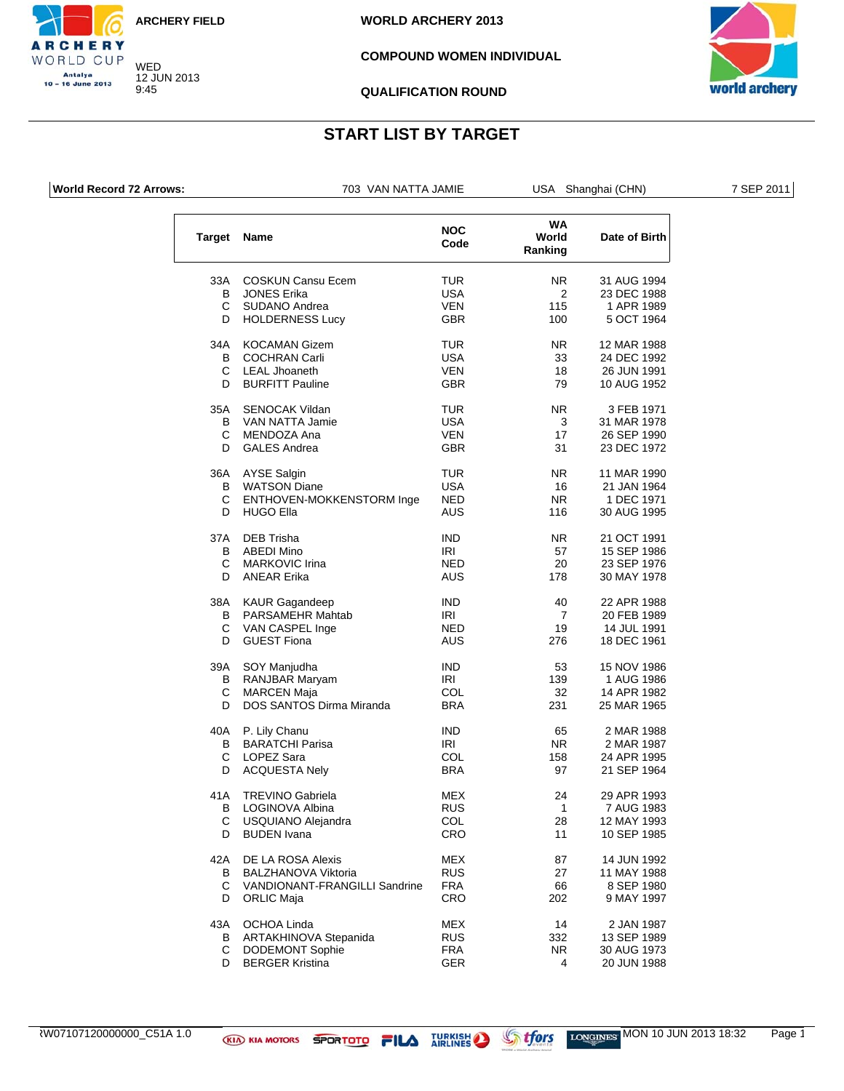![](_page_64_Picture_0.jpeg)

**WORLD ARCHERY 2013**

#### **COMPOUND WOMEN INDIVIDUAL**

![](_page_64_Picture_4.jpeg)

#### **QUALIFICATION ROUND**

### **START LIST BY TARGET**

**RCHERY** WORLD CUP Antalya 10 - 16 June 2013

| <b>World Record 72 Arrows:</b> |             | 703 VAN NATTA JAMIE       |                    |                               | USA Shanghai (CHN) | 7 SEP 2011 |
|--------------------------------|-------------|---------------------------|--------------------|-------------------------------|--------------------|------------|
|                                | Target Name |                           | <b>NOC</b><br>Code | <b>WA</b><br>World<br>Ranking | Date of Birth      |            |
|                                | 33A         | <b>COSKUN Cansu Ecem</b>  | <b>TUR</b>         | NR.                           | 31 AUG 1994        |            |
|                                | В           | <b>JONES Erika</b>        | <b>USA</b>         | 2                             | 23 DEC 1988        |            |
|                                | C           | <b>SUDANO Andrea</b>      | <b>VEN</b>         | 115                           | 1 APR 1989         |            |
|                                | D           | <b>HOLDERNESS Lucy</b>    | <b>GBR</b>         | 100                           | 5 OCT 1964         |            |
|                                | 34A         | <b>KOCAMAN Gizem</b>      | <b>TUR</b>         | NR.                           | 12 MAR 1988        |            |
|                                | B           | <b>COCHRAN Carli</b>      | <b>USA</b>         | 33                            | 24 DEC 1992        |            |
|                                | C           | <b>LEAL Jhoaneth</b>      | <b>VEN</b>         | 18                            | 26 JUN 1991        |            |
|                                | D           | <b>BURFITT Pauline</b>    | <b>GBR</b>         | 79                            | 10 AUG 1952        |            |
|                                | 35A         | <b>SENOCAK Vildan</b>     | <b>TUR</b>         | NR.                           | 3 FEB 1971         |            |
|                                | B           | VAN NATTA Jamie           | <b>USA</b>         | 3                             | 31 MAR 1978        |            |
|                                | C           | MENDOZA Ana               | <b>VEN</b>         | 17                            | 26 SEP 1990        |            |
|                                | D           | <b>GALES Andrea</b>       | <b>GBR</b>         | 31                            | 23 DEC 1972        |            |
|                                |             | 36A AYSE Salgin           | <b>TUR</b>         | NR.                           | 11 MAR 1990        |            |
|                                | B           | <b>WATSON Diane</b>       | <b>USA</b>         | 16                            | 21 JAN 1964        |            |
|                                | C           | ENTHOVEN-MOKKENSTORM Inge | <b>NED</b>         | <b>NR</b>                     | 1 DEC 1971         |            |
|                                | D           | <b>HUGO Ella</b>          | <b>AUS</b>         | 116                           | 30 AUG 1995        |            |
|                                | 37A         | <b>DEB Trisha</b>         | <b>IND</b>         | NR.                           | 21 OCT 1991        |            |
|                                | B           | <b>ABEDI Mino</b>         | IRI                | 57                            | 15 SEP 1986        |            |
|                                | C           | <b>MARKOVIC Irina</b>     | <b>NED</b>         | 20                            | 23 SEP 1976        |            |
|                                | D           | <b>ANEAR Erika</b>        | <b>AUS</b>         | 178                           | 30 MAY 1978        |            |
|                                | 38A         | <b>KAUR Gagandeep</b>     | <b>IND</b>         | 40                            | 22 APR 1988        |            |
|                                | B           | PARSAMEHR Mahtab          | <b>IRI</b>         | $\overline{7}$                | 20 FEB 1989        |            |
|                                | C           | VAN CASPEL Inge           | <b>NED</b>         | 19                            | 14 JUL 1991        |            |
|                                | D           | <b>GUEST Fiona</b>        | AUS                | 276                           | 18 DEC 1961        |            |
|                                | 39A         | SOY Manjudha              | <b>IND</b>         | 53                            | 15 NOV 1986        |            |

| 39A<br>B<br>C | SOY Manjudha<br>RANJBAR Maryam<br><b>MARCEN Maja</b> | IND<br>IRI<br>COL | 53<br>139<br>32 | 15 NOV 1986<br>1 AUG 1986<br>14 APR 1982 |
|---------------|------------------------------------------------------|-------------------|-----------------|------------------------------------------|
| D             | DOS SANTOS Dirma Miranda                             | <b>BRA</b>        | 231             | 25 MAR 1965                              |
| 40A           | P. Lily Chanu                                        | IND.              | 65              | 2 MAR 1988                               |
| B             | <b>BARATCHI Parisa</b>                               | IRI               | NR.             | 2 MAR 1987                               |
| C             | LOPEZ Sara                                           | <b>COL</b>        | 158             | 24 APR 1995                              |
| D             | <b>ACQUESTA Nely</b>                                 | <b>BRA</b>        | 97              | 21 SEP 1964                              |
| 41A           | <b>TREVINO Gabriela</b>                              | <b>MEX</b>        | 24              | 29 APR 1993                              |
| B             | LOGINOVA Albina                                      | <b>RUS</b>        | 1               | 7 AUG 1983                               |
| C             | USQUIANO Alejandra                                   | COL               | 28              | 12 MAY 1993                              |
| D             | <b>BUDEN</b> Ivana                                   | <b>CRO</b>        | 11              | 10 SEP 1985                              |
| 42A           | DE LA ROSA Alexis                                    | <b>MEX</b>        | 87              | 14 JUN 1992                              |
| B             | <b>BALZHANOVA Viktoria</b>                           | <b>RUS</b>        | 27              | 11 MAY 1988                              |
| C             | <b>VANDIONANT-FRANGILLI Sandrine</b>                 | <b>FRA</b>        | 66              | 8 SEP 1980                               |
| D             | <b>ORLIC Maja</b>                                    | <b>CRO</b>        | 202             | 9 MAY 1997                               |
| 43A           | OCHOA Linda                                          | <b>MEX</b>        | 14              | 2 JAN 1987                               |
| B             | ARTAKHINOVA Stepanida                                | <b>RUS</b>        | 332             | 13 SEP 1989                              |
| С             | <b>DODEMONT Sophie</b>                               | <b>FRA</b>        | NR.             | 30 AUG 1973                              |
|               |                                                      |                   |                 |                                          |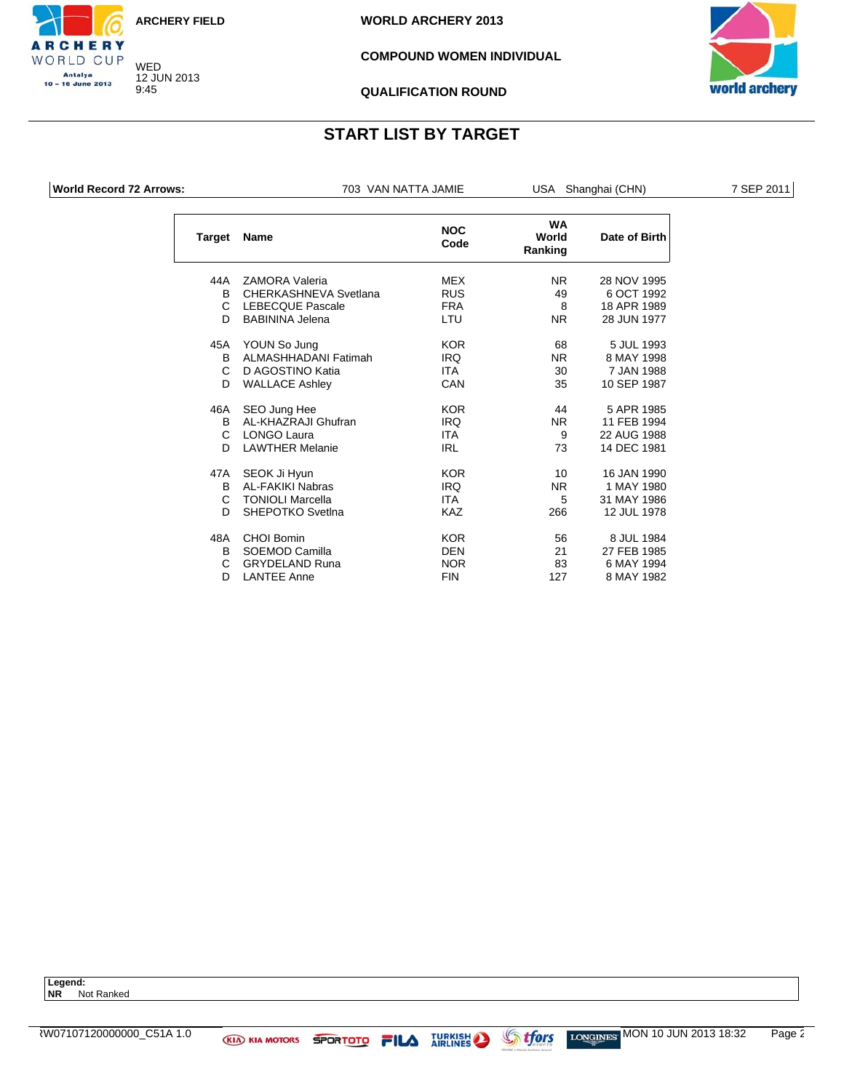![](_page_65_Picture_0.jpeg)

**WORLD ARCHERY 2013**

### **COMPOUND WOMEN INDIVIDUAL**

![](_page_65_Picture_4.jpeg)

#### **QUALIFICATION ROUND**

# **START LIST BY TARGET**

**World Record 72 Arrows:** TO3 VAN NATTA JAMIE USA Shanghai (CHN) 7 SEP 2011

CHERY WORLD CUP Antalya 10 - 16 June 2013

| Target | <b>Name</b>             | <b>NOC</b><br>Code | <b>WA</b><br>World<br>Ranking | Date of Birth |
|--------|-------------------------|--------------------|-------------------------------|---------------|
| 44A    | <b>ZAMORA Valeria</b>   | <b>MEX</b>         | NR.                           | 28 NOV 1995   |
| B.     | CHERKASHNEVA Svetlana   | <b>RUS</b>         | 49                            | 6 OCT 1992    |
| C.     | <b>LEBECQUE Pascale</b> | <b>FRA</b>         | 8                             | 18 APR 1989   |
| D.     | <b>BABININA Jelena</b>  | LTU                | <b>NR</b>                     | 28 JUN 1977   |
| 45A    | YOUN So Jung            | <b>KOR</b>         | 68                            | 5 JUL 1993    |
| B      | ALMASHHADANI Fatimah    | <b>IRQ</b>         | NR.                           | 8 MAY 1998    |
| C      | D AGOSTINO Katia        | <b>ITA</b>         | 30                            | 7 JAN 1988    |
| D      | <b>WALLACE Ashley</b>   | CAN                | 35                            | 10 SEP 1987   |
| 46A    | SEO Jung Hee            | <b>KOR</b>         | 44                            | 5 APR 1985    |
| B      | AL-KHAZRAJI Ghufran     | <b>IRQ</b>         | NR.                           | 11 FEB 1994   |
| C      | LONGO Laura             | <b>ITA</b>         | 9                             | 22 AUG 1988   |
| D      | <b>LAWTHER Melanie</b>  | <b>IRL</b>         | 73                            | 14 DEC 1981   |
| 47A    | SEOK Ji Hyun            | <b>KOR</b>         | 10                            | 16 JAN 1990   |
| B.     | AI - FAKIKI Nabras      | <b>IRQ</b>         | N <sub>R</sub>                | 1 MAY 1980    |
| C.     | <b>TONIOLI Marcella</b> | <b>ITA</b>         | 5                             | 31 MAY 1986   |
| D      | SHEPOTKO Svetlna        | KA7                | 266                           | 12 JUL 1978   |
| 48A    | <b>CHOI Bomin</b>       | <b>KOR</b>         | 56                            | 8 JUL 1984    |
| B      | SOEMOD Camilla          | <b>DEN</b>         | 21                            | 27 FEB 1985   |
| C      | <b>GRYDELAND Runa</b>   | <b>NOR</b>         | 83                            | 6 MAY 1994    |
| D      | <b>LANTEE Anne</b>      | <b>FIN</b>         | 127                           | 8 MAY 1982    |

**Legend: NR** Not Ranked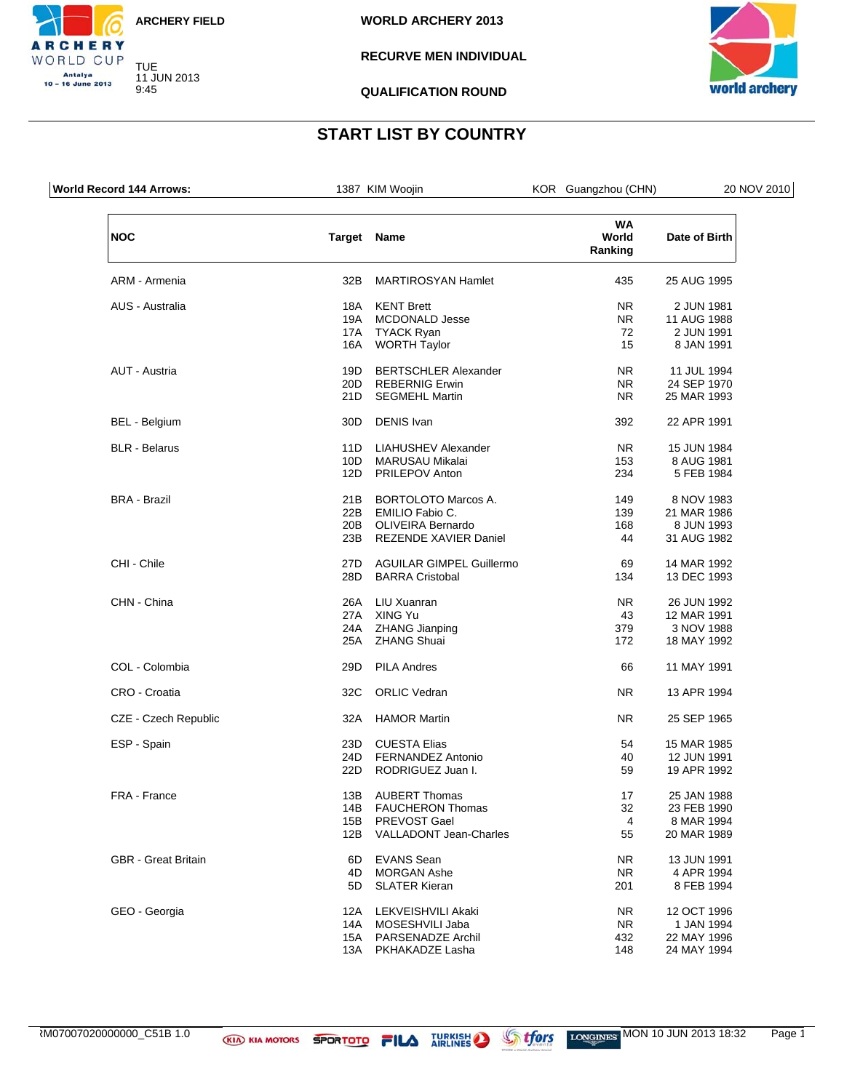![](_page_66_Picture_0.jpeg)

CHERY WORLD CUP Antalya<br>10 – 16 June 2013

### **RECURVE MEN INDIVIDUAL**

![](_page_66_Picture_4.jpeg)

**QUALIFICATION ROUND**

| <b>World Record 144 Arrows:</b> |                 | 1387 KIM Woojin                 | KOR Guangzhou (CHN)           | 20 NOV 2010   |
|---------------------------------|-----------------|---------------------------------|-------------------------------|---------------|
| <b>NOC</b>                      |                 | <b>Target Name</b>              | <b>WA</b><br>World<br>Ranking | Date of Birth |
| ARM - Armenia                   | 32B             | <b>MARTIROSYAN Hamlet</b>       | 435                           | 25 AUG 1995   |
| AUS - Australia                 | 18A             | <b>KENT Brett</b>               | NR.                           | 2 JUN 1981    |
|                                 | 19A             | <b>MCDONALD Jesse</b>           | NR.                           | 11 AUG 1988   |
|                                 | 17A             | <b>TYACK Ryan</b>               | 72                            | 2 JUN 1991    |
|                                 | 16A             | <b>WORTH Taylor</b>             | 15                            | 8 JAN 1991    |
| AUT - Austria                   | 19D             | <b>BERTSCHLER Alexander</b>     | NR.                           | 11 JUL 1994   |
|                                 | 20 <sub>D</sub> | <b>REBERNIG Erwin</b>           | NR.                           | 24 SEP 1970   |
|                                 | 21D             | <b>SEGMEHL Martin</b>           | NR.                           | 25 MAR 1993   |
| BEL - Belgium                   | 30 <sub>D</sub> | <b>DENIS</b> Ivan               | 392                           | 22 APR 1991   |
| <b>BLR</b> - Belarus            | 11D             | <b>LIAHUSHEV Alexander</b>      | NR.                           | 15 JUN 1984   |
|                                 | 10D             | MARUSAU Mikalai                 | 153                           | 8 AUG 1981    |
|                                 | 12D             | <b>PRILEPOV Anton</b>           | 234                           | 5 FEB 1984    |
| <b>BRA - Brazil</b>             | 21B             | <b>BORTOLOTO Marcos A.</b>      | 149                           | 8 NOV 1983    |
|                                 | 22B             | EMILIO Fabio C.                 | 139                           | 21 MAR 1986   |
|                                 | 20B             | OLIVEIRA Bernardo               | 168                           | 8 JUN 1993    |
|                                 | 23B             | REZENDE XAVIER Daniel           | 44                            | 31 AUG 1982   |
| CHI - Chile                     | 27D             | <b>AGUILAR GIMPEL Guillermo</b> | 69                            | 14 MAR 1992   |
|                                 | 28D             | <b>BARRA Cristobal</b>          | 134                           | 13 DEC 1993   |
| CHN - China                     | 26A             | LIU Xuanran                     | NR.                           | 26 JUN 1992   |
|                                 | 27A             | XING Yu                         | 43                            | 12 MAR 1991   |
|                                 | 24A             | <b>ZHANG Jianping</b>           | 379                           | 3 NOV 1988    |
|                                 | 25A             | <b>ZHANG Shuai</b>              | 172                           | 18 MAY 1992   |
| COL - Colombia                  | 29D             | <b>PILA Andres</b>              | 66                            | 11 MAY 1991   |
| CRO - Croatia                   | 32C             | <b>ORLIC Vedran</b>             | NR.                           | 13 APR 1994   |
| CZE - Czech Republic            | 32A             | <b>HAMOR Martin</b>             | NR.                           | 25 SEP 1965   |
| ESP - Spain                     | 23D             | <b>CUESTA Elias</b>             | 54                            | 15 MAR 1985   |
|                                 | 24D             | <b>FERNANDEZ Antonio</b>        | 40                            | 12 JUN 1991   |
|                                 | 22D             | RODRIGUEZ Juan I.               | 59                            | 19 APR 1992   |
| FRA - France                    | 13B             | <b>AUBERT Thomas</b>            | 17                            | 25 JAN 1988   |
|                                 | 14B             | <b>FAUCHERON Thomas</b>         | 32                            | 23 FEB 1990   |
|                                 | 15B             | PREVOST Gael                    | 4                             | 8 MAR 1994    |
|                                 | 12B             | <b>VALLADONT Jean-Charles</b>   | 55                            | 20 MAR 1989   |
| <b>GBR</b> - Great Britain      | 6D              | <b>EVANS Sean</b>               | NR.                           | 13 JUN 1991   |
|                                 | 4D              | <b>MORGAN Ashe</b>              | <b>NR</b>                     | 4 APR 1994    |
|                                 | 5D              | <b>SLATER Kieran</b>            | 201                           | 8 FEB 1994    |
| GEO - Georgia                   | 12A             | LEKVEISHVILI Akaki              | NR.                           | 12 OCT 1996   |
|                                 | 14A             | MOSESHVILI Jaba                 | <b>NR</b>                     | 1 JAN 1994    |
|                                 | 15A             | PARSENADZE Archil               | 432                           | 22 MAY 1996   |
|                                 | 13A             | PKHAKADZE Lasha                 | 148                           | 24 MAY 1994   |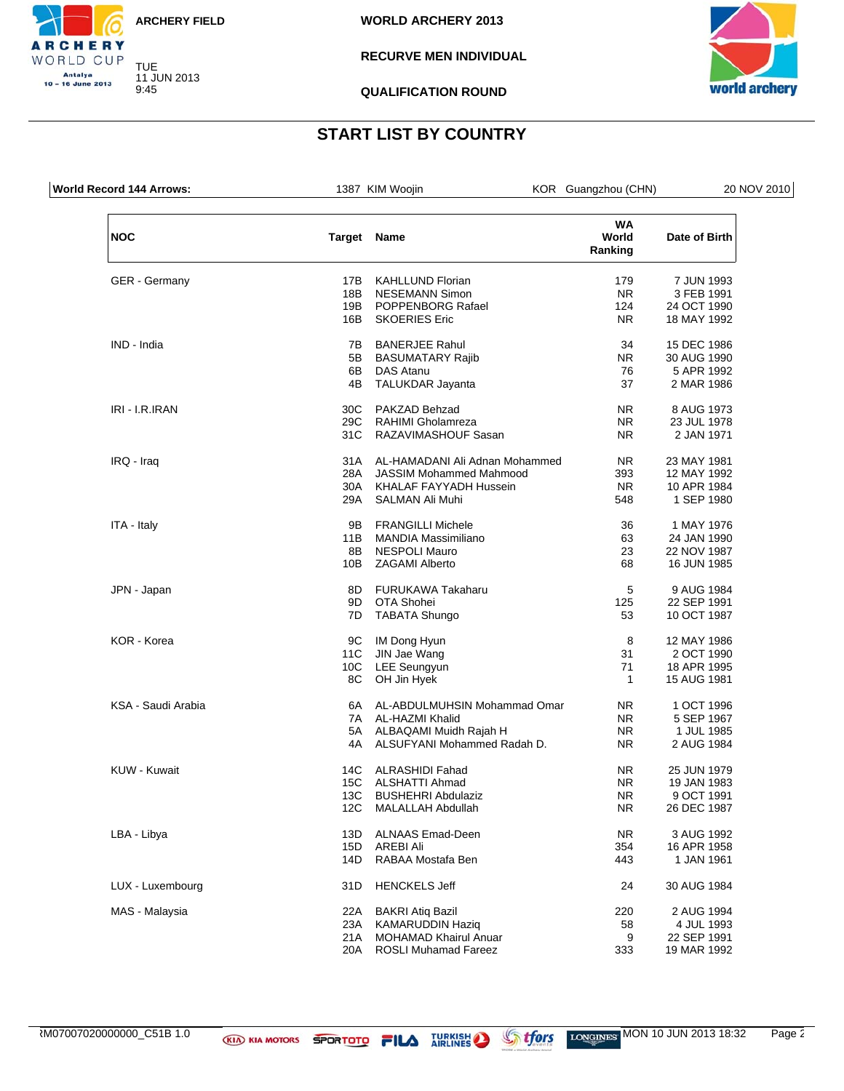![](_page_67_Picture_0.jpeg)

9:45

CHERY WORLD CUP Antalya<br>10 – 16 June 2013

**WORLD ARCHERY 2013**

### **RECURVE MEN INDIVIDUAL**

![](_page_67_Picture_4.jpeg)

**QUALIFICATION ROUND**

| World Record 144 Arrows: |             | 1387 KIM Woojin                    | KOR Guangzhou (CHN)           | 20 NOV 2010   |
|--------------------------|-------------|------------------------------------|-------------------------------|---------------|
| <b>NOC</b>               | Target Name |                                    | <b>WA</b><br>World<br>Ranking | Date of Birth |
| <b>GER</b> - Germany     | 17B         | <b>KAHLLUND Florian</b>            | 179                           | 7 JUN 1993    |
|                          | 18B         | <b>NESEMANN Simon</b>              | <b>NR</b>                     | 3 FEB 1991    |
|                          | 19B         | POPPENBORG Rafael                  | 124                           | 24 OCT 1990   |
|                          | 16B         | <b>SKOERIES Eric</b>               | <b>NR</b>                     | 18 MAY 1992   |
| IND - India              | 7B          | <b>BANERJEE Rahul</b>              | 34                            | 15 DEC 1986   |
|                          | 5B          | <b>BASUMATARY Rajib</b>            | <b>NR</b>                     | 30 AUG 1990   |
|                          | 6B          | DAS Atanu                          | 76                            | 5 APR 1992    |
|                          | 4B          | TALUKDAR Jayanta                   | 37                            | 2 MAR 1986    |
| IRI - I.R.IRAN           | 30C         | PAKZAD Behzad                      | <b>NR</b>                     | 8 AUG 1973    |
|                          | 29C         | RAHIMI Gholamreza                  | <b>NR</b>                     | 23 JUL 1978   |
|                          | 31C         | RAZAVIMASHOUF Sasan                | <b>NR</b>                     | 2 JAN 1971    |
| IRQ - Iraq               |             | 31A AL-HAMADANI Ali Adnan Mohammed | NR.                           | 23 MAY 1981   |
|                          | 28A         | JASSIM Mohammed Mahmood            | 393                           | 12 MAY 1992   |
|                          |             | 30A KHALAF FAYYADH Hussein         | <b>NR</b>                     | 10 APR 1984   |
|                          | 29A         | SALMAN Ali Muhi                    | 548                           | 1 SEP 1980    |
| ITA - Italy              | 9Β          | <b>FRANGILLI Michele</b>           | 36                            | 1 MAY 1976    |
|                          | 11B         | <b>MANDIA Massimiliano</b>         | 63                            | 24 JAN 1990   |
|                          | 8B          | <b>NESPOLI Mauro</b>               | 23                            | 22 NOV 1987   |
|                          | 10B         | <b>ZAGAMI Alberto</b>              | 68                            | 16 JUN 1985   |
| JPN - Japan              | 8D          | FURUKAWA Takaharu                  | 5                             | 9 AUG 1984    |
|                          | 9D          | OTA Shohei                         | 125                           | 22 SEP 1991   |
|                          | 7D          | <b>TABATA Shungo</b>               | 53                            | 10 OCT 1987   |
| KOR - Korea              | 9C          | IM Dong Hyun                       | 8                             | 12 MAY 1986   |
|                          | 11C         | JIN Jae Wang                       | 31                            | 2 OCT 1990    |
|                          | 10C         | <b>LEE Seungyun</b>                | 71                            | 18 APR 1995   |
|                          | 8C          | OH Jin Hyek                        | $\mathbf{1}$                  | 15 AUG 1981   |
| KSA - Saudi Arabia       |             | 6A AL-ABDULMUHSIN Mohammad Omar    | NR.                           | 1 OCT 1996    |
|                          |             | 7A AL-HAZMI Khalid                 | <b>NR</b>                     | 5 SEP 1967    |
|                          | 5A          | ALBAQAMI Muidh Rajah H             | <b>NR</b>                     | 1 JUL 1985    |
|                          | 4A          | ALSUFYANI Mohammed Radah D.        | NR.                           | 2 AUG 1984    |
| KUW - Kuwait             | 14C         | <b>ALRASHIDI Fahad</b>             | NR.                           | 25 JUN 1979   |
|                          | 15C         | ALSHATTI Ahmad                     | NR.                           | 19 JAN 1983   |
|                          | 13C         | <b>BUSHEHRI Abdulaziz</b>          | NR.                           | 9 OCT 1991    |
|                          | 12C         | <b>MALALLAH Abdullah</b>           | <b>NR</b>                     | 26 DEC 1987   |
| LBA - Libya              | 13D         | ALNAAS Emad-Deen                   | <b>NR</b>                     | 3 AUG 1992    |
|                          | 15D         | AREBI Ali                          | 354                           | 16 APR 1958   |
|                          | 14D         | RABAA Mostafa Ben                  | 443                           | 1 JAN 1961    |
| LUX - Luxembourg         | 31D         | <b>HENCKELS Jeff</b>               | 24                            | 30 AUG 1984   |
| MAS - Malaysia           | 22A         | <b>BAKRI Atiq Bazil</b>            | 220                           | 2 AUG 1994    |
|                          | 23A         | <b>KAMARUDDIN Haziq</b>            | 58                            | 4 JUL 1993    |
|                          | 21A         | <b>MOHAMAD Khairul Anuar</b>       | 9                             | 22 SEP 1991   |
|                          | 20A         | <b>ROSLI Muhamad Fareez</b>        | 333                           | 19 MAR 1992   |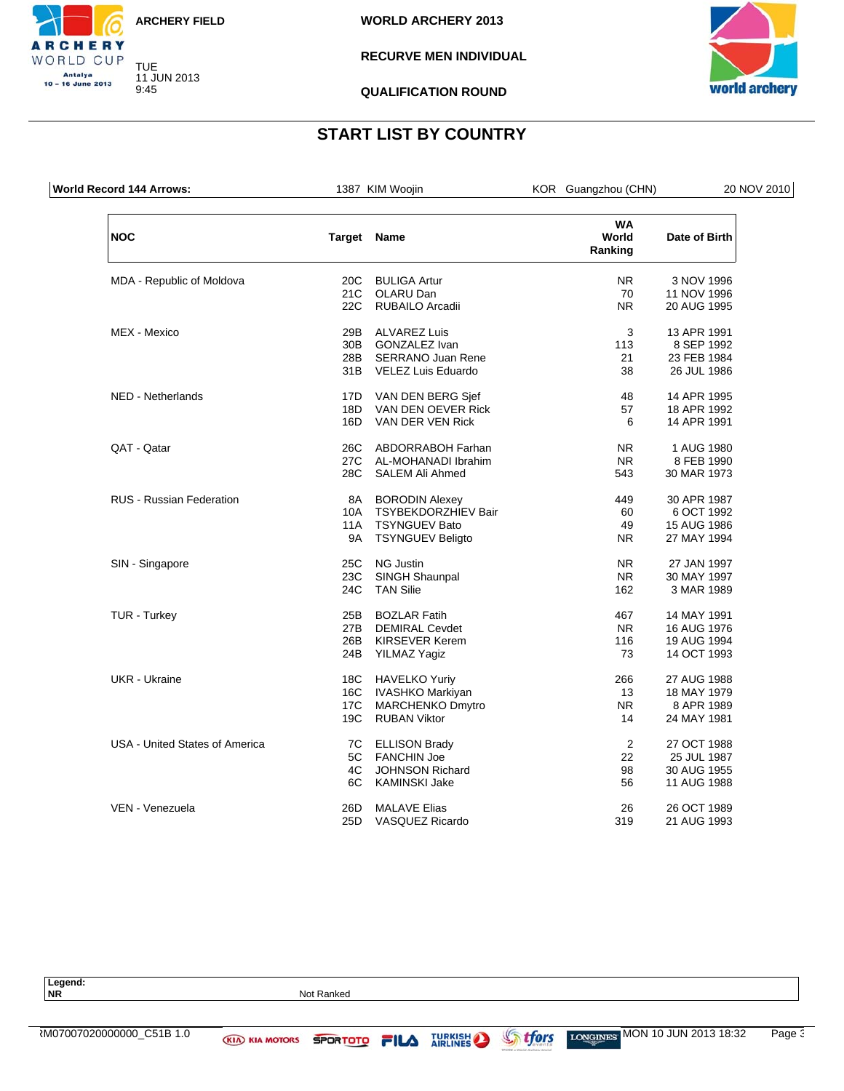![](_page_68_Picture_0.jpeg)

9:45

CHERY WORLD CUP Antalya<br>10 – 16 June 2013

**WORLD ARCHERY 2013**

**RECURVE MEN INDIVIDUAL**

![](_page_68_Picture_4.jpeg)

**QUALIFICATION ROUND**

# **START LIST BY COUNTRY**

| World Record 144 Arrows:        |                 | 1387 KIM Woojin          | KOR Guangzhou (CHN)           | 20 NOV 2010   |
|---------------------------------|-----------------|--------------------------|-------------------------------|---------------|
| <b>NOC</b>                      | Target Name     |                          | <b>WA</b><br>World<br>Ranking | Date of Birth |
| MDA - Republic of Moldova       | 20 <sub>C</sub> | <b>BULIGA Artur</b>      | <b>NR</b>                     | 3 NOV 1996    |
|                                 |                 | 21C OLARU Dan            | 70                            | 11 NOV 1996   |
|                                 | 22C             | <b>RUBAILO Arcadii</b>   | <b>NR</b>                     | 20 AUG 1995   |
| MEX - Mexico                    | 29B             | <b>ALVAREZ Luis</b>      | 3                             | 13 APR 1991   |
|                                 | 30B             | <b>GONZALEZ Ivan</b>     | 113                           | 8 SEP 1992    |
|                                 | 28B             | <b>SERRANO Juan Rene</b> | 21                            | 23 FEB 1984   |
|                                 |                 | 31B VELEZ Luis Eduardo   | 38                            | 26 JUL 1986   |
| NED - Netherlands               | 17D             | VAN DEN BERG Sjef        | 48                            | 14 APR 1995   |
|                                 | 18D             | VAN DEN OEVER Rick       | 57                            | 18 APR 1992   |
|                                 | 16D             | VAN DER VEN Rick         | 6                             | 14 APR 1991   |
| QAT - Qatar                     | 26C             | ABDORRABOH Farhan        | NR.                           | 1 AUG 1980    |
|                                 | 27C             | AL-MOHANADI Ibrahim      | <b>NR</b>                     | 8 FEB 1990    |
|                                 | 28C             | <b>SALEM Ali Ahmed</b>   | 543                           | 30 MAR 1973   |
| <b>RUS - Russian Federation</b> | 8A              | <b>BORODIN Alexey</b>    | 449                           | 30 APR 1987   |
|                                 | 10A             | TSYBEKDORZHIEV Bair      | 60                            | 6 OCT 1992    |
|                                 | 11A             | <b>TSYNGUEV Bato</b>     | 49                            | 15 AUG 1986   |
|                                 | <b>9A</b>       | <b>TSYNGUEV Beligto</b>  | <b>NR</b>                     | 27 MAY 1994   |
| SIN - Singapore                 | 25C             | NG Justin                | <b>NR</b>                     | 27 JAN 1997   |
|                                 | 23C             | SINGH Shaunpal           | <b>NR</b>                     | 30 MAY 1997   |
|                                 | 24C             | <b>TAN Silie</b>         | 162                           | 3 MAR 1989    |
| <b>TUR - Turkey</b>             | 25B             | <b>BOZLAR Fatih</b>      | 467                           | 14 MAY 1991   |
|                                 | 27B             | <b>DEMIRAL Cevdet</b>    | NR.                           | 16 AUG 1976   |
|                                 | 26B             | <b>KIRSEVER Kerem</b>    | 116                           | 19 AUG 1994   |
|                                 | 24B             | <b>YILMAZ Yagiz</b>      | 73                            | 14 OCT 1993   |
| UKR - Ukraine                   | 18C             | <b>HAVELKO Yuriy</b>     | 266                           | 27 AUG 1988   |
|                                 |                 | 16C IVASHKO Markiyan     | 13                            | 18 MAY 1979   |
|                                 | 17C             | <b>MARCHENKO Dmytro</b>  | <b>NR</b>                     | 8 APR 1989    |
|                                 | 19C             | <b>RUBAN Viktor</b>      | 14                            | 24 MAY 1981   |
| USA - United States of America  | 7C              | <b>ELLISON Brady</b>     | 2                             | 27 OCT 1988   |
|                                 | 5C              | <b>FANCHIN Joe</b>       | 22                            | 25 JUL 1987   |
|                                 | 4C              | <b>JOHNSON Richard</b>   | 98                            | 30 AUG 1955   |
|                                 | 6C              | KAMINSKI Jake            | 56                            | 11 AUG 1988   |
| VEN - Venezuela                 | 26D             | <b>MALAVE Elias</b>      | 26                            | 26 OCT 1989   |
|                                 | 25D             | VASQUEZ Ricardo          | 319                           | 21 AUG 1993   |

**Not Ranked** 

**Legend:**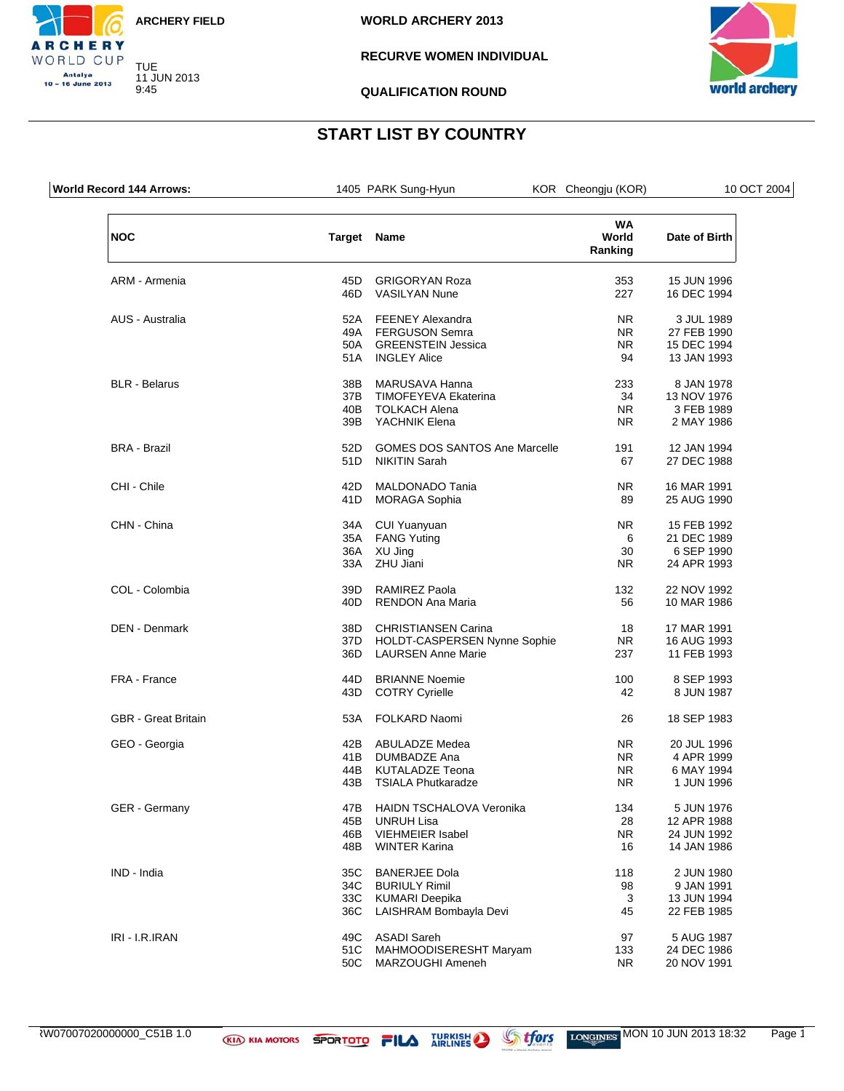![](_page_69_Picture_0.jpeg)

9:45

CHERY WORLD CUP Antalya<br>10 – 16 June 2013

### **RECURVE WOMEN INDIVIDUAL**

![](_page_69_Picture_4.jpeg)

**QUALIFICATION ROUND**

| <b>World Record 144 Arrows:</b> |                   | 1405 PARK Sung-Hyun                                                                            | KOR Cheongju (KOR)            | 10 OCT 2004                                             |
|---------------------------------|-------------------|------------------------------------------------------------------------------------------------|-------------------------------|---------------------------------------------------------|
| <b>NOC</b>                      |                   | Target Name                                                                                    | <b>WA</b><br>World<br>Ranking | Date of Birth                                           |
| ARM - Armenia                   | 45D               | <b>GRIGORYAN Roza</b>                                                                          | 353                           | 15 JUN 1996                                             |
|                                 | 46D               | <b>VASILYAN Nune</b>                                                                           | 227                           | 16 DEC 1994                                             |
| AUS - Australia                 | 52A<br>51A        | <b>FEENEY Alexandra</b><br>49A FERGUSON Semra<br>50A GREENSTEIN Jessica<br><b>INGLEY Alice</b> | NR.<br>NR.<br>NR.<br>94       | 3 JUL 1989<br>27 FEB 1990<br>15 DEC 1994<br>13 JAN 1993 |
| <b>BLR</b> - Belarus            | 38B               | MARUSAVA Hanna                                                                                 | 233                           | 8 JAN 1978                                              |
|                                 | 37B               | <b>TIMOFEYEVA Ekaterina</b>                                                                    | 34                            | 13 NOV 1976                                             |
|                                 | 40B               | <b>TOLKACH Alena</b>                                                                           | NR.                           | 3 FEB 1989                                              |
|                                 | 39B               | YACHNIK Elena                                                                                  | NR.                           | 2 MAY 1986                                              |
| <b>BRA - Brazil</b>             | 52D               | <b>GOMES DOS SANTOS Ane Marcelle</b>                                                           | 191                           | 12 JAN 1994                                             |
|                                 | 51D               | NIKITIN Sarah                                                                                  | 67                            | 27 DEC 1988                                             |
| CHI - Chile                     | 42D               | MALDONADO Tania                                                                                | NR.                           | 16 MAR 1991                                             |
|                                 | 41D               | <b>MORAGA Sophia</b>                                                                           | 89                            | 25 AUG 1990                                             |
| CHN - China                     | 34A               | CUI Yuanyuan                                                                                   | NR.                           | 15 FEB 1992                                             |
|                                 | 35A               | <b>FANG Yuting</b>                                                                             | 6                             | 21 DEC 1989                                             |
|                                 | 36A               | XU Jing                                                                                        | 30                            | 6 SEP 1990                                              |
|                                 | 33A               | ZHU Jiani                                                                                      | NR.                           | 24 APR 1993                                             |
| COL - Colombia                  | 39D               | <b>RAMIREZ Paola</b>                                                                           | 132                           | 22 NOV 1992                                             |
|                                 | 40 <sub>D</sub>   | <b>RENDON Ana Maria</b>                                                                        | 56                            | 10 MAR 1986                                             |
| DEN - Denmark                   | 38D               | <b>CHRISTIANSEN Carina</b>                                                                     | 18                            | 17 MAR 1991                                             |
|                                 | 37D               | HOLDT-CASPERSEN Nynne Sophie                                                                   | NR.                           | 16 AUG 1993                                             |
|                                 | 36D               | <b>LAURSEN Anne Marie</b>                                                                      | 237                           | 11 FEB 1993                                             |
| FRA - France                    | 44D               | <b>BRIANNE Noemie</b>                                                                          | 100                           | 8 SEP 1993                                              |
|                                 | 43D               | <b>COTRY Cyrielle</b>                                                                          | 42                            | 8 JUN 1987                                              |
| <b>GBR</b> - Great Britain      | 53A               | <b>FOLKARD Naomi</b>                                                                           | 26                            | 18 SEP 1983                                             |
| GEO - Georgia                   | 41B<br>44B<br>43B | 42B ABULADZE Medea<br>DUMBADZE Ana<br>KUTALADZE Teona<br>TSIALA Phutkaradze                    | NR.<br>NR.<br>NR.<br>NR.      | 20 JUL 1996<br>4 APR 1999<br>6 MAY 1994<br>1 JUN 1996   |
| <b>GER</b> - Germany            | 47B               | HAIDN TSCHALOVA Veronika                                                                       | 134                           | 5 JUN 1976                                              |
|                                 | 45B               | <b>UNRUH Lisa</b>                                                                              | 28                            | 12 APR 1988                                             |
|                                 | 46B               | <b>VIEHMEIER Isabel</b>                                                                        | NR.                           | 24 JUN 1992                                             |
|                                 | 48B               | <b>WINTER Karina</b>                                                                           | 16                            | 14 JAN 1986                                             |
| IND - India                     | 35C               | <b>BANERJEE Dola</b>                                                                           | 118                           | 2 JUN 1980                                              |
|                                 | 34C               | <b>BURIULY Rimil</b>                                                                           | 98                            | 9 JAN 1991                                              |
|                                 | 33C               | KUMARI Deepika                                                                                 | 3                             | 13 JUN 1994                                             |
|                                 | 36C               | LAISHRAM Bombayla Devi                                                                         | 45                            | 22 FEB 1985                                             |
| IRI - I.R.IRAN                  | 49C               | <b>ASADI Sareh</b>                                                                             | 97                            | 5 AUG 1987                                              |
|                                 | 51C               | MAHMOODISERESHT Maryam                                                                         | 133                           | 24 DEC 1986                                             |
|                                 | 50C               | MARZOUGHI Ameneh                                                                               | NR.                           | 20 NOV 1991                                             |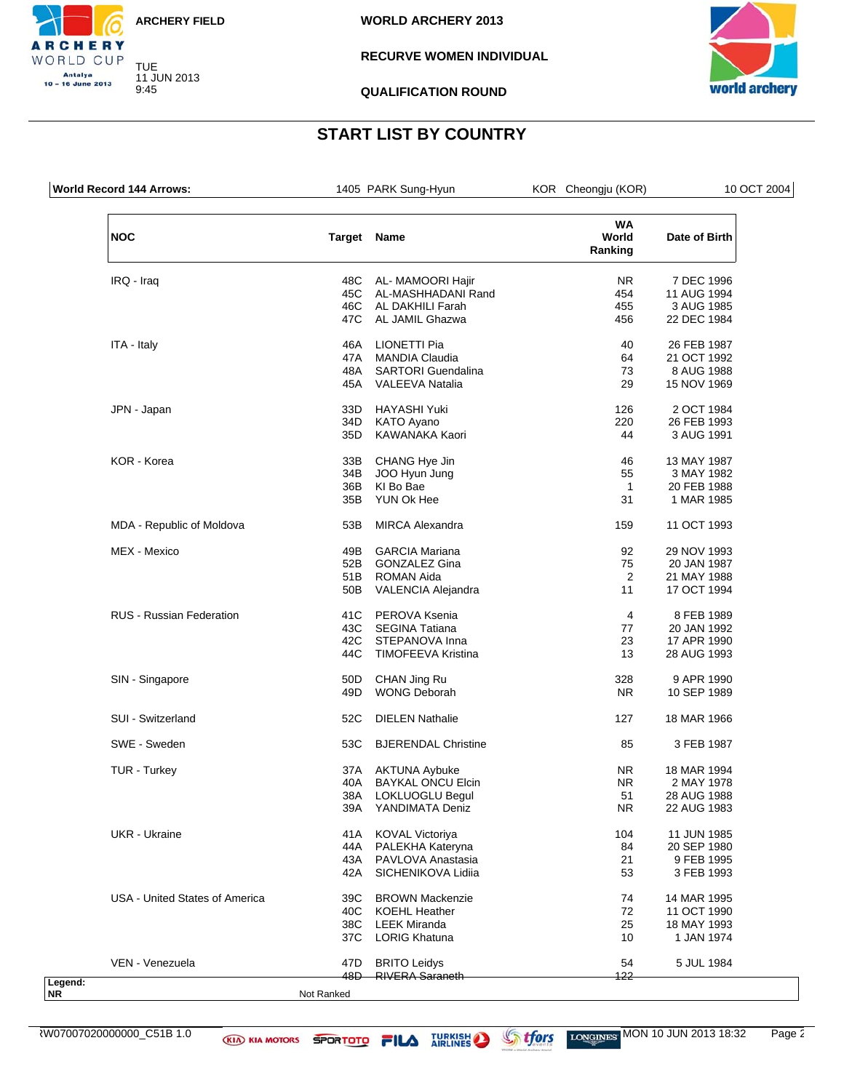![](_page_70_Picture_0.jpeg)

9:45

CHERY WORLD CUP Antalya<br>10 – 16 June 2013

### **RECURVE WOMEN INDIVIDUAL**

![](_page_70_Picture_4.jpeg)

**QUALIFICATION ROUND**

| <b>World Record 144 Arrows:</b> |                    | 1405 PARK Sung-Hyun        | KOR Cheongju (KOR)            | 10 OCT 2004   |
|---------------------------------|--------------------|----------------------------|-------------------------------|---------------|
| <b>NOC</b>                      | <b>Target Name</b> |                            | <b>WA</b><br>World<br>Ranking | Date of Birth |
| IRQ - Iraq                      | 48C                | AL- MAMOORI Hajir          | NR.                           | 7 DEC 1996    |
|                                 | 45C                | AL-MASHHADANI Rand         | 454                           | 11 AUG 1994   |
|                                 | 46C                | AL DAKHILI Farah           | 455                           | 3 AUG 1985    |
|                                 | 47C                | AL JAMIL Ghazwa            | 456                           | 22 DEC 1984   |
| ITA - Italy                     | 46A                | LIONETTI Pia               | 40                            | 26 FEB 1987   |
|                                 | 47A                | <b>MANDIA Claudia</b>      | 64                            | 21 OCT 1992   |
|                                 | 48A                | <b>SARTORI</b> Guendalina  | 73                            | 8 AUG 1988    |
|                                 | 45A                | <b>VALEEVA Natalia</b>     | 29                            | 15 NOV 1969   |
| JPN - Japan                     | 33D                | <b>HAYASHI Yuki</b>        | 126                           | 2 OCT 1984    |
|                                 | 34D                | <b>KATO Ayano</b>          | 220                           | 26 FEB 1993   |
|                                 | 35D                | KAWANAKA Kaori             | 44                            | 3 AUG 1991    |
| KOR - Korea                     | 33B                | CHANG Hye Jin              | 46                            | 13 MAY 1987   |
|                                 | 34B                | JOO Hyun Jung              | 55                            | 3 MAY 1982    |
|                                 | 36B                | KI Bo Bae                  | 1                             | 20 FEB 1988   |
|                                 | 35B                | YUN Ok Hee                 | 31                            | 1 MAR 1985    |
| MDA - Republic of Moldova       | 53B                | <b>MIRCA Alexandra</b>     | 159                           | 11 OCT 1993   |
| MEX - Mexico                    | 49B                | <b>GARCIA Mariana</b>      | 92                            | 29 NOV 1993   |
|                                 | 52B                | <b>GONZALEZ Gina</b>       | 75                            | 20 JAN 1987   |
|                                 | 51B                | <b>ROMAN Aida</b>          | 2                             | 21 MAY 1988   |
|                                 | 50B                | VALENCIA Alejandra         | 11                            | 17 OCT 1994   |
| <b>RUS - Russian Federation</b> | 41C                | PEROVA Ksenia              | 4                             | 8 FEB 1989    |
|                                 | 43C                | <b>SEGINA Tatiana</b>      | 77                            | 20 JAN 1992   |
|                                 | 42C                | STEPANOVA Inna             | 23                            | 17 APR 1990   |
|                                 | 44C                | <b>TIMOFEEVA Kristina</b>  | 13                            | 28 AUG 1993   |
| SIN - Singapore                 | 50 <sub>D</sub>    | CHAN Jing Ru               | 328                           | 9 APR 1990    |
|                                 | 49D                | <b>WONG Deborah</b>        | NR.                           | 10 SEP 1989   |
| SUI - Switzerland               | 52C                | <b>DIELEN Nathalie</b>     | 127                           | 18 MAR 1966   |
| SWE - Sweden                    | 53C                | <b>BJERENDAL Christine</b> | 85                            | 3 FEB 1987    |
| TUR - Turkey                    | 37A                | <b>AKTUNA Aybuke</b>       | NR.                           | 18 MAR 1994   |
|                                 | 40A                | <b>BAYKAL ONCU Elcin</b>   | NR.                           | 2 MAY 1978    |
|                                 | 38A                | LOKLUOGLU Begul            | 51                            | 28 AUG 1988   |
|                                 | 39A                | YANDIMATA Deniz            | <b>NR</b>                     | 22 AUG 1983   |
| UKR - Ukraine                   | 41A                | <b>KOVAL Victoriya</b>     | 104                           | 11 JUN 1985   |
|                                 | 44A                | PALEKHA Kateryna           | 84                            | 20 SEP 1980   |
|                                 | 43A                | PAVLOVA Anastasia          | 21                            | 9 FEB 1995    |
|                                 | 42A                | SICHENIKOVA Lidiia         | 53                            | 3 FEB 1993    |
| USA - United States of America  | 39C                | <b>BROWN Mackenzie</b>     | 74                            | 14 MAR 1995   |
|                                 | 40C                | <b>KOEHL Heather</b>       | 72                            | 11 OCT 1990   |
|                                 | 38C                | <b>LEEK Miranda</b>        | 25                            | 18 MAY 1993   |
|                                 | 37C                | <b>LORIG Khatuna</b>       | 10                            | 1 JAN 1974    |
| VEN - Venezuela                 | 47 <sub>D</sub>    | <b>BRITO Leidys</b>        | 54                            | 5 JUL 1984    |
|                                 | 48D                | <b>RIVERA Saraneth</b>     | 122                           |               |

![](_page_70_Picture_10.jpeg)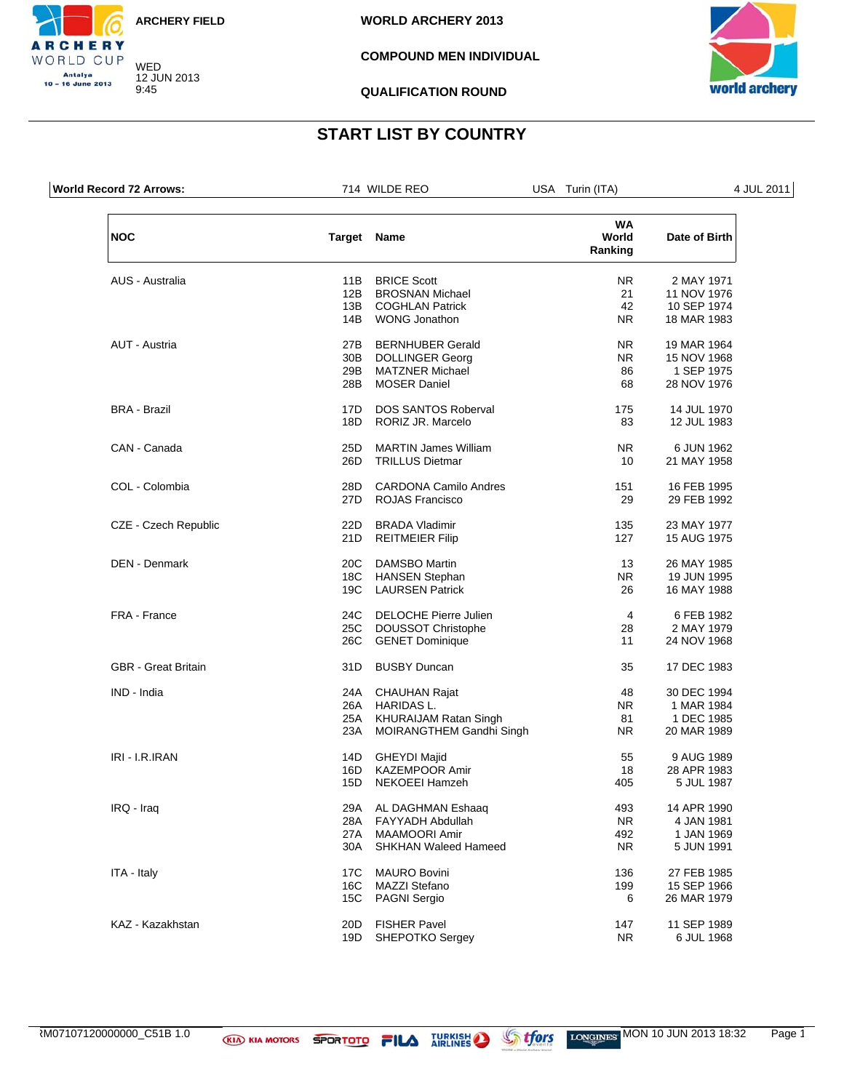![](_page_71_Picture_0.jpeg)

WED 12 JUN 2013

9:45

CHERY WORLD CUP Antalya<br>10 – 16 June 2013

**WORLD ARCHERY 2013**

### **COMPOUND MEN INDIVIDUAL**

![](_page_71_Picture_4.jpeg)

**QUALIFICATION ROUND**

| World Record 72 Arrows:    |                    | 714 WILDE REO                | USA Turin (ITA)               | 4 JUL 2011    |
|----------------------------|--------------------|------------------------------|-------------------------------|---------------|
| <b>NOC</b>                 | <b>Target Name</b> |                              | <b>WA</b><br>World<br>Ranking | Date of Birth |
| AUS - Australia            | 11B                | <b>BRICE Scott</b>           | NR.                           | 2 MAY 1971    |
|                            | 12B                | <b>BROSNAN Michael</b>       | 21                            | 11 NOV 1976   |
|                            | 13B                | <b>COGHLAN Patrick</b>       | 42                            | 10 SEP 1974   |
|                            | 14B                | <b>WONG Jonathon</b>         | NR.                           | 18 MAR 1983   |
| AUT - Austria              | 27B                | <b>BERNHUBER Gerald</b>      | NR.                           | 19 MAR 1964   |
|                            | 30B                | <b>DOLLINGER Georg</b>       | NR.                           | 15 NOV 1968   |
|                            | 29B                | <b>MATZNER Michael</b>       | 86                            | 1 SEP 1975    |
|                            | 28B                | <b>MOSER Daniel</b>          | 68                            | 28 NOV 1976   |
| <b>BRA - Brazil</b>        | 17D                | <b>DOS SANTOS Roberval</b>   | 175                           | 14 JUL 1970   |
|                            | 18D                | RORIZ JR. Marcelo            | 83                            | 12 JUL 1983   |
| CAN - Canada               | 25D                | <b>MARTIN James William</b>  | NR.                           | 6 JUN 1962    |
|                            | 26D                | <b>TRILLUS Dietmar</b>       | 10                            | 21 MAY 1958   |
| COL - Colombia             | 28D                | <b>CARDONA Camilo Andres</b> | 151                           | 16 FEB 1995   |
|                            | 27D                | ROJAS Francisco              | 29                            | 29 FEB 1992   |
| CZE - Czech Republic       | 22D                | <b>BRADA Vladimir</b>        | 135                           | 23 MAY 1977   |
|                            | 21D                | <b>REITMEIER Filip</b>       | 127                           | 15 AUG 1975   |
| <b>DEN</b> - Denmark       | 20C                | <b>DAMSBO Martin</b>         | 13                            | 26 MAY 1985   |
|                            | 18C                | <b>HANSEN Stephan</b>        | NR.                           | 19 JUN 1995   |
|                            | 19C                | <b>LAURSEN Patrick</b>       | 26                            | 16 MAY 1988   |
| FRA - France               | 24C                | DELOCHE Pierre Julien        | 4                             | 6 FEB 1982    |
|                            |                    | 25C DOUSSOT Christophe       | 28                            | 2 MAY 1979    |
|                            | 26C                | <b>GENET Dominique</b>       | 11                            | 24 NOV 1968   |
| <b>GBR</b> - Great Britain | 31D                | <b>BUSBY Duncan</b>          | 35                            | 17 DEC 1983   |
| IND - India                |                    | 24A CHAUHAN Rajat            | 48                            | 30 DEC 1994   |
|                            |                    | 26A HARIDAS L.               | NR.                           | 1 MAR 1984    |
|                            |                    | 25A KHURAIJAM Ratan Singh    | 81                            | 1 DEC 1985    |
|                            | 23A                | MOIRANGTHEM Gandhi Singh     | NR.                           | 20 MAR 1989   |
| IRI - I.R.IRAN             | 14D                | <b>GHEYDI Majid</b>          | 55                            | 9 AUG 1989    |
|                            | 16D                | <b>KAZEMPOOR Amir</b>        | 18                            | 28 APR 1983   |
|                            | 15D                | <b>NEKOEEI Hamzeh</b>        | 405                           | 5 JUL 1987    |
| IRQ - Iraq                 | 29A                | AL DAGHMAN Eshaaq            | 493                           | 14 APR 1990   |
|                            | 28A                | FAYYADH Abdullah             | NR.                           | 4 JAN 1981    |
|                            | 27A                | <b>MAAMOORI Amir</b>         | 492                           | 1 JAN 1969    |
|                            | 30A                | <b>SHKHAN Waleed Hameed</b>  | <b>NR</b>                     | 5 JUN 1991    |
| ITA - Italy                | 17C                | <b>MAURO Bovini</b>          | 136                           | 27 FEB 1985   |
|                            | 16C                | <b>MAZZI Stefano</b>         | 199                           | 15 SEP 1966   |
|                            | 15C                | <b>PAGNI Sergio</b>          | 6                             | 26 MAR 1979   |
| KAZ - Kazakhstan           | 20 <sub>D</sub>    | <b>FISHER Pavel</b>          | 147                           | 11 SEP 1989   |
|                            | 19D                | <b>SHEPOTKO Sergey</b>       | <b>NR</b>                     | 6 JUL 1968    |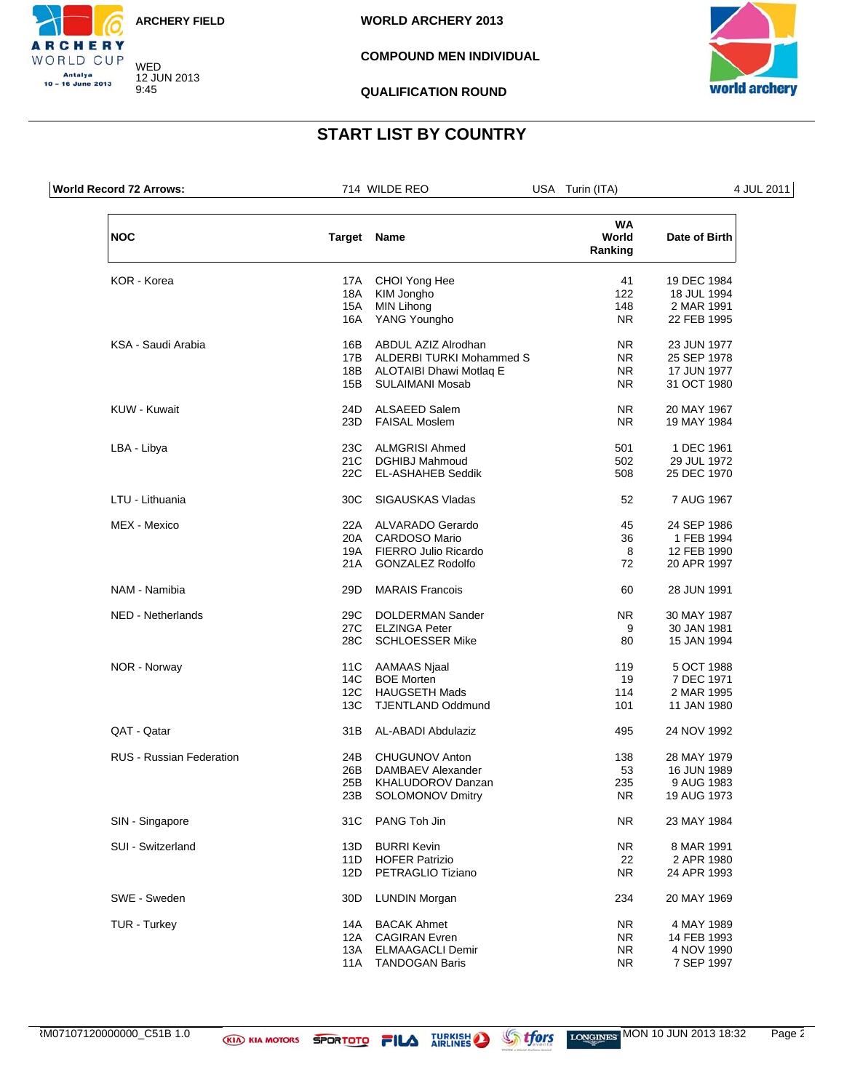

WED 12 JUN 2013

9:45

CHERY WORLD CUP Antalya<br>10 – 16 June 2013

**WORLD ARCHERY 2013**

#### **COMPOUND MEN INDIVIDUAL**



**QUALIFICATION ROUND**

# **START LIST BY COUNTRY**

| World Record 72 Arrows:         |                    | 714 WILDE REO               | USA Turin (ITA)               | 4 JUL 2011    |
|---------------------------------|--------------------|-----------------------------|-------------------------------|---------------|
| <b>NOC</b>                      | <b>Target Name</b> |                             | <b>WA</b><br>World<br>Ranking | Date of Birth |
| KOR - Korea                     |                    | 17A CHOI Yong Hee           | 41                            | 19 DEC 1984   |
|                                 | 18A                | KIM Jongho                  | 122                           | 18 JUL 1994   |
|                                 | 15A                | <b>MIN Lihong</b>           | 148                           | 2 MAR 1991    |
|                                 | 16A                | YANG Youngho                | NR.                           | 22 FEB 1995   |
| KSA - Saudi Arabia              | 16B                | ABDUL AZIZ Alrodhan         | NR.                           | 23 JUN 1977   |
|                                 | 17B                | ALDERBI TURKI Mohammed S    | NR.                           | 25 SEP 1978   |
|                                 |                    | 18B ALOTAIBI Dhawi Motlag E | NR.                           | 17 JUN 1977   |
|                                 | 15B                | <b>SULAIMANI Mosab</b>      | NR.                           | 31 OCT 1980   |
| KUW - Kuwait                    | 24D                | ALSAEED Salem               | NR.                           | 20 MAY 1967   |
|                                 | 23D                | <b>FAISAL Moslem</b>        | NR.                           | 19 MAY 1984   |
| LBA - Libya                     | 23C                | <b>ALMGRISI Ahmed</b>       | 501                           | 1 DEC 1961    |
|                                 | 21C                | <b>DGHIBJ Mahmoud</b>       | 502                           | 29 JUL 1972   |
|                                 | 22C                | <b>EL-ASHAHEB Seddik</b>    | 508                           | 25 DEC 1970   |
| LTU - Lithuania                 | 30 <sub>C</sub>    | <b>SIGAUSKAS Vladas</b>     | 52                            | 7 AUG 1967    |
| MEX - Mexico                    |                    | 22A ALVARADO Gerardo        | 45                            | 24 SEP 1986   |
|                                 |                    | 20A CARDOSO Mario           | 36                            | 1 FEB 1994    |
|                                 |                    | 19A FIERRO Julio Ricardo    | 8                             | 12 FEB 1990   |
|                                 | 21A                | <b>GONZALEZ Rodolfo</b>     | 72                            | 20 APR 1997   |
| NAM - Namibia                   | 29D                | <b>MARAIS Francois</b>      | 60                            | 28 JUN 1991   |
| NED - Netherlands               | 29C                | <b>DOLDERMAN Sander</b>     | NR.                           | 30 MAY 1987   |
|                                 | 27C                | <b>ELZINGA Peter</b>        | 9                             | 30 JAN 1981   |
|                                 | 28C                | <b>SCHLOESSER Mike</b>      | 80                            | 15 JAN 1994   |
| NOR - Norway                    | 11C                | AAMAAS Njaal                | 119                           | 5 OCT 1988    |
|                                 | 14C                | <b>BOE Morten</b>           | 19                            | 7 DEC 1971    |
|                                 | 12C                | <b>HAUGSETH Mads</b>        | 114                           | 2 MAR 1995    |
|                                 | 13C                | <b>TJENTLAND Oddmund</b>    | 101                           | 11 JAN 1980   |
| QAT - Qatar                     | 31B                | AL-ABADI Abdulaziz          | 495                           | 24 NOV 1992   |
| <b>RUS - Russian Federation</b> | 24B                | CHUGUNOV Anton              | 138                           | 28 MAY 1979   |
|                                 | 26B                | DAMBAEV Alexander           | 53                            | 16 JUN 1989   |
|                                 | 25B                | KHALUDOROV Danzan           | 235                           | 9 AUG 1983    |
|                                 | 23B                | <b>SOLOMONOV Dmitry</b>     | NR.                           | 19 AUG 1973   |
| SIN - Singapore                 | 31C                | PANG Toh Jin                | NR.                           | 23 MAY 1984   |
| SUI - Switzerland               | 13D                | <b>BURRI Kevin</b>          | NR.                           | 8 MAR 1991    |
|                                 | 11D                | <b>HOFER Patrizio</b>       | 22                            | 2 APR 1980    |
|                                 | 12D                | PETRAGLIO Tiziano           | <b>NR</b>                     | 24 APR 1993   |
| SWE - Sweden                    | 30 <sub>D</sub>    | <b>LUNDIN Morgan</b>        | 234                           | 20 MAY 1969   |
| TUR - Turkey                    | 14A                | <b>BACAK Ahmet</b>          | NR                            | 4 MAY 1989    |
|                                 | 12A                | <b>CAGIRAN Evren</b>        | <b>NR</b>                     | 14 FEB 1993   |
|                                 | 13A                | <b>ELMAAGACLI Demir</b>     | NR.                           | 4 NOV 1990    |
|                                 | 11A                | <b>TANDOGAN Baris</b>       | <b>NR</b>                     | 7 SEP 1997    |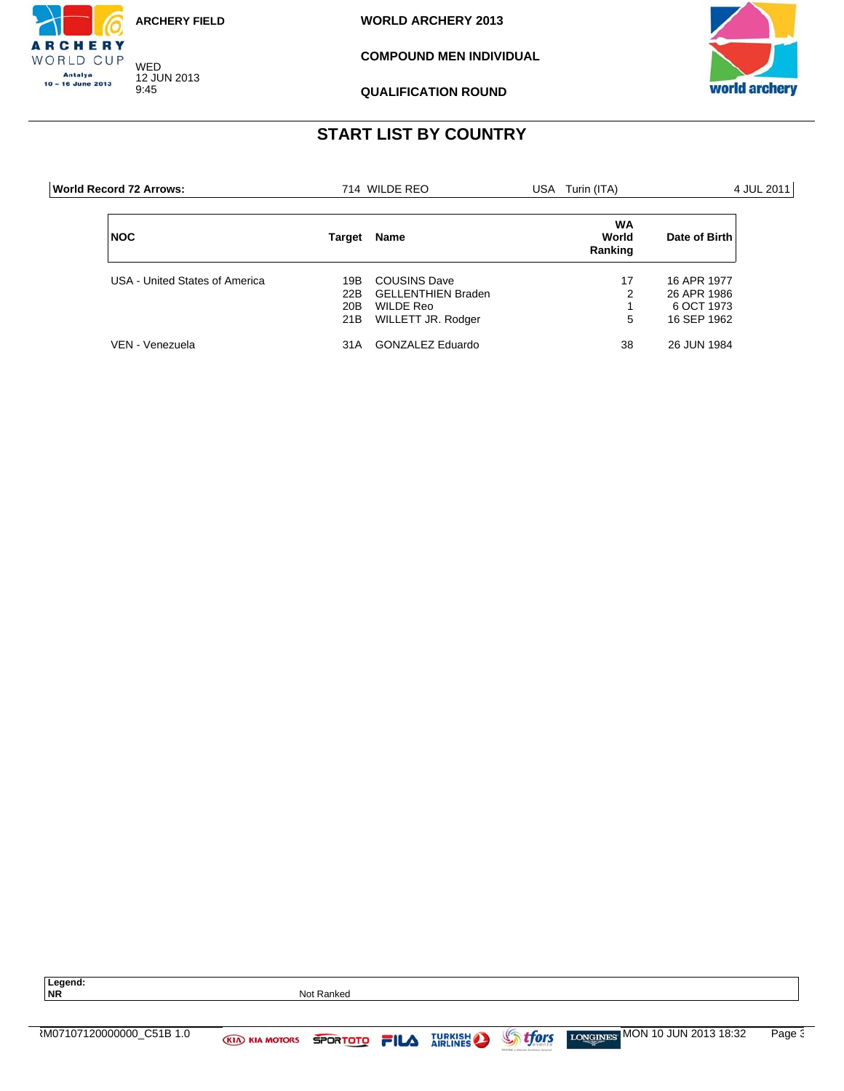

WED 12 JUN 2013 9:45

CHERY WORLD CUP Antalya<br>10 – 16 June 2013

**WORLD ARCHERY 2013**

**COMPOUND MEN INDIVIDUAL**



**QUALIFICATION ROUND**

# **START LIST BY COUNTRY**

| World Record 72 Arrows:        |                          | 714 WILDE REO                                                                       | USA Turin (ITA)               |                                                         | 4 JUL 2011 |
|--------------------------------|--------------------------|-------------------------------------------------------------------------------------|-------------------------------|---------------------------------------------------------|------------|
| <b>NOC</b>                     | Target                   | Name                                                                                | <b>WA</b><br>World<br>Ranking | Date of Birth                                           |            |
| USA - United States of America | 19B<br>22B<br>20B<br>21B | <b>COUSINS Dave</b><br><b>GELLENTHIEN Braden</b><br>WILDE Reo<br>WILLETT JR. Rodger | 17<br>2<br>5                  | 16 APR 1977<br>26 APR 1986<br>6 OCT 1973<br>16 SEP 1962 |            |
| VEN - Venezuela                | 31A                      | GONZALEZ Eduardo                                                                    | 38                            | 26 JUN 1984                                             |            |

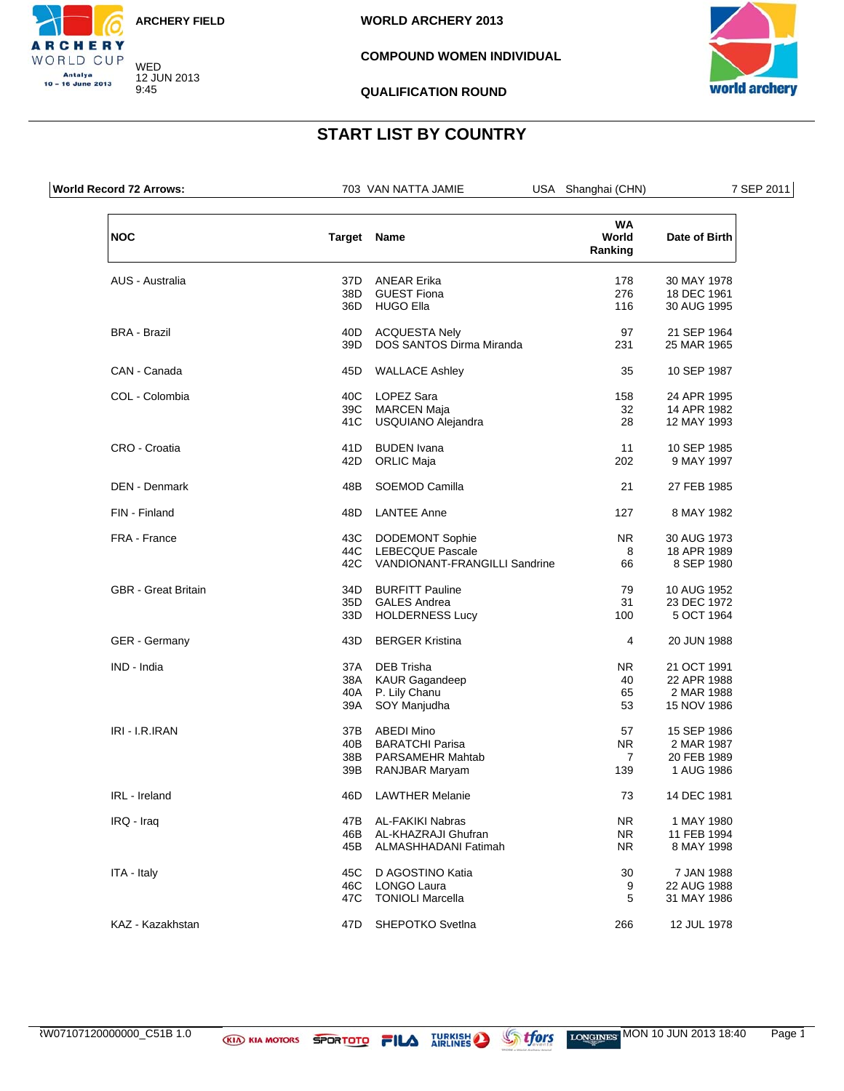

WED 12 JUN 2013 9:45

CHERY WORLD CUP Antalya<br>10 – 16 June 2013

#### **COMPOUND WOMEN INDIVIDUAL**



**QUALIFICATION ROUND**

# **START LIST BY COUNTRY**

| <b>World Record 72 Arrows:</b> |     | 703 VAN NATTA JAMIE           | USA Shanghai (CHN)            | 7 SEP 2011    |
|--------------------------------|-----|-------------------------------|-------------------------------|---------------|
| <b>NOC</b>                     |     | Target Name                   | <b>WA</b><br>World<br>Ranking | Date of Birth |
| AUS - Australia                | 37D | <b>ANEAR Erika</b>            | 178                           | 30 MAY 1978   |
|                                | 38D | <b>GUEST Fiona</b>            | 276                           | 18 DEC 1961   |
|                                | 36D | <b>HUGO Ella</b>              | 116                           | 30 AUG 1995   |
| <b>BRA - Brazil</b>            | 40D | <b>ACQUESTA Nely</b>          | 97                            | 21 SEP 1964   |
|                                | 39D | DOS SANTOS Dirma Miranda      | 231                           | 25 MAR 1965   |
| CAN - Canada                   | 45D | <b>WALLACE Ashley</b>         | 35                            | 10 SEP 1987   |
| COL - Colombia                 | 40C | <b>LOPEZ Sara</b>             | 158                           | 24 APR 1995   |
|                                | 39C | <b>MARCEN Maja</b>            | 32                            | 14 APR 1982   |
|                                | 41C | USQUIANO Alejandra            | 28                            | 12 MAY 1993   |
| CRO - Croatia                  | 41D | <b>BUDEN</b> Ivana            | 11                            | 10 SEP 1985   |
|                                | 42D | <b>ORLIC Maja</b>             | 202                           | 9 MAY 1997    |
| <b>DEN - Denmark</b>           | 48B | SOEMOD Camilla                | 21                            | 27 FEB 1985   |
| FIN - Finland                  | 48D | <b>LANTEE Anne</b>            | 127                           | 8 MAY 1982    |
| FRA - France                   | 43C | <b>DODEMONT Sophie</b>        | NR.                           | 30 AUG 1973   |
|                                | 44C | <b>LEBECQUE Pascale</b>       | 8                             | 18 APR 1989   |
|                                | 42C | VANDIONANT-FRANGILLI Sandrine | 66                            | 8 SEP 1980    |
| <b>GBR</b> - Great Britain     | 34D | <b>BURFITT Pauline</b>        | 79                            | 10 AUG 1952   |
|                                | 35D | <b>GALES Andrea</b>           | 31                            | 23 DEC 1972   |
|                                | 33D | <b>HOLDERNESS Lucy</b>        | 100                           | 5 OCT 1964    |
| GER - Germany                  | 43D | <b>BERGER Kristina</b>        | 4                             | 20 JUN 1988   |
| IND - India                    | 37A | <b>DEB Trisha</b>             | NR.                           | 21 OCT 1991   |
|                                | 38A | <b>KAUR Gagandeep</b>         | 40                            | 22 APR 1988   |
|                                |     | 40A P. Lily Chanu             | 65                            | 2 MAR 1988    |
|                                | 39A | SOY Manjudha                  | 53                            | 15 NOV 1986   |
| IRI - I.R.IRAN                 | 37B | <b>ABEDI Mino</b>             | 57                            | 15 SEP 1986   |
|                                | 40B | <b>BARATCHI Parisa</b>        | <b>NR</b>                     | 2 MAR 1987    |
|                                | 38B | PARSAMEHR Mahtab              | $\overline{7}$                | 20 FEB 1989   |
|                                | 39B | RANJBAR Maryam                | 139                           | 1 AUG 1986    |
| IRL - Ireland                  | 46D | <b>LAWTHER Melanie</b>        | 73                            | 14 DEC 1981   |
| IRQ - Iraq                     | 47B | AL-FAKIKI Nabras              | NR.                           | 1 MAY 1980    |
|                                | 46B | AL-KHAZRAJI Ghufran           | NR.                           | 11 FEB 1994   |
|                                | 45B | ALMASHHADANI Fatimah          | NR.                           | 8 MAY 1998    |
| ITA - Italy                    | 45C | D AGOSTINO Katia              | 30                            | 7 JAN 1988    |
|                                | 46C | <b>LONGO Laura</b>            | 9                             | 22 AUG 1988   |
|                                | 47C | <b>TONIOLI Marcella</b>       | 5                             | 31 MAY 1986   |
| KAZ - Kazakhstan               | 47D | SHEPOTKO Svetlna              | 266                           | 12 JUL 1978   |
|                                |     |                               |                               |               |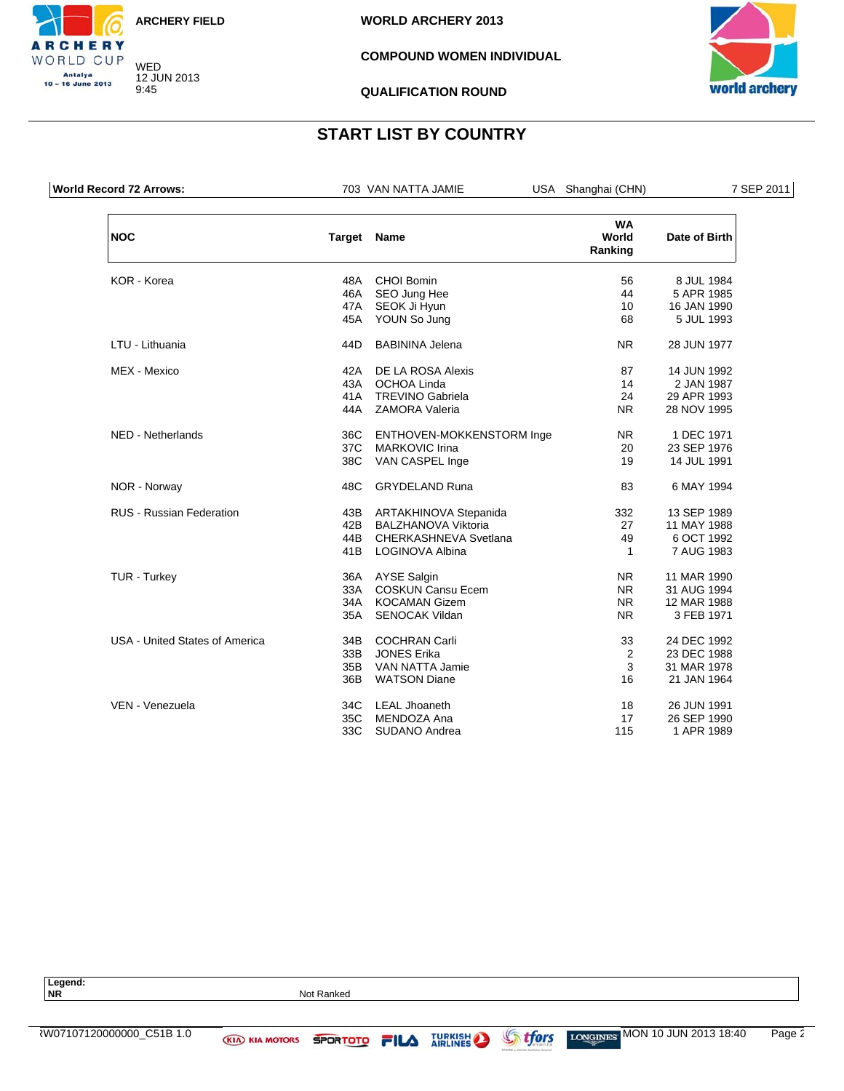

WED 12 JUN 2013 9:45

CHERY WORLD CUP Antalya<br>10 – 16 June 2013

**WORLD ARCHERY 2013**

#### **COMPOUND WOMEN INDIVIDUAL**



**QUALIFICATION ROUND**

## **START LIST BY COUNTRY**

| <b>World Record 72 Arrows:</b> |     | 703 VAN NATTA JAMIE        | USA Shanghai (CHN)            | 7 SEP 2011    |
|--------------------------------|-----|----------------------------|-------------------------------|---------------|
| <b>NOC</b>                     |     | Target Name                | <b>WA</b><br>World<br>Ranking | Date of Birth |
| <b>KOR</b> - Korea             | 48A | <b>CHOI Bomin</b>          | 56                            | 8 JUL 1984    |
|                                | 46A | SEO Jung Hee               | 44                            | 5 APR 1985    |
|                                | 47A | SEOK Ji Hyun               | 10                            | 16 JAN 1990   |
|                                |     | 45A YOUN So Jung           | 68                            | 5 JUL 1993    |
| LTU - Lithuania                | 44D | <b>BABININA Jelena</b>     | <b>NR</b>                     | 28 JUN 1977   |
| MEX - Mexico                   | 42A | DE LA ROSA Alexis          | 87                            | 14 JUN 1992   |
|                                | 43A | OCHOA Linda                | 14                            | 2 JAN 1987    |
|                                | 41A | <b>TREVINO Gabriela</b>    | 24                            | 29 APR 1993   |
|                                | 44A | <b>ZAMORA Valeria</b>      | N <sub>R</sub>                | 28 NOV 1995   |
| NED - Netherlands              | 36C | ENTHOVEN-MOKKENSTORM Inge  | <b>NR</b>                     | 1 DEC 1971    |
|                                | 37C | <b>MARKOVIC Irina</b>      | 20                            | 23 SEP 1976   |
|                                | 38C | VAN CASPEL Inge            | 19                            | 14 JUL 1991   |
| NOR - Norway                   | 48C | <b>GRYDELAND Runa</b>      | 83                            | 6 MAY 1994    |
| RUS - Russian Federation       | 43B | ARTAKHINOVA Stepanida      | 332                           | 13 SEP 1989   |
|                                | 42B | <b>BALZHANOVA Viktoria</b> | 27                            | 11 MAY 1988   |
|                                | 44B | CHERKASHNEVA Svetlana      | 49                            | 6 OCT 1992    |
|                                | 41B | LOGINOVA Albina            | $\mathbf{1}$                  | 7 AUG 1983    |
| TUR - Turkey                   |     | 36A AYSE Salgin            | <b>NR</b>                     | 11 MAR 1990   |
|                                | 33A | <b>COSKUN Cansu Ecem</b>   | <b>NR</b>                     | 31 AUG 1994   |
|                                | 34A | <b>KOCAMAN Gizem</b>       | <b>NR</b>                     | 12 MAR 1988   |
|                                | 35A | <b>SENOCAK Vildan</b>      | N <sub>R</sub>                | 3 FEB 1971    |
| USA - United States of America | 34B | <b>COCHRAN Carli</b>       | 33                            | 24 DEC 1992   |
|                                | 33B | <b>JONES Erika</b>         | 2                             | 23 DEC 1988   |
|                                | 35B | <b>VAN NATTA Jamie</b>     | 3                             | 31 MAR 1978   |
|                                | 36B | <b>WATSON Diane</b>        | 16                            | 21 JAN 1964   |
| VEN - Venezuela                | 34C | <b>LEAL Jhoaneth</b>       | 18                            | 26 JUN 1991   |
|                                | 35C | MENDOZA Ana                | 17                            | 26 SEP 1990   |
|                                | 33C | SUDANO Andrea              | 115                           | 1 APR 1989    |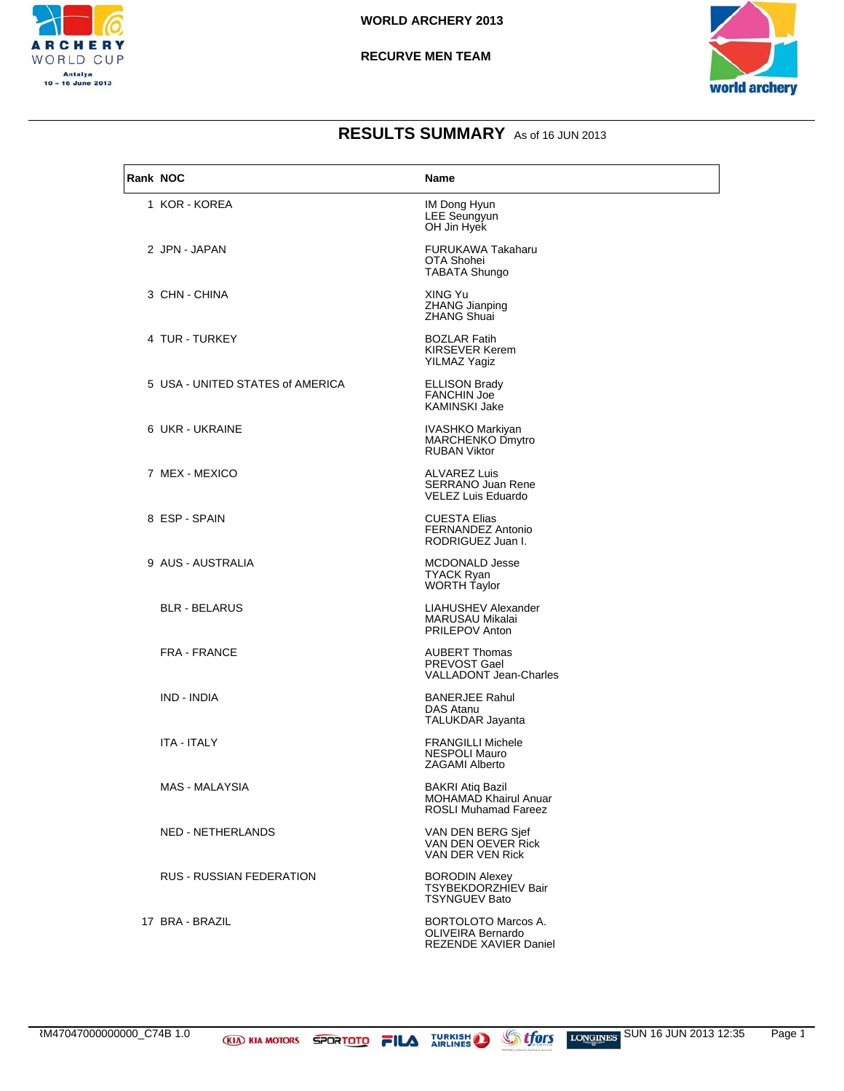



| Rank NOC |                                  | Name                                                                                   |
|----------|----------------------------------|----------------------------------------------------------------------------------------|
|          | 1 KOR - KOREA                    | IM Dong Hyun<br>LEE Seungyun<br>OH Jin Hyek                                            |
|          | 2 JPN - JAPAN                    | FURUKAWA Takaharu<br>OTA Shohei<br>TABATA Shungo                                       |
|          | 3 CHN - CHINA                    | XING Yu<br><b>ZHANG Jianping</b><br><b>ZHANG Shuai</b>                                 |
|          | 4 TUR - TURKEY                   | <b>BOZLAR Fatih</b><br><b>KIRSEVER Kerem</b><br><b>YILMAZ Yagiz</b>                    |
|          | 5 USA - UNITED STATES of AMERICA | <b>ELLISON Brady</b><br><b>FANCHIN Joe</b><br>KAMINSKI Jake                            |
|          | 6 UKR - UKRAINE                  | IVASHKO Markiyan<br><b>MARCHENKO Dmytro</b><br><b>RUBAN Viktor</b>                     |
|          | 7 MEX - MEXICO                   | <b>ALVAREZ Luis</b><br><b>SERRANO Juan Rene</b><br><b>VELEZ Luis Eduardo</b>           |
|          | 8 ESP - SPAIN                    | <b>CUESTA Elias</b><br><b>FERNANDEZ Antonio</b><br>RODRIGUEZ Juan I.                   |
|          | 9 AUS - AUSTRALIA                | <b>MCDONALD Jesse</b><br>TYACK Ryan<br><b>WORTH Taylor</b>                             |
|          | <b>BLR - BELARUS</b>             | LIAHUSHEV Alexander<br>MARUSAU Mikalai<br><b>PRILEPOV Anton</b>                        |
|          | FRA - FRANCE                     | <b>AUBERT Thomas</b><br>PREVOST Gael<br><b>VALLADONT Jean-Charles</b>                  |
|          | IND - INDIA                      | <b>BANERJEE Rahul</b><br>DAS Atanu<br>TALUKDAR Jayanta                                 |
|          | ITA - ITALY                      | <b>FRANGILLI Michele</b><br><b>NESPOLI Mauro</b><br>ZAGAMI Alberto                     |
|          | <b>MAS - MALAYSIA</b>            | <b>BAKRI Atiq Bazil</b><br><b>MOHAMAD Khairul Anuar</b><br><b>ROSLI Muhamad Fareez</b> |
|          | NED - NETHERLANDS                | VAN DEN BERG Sief<br>VAN DEN OEVER Rick<br>VAN DER VEN Rick                            |
|          | <b>RUS - RUSSIAN FEDERATION</b>  | <b>BORODIN Alexey</b><br><b>TSYBEKDORZHIEV Bair</b><br><b>TSYNGUEV Bato</b>            |
|          | 17 BRA - BRAZIL                  | <b>BORTOLOTO Marcos A.</b><br>OLIVEIRA Bernardo<br>REZENDE XAVIER Daniel               |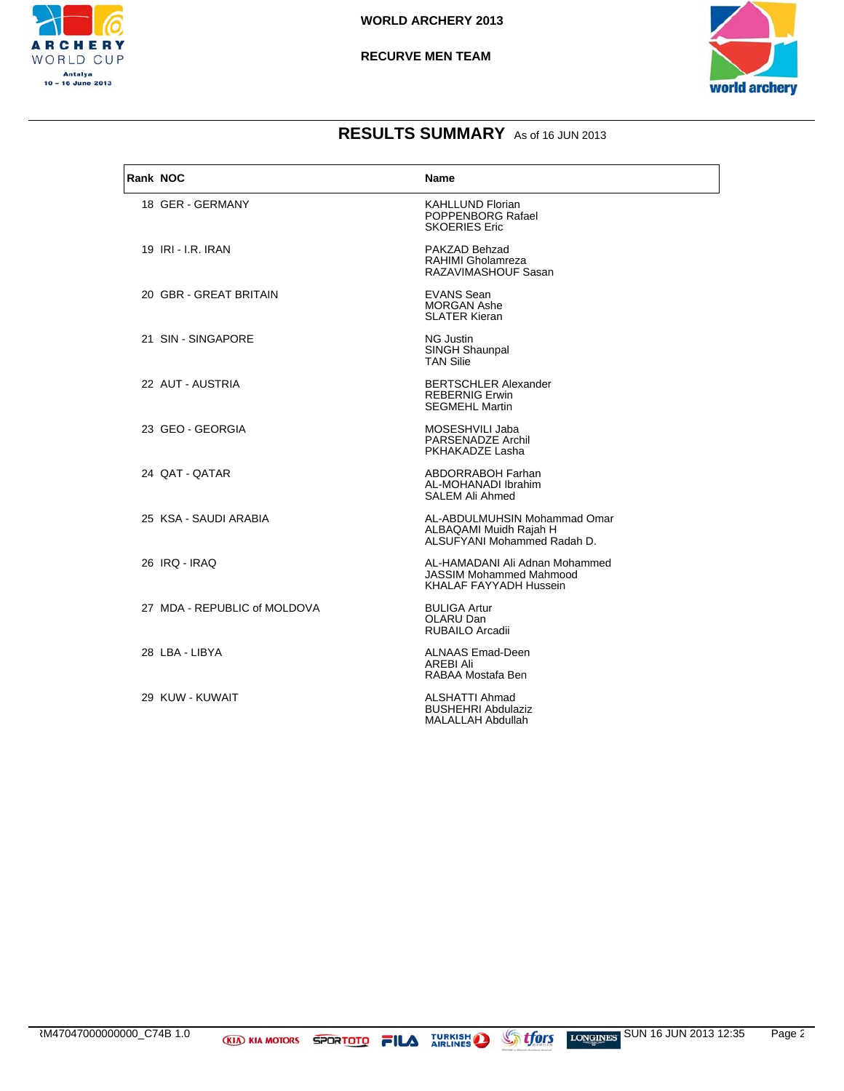



| Rank NOC |                              | <b>Name</b>                                                                                |
|----------|------------------------------|--------------------------------------------------------------------------------------------|
|          | 18 GER - GERMANY             | <b>KAHLLUND Florian</b><br>POPPENBORG Rafael<br><b>SKOERIES Eric</b>                       |
|          | 19 <b>IRI - I.R. IRAN</b>    | PAKZAD Behzad<br>RAHIMI Gholamreza<br>RAZAVIMASHOUF Sasan                                  |
|          | 20 GBR - GREAT BRITAIN       | <b>EVANS Sean</b><br><b>MORGAN Ashe</b><br><b>SLATER Kieran</b>                            |
|          | 21 SIN - SINGAPORE           | <b>NG Justin</b><br>SINGH Shaunpal<br><b>TAN Silie</b>                                     |
|          | 22 AUT - AUSTRIA             | <b>BERTSCHLER Alexander</b><br><b>REBERNIG Erwin</b><br><b>SEGMEHL Martin</b>              |
|          | 23 GEO - GEORGIA             | MOSESHVILI Jaba<br>PARSENADZE Archil<br>PKHAKADZE Lasha                                    |
|          | 24 QAT - QATAR               | ABDORRABOH Farhan<br>AL-MOHANADI Ibrahim<br>SALEM Ali Ahmed                                |
|          | 25 KSA - SAUDI ARABIA        | AL-ABDULMUHSIN Mohammad Omar<br>ALBAQAMI Muidh Rajah H<br>ALSUFYANI Mohammed Radah D.      |
|          | 26 IRQ - IRAQ                | AL-HAMADANI Ali Adnan Mohammed<br><b>JASSIM Mohammed Mahmood</b><br>KHALAF FAYYADH Hussein |
|          | 27 MDA - REPUBLIC of MOLDOVA | <b>BULIGA Artur</b><br>OLARU Dan<br>RUBAILO Arcadii                                        |
|          | 28 LBA - LIBYA               | <b>ALNAAS Emad-Deen</b><br><b>AREBI Ali</b><br>RABAA Mostafa Ben                           |
|          | 29 KUW - KUWAIT              | ALSHATTI Ahmad<br><b>BUSHEHRI Abdulaziz</b><br>MALALLAH Abdullah                           |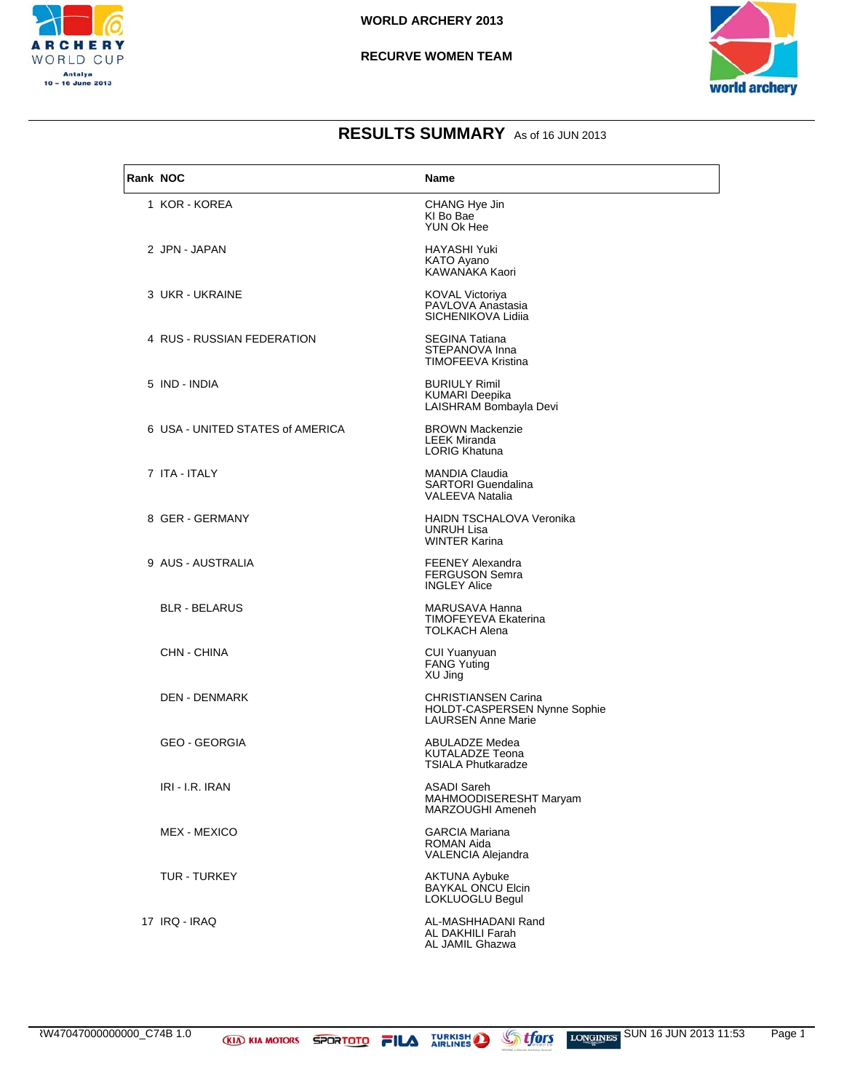

#### **RECURVE WOMEN TEAM**



| Rank NOC |                                  | Name                                                                             |
|----------|----------------------------------|----------------------------------------------------------------------------------|
|          | 1 KOR - KOREA                    | CHANG Hye Jin<br>KI Bo Bae<br>YUN Ok Hee                                         |
|          | 2 JPN - JAPAN                    | HAYASHI Yuki<br><b>KATO Ayano</b><br>KAWANAKA Kaori                              |
|          | 3 UKR - UKRAINE                  | <b>KOVAL Victoriya</b><br>PAVLOVA Anastasia<br>SICHENIKOVA Lidija                |
|          | 4 RUS - RUSSIAN FEDERATION       | <b>SEGINA Tatiana</b><br>STEPANOVA Inna<br>TIMOFEEVA Kristina                    |
|          | 5 IND - INDIA                    | <b>BURIULY Rimil</b><br><b>KUMARI Deepika</b><br>LAISHRAM Bombayla Devi          |
|          | 6 USA - UNITED STATES of AMERICA | <b>BROWN Mackenzie</b><br><b>LEEK Miranda</b><br><b>LORIG Khatuna</b>            |
|          | 7 ITA - ITALY                    | <b>MANDIA Claudia</b><br><b>SARTORI</b> Guendalina<br><b>VALEEVA Natalia</b>     |
|          | 8 GER - GERMANY                  | <b>HAIDN TSCHALOVA Veronika</b><br><b>UNRUH Lisa</b><br><b>WINTER Karina</b>     |
|          | 9 AUS - AUSTRALIA                | <b>FEENEY Alexandra</b><br><b>FERGUSON Semra</b><br><b>INGLEY Alice</b>          |
|          | <b>BLR - BELARUS</b>             | MARUSAVA Hanna<br>TIMOFEYEVA Ekaterina<br><b>TOLKACH Alena</b>                   |
|          | CHN - CHINA                      | CUI Yuanyuan<br><b>FANG Yuting</b><br>XU Jing                                    |
|          | <b>DEN - DENMARK</b>             | CHRISTIANSEN Carina<br>HOLDT-CASPERSEN Nynne Sophie<br><b>LAURSEN Anne Marie</b> |
|          | <b>GEO - GEORGIA</b>             | ABULADZE Medea<br>KUTALADZE Teona<br><b>TSIALA Phutkaradze</b>                   |
|          | IRI - I.R. IRAN                  | ASADI Sareh<br>MAHMOODISERESHT Maryam<br>MARZOUGHI Ameneh                        |
|          | MEX - MEXICO                     | <b>GARCIA Mariana</b><br>ROMAN Aida<br>VALENCIA Alejandra                        |
|          | TUR - TURKEY                     | AKTUNA Aybuke<br><b>BAYKAL ONCU Elcin</b><br>LOKLUOGLU Begul                     |
|          | 17 IRQ - IRAQ                    | AL-MASHHADANI Rand<br>AL DAKHILI Farah<br>AL JAMIL Ghazwa                        |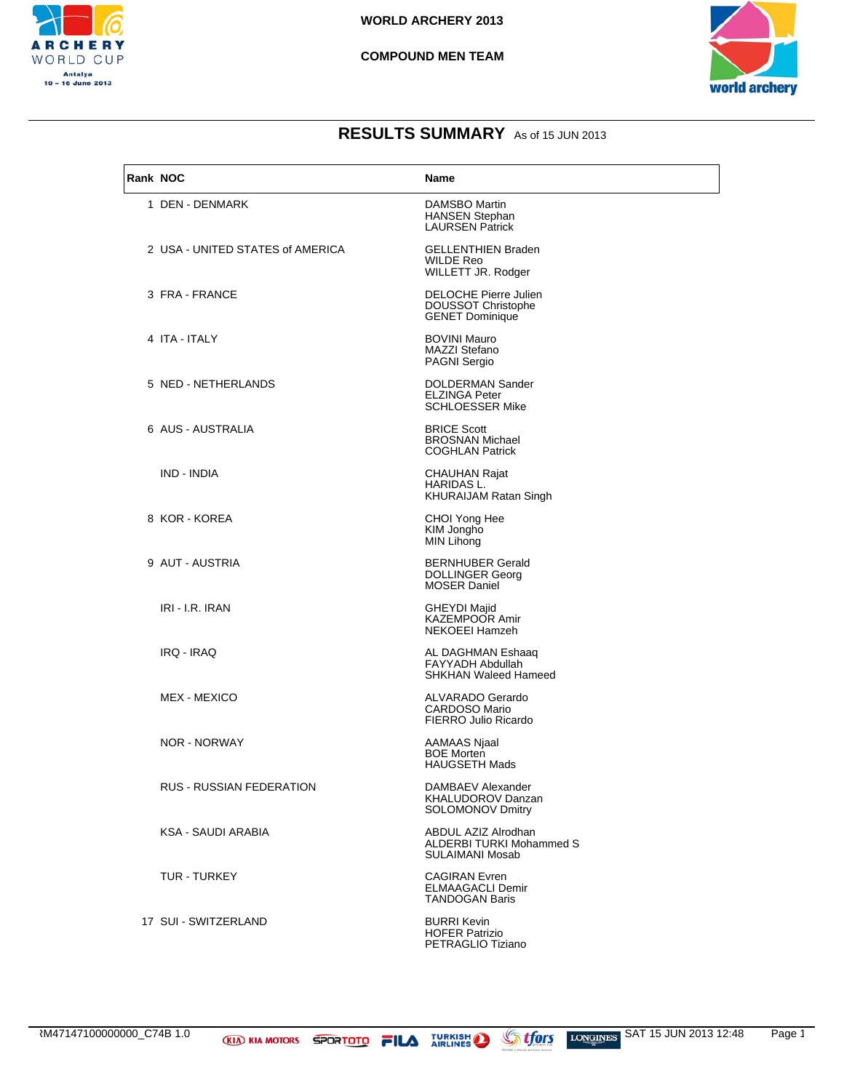

#### **COMPOUND MEN TEAM**



## **RESULTS SUMMARY** As of 15 JUN 2013

| Rank NOC |                                  | Name                                                                             |
|----------|----------------------------------|----------------------------------------------------------------------------------|
|          | 1 DEN - DENMARK                  | DAMSBO Martin<br><b>HANSEN Stephan</b><br><b>LAURSEN Patrick</b>                 |
|          | 2 USA - UNITED STATES of AMERICA | <b>GELLENTHIEN Braden</b><br>WILDE Reo<br>WILLETT JR. Rodger                     |
|          | 3 FRA - FRANCE                   | DELOCHE Pierre Julien<br><b>DOUSSOT Christophe</b><br><b>GENET Dominique</b>     |
|          | 4 ITA - ITALY                    | <b>BOVINI Mauro</b><br>MAZZI Stefano<br>PAGNI Sergio                             |
|          | 5 NED - NETHERLANDS              | DOLDERMAN Sander<br>ELZINGA Peter<br><b>SCHLOESSER Mike</b>                      |
|          | 6 AUS - AUSTRALIA                | <b>BRICE Scott</b><br><b>BROSNAN Michael</b><br><b>COGHLAN Patrick</b>           |
|          | IND - INDIA                      | <b>CHAUHAN Rajat</b><br>HARIDAS L.<br>KHURAIJAM Ratan Singh                      |
|          | 8 KOR - KOREA                    | CHOI Yong Hee<br>KIM Jongho<br><b>MIN Lihong</b>                                 |
|          | 9 AUT - AUSTRIA                  | <b>BERNHUBER Gerald</b><br><b>DOLLINGER Georg</b><br><b>MOSER Daniel</b>         |
|          | IRI - I.R. IRAN                  | <b>GHEYDI Majid</b><br>KAZEMPOOR Amir<br>NEKOEEI Hamzeh                          |
|          | IRQ - IRAQ                       | AL DAGHMAN Eshaaq<br>FAYYADH Abdullah<br><b>SHKHAN Waleed Hameed</b>             |
|          | MEX - MEXICO                     | ALVARADO Gerardo<br><b>CARDOSO Mario</b><br>FIERRO Julio Ricardo                 |
|          | NOR - NORWAY                     | AAMAAS Njaal<br><b>BOE Morten</b><br><b>HAUGSETH Mads</b>                        |
|          | RUS - RUSSIAN FEDERATION         | DAMBAEV Alexander<br>KHALUDOROV Danzan<br><b>SOLOMONOV Dmitry</b>                |
|          | KSA - SAUDI ARABIA               | ABDUL AZIZ Alrodhan<br><b>ALDERBI TURKI Mohammed S</b><br><b>SULAIMANI Mosab</b> |
|          | <b>TUR - TURKEY</b>              | <b>CAGIRAN Evren</b><br><b>ELMAAGACLI Demir</b><br><b>TANDOGAN Baris</b>         |
|          | 17 SUI - SWITZERLAND             | <b>BURRI Kevin</b><br><b>HOFER Patrizio</b>                                      |



PETRAGLIO Tiziano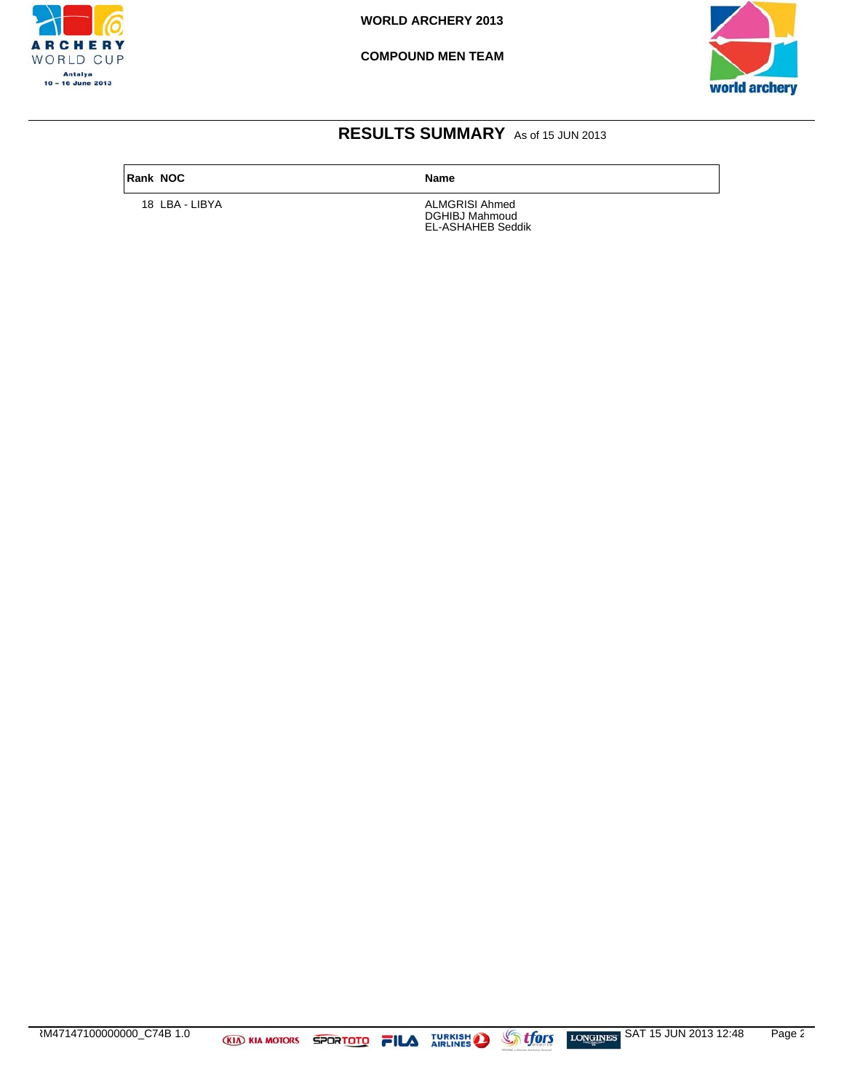

**COMPOUND MEN TEAM**



## **RESULTS SUMMARY** As of 15 JUN 2013

#### **Rank NOC Name**

18 LBA - LIBYA **ALMGRISI Ahmed** DGHIBJ Mahmoud EL-ASHAHEB Seddik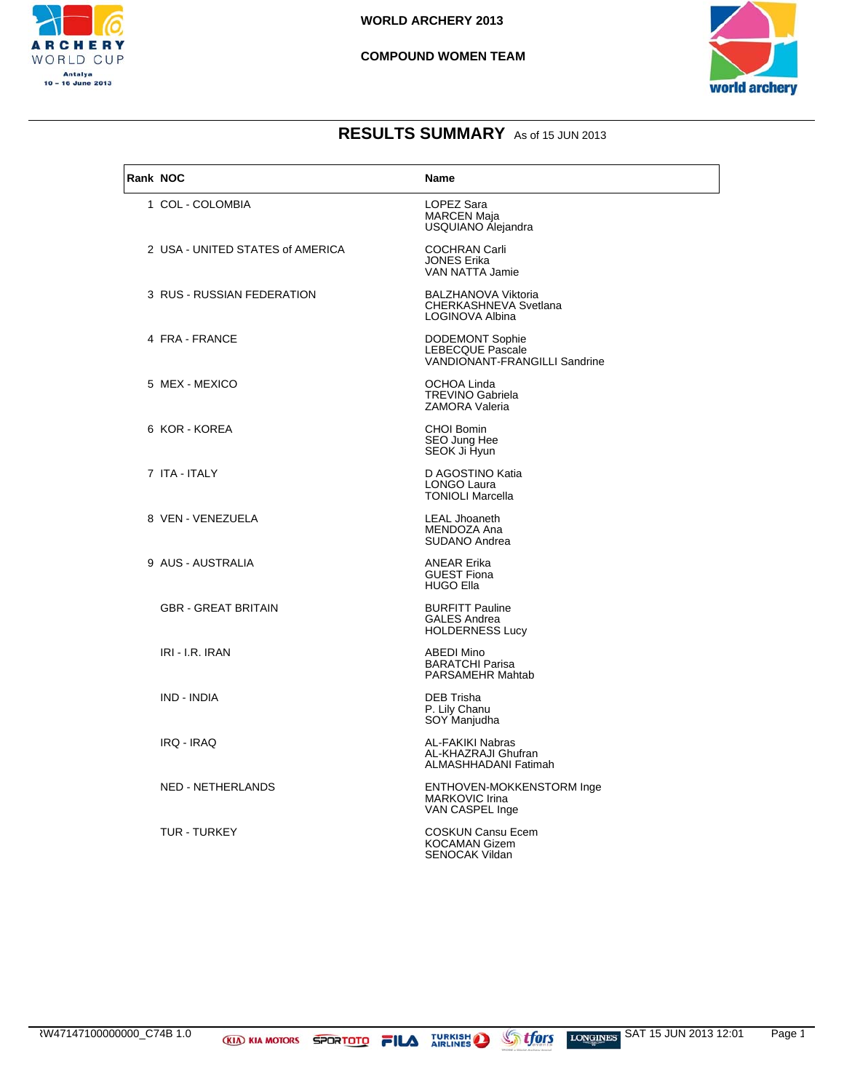

#### **COMPOUND WOMEN TEAM**



| Rank NOC |                                  | <b>Name</b>                                                                 |
|----------|----------------------------------|-----------------------------------------------------------------------------|
|          | 1 COL - COLOMBIA                 | LOPEZ Sara<br><b>MARCEN Maja</b><br>USQUIANO Alejandra                      |
|          | 2 USA - UNITED STATES of AMERICA | <b>COCHRAN Carli</b><br><b>JONES Erika</b><br>VAN NATTA Jamie               |
|          | 3 RUS - RUSSIAN FEDERATION       | <b>BALZHANOVA Viktoria</b><br>CHERKASHNEVA Svetlana<br>LOGINOVA Albina      |
|          | 4 FRA - FRANCE                   | <b>DODEMONT Sophie</b><br>LEBECQUE Pascale<br>VANDIONANT-FRANGILLI Sandrine |
|          | 5 MEX - MEXICO                   | OCHOA Linda<br><b>TREVINO Gabriela</b><br><b>ZAMORA Valeria</b>             |
|          | 6 KOR - KOREA                    | <b>CHOI Bomin</b><br>SEO Jung Hee<br>SEOK Ji Hyun                           |
|          | 7 ITA - ITALY                    | D AGOSTINO Katia<br>LONGO Laura<br><b>TONIOLI Marcella</b>                  |
|          | 8 VEN - VENEZUELA                | <b>LEAL Jhoaneth</b><br>MENDOZA Ana<br>SUDANO Andrea                        |
|          | 9 AUS - AUSTRALIA                | <b>ANEAR Erika</b><br><b>GUEST Fiona</b><br><b>HUGO Ella</b>                |
|          | <b>GBR - GREAT BRITAIN</b>       | <b>BURFITT Pauline</b><br><b>GALES Andrea</b><br><b>HOLDERNESS Lucy</b>     |
|          | IRI - I.R. IRAN                  | <b>ABEDI Mino</b><br><b>BARATCHI Parisa</b><br>PARSAMEHR Mahtab             |
|          | IND - INDIA                      | DEB Trisha<br>P. Lily Chanu<br>SOY Manjudha                                 |
|          | IRQ - IRAQ                       | AL-FAKIKI Nabras<br>AL-KHAZRAJI Ghufran<br>ALMASHHADANI Fatimah             |
|          | NED - NETHERLANDS                | ENTHOVEN-MOKKENSTORM Inge<br><b>MARKOVIC Irina</b><br>VAN CASPEL Inge       |
|          | <b>TUR - TURKEY</b>              | <b>COSKUN Cansu Ecem</b><br><b>KOCAMAN Gizem</b><br><b>SENOCAK Vildan</b>   |

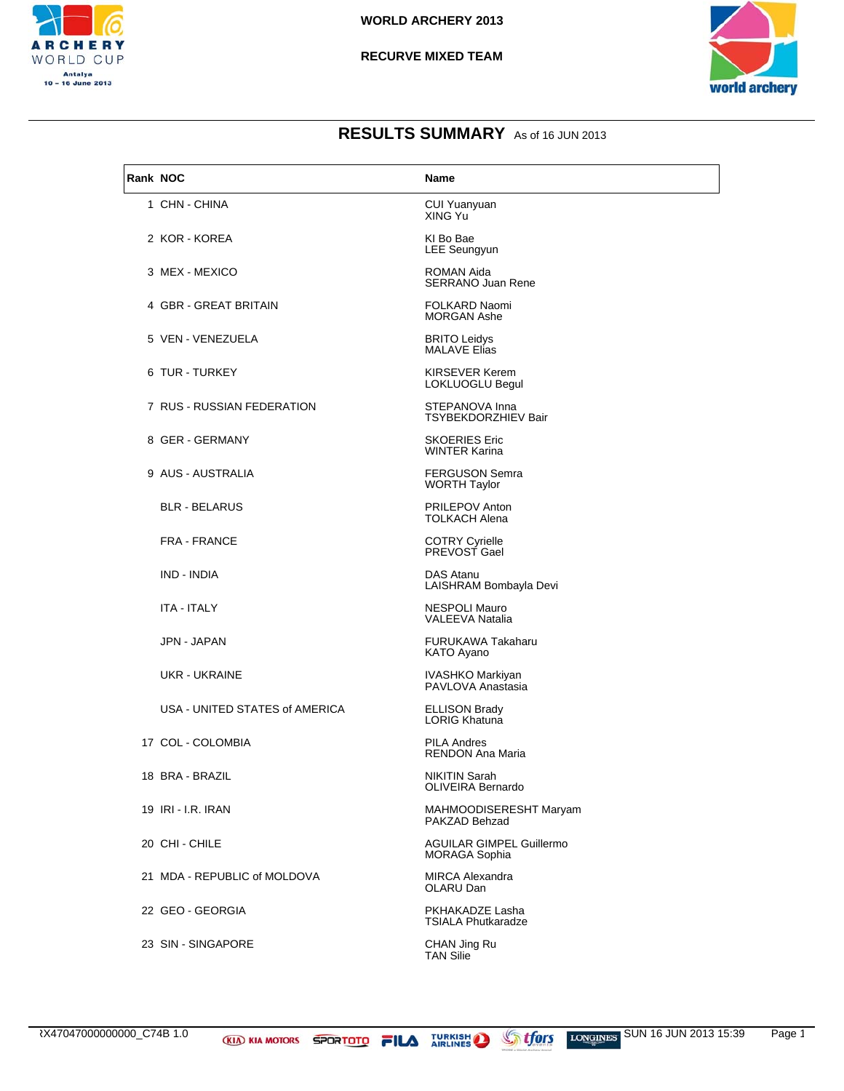

#### **RECURVE MIXED TEAM**



| Rank NOC |                                | Name                                                    |
|----------|--------------------------------|---------------------------------------------------------|
|          | 1 CHN - CHINA                  | <b>CUI Yuanyuan</b><br>XING Yu                          |
|          | 2 KOR - KOREA                  | KI Bo Bae<br><b>LEE Seungyun</b>                        |
|          | 3 MEX - MEXICO                 | ROMAN Aida<br><b>SERRANO Juan Rene</b>                  |
|          | 4 GBR - GREAT BRITAIN          | <b>FOLKARD Naomi</b><br><b>MORGAN Ashe</b>              |
|          | 5 VEN - VENEZUELA              | <b>BRITO Leidys</b><br><b>MALAVE Elias</b>              |
|          | 6 TUR - TURKEY                 | KIRSEVER Kerem<br>LOKLUOGLU Begul                       |
|          | 7 RUS - RUSSIAN FEDERATION     | STEPANOVA Inna<br>TSYBEKDORZHIEV Bair                   |
|          | 8 GER - GERMANY                | <b>SKOERIES Eric</b><br><b>WINTER Karina</b>            |
|          | 9 AUS - AUSTRALIA              | <b>FERGUSON Semra</b><br><b>WORTH Taylor</b>            |
|          | <b>BLR - BELARUS</b>           | <b>PRILEPOV Anton</b><br><b>TOLKACH Alena</b>           |
|          | <b>FRA - FRANCE</b>            | <b>COTRY Cyrielle</b><br>PREVOST Gael                   |
|          | IND - INDIA                    | DAS Atanu<br>LAISHRAM Bombayla Devi                     |
|          | ITA - ITALY                    | NESPOLI Mauro<br>VALEEVA Natalia                        |
|          | JPN - JAPAN                    | FURUKAWA Takaharu<br>KATO Ayano                         |
|          | UKR - UKRAINE                  | IVASHKO Markiyan<br>PAVLOVA Anastasia                   |
|          | USA - UNITED STATES of AMERICA | <b>ELLISON Brady</b><br><b>LORIG Khatuna</b>            |
|          | 17 COL - COLOMBIA              | <b>PILA Andres</b><br><b>RENDON Ana Maria</b>           |
|          | 18 BRA - BRAZIL                | <b>NIKITIN Sarah</b><br><b>OLIVEIRA Bernardo</b>        |
|          | 19 IRI - I.R. IRAN             | MAHMOODISERESHT Maryam<br>PAKZAD Behzad                 |
|          | 20 CHI - CHILE                 | <b>AGUILAR GIMPEL Guillermo</b><br><b>MORAGA Sophia</b> |
|          | 21 MDA - REPUBLIC of MOLDOVA   | <b>MIRCA Alexandra</b><br>OLARU Dan                     |
|          | 22 GEO - GEORGIA               | PKHAKADZE Lasha<br><b>TSIALA Phutkaradze</b>            |
|          | 23 SIN - SINGAPORE             | CHAN Jing Ru<br><b>TAN Silie</b>                        |

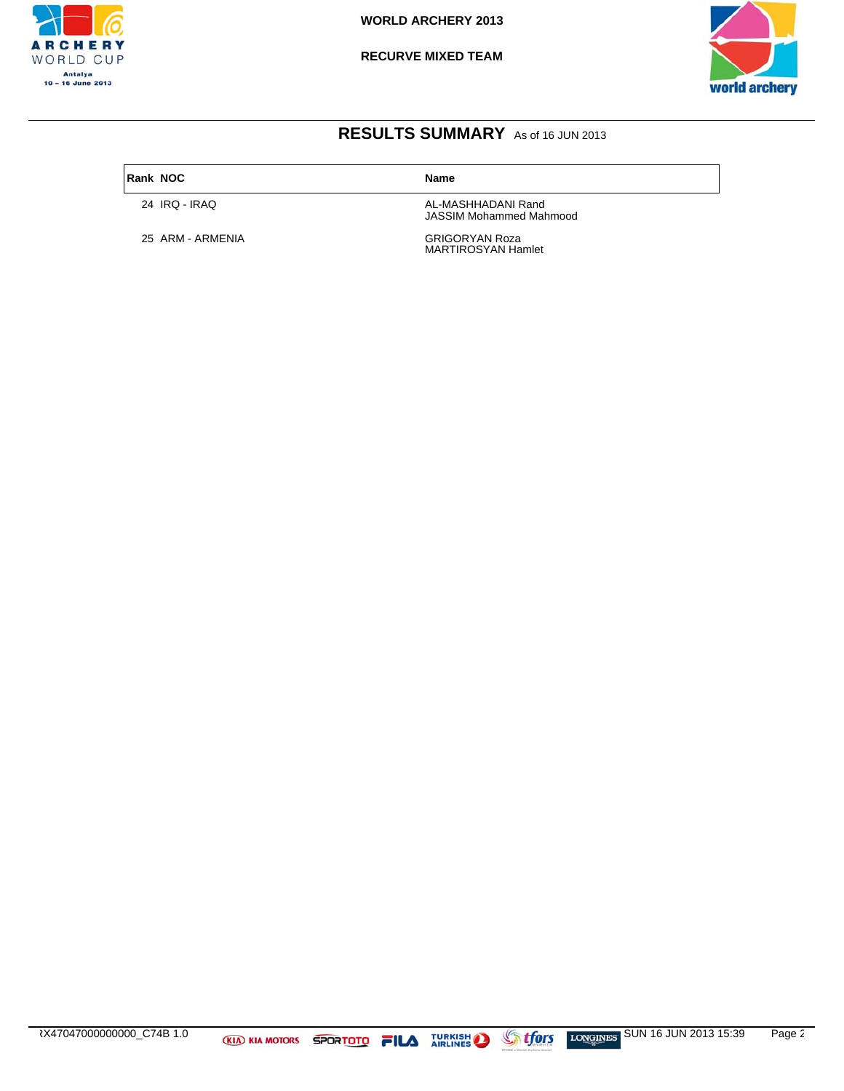

**RECURVE MIXED TEAM**



## **RESULTS SUMMARY** As of 16 JUN 2013

**Rank NOC Name** 

25 ARM - ARMENIA

24 IRQ - IRAQ **AL-MASHHADANI Rand** JASSIM Mohammed Mahmood

GRIGORYAN Roza<br>MARTIROSYAN Hamlet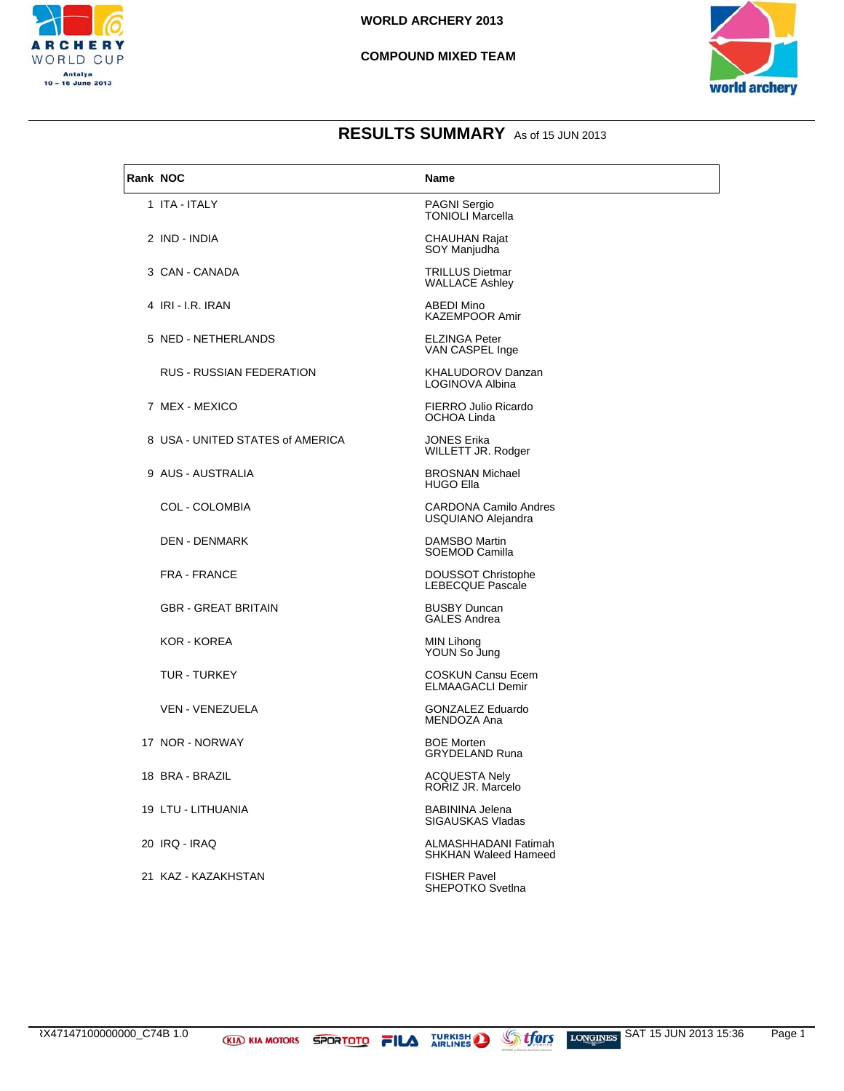

#### **COMPOUND MIXED TEAM**



| Rank NOC               |                                  | Name                                                 |
|------------------------|----------------------------------|------------------------------------------------------|
| 1 ITA - ITALY          |                                  | <b>PAGNI Sergio</b><br><b>TONIOLI Marcella</b>       |
| 2 IND - INDIA          |                                  | <b>CHAUHAN Rajat</b><br>SOY Manjudha                 |
| 3 CAN - CANADA         |                                  | <b>TRILLUS Dietmar</b><br><b>WALLACE Ashley</b>      |
| 4 IRI - I.R. IRAN      |                                  | <b>ABEDI Mino</b><br><b>KAZEMPOOR Amir</b>           |
|                        | 5 NED - NETHERLANDS              | <b>ELZINGA Peter</b><br>VAN CASPEL Inge              |
|                        | RUS - RUSSIAN FEDERATION         | KHALUDOROV Danzan<br>LOGINOVA Albina                 |
| 7 MEX - MEXICO         |                                  | FIERRO Julio Ricardo<br>OCHOA Linda                  |
|                        | 8 USA - UNITED STATES of AMERICA | <b>JONES Erika</b><br>WILLETT JR. Rodger             |
| 9 AUS - AUSTRALIA      |                                  | <b>BROSNAN Michael</b><br><b>HUGO Ella</b>           |
| <b>COL - COLOMBIA</b>  |                                  | <b>CARDONA Camilo Andres</b><br>USQUIANO Alejandra   |
| <b>DEN - DENMARK</b>   |                                  | DAMSBO Martin<br>SOEMOD Camilla                      |
| <b>FRA - FRANCE</b>    |                                  | <b>DOUSSOT Christophe</b><br><b>LEBECQUE Pascale</b> |
|                        | <b>GBR - GREAT BRITAIN</b>       | <b>BUSBY Duncan</b><br><b>GALES Andrea</b>           |
| KOR - KOREA            |                                  | MIN Lihong<br>YOUN So Jung                           |
| TUR - TURKEY           |                                  | <b>COSKUN Cansu Ecem</b><br><b>ELMAAGACLI Demir</b>  |
| <b>VEN - VENEZUELA</b> |                                  | <b>GONZALEZ Eduardo</b><br>MENDOZA Ana               |
| 17 NOR - NORWAY        |                                  | <b>BOE Morten</b><br><b>GRYDELAND Runa</b>           |
| 18 BRA - BRAZIL        |                                  | <b>ACQUESTA Nely</b><br>RORIZ JR. Marcelo            |
| 19 LTU - LITHUANIA     |                                  | <b>BABININA Jelena</b><br>SIGAUSKAS Vladas           |
| 20 IRQ - IRAQ          |                                  | ALMASHHADANI Fatimah<br>SHKHAN Waleed Hameed         |
| 21 KAZ - KAZAKHSTAN    |                                  | <b>FISHER Pavel</b><br>SHEPOTKO Svetlna              |

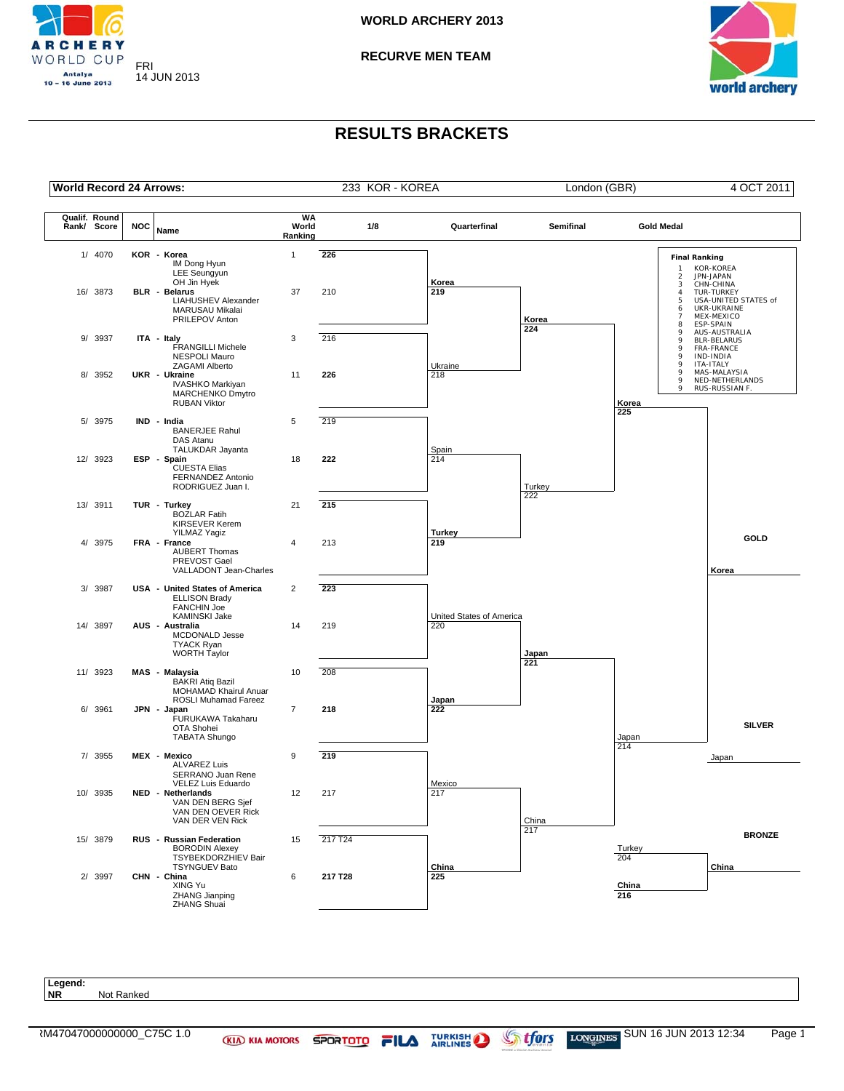

**RECURVE MEN TEAM**



## **RESULTS BRACKETS**



**Legend: NR** Not Ranked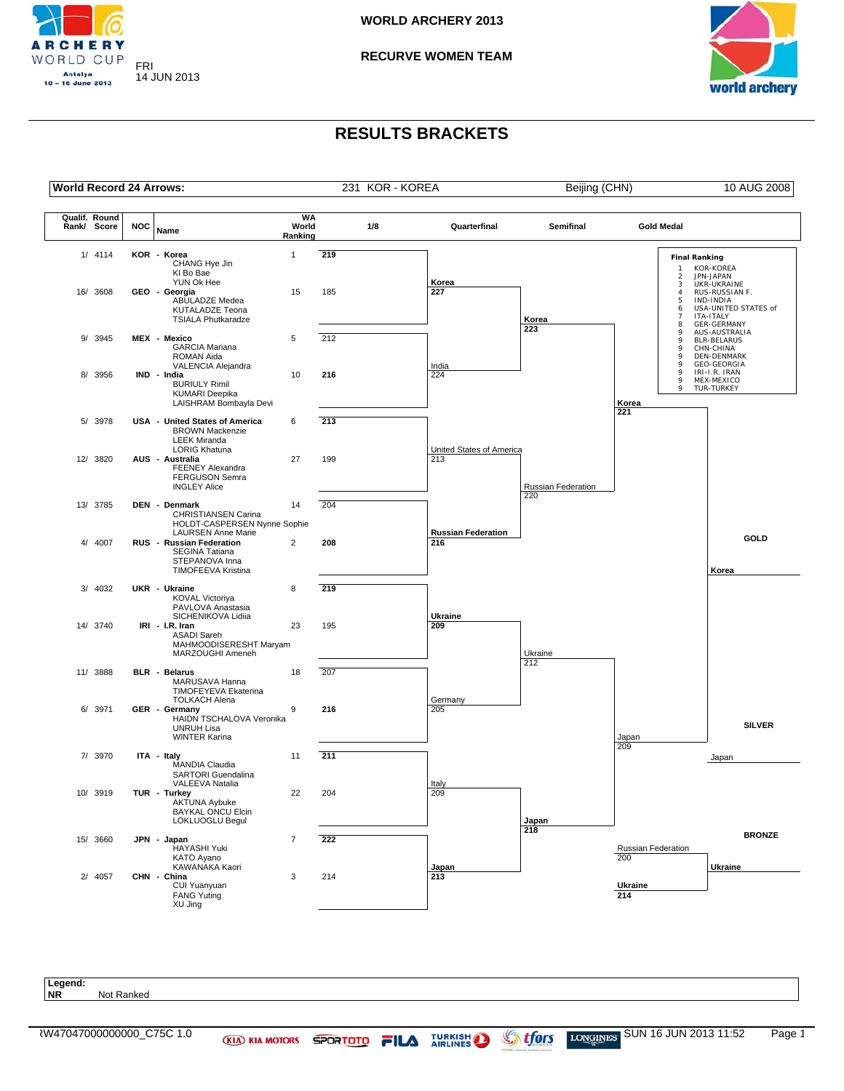

**RECURVE WOMEN TEAM**



## **RESULTS BRACKETS**



**NR** Not Ranked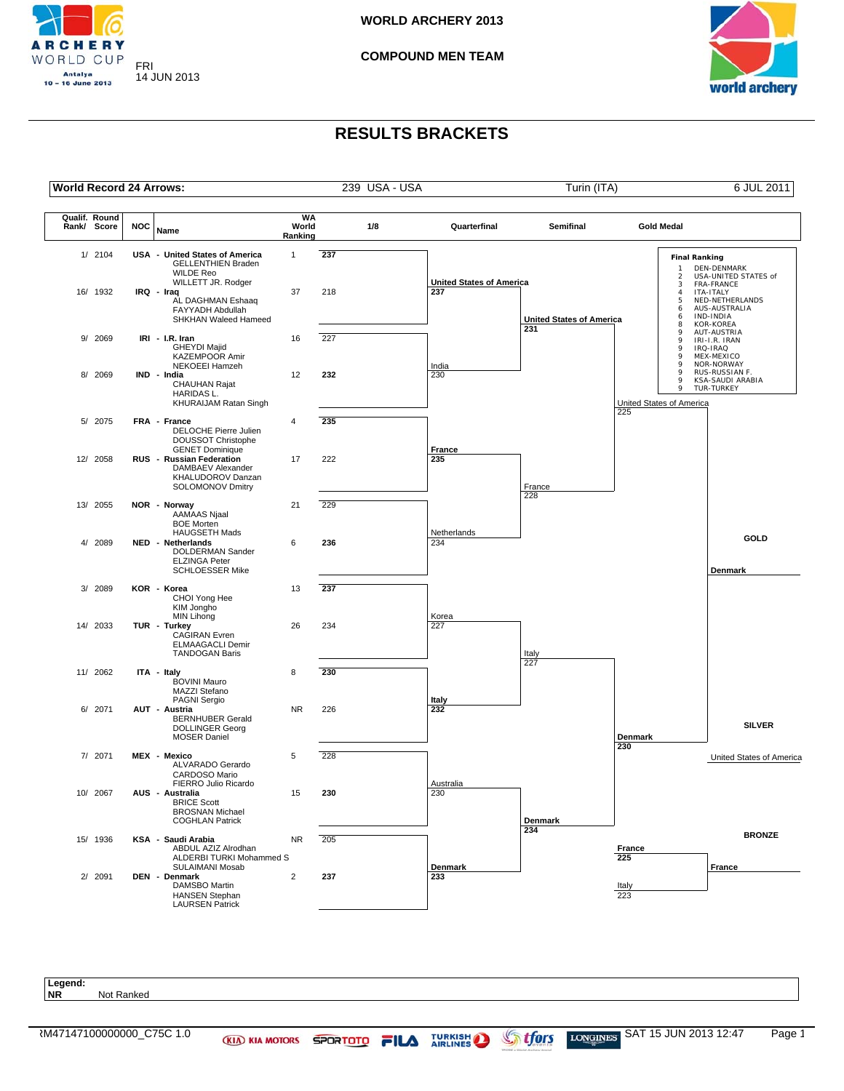

**COMPOUND MEN TEAM**



### **RESULTS BRACKETS**



**NR** Not Ranked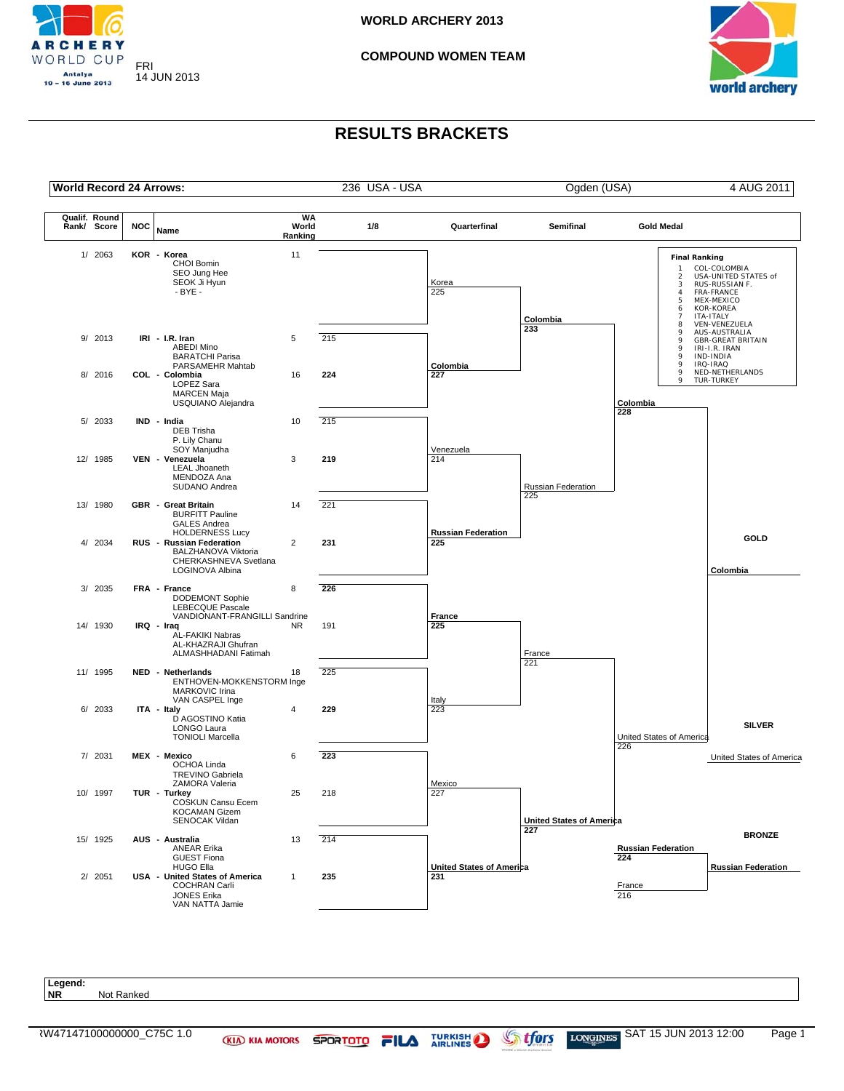

#### **COMPOUND WOMEN TEAM**



### **RESULTS BRACKETS**



**NR** Not Ranked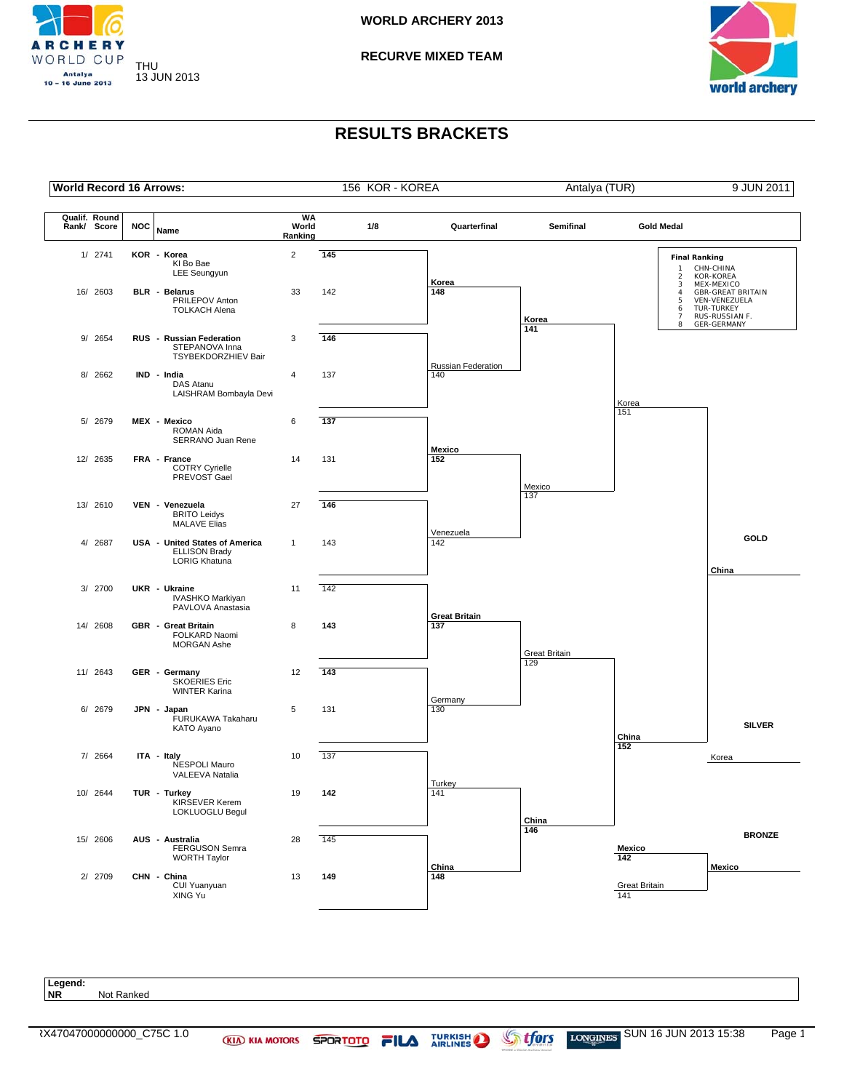

**RECURVE MIXED TEAM**



### **RESULTS BRACKETS**



**Legend: Not Ranked**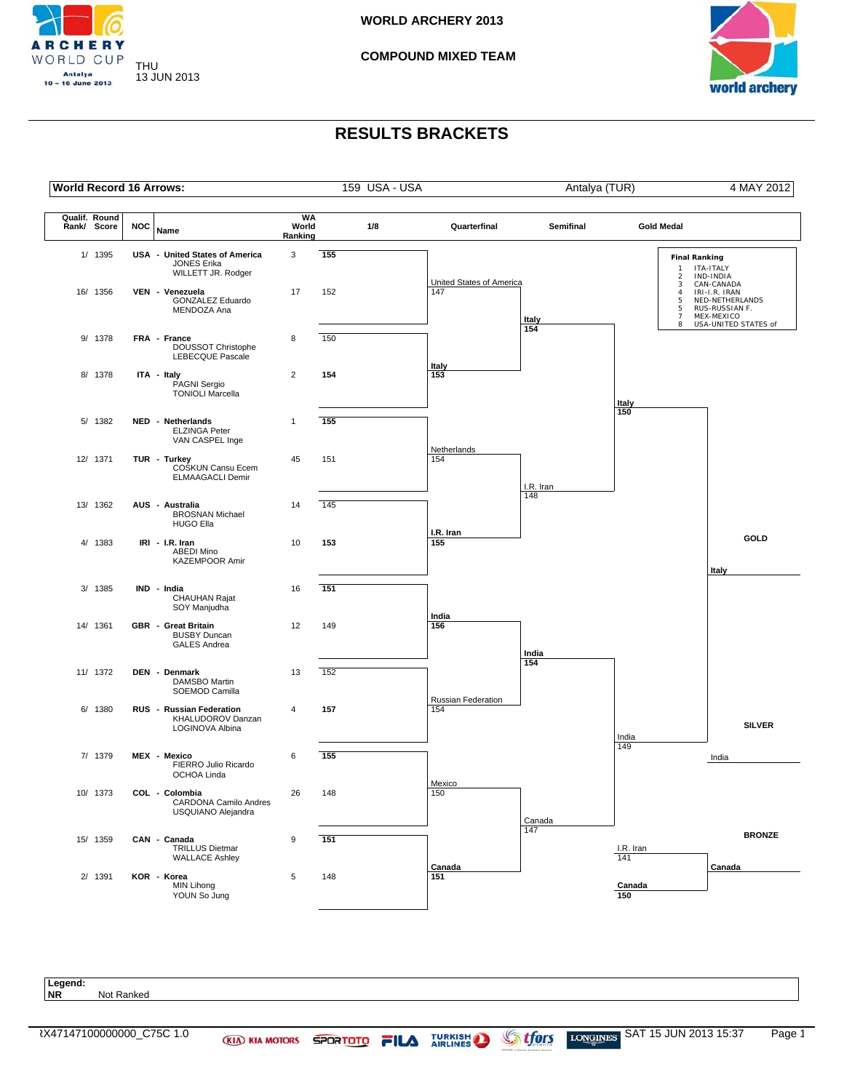

**COMPOUND MIXED TEAM**



## **RESULTS BRACKETS**



**Legend: Not Ranked**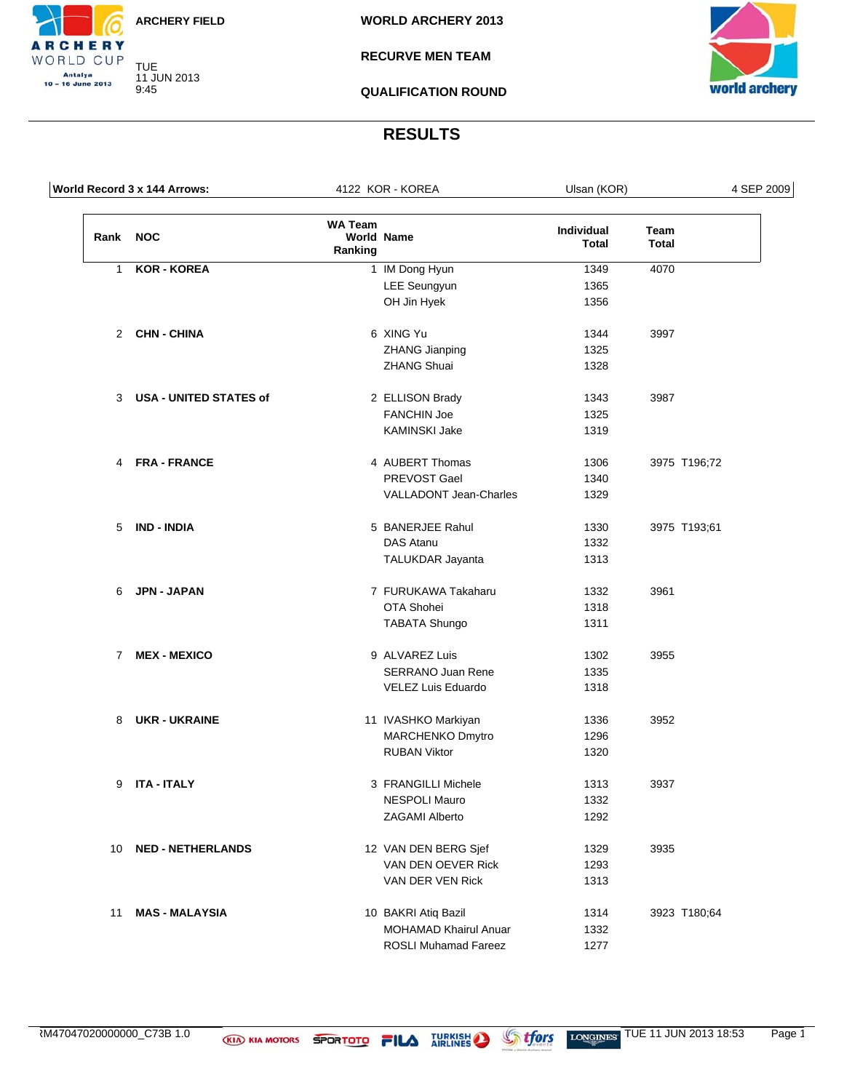TUE 11 JUN 2013

9:45

**RCHERY** WORLD CUP Antalya<br>10 – 16 June 2013

**RECURVE MEN TEAM**

**QUALIFICATION ROUND**



# **RESULTS**

|              | World Record 3 x 144 Arrows: |                           | 4122 KOR - KOREA              | Ulsan (KOR)         |               | 4 SEP 2009 |
|--------------|------------------------------|---------------------------|-------------------------------|---------------------|---------------|------------|
| Rank NOC     |                              | <b>WA Team</b><br>Ranking | <b>World Name</b>             | Individual<br>Total | Team<br>Total |            |
| $\mathbf{1}$ | <b>KOR - KOREA</b>           |                           | 1 IM Dong Hyun                | 1349                | 4070          |            |
|              |                              |                           | <b>LEE</b> Seungyun           | 1365                |               |            |
|              |                              |                           | OH Jin Hyek                   | 1356                |               |            |
|              | 2 CHN-CHINA                  |                           | 6 XING Yu                     | 1344                | 3997          |            |
|              |                              |                           | <b>ZHANG Jianping</b>         | 1325                |               |            |
|              |                              |                           | <b>ZHANG Shuai</b>            | 1328                |               |            |
|              | 3 USA - UNITED STATES of     |                           | 2 ELLISON Brady               | 1343                | 3987          |            |
|              |                              |                           | <b>FANCHIN Joe</b>            | 1325                |               |            |
|              |                              |                           | KAMINSKI Jake                 | 1319                |               |            |
| 4            | <b>FRA - FRANCE</b>          |                           | 4 AUBERT Thomas               | 1306                | 3975 T196;72  |            |
|              |                              |                           | PREVOST Gael                  | 1340                |               |            |
|              |                              |                           | <b>VALLADONT Jean-Charles</b> | 1329                |               |            |
| 5            | <b>IND - INDIA</b>           |                           | 5 BANERJEE Rahul              | 1330                | 3975 T193;61  |            |
|              |                              |                           | DAS Atanu                     | 1332                |               |            |
|              |                              |                           | TALUKDAR Jayanta              | 1313                |               |            |
| 6            | <b>JPN - JAPAN</b>           |                           | 7 FURUKAWA Takaharu           | 1332                | 3961          |            |
|              |                              |                           | OTA Shohei                    | 1318                |               |            |
|              |                              |                           | <b>TABATA Shungo</b>          | 1311                |               |            |
| $7^{\circ}$  | <b>MEX - MEXICO</b>          |                           | 9 ALVAREZ Luis                | 1302                | 3955          |            |
|              |                              |                           | <b>SERRANO Juan Rene</b>      | 1335                |               |            |
|              |                              |                           | VELEZ Luis Eduardo            | 1318                |               |            |
| 8            | <b>UKR - UKRAINE</b>         |                           | 11 IVASHKO Markiyan           | 1336                | 3952          |            |
|              |                              |                           | MARCHENKO Dmytro              | 1296                |               |            |
|              |                              |                           | <b>RUBAN Viktor</b>           | 1320                |               |            |
| 9            | <b>ITA - ITALY</b>           |                           | 3 FRANGILLI Michele           | 1313                | 3937          |            |
|              |                              |                           | <b>NESPOLI Mauro</b>          | 1332                |               |            |
|              |                              |                           | ZAGAMI Alberto                | 1292                |               |            |
| 10           | <b>NED - NETHERLANDS</b>     |                           | 12 VAN DEN BERG Sjef          | 1329                | 3935          |            |
|              |                              |                           | VAN DEN OEVER Rick            | 1293                |               |            |
|              |                              |                           | VAN DER VEN Rick              | 1313                |               |            |
| 11           | <b>MAS - MALAYSIA</b>        |                           | 10 BAKRI Atiq Bazil           | 1314                | 3923 T180;64  |            |
|              |                              |                           | <b>MOHAMAD Khairul Anuar</b>  | 1332                |               |            |
|              |                              |                           | ROSLI Muhamad Fareez          | 1277                |               |            |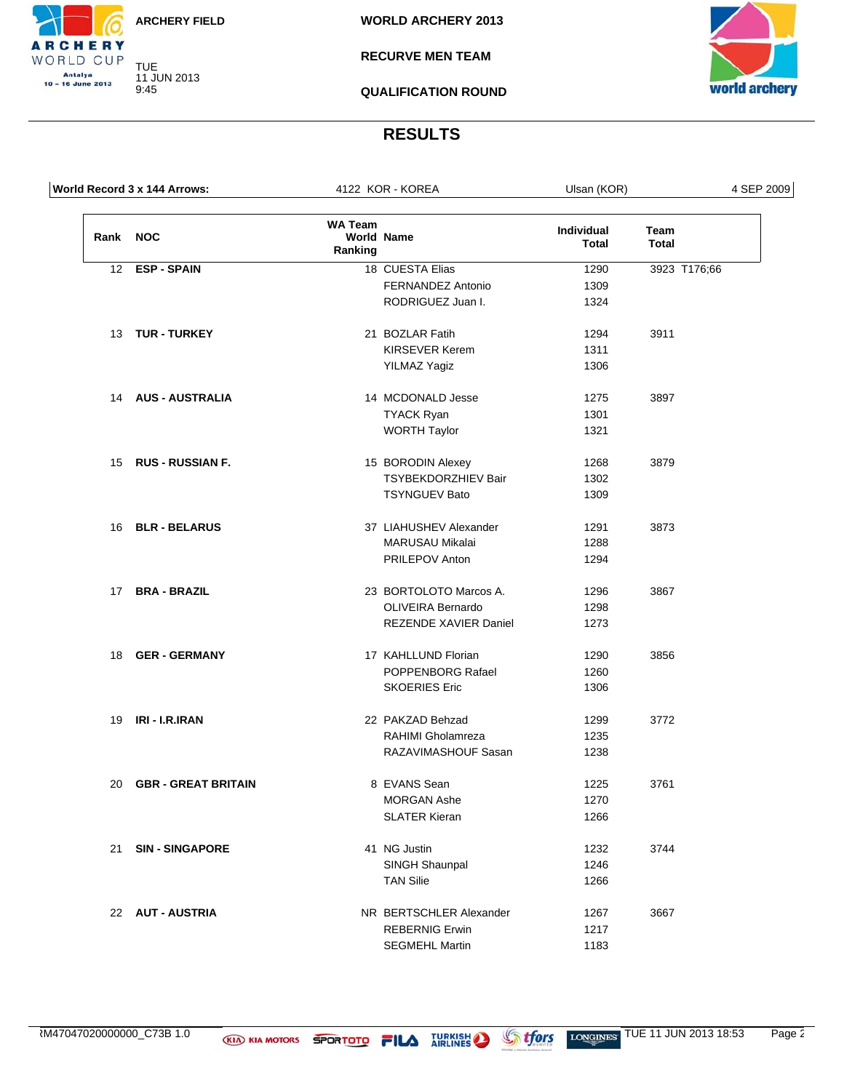TUE 11 JUN 2013

9:45

CHERY WORLD CUP Antalya<br>10 – 16 June 2013

**RECURVE MEN TEAM**

**QUALIFICATION ROUND**



#### **RESULTS**

|                 | World Record 3 x 144 Arrows: |                           | 4122 KOR - KOREA           | Ulsan (KOR)         |                      | 4 SEP 2009 |
|-----------------|------------------------------|---------------------------|----------------------------|---------------------|----------------------|------------|
| Rank            | <b>NOC</b>                   | <b>WA Team</b><br>Ranking | World Name                 | Individual<br>Total | Team<br><b>Total</b> |            |
| 12 <sup>2</sup> | <b>ESP - SPAIN</b>           |                           | 18 CUESTA Elias            | 1290                | 3923 T176;66         |            |
|                 |                              |                           | FERNANDEZ Antonio          | 1309                |                      |            |
|                 |                              |                           | RODRIGUEZ Juan I.          | 1324                |                      |            |
|                 | 13 TUR - TURKEY              |                           | 21 BOZLAR Fatih            | 1294                | 3911                 |            |
|                 |                              |                           | <b>KIRSEVER Kerem</b>      | 1311                |                      |            |
|                 |                              |                           | <b>YILMAZ Yagiz</b>        | 1306                |                      |            |
| 14              | <b>AUS - AUSTRALIA</b>       |                           | 14 MCDONALD Jesse          | 1275                | 3897                 |            |
|                 |                              |                           | <b>TYACK Ryan</b>          | 1301                |                      |            |
|                 |                              |                           | <b>WORTH Taylor</b>        | 1321                |                      |            |
| 15              | <b>RUS - RUSSIAN F.</b>      |                           | 15 BORODIN Alexey          | 1268                | 3879                 |            |
|                 |                              |                           | <b>TSYBEKDORZHIEV Bair</b> | 1302                |                      |            |
|                 |                              |                           | <b>TSYNGUEV Bato</b>       | 1309                |                      |            |
| 16              | <b>BLR - BELARUS</b>         |                           | 37 LIAHUSHEV Alexander     | 1291                | 3873                 |            |
|                 |                              |                           | <b>MARUSAU Mikalai</b>     | 1288                |                      |            |
|                 |                              |                           | PRILEPOV Anton             | 1294                |                      |            |
| 17              | <b>BRA - BRAZIL</b>          |                           | 23 BORTOLOTO Marcos A.     | 1296                | 3867                 |            |
|                 |                              |                           | <b>OLIVEIRA Bernardo</b>   | 1298                |                      |            |
|                 |                              |                           | REZENDE XAVIER Daniel      | 1273                |                      |            |
| 18              | <b>GER - GERMANY</b>         |                           | 17 KAHLLUND Florian        | 1290                | 3856                 |            |
|                 |                              |                           | POPPENBORG Rafael          | 1260                |                      |            |
|                 |                              |                           | <b>SKOERIES Eric</b>       | 1306                |                      |            |
| 19              | IRI - I.R.IRAN               |                           | 22 PAKZAD Behzad           | 1299                | 3772                 |            |
|                 |                              |                           | RAHIMI Gholamreza          | 1235                |                      |            |
|                 |                              |                           | RAZAVIMASHOUF Sasan        | 1238                |                      |            |
| 20              | <b>GBR - GREAT BRITAIN</b>   |                           | 8 EVANS Sean               | 1225                | 3761                 |            |
|                 |                              |                           | MORGAN Ashe                | 1270                |                      |            |
|                 |                              |                           | <b>SLATER Kieran</b>       | 1266                |                      |            |
| 21              | <b>SIN-SINGAPORE</b>         |                           | 41 NG Justin               | 1232                | 3744                 |            |
|                 |                              |                           | SINGH Shaunpal             | 1246                |                      |            |
|                 |                              |                           | <b>TAN Silie</b>           | 1266                |                      |            |
|                 | 22 AUT - AUSTRIA             |                           | NR BERTSCHLER Alexander    | 1267                | 3667                 |            |
|                 |                              |                           | <b>REBERNIG Erwin</b>      | 1217                |                      |            |
|                 |                              |                           | <b>SEGMEHL Martin</b>      | 1183                |                      |            |

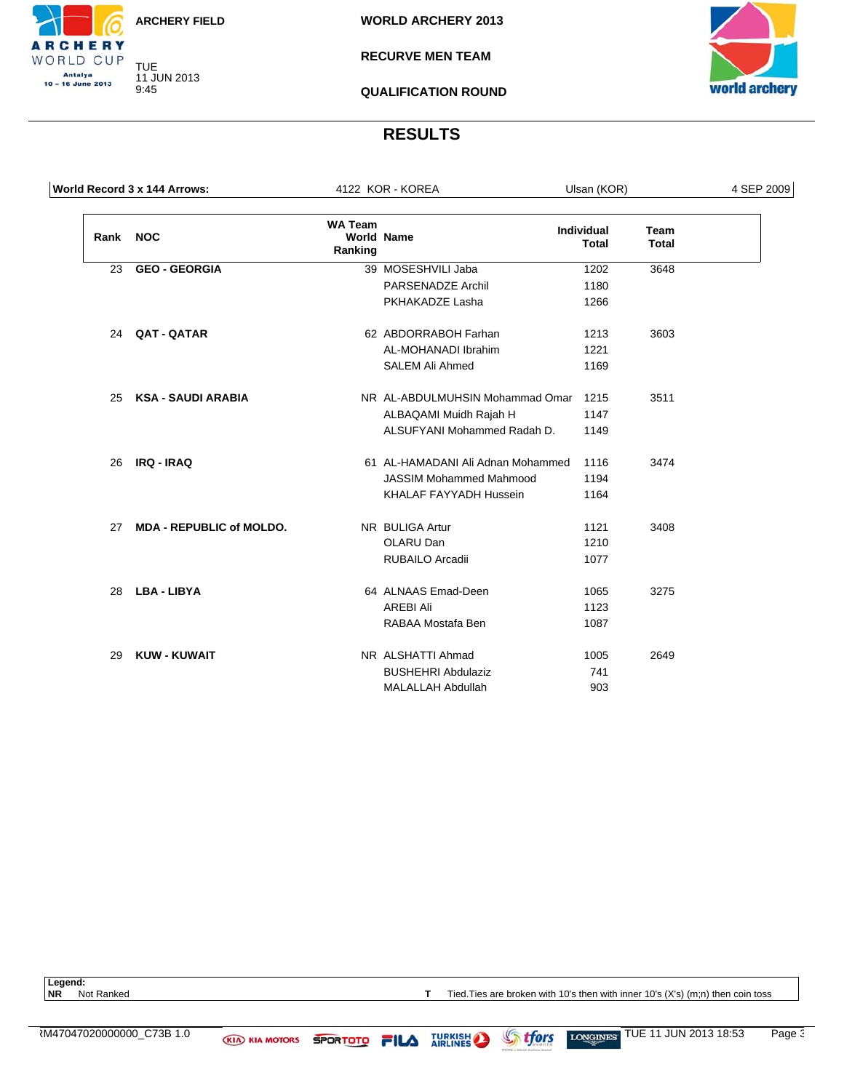TUE 11 JUN 2013 9:45

**RCHERY** WORLD CUP Antalya<br>10 – 16 June 2013

**WORLD ARCHERY 2013**

**RECURVE MEN TEAM**

**QUALIFICATION ROUND**



#### **RESULTS**

| World Record 3 x 144 Arrows: |                                 |                           | 4122 KOR - KOREA                  | Ulsan (KOR)                       |                             | 4 SEP 2009 |
|------------------------------|---------------------------------|---------------------------|-----------------------------------|-----------------------------------|-----------------------------|------------|
| Rank                         | <b>NOC</b>                      | <b>WA Team</b><br>Ranking | <b>World Name</b>                 | <b>Individual</b><br><b>Total</b> | <b>Team</b><br><b>Total</b> |            |
| 23                           | <b>GEO - GEORGIA</b>            |                           | 39 MOSESHVILI Jaba                | 1202                              | 3648                        |            |
|                              |                                 |                           | <b>PARSENADZE Archil</b>          | 1180                              |                             |            |
|                              |                                 |                           | PKHAKADZE Lasha                   | 1266                              |                             |            |
| 24                           | <b>QAT - QATAR</b>              |                           | 62 ABDORRABOH Farhan              | 1213                              | 3603                        |            |
|                              |                                 |                           | AL-MOHANADI Ibrahim               | 1221                              |                             |            |
|                              |                                 |                           | <b>SALEM Ali Ahmed</b>            | 1169                              |                             |            |
| 25                           | <b>KSA - SAUDI ARABIA</b>       |                           | NR AL-ABDULMUHSIN Mohammad Omar   | 1215                              | 3511                        |            |
|                              |                                 |                           | ALBAQAMI Muidh Rajah H            | 1147                              |                             |            |
|                              |                                 |                           | ALSUFYANI Mohammed Radah D.       | 1149                              |                             |            |
| 26                           | <b>IRQ - IRAQ</b>               |                           | 61 AL-HAMADANI Ali Adnan Mohammed | 1116                              | 3474                        |            |
|                              |                                 |                           | <b>JASSIM Mohammed Mahmood</b>    | 1194                              |                             |            |
|                              |                                 |                           | KHALAF FAYYADH Hussein            | 1164                              |                             |            |
| 27                           | <b>MDA - REPUBLIC of MOLDO.</b> |                           | NR BULIGA Artur                   | 1121                              | 3408                        |            |
|                              |                                 |                           | OLARU Dan                         | 1210                              |                             |            |
|                              |                                 |                           | <b>RUBAILO Arcadii</b>            | 1077                              |                             |            |
| 28                           | <b>LBA - LIBYA</b>              |                           | 64 ALNAAS Emad-Deen               | 1065                              | 3275                        |            |
|                              |                                 |                           | <b>AREBI Ali</b>                  | 1123                              |                             |            |
|                              |                                 |                           | RABAA Mostafa Ben                 | 1087                              |                             |            |
| 29                           | <b>KUW - KUWAIT</b>             |                           | NR ALSHATTI Ahmad                 | 1005                              | 2649                        |            |
|                              |                                 |                           | <b>BUSHEHRI Abdulaziz</b>         | 741                               |                             |            |
|                              |                                 |                           | <b>MALALLAH Abdullah</b>          | 903                               |                             |            |

Legend:<br>NR Not Ranked

**T** Tied.Ties are broken with 10's then with inner 10's (X's) (m;n) then coin toss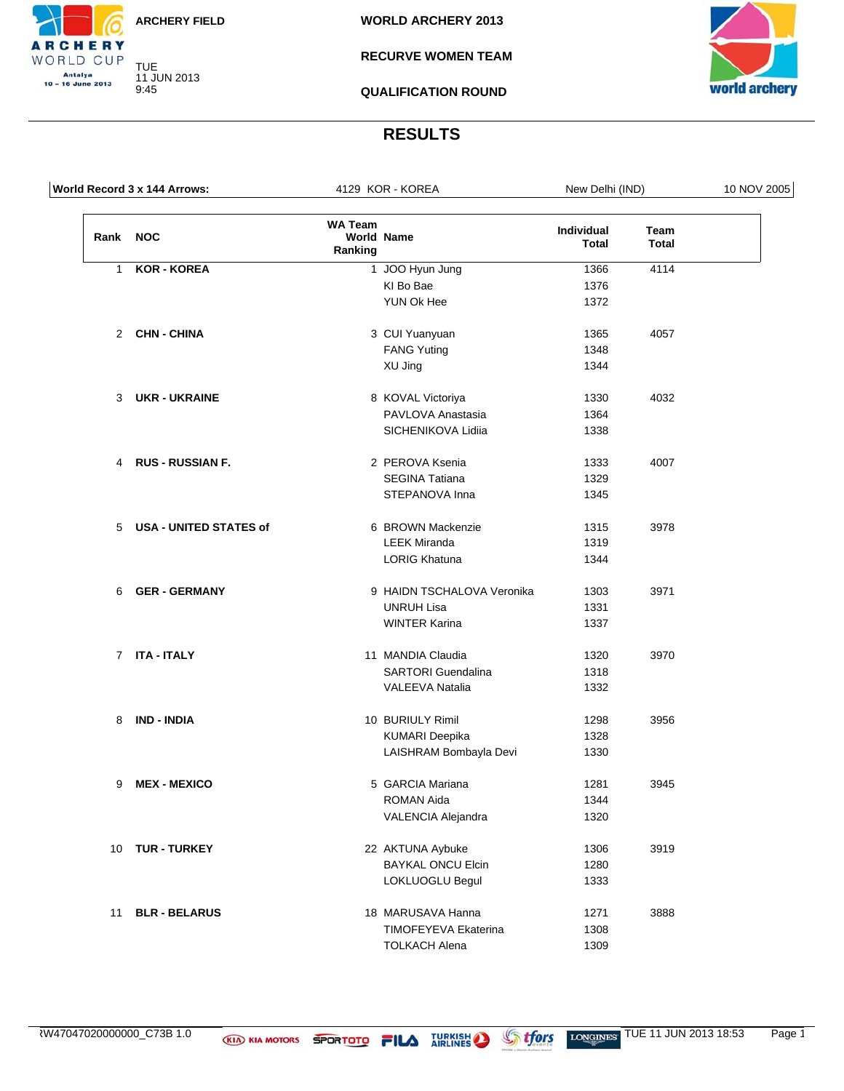TUE 11 JUN 2013

9:45

**RCHERY** WORLD CUP Antalya<br>10 – 16 June 2013

**WORLD ARCHERY 2013**

#### **RECURVE WOMEN TEAM**

**QUALIFICATION ROUND**



#### **RESULTS**

|                          | World Record 3 x 144 Arrows: |                           | 4129 KOR - KOREA            | New Delhi (IND)            |                      | 10 NOV 2005 |
|--------------------------|------------------------------|---------------------------|-----------------------------|----------------------------|----------------------|-------------|
| Rank NOC                 |                              | <b>WA Team</b><br>Ranking | <b>World Name</b>           | <b>Individual</b><br>Total | Team<br><b>Total</b> |             |
| $\mathbf{1}$             | <b>KOR - KOREA</b>           |                           | 1 JOO Hyun Jung             | 1366                       | 4114                 |             |
|                          |                              |                           | KI Bo Bae                   | 1376                       |                      |             |
|                          |                              |                           | YUN Ok Hee                  | 1372                       |                      |             |
|                          | 2 CHN-CHINA                  |                           | 3 CUI Yuanyuan              | 1365                       | 4057                 |             |
|                          |                              |                           | <b>FANG Yuting</b>          | 1348                       |                      |             |
|                          |                              |                           | XU Jing                     | 1344                       |                      |             |
|                          | 3 UKR - UKRAINE              |                           | 8 KOVAL Victoriya           | 1330                       | 4032                 |             |
|                          |                              |                           | PAVLOVA Anastasia           | 1364                       |                      |             |
|                          |                              |                           | SICHENIKOVA Lidiia          | 1338                       |                      |             |
|                          | 4 RUS - RUSSIAN F.           |                           | 2 PEROVA Ksenia             | 1333                       | 4007                 |             |
|                          |                              |                           | <b>SEGINA Tatiana</b>       | 1329                       |                      |             |
|                          |                              |                           | STEPANOVA Inna              | 1345                       |                      |             |
| 5 USA - UNITED STATES of |                              | 6 BROWN Mackenzie         | 1315                        | 3978                       |                      |             |
|                          |                              |                           | <b>LEEK Miranda</b>         | 1319                       |                      |             |
|                          |                              |                           | <b>LORIG Khatuna</b>        | 1344                       |                      |             |
|                          | 6 GER - GERMANY              |                           | 9 HAIDN TSCHALOVA Veronika  | 1303                       | 3971                 |             |
|                          |                              |                           | <b>UNRUH Lisa</b>           | 1331                       |                      |             |
|                          |                              |                           | <b>WINTER Karina</b>        | 1337                       |                      |             |
|                          | 7 ITA - ITALY                |                           | 11 MANDIA Claudia           | 1320                       | 3970                 |             |
|                          |                              |                           | <b>SARTORI</b> Guendalina   | 1318                       |                      |             |
|                          |                              |                           | VALEEVA Natalia             | 1332                       |                      |             |
| 8                        | IND - INDIA                  |                           | 10 BURIULY Rimil            | 1298                       | 3956                 |             |
|                          |                              |                           | <b>KUMARI Deepika</b>       | 1328                       |                      |             |
|                          |                              |                           | LAISHRAM Bombayla Devi      | 1330                       |                      |             |
| 9                        | <b>MEX - MEXICO</b>          |                           | 5 GARCIA Mariana            | 1281                       | 3945                 |             |
|                          |                              |                           | ROMAN Aida                  | 1344                       |                      |             |
|                          |                              |                           | VALENCIA Alejandra          | 1320                       |                      |             |
| 10                       | <b>TUR - TURKEY</b>          |                           | 22 AKTUNA Aybuke            | 1306                       | 3919                 |             |
|                          |                              |                           | <b>BAYKAL ONCU Elcin</b>    | 1280                       |                      |             |
|                          |                              |                           | LOKLUOGLU Begul             | 1333                       |                      |             |
| 11                       | <b>BLR - BELARUS</b>         |                           | 18 MARUSAVA Hanna           | 1271                       | 3888                 |             |
|                          |                              |                           | <b>TIMOFEYEVA Ekaterina</b> | 1308                       |                      |             |
|                          |                              |                           | <b>TOLKACH Alena</b>        | 1309                       |                      |             |

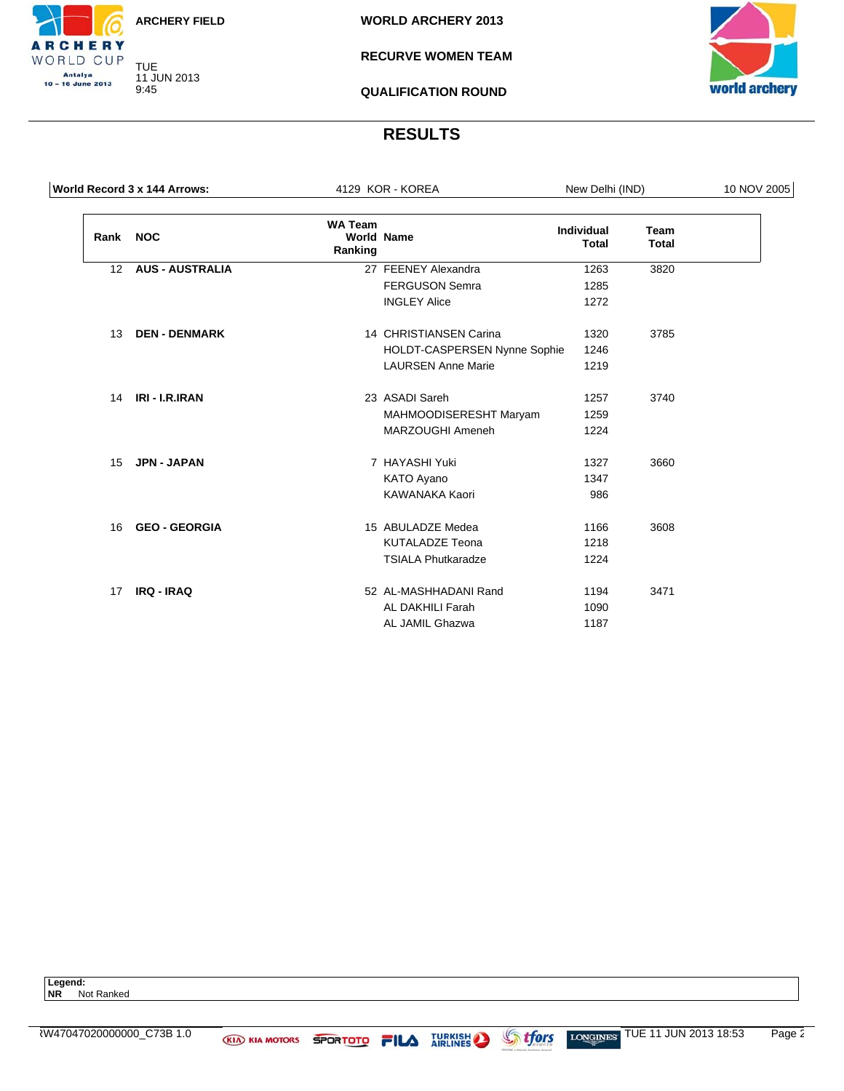TUE 11 JUN 2013 9:45

**RCHERY** WORLD CUP Antalya<br>10 – 16 June 2013

**WORLD ARCHERY 2013**

**RECURVE WOMEN TEAM**

**QUALIFICATION ROUND**



#### **RESULTS**

| World Record 3 x 144 Arrows: |                        |                           | 4129 KOR - KOREA             | New Delhi (IND)                   |                             | 10 NOV 2005 |
|------------------------------|------------------------|---------------------------|------------------------------|-----------------------------------|-----------------------------|-------------|
| Rank NOC                     |                        | <b>WA Team</b><br>Ranking | <b>World Name</b>            | <b>Individual</b><br><b>Total</b> | <b>Team</b><br><b>Total</b> |             |
| 12                           | <b>AUS - AUSTRALIA</b> |                           | 27 FEENEY Alexandra          | 1263                              | 3820                        |             |
|                              |                        |                           | <b>FERGUSON Semra</b>        | 1285                              |                             |             |
|                              |                        |                           | <b>INGLEY Alice</b>          | 1272                              |                             |             |
| 13                           | <b>DEN - DENMARK</b>   |                           | 14 CHRISTIANSEN Carina       | 1320                              | 3785                        |             |
|                              |                        |                           | HOLDT-CASPERSEN Nynne Sophie | 1246                              |                             |             |
|                              |                        |                           | <b>LAURSEN Anne Marie</b>    | 1219                              |                             |             |
| 14                           | IRI - I.R.IRAN         |                           | 23 ASADI Sareh               | 1257                              | 3740                        |             |
|                              |                        | MAHMOODISERESHT Maryam    | 1259                         |                                   |                             |             |
|                              |                        |                           | MARZOUGHI Ameneh             | 1224                              |                             |             |
| 15                           | <b>JPN - JAPAN</b>     |                           | 7 HAYASHI Yuki               | 1327                              | 3660                        |             |
|                              |                        |                           | KATO Ayano                   | 1347                              |                             |             |
|                              |                        |                           | KAWANAKA Kaori               | 986                               |                             |             |
| 16                           | <b>GEO - GEORGIA</b>   |                           | 15 ABULADZE Medea            | 1166                              | 3608                        |             |
|                              |                        |                           | <b>KUTALADZE Teona</b>       | 1218                              |                             |             |
|                              |                        |                           | <b>TSIALA Phutkaradze</b>    | 1224                              |                             |             |
| 17                           | <b>IRQ - IRAQ</b>      |                           | 52 AL-MASHHADANI Rand        | 1194                              | 3471                        |             |
|                              |                        |                           | AL DAKHILI Farah             | 1090                              |                             |             |
|                              |                        |                           | AL JAMIL Ghazwa              | 1187                              |                             |             |

**Legend: NR** Not Ranked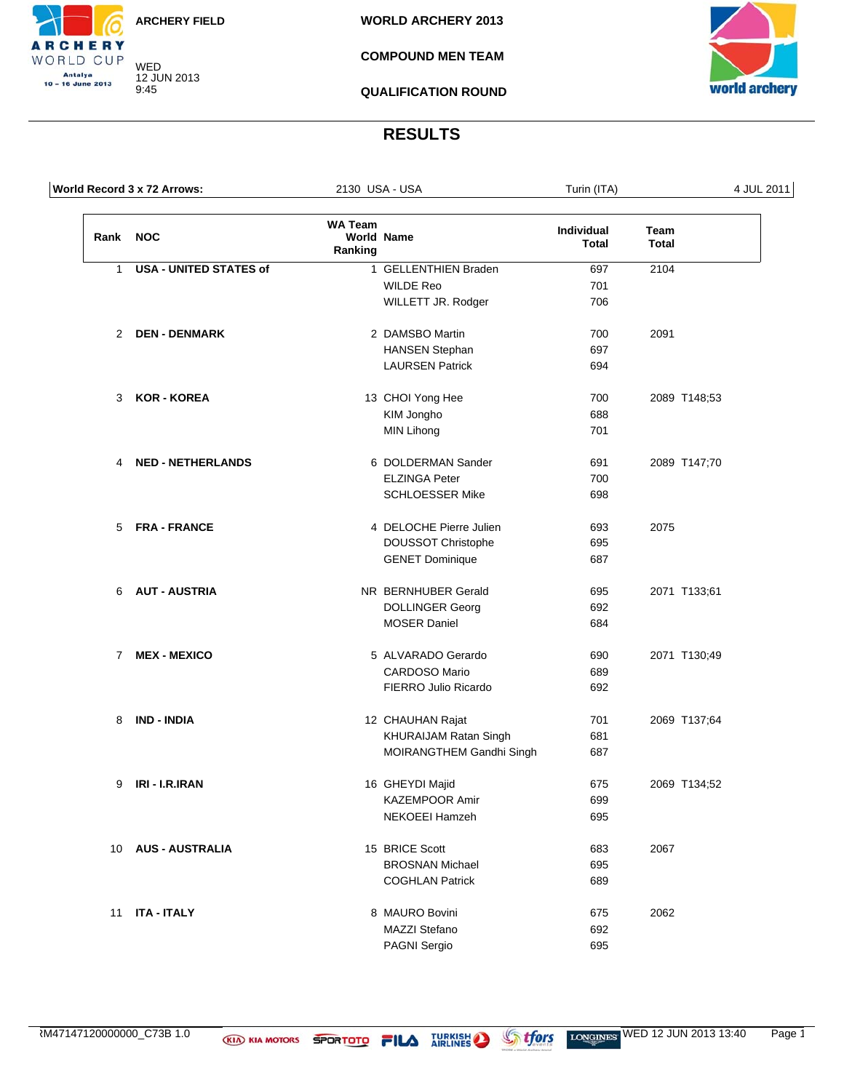WED 12 JUN 2013

9:45

**RCHERY** WORLD CUP Antalya<br>10 – 16 June 2013

**WORLD ARCHERY 2013**

**COMPOUND MEN TEAM**

**QUALIFICATION ROUND**



#### **RESULTS**

|      | World Record 3 x 72 Arrows:   |                           | 2130 USA - USA               | Turin (ITA)                |                      | 4 JUL 2011 |
|------|-------------------------------|---------------------------|------------------------------|----------------------------|----------------------|------------|
| Rank | <b>NOC</b>                    | <b>WA Team</b><br>Ranking | <b>World Name</b>            | Individual<br><b>Total</b> | Team<br><b>Total</b> |            |
| 1    | <b>USA - UNITED STATES of</b> |                           | 1 GELLENTHIEN Braden         | 697                        | 2104                 |            |
|      |                               |                           | <b>WILDE Reo</b>             | 701                        |                      |            |
|      |                               |                           | WILLETT JR. Rodger           | 706                        |                      |            |
| 2    | <b>DEN - DENMARK</b>          |                           | 2 DAMSBO Martin              | 700                        | 2091                 |            |
|      |                               |                           | <b>HANSEN Stephan</b>        | 697                        |                      |            |
|      |                               |                           | <b>LAURSEN Patrick</b>       | 694                        |                      |            |
| 3    | <b>KOR - KOREA</b>            |                           | 13 CHOI Yong Hee             | 700                        | 2089 T148;53         |            |
|      |                               |                           | KIM Jongho                   | 688                        |                      |            |
|      |                               |                           | <b>MIN Lihong</b>            | 701                        |                      |            |
| 4    | <b>NED - NETHERLANDS</b>      |                           | 6 DOLDERMAN Sander           | 691                        | 2089 T147;70         |            |
|      |                               |                           | <b>ELZINGA Peter</b>         | 700                        |                      |            |
|      |                               |                           | <b>SCHLOESSER Mike</b>       | 698                        |                      |            |
| 5    | <b>FRA - FRANCE</b>           |                           | 4 DELOCHE Pierre Julien      | 693                        | 2075                 |            |
|      |                               |                           | <b>DOUSSOT Christophe</b>    | 695                        |                      |            |
|      |                               |                           | <b>GENET Dominique</b>       | 687                        |                      |            |
| 6    | <b>AUT - AUSTRIA</b>          |                           | NR BERNHUBER Gerald          | 695                        | 2071 T133;61         |            |
|      |                               |                           | <b>DOLLINGER Georg</b>       | 692                        |                      |            |
|      |                               |                           | <b>MOSER Daniel</b>          | 684                        |                      |            |
| 7    | <b>MEX - MEXICO</b>           |                           | 5 ALVARADO Gerardo           | 690                        | 2071 T130;49         |            |
|      |                               |                           | <b>CARDOSO Mario</b>         | 689                        |                      |            |
|      |                               |                           | FIERRO Julio Ricardo         | 692                        |                      |            |
| 8    | <b>IND - INDIA</b>            |                           | 12 CHAUHAN Rajat             | 701                        | 2069 T137;64         |            |
|      |                               |                           | <b>KHURAIJAM Ratan Singh</b> | 681                        |                      |            |
|      |                               |                           | MOIRANGTHEM Gandhi Singh     | 687                        |                      |            |
| 9    | IRI - I.R.IRAN                |                           | 16 GHEYDI Majid              | 675                        | 2069 T134;52         |            |
|      |                               |                           | KAZEMPOOR Amir               | 699                        |                      |            |
|      |                               |                           | NEKOEEI Hamzeh               | 695                        |                      |            |
| 10   | <b>AUS - AUSTRALIA</b>        |                           | 15 BRICE Scott               | 683                        | 2067                 |            |
|      |                               |                           | <b>BROSNAN Michael</b>       | 695                        |                      |            |
|      |                               |                           | <b>COGHLAN Patrick</b>       | 689                        |                      |            |
| 11   | <b>ITA - ITALY</b>            |                           | 8 MAURO Bovini               | 675                        | 2062                 |            |
|      |                               |                           | MAZZI Stefano                | 692                        |                      |            |
|      |                               |                           | PAGNI Sergio                 | 695                        |                      |            |
|      |                               |                           |                              |                            |                      |            |

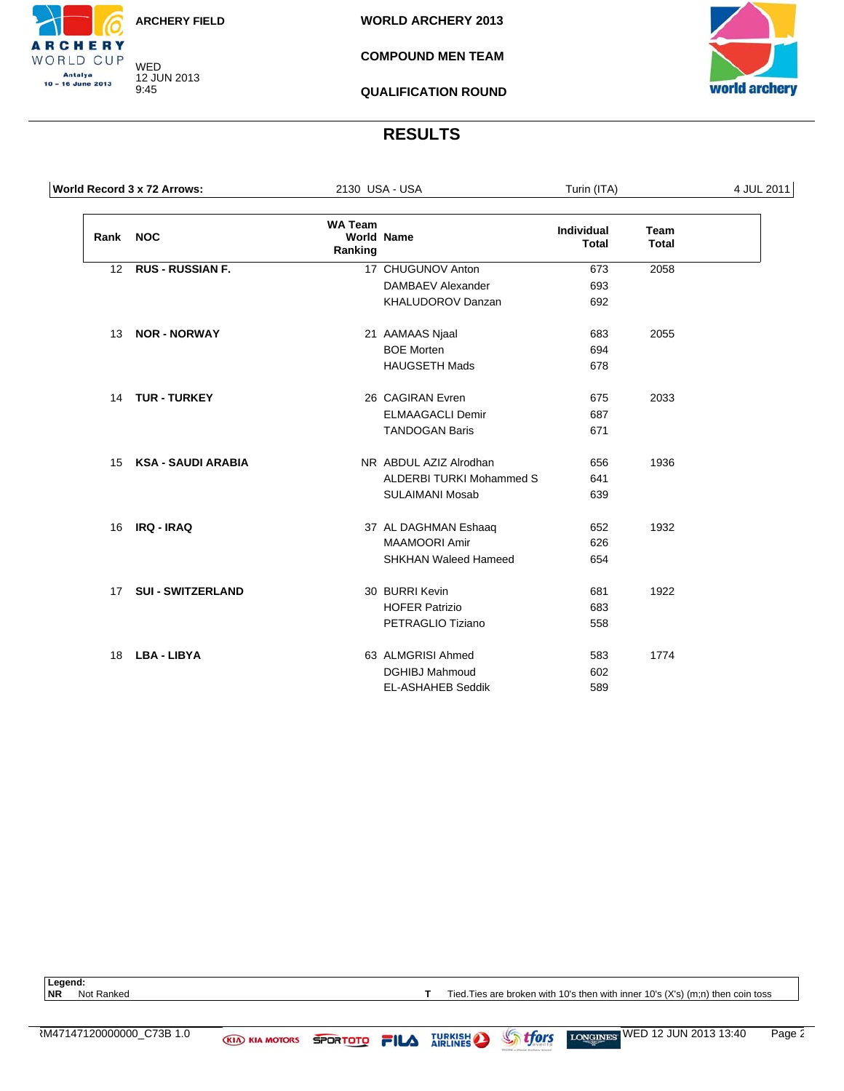WED 12 JUN 2013 9:45

**RCHERY** WORLD CUP Antalya<br>10 – 16 June 2013

**WORLD ARCHERY 2013**

**COMPOUND MEN TEAM**

**QUALIFICATION ROUND**



#### **RESULTS**

|      | World Record 3 x 72 Arrows: |                           | 2130 USA - USA                  | Turin (ITA)                       |                             | 4 JUL 2011 |
|------|-----------------------------|---------------------------|---------------------------------|-----------------------------------|-----------------------------|------------|
| Rank | <b>NOC</b>                  | <b>WA Team</b><br>Ranking | <b>World Name</b>               | <b>Individual</b><br><b>Total</b> | <b>Team</b><br><b>Total</b> |            |
| 12   | <b>RUS - RUSSIAN F.</b>     |                           | 17 CHUGUNOV Anton               | 673                               | 2058                        |            |
|      |                             |                           | DAMBAEV Alexander               | 693                               |                             |            |
|      |                             |                           | KHALUDOROV Danzan               | 692                               |                             |            |
| 13   | <b>NOR - NORWAY</b>         |                           | 21 AAMAAS Njaal                 | 683                               | 2055                        |            |
|      |                             |                           | <b>BOE Morten</b>               | 694                               |                             |            |
|      |                             |                           | <b>HAUGSETH Mads</b>            | 678                               |                             |            |
|      | 14 TUR - TURKEY             |                           | 26 CAGIRAN Evren                | 675                               | 2033                        |            |
|      |                             |                           | <b>ELMAAGACLI Demir</b>         | 687                               |                             |            |
|      |                             |                           | <b>TANDOGAN Baris</b>           | 671                               |                             |            |
| 15   | KSA - SAUDI ARABIA          |                           | NR ABDUL AZIZ Alrodhan          | 656                               | 1936                        |            |
|      |                             |                           | <b>ALDERBI TURKI Mohammed S</b> | 641                               |                             |            |
|      |                             |                           | <b>SULAIMANI Mosab</b>          | 639                               |                             |            |
| 16   | <b>IRQ - IRAQ</b>           |                           | 37 AL DAGHMAN Eshaaq            | 652                               | 1932                        |            |
|      |                             |                           | <b>MAAMOORI Amir</b>            | 626                               |                             |            |
|      |                             |                           | <b>SHKHAN Waleed Hameed</b>     | 654                               |                             |            |
| 17   | <b>SUI - SWITZERLAND</b>    |                           | 30 BURRI Kevin                  | 681                               | 1922                        |            |
|      |                             |                           | <b>HOFER Patrizio</b>           | 683                               |                             |            |
|      |                             |                           | PETRAGLIO Tiziano               | 558                               |                             |            |
| 18   | <b>LBA - LIBYA</b>          |                           | 63 ALMGRISI Ahmed               | 583                               | 1774                        |            |
|      |                             |                           | <b>DGHIBJ Mahmoud</b>           | 602                               |                             |            |
|      |                             |                           | EL-ASHAHEB Seddik               | 589                               |                             |            |

Legend:<br>NR Not Ranked

**T** Tied. Ties are broken with 10's then with inner 10's (X's) (m;n) then coin toss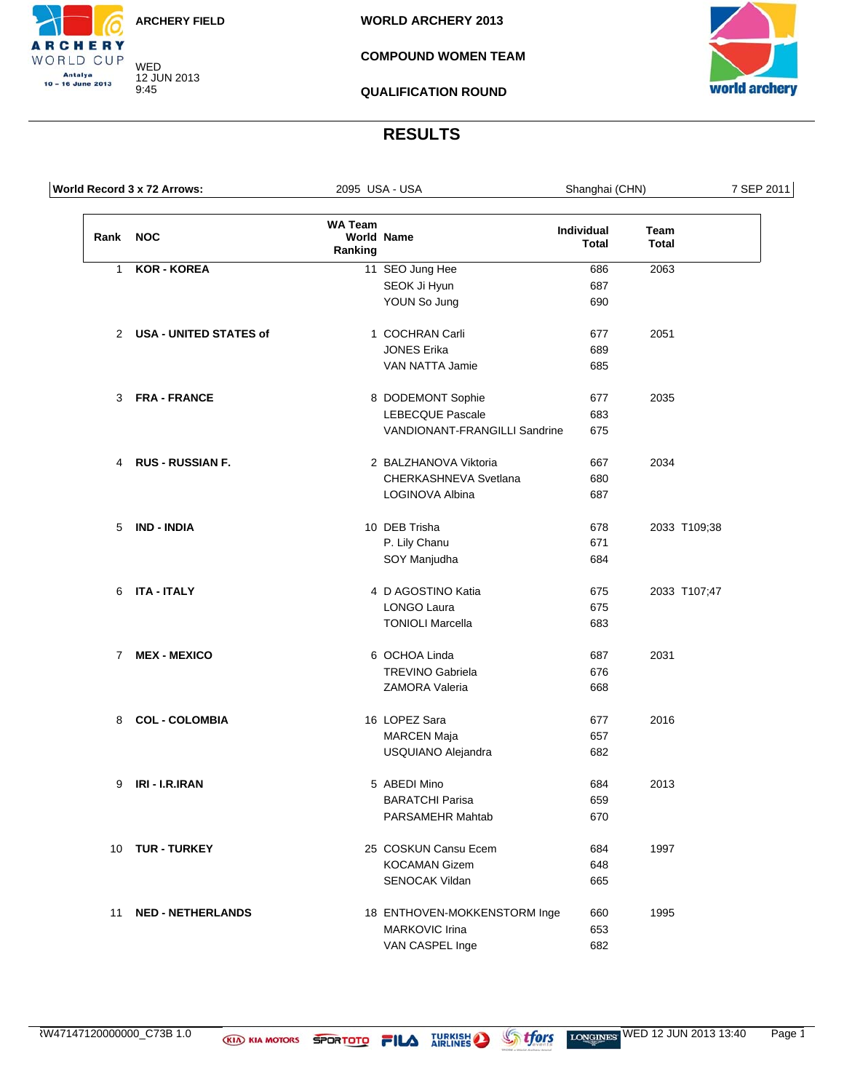WED 12 JUN 2013 9:45

**RCHERY** WORLD CUP Antalya<br>10 – 16 June 2013

**WORLD ARCHERY 2013**

#### **COMPOUND WOMEN TEAM**

**QUALIFICATION ROUND**



#### **RESULTS**

|                | World Record 3 x 72 Arrows: | 2095 USA - USA            |                               | Shanghai (CHN)                    |                      | 7 SEP 2011 |
|----------------|-----------------------------|---------------------------|-------------------------------|-----------------------------------|----------------------|------------|
| Rank           | <b>NOC</b>                  | <b>WA Team</b><br>Ranking | <b>World Name</b>             | <b>Individual</b><br><b>Total</b> | Team<br><b>Total</b> |            |
| 1              | <b>KOR - KOREA</b>          |                           | 11 SEO Jung Hee               | 686                               | 2063                 |            |
|                |                             |                           | SEOK Ji Hyun                  | 687                               |                      |            |
|                |                             |                           | YOUN So Jung                  | 690                               |                      |            |
|                | 2 USA - UNITED STATES of    |                           | 1 COCHRAN Carli               | 677                               | 2051                 |            |
|                |                             |                           | <b>JONES Erika</b>            | 689                               |                      |            |
|                |                             |                           | VAN NATTA Jamie               | 685                               |                      |            |
|                | 3 FRA-FRANCE                |                           | 8 DODEMONT Sophie             | 677                               | 2035                 |            |
|                |                             |                           | <b>LEBECQUE Pascale</b>       | 683                               |                      |            |
|                |                             |                           | VANDIONANT-FRANGILLI Sandrine | 675                               |                      |            |
|                | 4 RUS - RUSSIAN F.          |                           | 2 BALZHANOVA Viktoria         | 667                               | 2034                 |            |
|                |                             |                           | CHERKASHNEVA Svetlana         | 680                               |                      |            |
|                |                             |                           | LOGINOVA Albina               | 687                               |                      |            |
|                | 5 IND - INDIA               |                           | 10 DEB Trisha                 | 678                               | 2033 T109;38         |            |
|                |                             |                           | P. Lily Chanu                 | 671                               |                      |            |
|                |                             |                           | SOY Manjudha                  | 684                               |                      |            |
| 6              | ITA - ITALY                 |                           | 4 D AGOSTINO Katia            | 675                               | 2033 T107;47         |            |
|                |                             |                           | <b>LONGO Laura</b>            | 675                               |                      |            |
|                |                             |                           | <b>TONIOLI Marcella</b>       | 683                               |                      |            |
| $\overline{7}$ | <b>MEX - MEXICO</b>         |                           | 6 OCHOA Linda                 | 687                               | 2031                 |            |
|                |                             |                           | <b>TREVINO Gabriela</b>       | 676                               |                      |            |
|                |                             |                           | ZAMORA Valeria                | 668                               |                      |            |
| 8              | <b>COL - COLOMBIA</b>       |                           | 16 LOPEZ Sara                 | 677                               | 2016                 |            |
|                |                             |                           | <b>MARCEN Maja</b>            | 657                               |                      |            |
|                |                             |                           | USQUIANO Alejandra            | 682                               |                      |            |
| 9              | IRI - I.R.IRAN              |                           | 5 ABEDI Mino                  | 684                               | 2013                 |            |
|                |                             |                           | <b>BARATCHI Parisa</b>        | 659                               |                      |            |
|                |                             |                           | PARSAMEHR Mahtab              | 670                               |                      |            |
| 10             | <b>TUR - TURKEY</b>         |                           | 25 COSKUN Cansu Ecem          | 684                               | 1997                 |            |
|                |                             |                           | <b>KOCAMAN Gizem</b>          | 648                               |                      |            |
|                |                             |                           | SENOCAK Vildan                | 665                               |                      |            |
| 11             | <b>NED - NETHERLANDS</b>    |                           | 18 ENTHOVEN-MOKKENSTORM Inge  | 660                               | 1995                 |            |
|                |                             |                           | <b>MARKOVIC Irina</b>         | 653                               |                      |            |
|                |                             |                           | VAN CASPEL Inge               | 682                               |                      |            |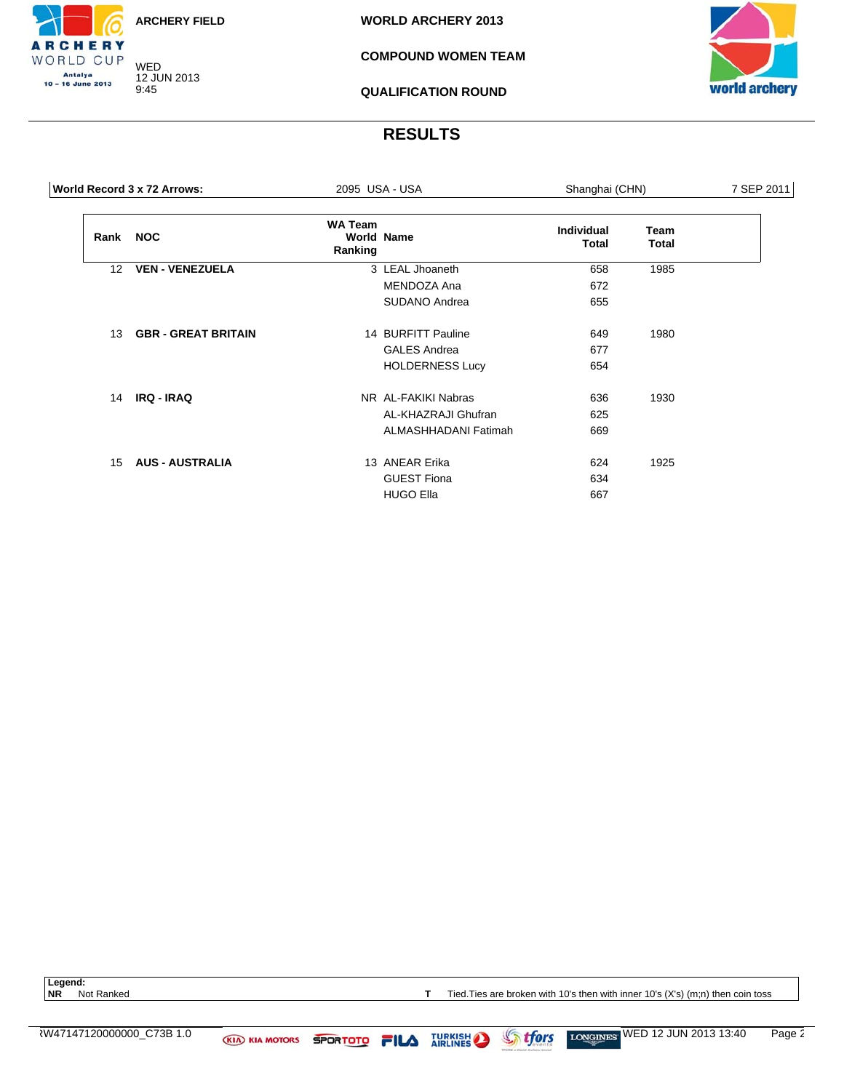WED 12 JUN 2013 9:45

CHERY WORLD CUP Antalya<br>10 – 16 June 2013

**WORLD ARCHERY 2013**

#### **COMPOUND WOMEN TEAM**

**QUALIFICATION ROUND**



#### **RESULTS**

|      | 2095 USA - USA<br>World Record 3 x 72 Arrows: |                           |                        | Shanghai (CHN)             |               | 7 SEP 2011 |
|------|-----------------------------------------------|---------------------------|------------------------|----------------------------|---------------|------------|
| Rank | <b>NOC</b>                                    | <b>WA Team</b><br>Ranking | <b>World Name</b>      | <b>Individual</b><br>Total | Team<br>Total |            |
| 12   | <b>VEN - VENEZUELA</b>                        |                           | 3 LEAL Jhoaneth        | 658                        | 1985          |            |
|      |                                               |                           | MENDOZA Ana            | 672                        |               |            |
|      |                                               |                           | SUDANO Andrea          | 655                        |               |            |
| 13   | <b>GBR - GREAT BRITAIN</b>                    |                           | 14 BURFITT Pauline     | 649                        | 1980          |            |
|      |                                               |                           | <b>GALES Andrea</b>    | 677                        |               |            |
|      |                                               |                           | <b>HOLDERNESS Lucy</b> | 654                        |               |            |
| 14   | <b>IRQ - IRAQ</b>                             |                           | NR AL-FAKIKI Nabras    | 636                        | 1930          |            |
|      |                                               |                           | AL-KHAZRAJI Ghufran    | 625                        |               |            |
|      |                                               |                           | ALMASHHADANI Fatimah   | 669                        |               |            |
| 15   | <b>AUS - AUSTRALIA</b>                        |                           | 13 ANEAR Erika         | 624                        | 1925          |            |
|      |                                               |                           | <b>GUEST Fiona</b>     | 634                        |               |            |
|      |                                               |                           | <b>HUGO Ella</b>       | 667                        |               |            |
|      |                                               |                           |                        |                            |               |            |

Legend:<br>NR Not Ranked

**T** Tied.Ties are broken with 10's then with inner 10's (X's) (m;n) then coin toss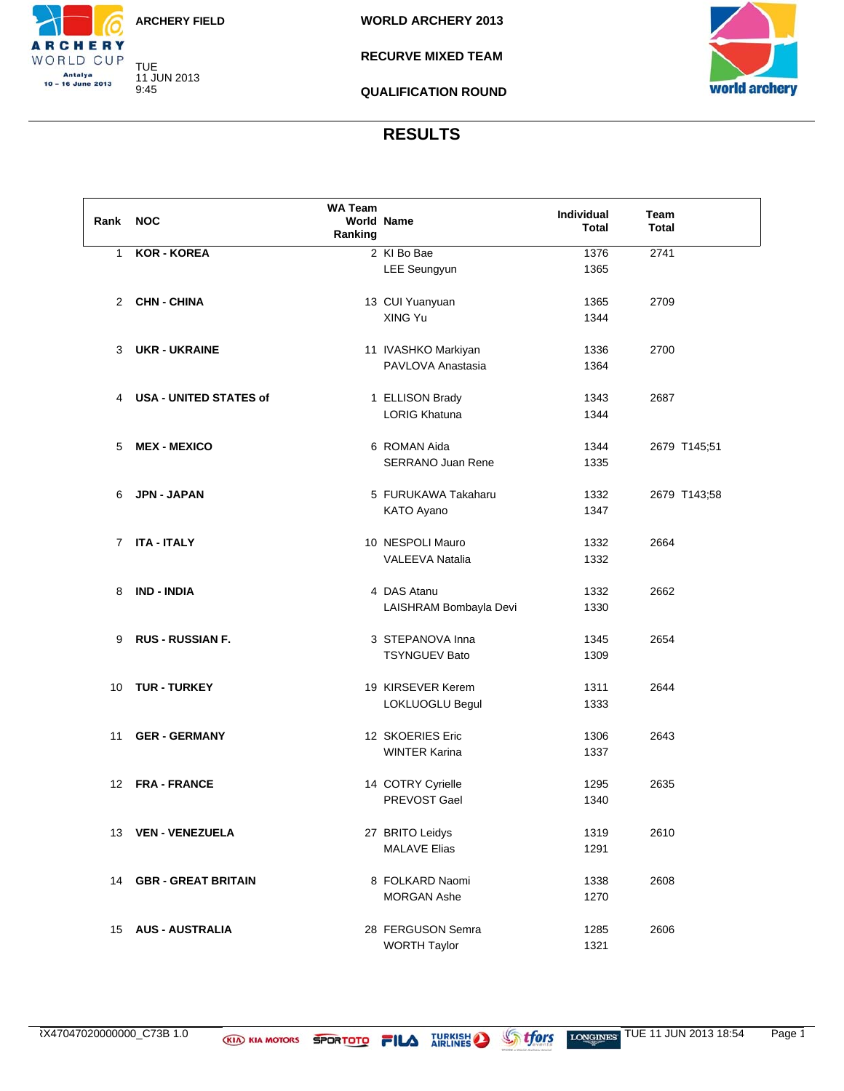TUE 11 JUN 2013 9:45

CHERY WORLD CUP Antalya<br>10 – 16 June 2013

**RECURVE MIXED TEAM**

**QUALIFICATION ROUND**



#### **RESULTS**

| Rank | <b>NOC</b>                    | <b>WA Team</b><br>Ranking | <b>World Name</b>                        | Individual<br><b>Total</b> | Team<br><b>Total</b> |
|------|-------------------------------|---------------------------|------------------------------------------|----------------------------|----------------------|
| 1    | <b>KOR - KOREA</b>            |                           | 2 KI Bo Bae                              | 1376                       | 2741                 |
|      |                               |                           | LEE Seungyun                             | 1365                       |                      |
|      |                               |                           |                                          |                            |                      |
|      | 2 CHN-CHINA                   |                           | 13 CUI Yuanyuan                          | 1365                       | 2709                 |
|      |                               |                           | XING Yu                                  | 1344                       |                      |
|      |                               |                           |                                          |                            |                      |
| 3    | <b>UKR - UKRAINE</b>          |                           | 11 IVASHKO Markiyan                      | 1336                       | 2700                 |
|      |                               |                           | PAVLOVA Anastasia                        | 1364                       |                      |
|      |                               |                           |                                          |                            |                      |
| 4    | <b>USA - UNITED STATES of</b> |                           | 1 ELLISON Brady                          | 1343                       | 2687                 |
|      |                               |                           | <b>LORIG Khatuna</b>                     | 1344                       |                      |
|      |                               |                           |                                          |                            |                      |
| 5    | <b>MEX - MEXICO</b>           |                           | 6 ROMAN Aida                             | 1344                       | 2679 T145;51         |
|      |                               |                           | <b>SERRANO Juan Rene</b>                 | 1335                       |                      |
| 6    | <b>JPN - JAPAN</b>            |                           | 5 FURUKAWA Takaharu                      | 1332                       |                      |
|      |                               |                           | KATO Ayano                               | 1347                       | 2679 T143;58         |
|      |                               |                           |                                          |                            |                      |
| 7    | <b>ITA - ITALY</b>            |                           | 10 NESPOLI Mauro                         | 1332                       | 2664                 |
|      |                               |                           | <b>VALEEVA Natalia</b>                   | 1332                       |                      |
|      |                               |                           |                                          |                            |                      |
| 8    | <b>IND - INDIA</b>            |                           | 4 DAS Atanu                              | 1332                       | 2662                 |
|      |                               |                           | LAISHRAM Bombayla Devi                   | 1330                       |                      |
|      |                               |                           |                                          |                            |                      |
| 9    | <b>RUS - RUSSIAN F.</b>       |                           | 3 STEPANOVA Inna                         | 1345                       | 2654                 |
|      |                               |                           | <b>TSYNGUEV Bato</b>                     | 1309                       |                      |
|      |                               |                           |                                          |                            |                      |
| 10   | <b>TUR - TURKEY</b>           |                           | 19 KIRSEVER Kerem                        | 1311                       | 2644                 |
|      |                               |                           | LOKLUOGLU Begul                          | 1333                       |                      |
|      |                               |                           |                                          |                            |                      |
| 11   | <b>GER - GERMANY</b>          |                           | 12 SKOERIES Eric<br><b>WINTER Karina</b> | 1306                       | 2643                 |
|      |                               |                           |                                          | 1337                       |                      |
| 12   | <b>FRA - FRANCE</b>           |                           | 14 COTRY Cyrielle                        | 1295                       | 2635                 |
|      |                               |                           | PREVOST Gael                             | 1340                       |                      |
|      |                               |                           |                                          |                            |                      |
| 13   | <b>VEN - VENEZUELA</b>        |                           | 27 BRITO Leidys                          | 1319                       | 2610                 |
|      |                               |                           | <b>MALAVE Elias</b>                      | 1291                       |                      |
|      |                               |                           |                                          |                            |                      |
| 14   | <b>GBR - GREAT BRITAIN</b>    |                           | 8 FOLKARD Naomi                          | 1338                       | 2608                 |
|      |                               |                           | <b>MORGAN Ashe</b>                       | 1270                       |                      |
|      |                               |                           |                                          |                            |                      |
| 15   | <b>AUS - AUSTRALIA</b>        |                           | 28 FERGUSON Semra                        | 1285                       | 2606                 |
|      |                               |                           | <b>WORTH Taylor</b>                      | 1321                       |                      |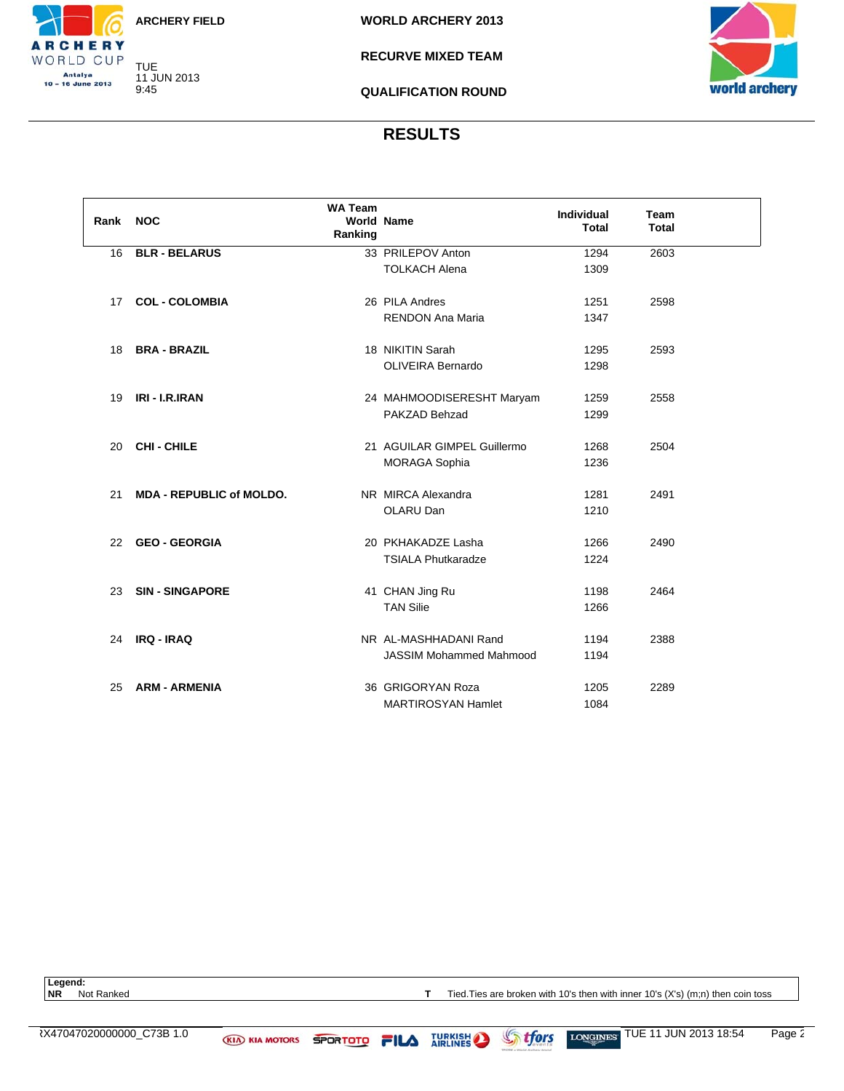TUE 11 JUN 2013 9:45

CHERY WORLD CUP Antalya<br>10 – 16 June 2013

**WORLD ARCHERY 2013**

**RECURVE MIXED TEAM**

**QUALIFICATION ROUND**



#### **RESULTS**

| Rank | <b>NOC</b>                      | <b>WA Team</b><br><b>World Name</b><br>Ranking |                                           | <b>Individual</b><br><b>Total</b> | <b>Team</b><br><b>Total</b> |  |
|------|---------------------------------|------------------------------------------------|-------------------------------------------|-----------------------------------|-----------------------------|--|
| 16   | <b>BLR - BELARUS</b>            |                                                | 33 PRILEPOV Anton                         | 1294                              | 2603                        |  |
|      |                                 |                                                | <b>TOLKACH Alena</b>                      | 1309                              |                             |  |
| 17   | <b>COL - COLOMBIA</b>           |                                                | 26 PILA Andres<br><b>RENDON Ana Maria</b> | 1251<br>1347                      | 2598                        |  |
|      |                                 |                                                |                                           |                                   |                             |  |
| 18   | <b>BRA - BRAZIL</b>             |                                                | 18 NIKITIN Sarah                          | 1295                              | 2593                        |  |
|      |                                 |                                                | <b>OLIVEIRA Bernardo</b>                  | 1298                              |                             |  |
|      |                                 |                                                |                                           |                                   |                             |  |
| 19   | IRI - I.R.IRAN                  |                                                | 24 MAHMOODISERESHT Maryam                 | 1259                              | 2558                        |  |
|      |                                 |                                                | PAKZAD Behzad                             | 1299                              |                             |  |
| 20   | <b>CHI-CHILE</b>                |                                                | 21 AGUILAR GIMPEL Guillermo               | 1268                              | 2504                        |  |
|      |                                 |                                                | <b>MORAGA Sophia</b>                      | 1236                              |                             |  |
|      |                                 |                                                |                                           |                                   |                             |  |
| 21   | <b>MDA - REPUBLIC of MOLDO.</b> |                                                | NR MIRCA Alexandra                        | 1281                              | 2491                        |  |
|      |                                 |                                                | OLARU Dan                                 | 1210                              |                             |  |
|      |                                 |                                                |                                           |                                   |                             |  |
| 22   | <b>GEO - GEORGIA</b>            |                                                | 20 PKHAKADZE Lasha                        | 1266                              | 2490                        |  |
|      |                                 |                                                | <b>TSIALA Phutkaradze</b>                 | 1224                              |                             |  |
| 23   | <b>SIN-SINGAPORE</b>            |                                                | 41 CHAN Jing Ru                           | 1198                              | 2464                        |  |
|      |                                 |                                                | <b>TAN Silie</b>                          | 1266                              |                             |  |
|      |                                 |                                                |                                           |                                   |                             |  |
| 24   | IRQ - IRAQ                      |                                                | NR AL-MASHHADANI Rand                     | 1194                              | 2388                        |  |
|      |                                 |                                                | <b>JASSIM Mohammed Mahmood</b>            | 1194                              |                             |  |
|      |                                 |                                                |                                           |                                   |                             |  |
| 25   | <b>ARM - ARMENIA</b>            |                                                | 36 GRIGORYAN Roza                         | 1205                              | 2289                        |  |
|      |                                 |                                                | <b>MARTIROSYAN Hamlet</b>                 | 1084                              |                             |  |

Legend:<br>**NR** Not Ranked

**T** Tied.Ties are broken with 10's then with inner 10's (X's) (m;n) then coin toss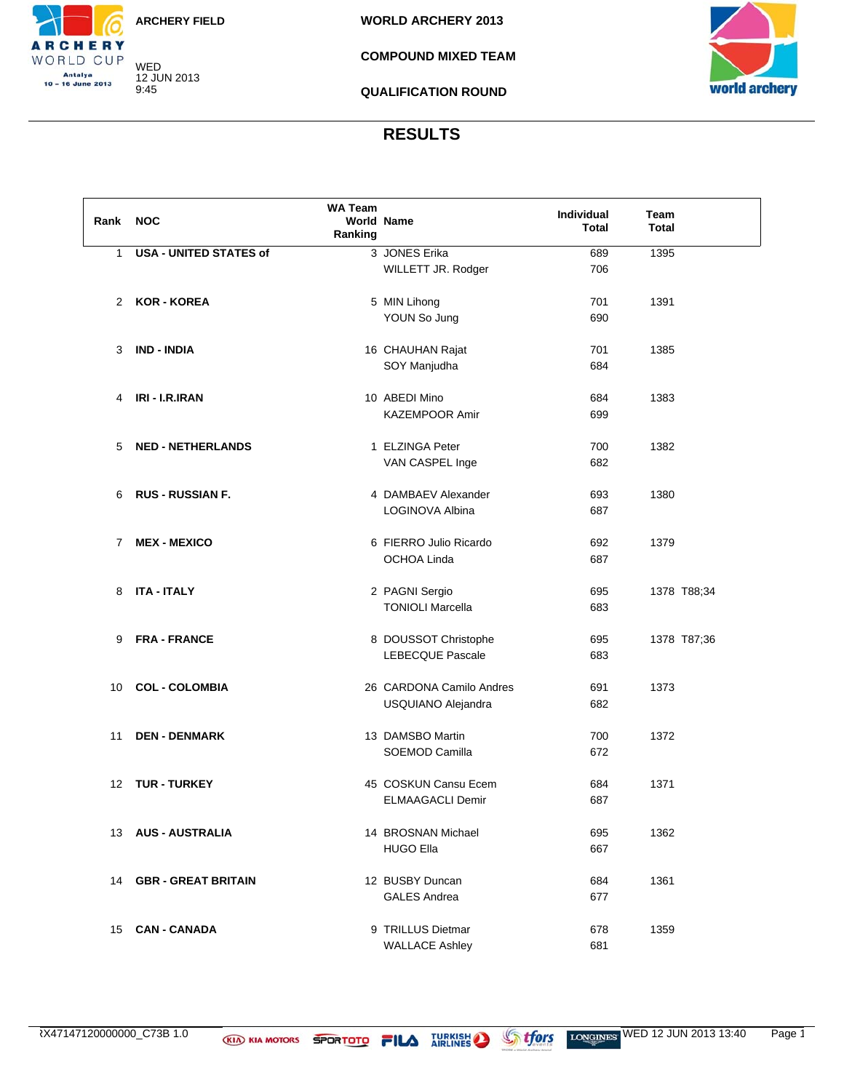WED 12 JUN 2013 9:45

CHERY WORLD CUP Antalya<br>10 – 16 June 2013

**WORLD ARCHERY 2013**

**COMPOUND MIXED TEAM**

**QUALIFICATION ROUND**



#### **RESULTS**

| Rank NOC |                               | WA Team<br>Ranking | <b>World Name</b>        | Individual<br>Total | Team<br><b>Total</b> |
|----------|-------------------------------|--------------------|--------------------------|---------------------|----------------------|
| 1        | <b>USA - UNITED STATES of</b> |                    | 3 JONES Erika            | 689                 | 1395                 |
|          |                               |                    | WILLETT JR. Rodger       | 706                 |                      |
|          |                               |                    |                          |                     |                      |
| 2        | <b>KOR - KOREA</b>            |                    | 5 MIN Lihong             | 701                 | 1391                 |
|          |                               |                    | YOUN So Jung             | 690                 |                      |
|          |                               |                    |                          |                     |                      |
| 3        | <b>IND - INDIA</b>            |                    | 16 CHAUHAN Rajat         | 701                 | 1385                 |
|          |                               |                    | SOY Manjudha             | 684                 |                      |
|          |                               |                    |                          |                     |                      |
|          | IRI - I.R.IRAN                |                    | 10 ABEDI Mino            |                     |                      |
| 4        |                               |                    |                          | 684                 | 1383                 |
|          |                               |                    | <b>KAZEMPOOR Amir</b>    | 699                 |                      |
|          |                               |                    |                          |                     |                      |
| 5        | <b>NED - NETHERLANDS</b>      |                    | 1 ELZINGA Peter          | 700                 | 1382                 |
|          |                               |                    | VAN CASPEL Inge          | 682                 |                      |
|          |                               |                    |                          |                     |                      |
| 6        | <b>RUS - RUSSIAN F.</b>       |                    | 4 DAMBAEV Alexander      | 693                 | 1380                 |
|          |                               |                    | LOGINOVA Albina          | 687                 |                      |
|          |                               |                    |                          |                     |                      |
| 7        | <b>MEX - MEXICO</b>           |                    | 6 FIERRO Julio Ricardo   | 692                 | 1379                 |
|          |                               |                    | <b>OCHOA Linda</b>       | 687                 |                      |
|          |                               |                    |                          |                     |                      |
| 8        | <b>ITA - ITALY</b>            |                    | 2 PAGNI Sergio           | 695                 | 1378 T88;34          |
|          |                               |                    | <b>TONIOLI Marcella</b>  | 683                 |                      |
|          |                               |                    |                          |                     |                      |
| 9        | <b>FRA - FRANCE</b>           |                    | 8 DOUSSOT Christophe     | 695                 | 1378 T87;36          |
|          |                               |                    | <b>LEBECQUE Pascale</b>  | 683                 |                      |
|          |                               |                    |                          |                     |                      |
| 10       | <b>COL - COLOMBIA</b>         |                    | 26 CARDONA Camilo Andres | 691                 | 1373                 |
|          |                               |                    | USQUIANO Alejandra       | 682                 |                      |
|          |                               |                    |                          |                     |                      |
| 11       | <b>DEN - DENMARK</b>          |                    | 13 DAMSBO Martin         | 700                 | 1372                 |
|          |                               |                    | <b>SOEMOD Camilla</b>    | 672                 |                      |
|          |                               |                    |                          |                     |                      |
| 12       | <b>TUR - TURKEY</b>           |                    | 45 COSKUN Cansu Ecem     | 684                 | 1371                 |
|          |                               |                    | <b>ELMAAGACLI Demir</b>  | 687                 |                      |
|          |                               |                    |                          |                     |                      |
| 13       | <b>AUS - AUSTRALIA</b>        |                    | 14 BROSNAN Michael       | 695                 | 1362                 |
|          |                               |                    |                          |                     |                      |
|          |                               |                    | <b>HUGO Ella</b>         | 667                 |                      |
|          |                               |                    |                          |                     |                      |
| 14       | <b>GBR - GREAT BRITAIN</b>    |                    | 12 BUSBY Duncan          | 684                 | 1361                 |
|          |                               |                    | <b>GALES Andrea</b>      | 677                 |                      |
|          |                               |                    |                          |                     |                      |
| 15       | <b>CAN - CANADA</b>           |                    | 9 TRILLUS Dietmar        | 678                 | 1359                 |
|          |                               |                    | <b>WALLACE Ashley</b>    | 681                 |                      |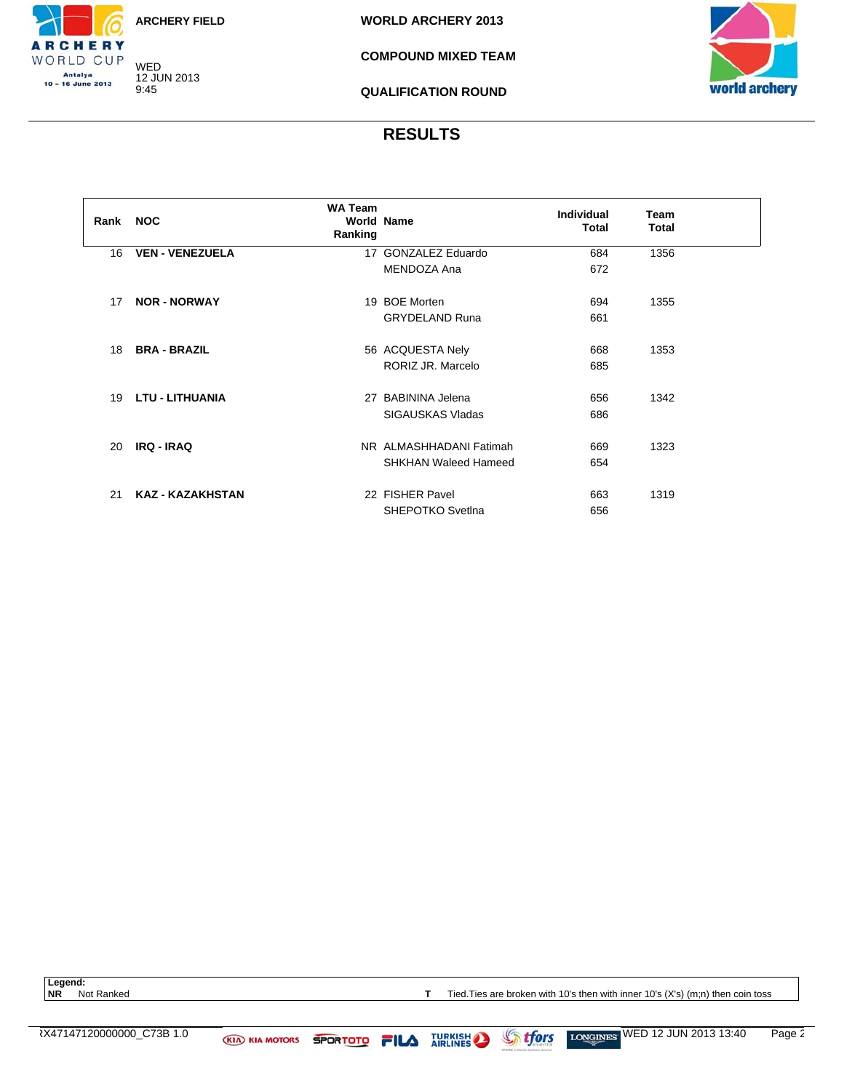WED 12 JUN 2013 9:45

CHERY WORLD CUP Antalya<br>10 – 16 June 2013

**WORLD ARCHERY 2013**

**COMPOUND MIXED TEAM**

**QUALIFICATION ROUND**



### **RESULTS**

| Rank | <b>NOC</b>              | <b>WA Team</b><br><b>World Name</b><br>Ranking |                             | Individual<br>Total | <b>Team</b><br><b>Total</b> |  |
|------|-------------------------|------------------------------------------------|-----------------------------|---------------------|-----------------------------|--|
| 16   | <b>VEN - VENEZUELA</b>  |                                                | 17 GONZALEZ Eduardo         | 684                 | 1356                        |  |
|      |                         |                                                | MENDOZA Ana                 | 672                 |                             |  |
| 17   | <b>NOR - NORWAY</b>     |                                                | 19 BOE Morten               | 694                 | 1355                        |  |
|      |                         |                                                | <b>GRYDELAND Runa</b>       | 661                 |                             |  |
| 18   | <b>BRA - BRAZIL</b>     |                                                | 56 ACQUESTA Nely            | 668                 | 1353                        |  |
|      |                         |                                                | RORIZ JR. Marcelo           | 685                 |                             |  |
| 19   | <b>LTU - LITHUANIA</b>  |                                                | 27 BABININA Jelena          | 656                 | 1342                        |  |
|      |                         |                                                | SIGAUSKAS Vladas            | 686                 |                             |  |
| 20   | <b>IRQ - IRAQ</b>       |                                                | NR ALMASHHADANI Fatimah     | 669                 | 1323                        |  |
|      |                         |                                                | <b>SHKHAN Waleed Hameed</b> | 654                 |                             |  |
| 21   | <b>KAZ - KAZAKHSTAN</b> |                                                | 22 FISHER Pavel             | 663                 | 1319                        |  |
|      |                         |                                                | SHEPOTKO Svetlna            | 656                 |                             |  |

Legend:<br>**NR** Not Ranked

**T** Tied.Ties are broken with 10's then with inner 10's (X's) (m;n) then coin toss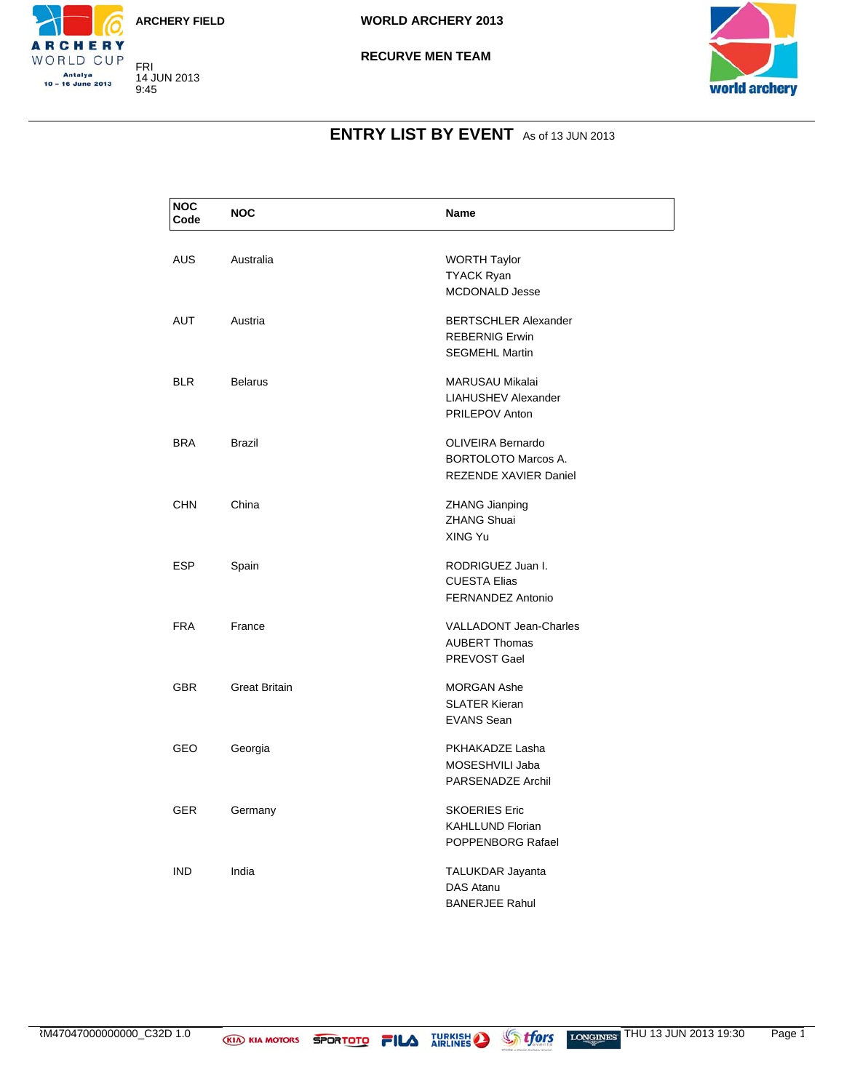

FRI 14 JUN 2013 9:45

CHERY WORLD CUP Antalya<br>10 – 16 June 2013





# **ENTRY LIST BY EVENT** As of 13 JUN 2013

| <b>NOC</b><br>Code | <b>NOC</b>           | Name                          |
|--------------------|----------------------|-------------------------------|
|                    |                      |                               |
| <b>AUS</b>         | Australia            | <b>WORTH Taylor</b>           |
|                    |                      | <b>TYACK Ryan</b>             |
|                    |                      | <b>MCDONALD Jesse</b>         |
| <b>AUT</b>         | Austria              | <b>BERTSCHLER Alexander</b>   |
|                    |                      | <b>REBERNIG Erwin</b>         |
|                    |                      | <b>SEGMEHL Martin</b>         |
| <b>BLR</b>         | <b>Belarus</b>       | MARUSAU Mikalai               |
|                    |                      | <b>LIAHUSHEV Alexander</b>    |
|                    |                      |                               |
|                    |                      | <b>PRILEPOV Anton</b>         |
| <b>BRA</b>         | <b>Brazil</b>        | <b>OLIVEIRA Bernardo</b>      |
|                    |                      | <b>BORTOLOTO Marcos A.</b>    |
|                    |                      | <b>REZENDE XAVIER Daniel</b>  |
| <b>CHN</b>         | China                | ZHANG Jianping                |
|                    |                      | <b>ZHANG Shuai</b>            |
|                    |                      | XING Yu                       |
|                    |                      |                               |
| <b>ESP</b>         | Spain                | RODRIGUEZ Juan I.             |
|                    |                      | <b>CUESTA Elias</b>           |
|                    |                      | FERNANDEZ Antonio             |
| <b>FRA</b>         | France               | <b>VALLADONT Jean-Charles</b> |
|                    |                      | <b>AUBERT Thomas</b>          |
|                    |                      | PREVOST Gael                  |
| <b>GBR</b>         | <b>Great Britain</b> | <b>MORGAN Ashe</b>            |
|                    |                      | <b>SLATER Kieran</b>          |
|                    |                      | <b>EVANS Sean</b>             |
|                    |                      |                               |
| GEO                | Georgia              | PKHAKADZE Lasha               |
|                    |                      | MOSESHVILI Jaba               |
|                    |                      | PARSENADZE Archil             |
| <b>GER</b>         | Germany              | <b>SKOERIES Eric</b>          |
|                    |                      | <b>KAHLLUND Florian</b>       |
|                    |                      | POPPENBORG Rafael             |
|                    |                      |                               |
| <b>IND</b>         | India                | TALUKDAR Jayanta              |
|                    |                      | DAS Atanu                     |
|                    |                      | <b>BANERJEE Rahul</b>         |

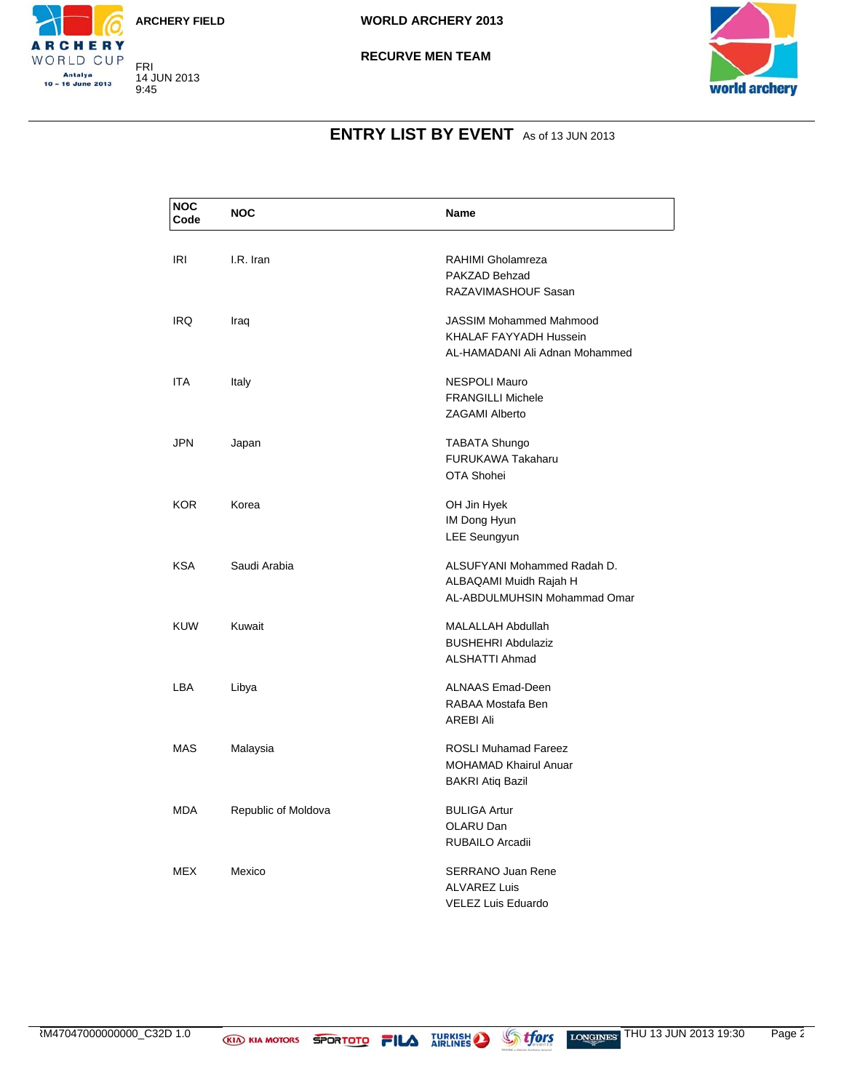

FRI 14 JUN 2013 9:45

CHERY WORLD CUP Antalya<br>10 – 16 June 2013





# **ENTRY LIST BY EVENT** As of 13 JUN 2013

| <b>NOC</b><br>Code | <b>NOC</b>          | <b>Name</b>                    |
|--------------------|---------------------|--------------------------------|
|                    |                     |                                |
| IRI                | I.R. Iran           | RAHIMI Gholamreza              |
|                    |                     | PAKZAD Behzad                  |
|                    |                     | RAZAVIMASHOUF Sasan            |
| <b>IRQ</b>         | Iraq                | <b>JASSIM Mohammed Mahmood</b> |
|                    |                     | KHALAF FAYYADH Hussein         |
|                    |                     | AL-HAMADANI Ali Adnan Mohammed |
| ITA                | Italy               | <b>NESPOLI Mauro</b>           |
|                    |                     | <b>FRANGILLI Michele</b>       |
|                    |                     | <b>ZAGAMI Alberto</b>          |
| JPN                | Japan               | <b>TABATA Shungo</b>           |
|                    |                     | <b>FURUKAWA Takaharu</b>       |
|                    |                     | OTA Shohei                     |
| KOR.               | Korea               | OH Jin Hyek                    |
|                    |                     | IM Dong Hyun                   |
|                    |                     | <b>LEE Seungyun</b>            |
|                    |                     |                                |
| <b>KSA</b>         | Saudi Arabia        | ALSUFYANI Mohammed Radah D.    |
|                    |                     | ALBAQAMI Muidh Rajah H         |
|                    |                     | AL-ABDULMUHSIN Mohammad Omar   |
| <b>KUW</b>         | Kuwait              | MALALLAH Abdullah              |
|                    |                     | <b>BUSHEHRI Abdulaziz</b>      |
|                    |                     | <b>ALSHATTI Ahmad</b>          |
| LBA                | Libya               | <b>ALNAAS Emad-Deen</b>        |
|                    |                     | RABAA Mostafa Ben              |
|                    |                     | <b>AREBI Ali</b>               |
| MAS                | Malaysia            | <b>ROSLI Muhamad Fareez</b>    |
|                    |                     | <b>MOHAMAD Khairul Anuar</b>   |
|                    |                     | <b>BAKRI Atiq Bazil</b>        |
| <b>MDA</b>         | Republic of Moldova | <b>BULIGA Artur</b>            |
|                    |                     | OLARU Dan                      |
|                    |                     | RUBAILO Arcadii                |
| <b>MEX</b>         | Mexico              | <b>SERRANO Juan Rene</b>       |
|                    |                     | <b>ALVAREZ Luis</b>            |
|                    |                     | <b>VELEZ Luis Eduardo</b>      |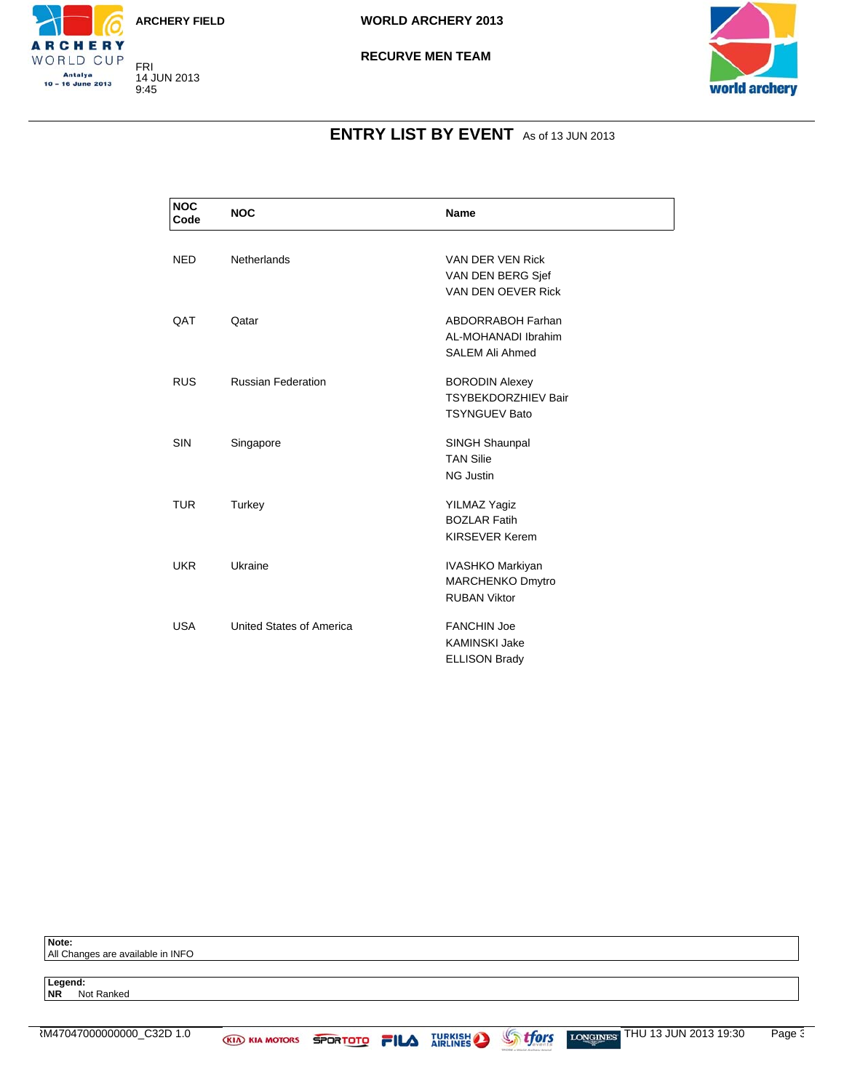

FRI 14 JUN 2013 9:45

CHERY WORLD CUP Antalya<br>10 – 16 June 2013

**WORLD ARCHERY 2013**



# **ENTRY LIST BY EVENT** As of 13 JUN 2013

| <b>NOC</b><br>Code | <b>NOC</b>                | Name                       |
|--------------------|---------------------------|----------------------------|
|                    |                           |                            |
| <b>NED</b>         | Netherlands               | VAN DER VEN Rick           |
|                    |                           | VAN DEN BERG Sjef          |
|                    |                           | VAN DEN OEVER Rick         |
| <b>QAT</b>         | Qatar                     | <b>ABDORRABOH Farhan</b>   |
|                    |                           | AL-MOHANADI Ibrahim        |
|                    |                           | <b>SALEM Ali Ahmed</b>     |
| <b>RUS</b>         | <b>Russian Federation</b> | <b>BORODIN Alexey</b>      |
|                    |                           | <b>TSYBEKDORZHIEV Bair</b> |
|                    |                           | <b>TSYNGUEV Bato</b>       |
| <b>SIN</b>         | Singapore                 | SINGH Shaunpal             |
|                    |                           | <b>TAN Silie</b>           |
|                    |                           | <b>NG Justin</b>           |
| <b>TUR</b>         | Turkey                    | <b>YILMAZ Yagiz</b>        |
|                    |                           | <b>BOZLAR Fatih</b>        |
|                    |                           | <b>KIRSEVER Kerem</b>      |
| <b>UKR</b>         | Ukraine                   | IVASHKO Markiyan           |
|                    |                           | <b>MARCHENKO Dmytro</b>    |
|                    |                           | <b>RUBAN Viktor</b>        |
| <b>USA</b>         | United States of America  | <b>FANCHIN Joe</b>         |
|                    |                           | <b>KAMINSKI Jake</b>       |
|                    |                           | <b>ELLISON Brady</b>       |
|                    |                           |                            |

**Note:** All Changes are available in INFO

**Legend: NR** Not Ranked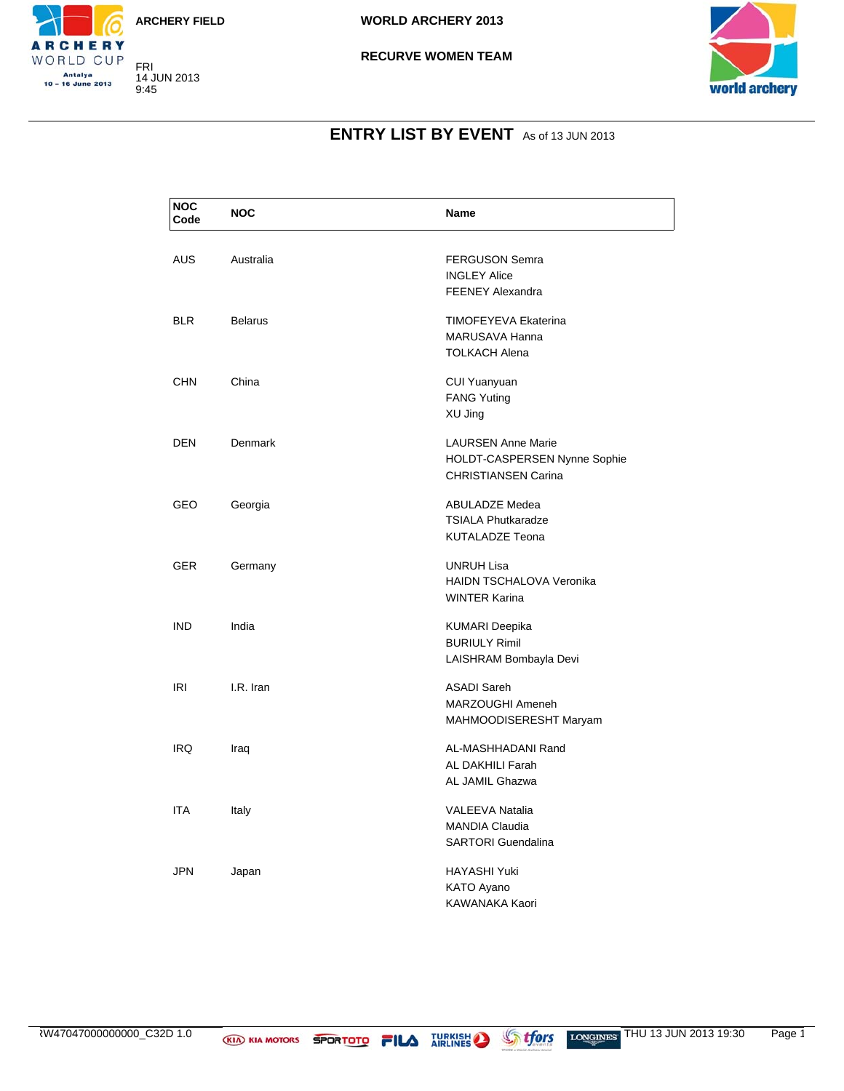



CHERY WORLD CUP Antalya<br>10 – 16 June 2013

#### **RECURVE WOMEN TEAM**



# **ENTRY LIST BY EVENT** As of 13 JUN 2013

| <b>NOC</b><br>Code | <b>NOC</b>     | Name                                                                                    |
|--------------------|----------------|-----------------------------------------------------------------------------------------|
| <b>AUS</b>         | Australia      | <b>FERGUSON Semra</b><br><b>INGLEY Alice</b><br><b>FEENEY Alexandra</b>                 |
| <b>BLR</b>         | <b>Belarus</b> | TIMOFEYEVA Ekaterina<br>MARUSAVA Hanna<br><b>TOLKACH Alena</b>                          |
| <b>CHN</b>         | China          | CUI Yuanyuan<br><b>FANG Yuting</b><br>XU Jing                                           |
| <b>DEN</b>         | Denmark        | <b>LAURSEN Anne Marie</b><br>HOLDT-CASPERSEN Nynne Sophie<br><b>CHRISTIANSEN Carina</b> |
| GEO                | Georgia        | <b>ABULADZE Medea</b><br><b>TSIALA Phutkaradze</b><br><b>KUTALADZE Teona</b>            |
| <b>GER</b>         | Germany        | <b>UNRUH Lisa</b><br>HAIDN TSCHALOVA Veronika<br><b>WINTER Karina</b>                   |
| <b>IND</b>         | India          | KUMARI Deepika<br><b>BURIULY Rimil</b><br>LAISHRAM Bombayla Devi                        |
| IRI                | I.R. Iran      | <b>ASADI Sareh</b><br>MARZOUGHI Ameneh<br>MAHMOODISERESHT Maryam                        |
| IRQ.               | Iraq           | AL-MASHHADANI Rand<br>AL DAKHILI Farah<br>AL JAMIL Ghazwa                               |
| ITA                | Italy          | <b>VALEEVA Natalia</b><br><b>MANDIA Claudia</b><br><b>SARTORI</b> Guendalina            |
| JPN                | Japan          | HAYASHI Yuki<br>KATO Ayano<br>KAWANAKA Kaori                                            |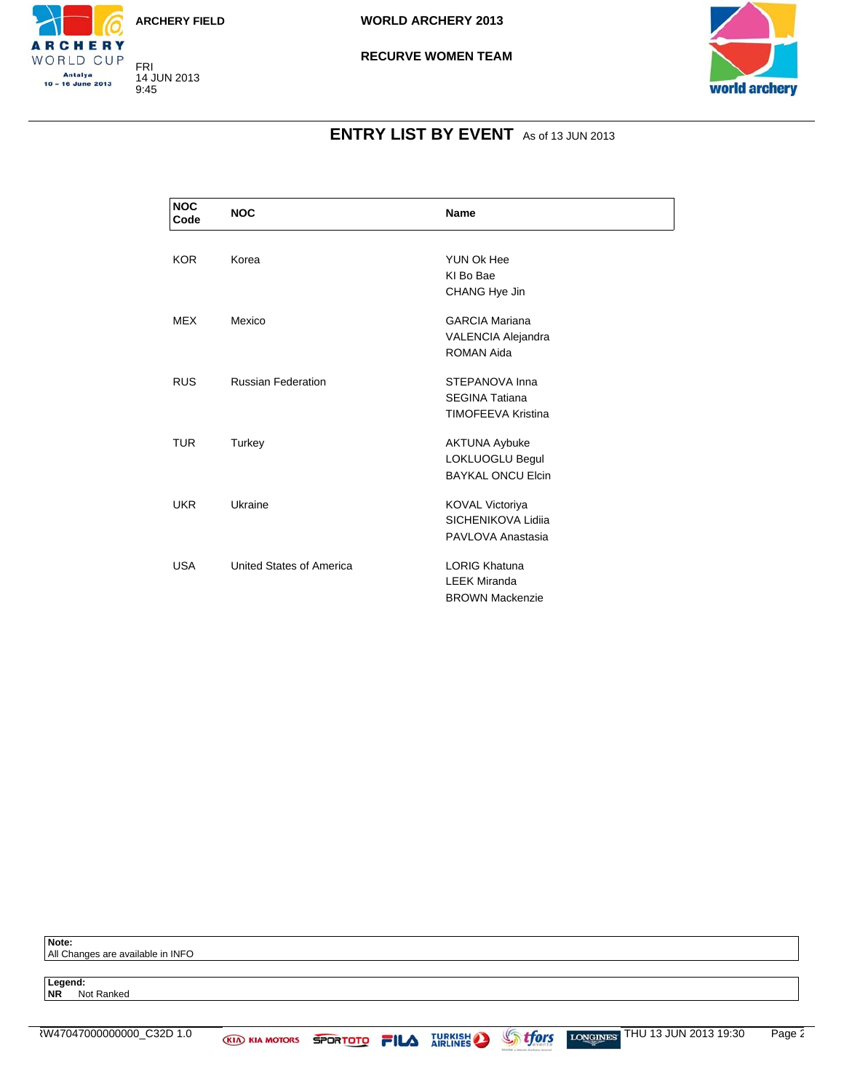



#### **RECURVE WOMEN TEAM**



### **ENTRY LIST BY EVENT** As of 13 JUN 2013

| <b>NOC</b><br>Code | <b>NOC</b>                | <b>Name</b>               |  |
|--------------------|---------------------------|---------------------------|--|
|                    |                           |                           |  |
| <b>KOR</b>         | Korea                     | YUN Ok Hee                |  |
|                    |                           | KI Bo Bae                 |  |
|                    |                           | CHANG Hye Jin             |  |
| <b>MEX</b>         | Mexico                    | <b>GARCIA Mariana</b>     |  |
|                    |                           | VALENCIA Alejandra        |  |
|                    |                           | ROMAN Aida                |  |
| <b>RUS</b>         | <b>Russian Federation</b> | STEPANOVA Inna            |  |
|                    |                           | <b>SEGINA Tatiana</b>     |  |
|                    |                           | <b>TIMOFEEVA Kristina</b> |  |
| <b>TUR</b>         | Turkey                    | <b>AKTUNA Aybuke</b>      |  |
|                    |                           | LOKLUOGLU Begul           |  |
|                    |                           | <b>BAYKAL ONCU Elcin</b>  |  |
| <b>UKR</b>         | Ukraine                   | <b>KOVAL Victoriya</b>    |  |
|                    |                           | SICHENIKOVA Lidiia        |  |
|                    |                           | PAVLOVA Anastasia         |  |
|                    |                           |                           |  |
| <b>USA</b>         | United States of America  | <b>LORIG Khatuna</b>      |  |
|                    |                           | <b>LEEK Miranda</b>       |  |
|                    |                           | <b>BROWN Mackenzie</b>    |  |

**Note:** All Changes are available in INFO

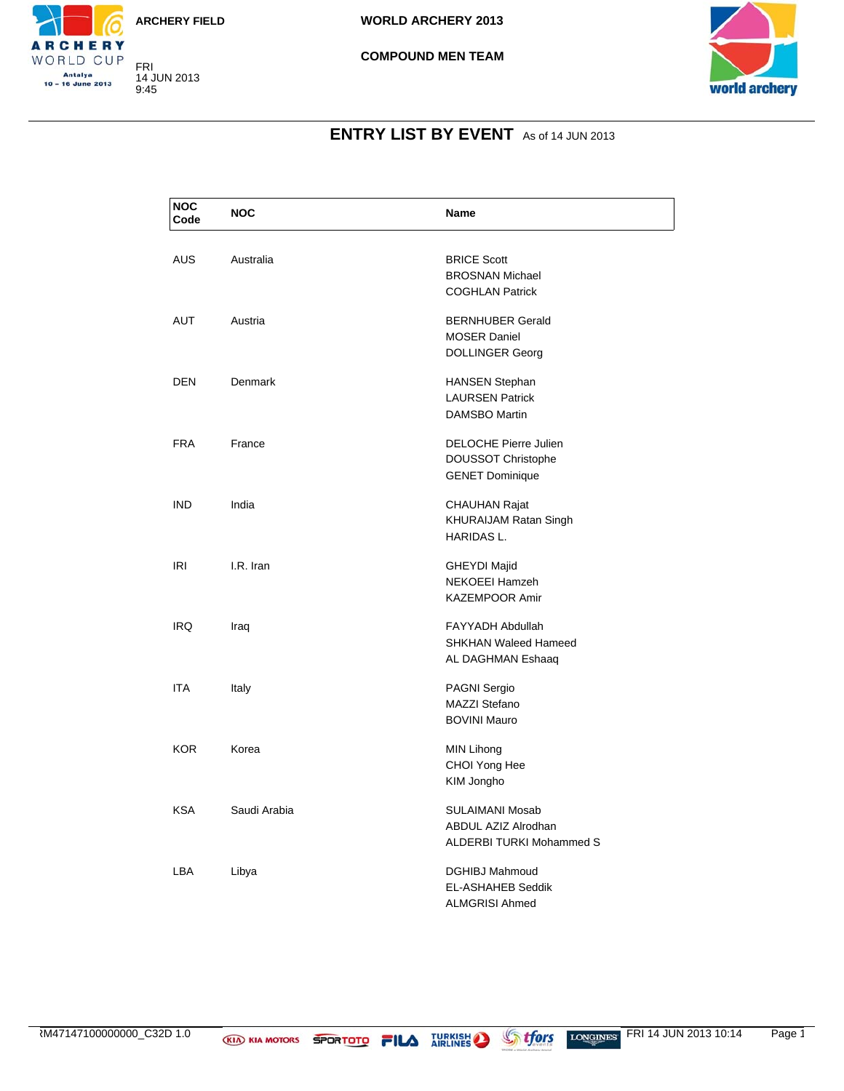

FRI 14 JUN 2013 9:45

CHERY WORLD CUP Antalya<br>10 – 16 June 2013





### **ENTRY LIST BY EVENT** As of 14 JUN 2013

| <b>NOC</b><br>Code | <b>NOC</b>   | <b>Name</b>                                                                         |
|--------------------|--------------|-------------------------------------------------------------------------------------|
| AUS                | Australia    | <b>BRICE Scott</b><br><b>BROSNAN Michael</b><br><b>COGHLAN Patrick</b>              |
| <b>AUT</b>         | Austria      | <b>BERNHUBER Gerald</b><br><b>MOSER Daniel</b><br><b>DOLLINGER Georg</b>            |
| <b>DEN</b>         | Denmark      | <b>HANSEN Stephan</b><br><b>LAURSEN Patrick</b><br><b>DAMSBO Martin</b>             |
| <b>FRA</b>         | France       | <b>DELOCHE Pierre Julien</b><br><b>DOUSSOT Christophe</b><br><b>GENET Dominique</b> |
| <b>IND</b>         | India        | <b>CHAUHAN Rajat</b><br>KHURAIJAM Ratan Singh<br><b>HARIDAS L.</b>                  |
| <b>IRI</b>         | I.R. Iran    | <b>GHEYDI Majid</b><br>NEKOEEI Hamzeh<br><b>KAZEMPOOR Amir</b>                      |
| IRQ                | Iraq         | <b>FAYYADH Abdullah</b><br><b>SHKHAN Waleed Hameed</b><br>AL DAGHMAN Eshaaq         |
| <b>ITA</b>         | Italy        | PAGNI Sergio<br><b>MAZZI Stefano</b><br><b>BOVINI Mauro</b>                         |
| KOR.               | Korea        | MIN Lihong<br>CHOI Yong Hee<br>KIM Jongho                                           |
| <b>KSA</b>         | Saudi Arabia | SULAIMANI Mosab<br>ABDUL AZIZ Alrodhan<br><b>ALDERBI TURKI Mohammed S</b>           |
| LBA                | Libya        | <b>DGHIBJ Mahmoud</b><br><b>EL-ASHAHEB Seddik</b><br><b>ALMGRISI Ahmed</b>          |

RM47147100000000\_C32D 1.0 **KIA KIA MOTORS SPORTOTO FILA** JURKISH STORE LONGINES FRI 14 JUN 2013 10:14 Page 1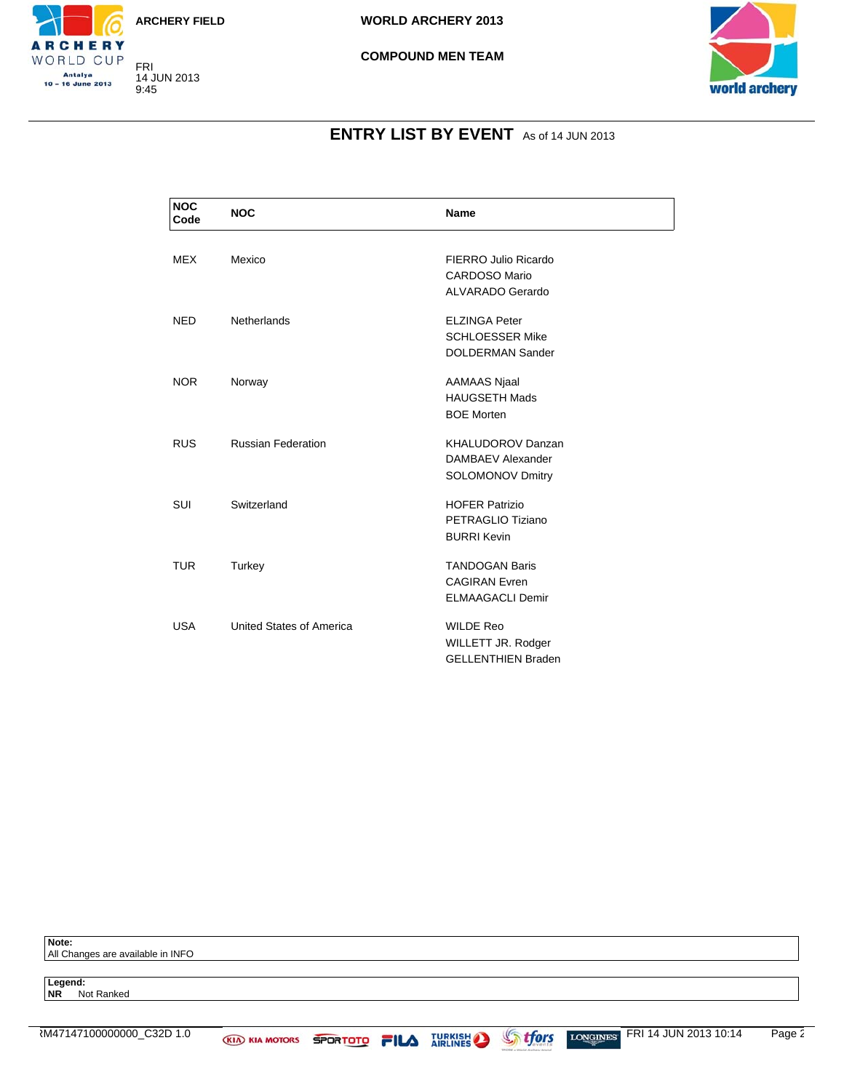





### **ENTRY LIST BY EVENT** As of 14 JUN 2013

| <b>NOC</b><br>Code | <b>NOC</b>                | <b>Name</b>               |
|--------------------|---------------------------|---------------------------|
|                    |                           |                           |
| <b>MEX</b>         | Mexico                    | FIERRO Julio Ricardo      |
|                    |                           | CARDOSO Mario             |
|                    |                           | <b>ALVARADO Gerardo</b>   |
| <b>NED</b>         | Netherlands               | <b>ELZINGA Peter</b>      |
|                    |                           | <b>SCHLOESSER Mike</b>    |
|                    |                           | <b>DOLDERMAN Sander</b>   |
| <b>NOR</b>         | Norway                    | AAMAAS Njaal              |
|                    |                           | <b>HAUGSETH Mads</b>      |
|                    |                           | <b>BOE Morten</b>         |
|                    |                           |                           |
| <b>RUS</b>         | <b>Russian Federation</b> | <b>KHALUDOROV Danzan</b>  |
|                    |                           | DAMBAEV Alexander         |
|                    |                           | <b>SOLOMONOV Dmitry</b>   |
| <b>SUI</b>         | Switzerland               | <b>HOFER Patrizio</b>     |
|                    |                           | PETRAGLIO Tiziano         |
|                    |                           | <b>BURRI Kevin</b>        |
|                    |                           |                           |
| <b>TUR</b>         | Turkey                    | <b>TANDOGAN Baris</b>     |
|                    |                           | <b>CAGIRAN</b> Evren      |
|                    |                           | <b>ELMAAGACLI Demir</b>   |
| <b>USA</b>         | United States of America  | <b>WILDE Reo</b>          |
|                    |                           | WILLETT JR. Rodger        |
|                    |                           | <b>GELLENTHIEN Braden</b> |

**Note:** All Changes are available in INFO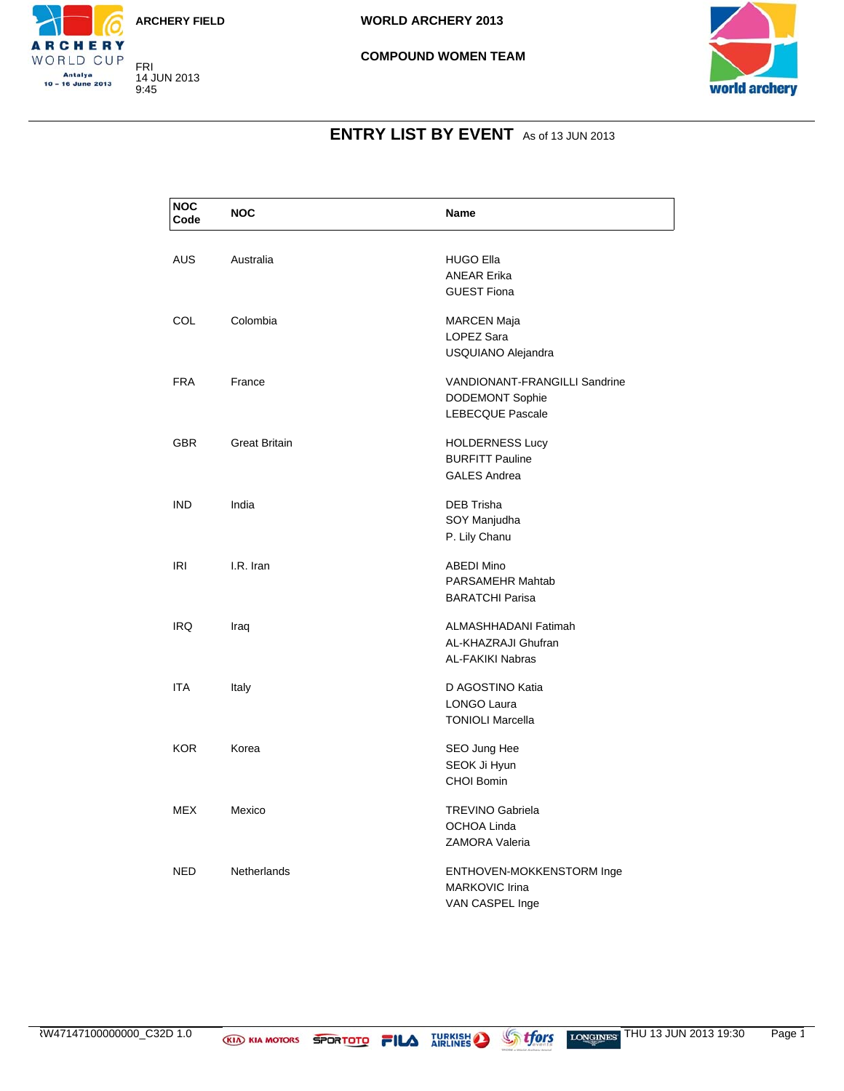



#### **COMPOUND WOMEN TEAM**



### **ENTRY LIST BY EVENT** As of 13 JUN 2013

| <b>NOC</b><br>Code | <b>NOC</b>           | Name                                                                               |
|--------------------|----------------------|------------------------------------------------------------------------------------|
| <b>AUS</b>         | Australia            | <b>HUGO Ella</b><br><b>ANEAR Erika</b><br><b>GUEST Fiona</b>                       |
| <b>COL</b>         | Colombia             | <b>MARCEN Maja</b><br>LOPEZ Sara<br>USQUIANO Alejandra                             |
| <b>FRA</b>         | France               | VANDIONANT-FRANGILLI Sandrine<br><b>DODEMONT Sophie</b><br><b>LEBECQUE Pascale</b> |
| <b>GBR</b>         | <b>Great Britain</b> | <b>HOLDERNESS Lucy</b><br><b>BURFITT Pauline</b><br><b>GALES Andrea</b>            |
| <b>IND</b>         | India                | <b>DEB Trisha</b><br>SOY Manjudha<br>P. Lily Chanu                                 |
| <b>IRI</b>         | I.R. Iran            | <b>ABEDI Mino</b><br>PARSAMEHR Mahtab<br><b>BARATCHI Parisa</b>                    |
| <b>IRQ</b>         | Iraq                 | ALMASHHADANI Fatimah<br>AL-KHAZRAJI Ghufran<br><b>AL-FAKIKI Nabras</b>             |
| <b>ITA</b>         | Italy                | D AGOSTINO Katia<br>LONGO Laura<br><b>TONIOLI Marcella</b>                         |
| KOR.               | Korea                | SEO Jung Hee<br>SEOK Ji Hyun<br>CHOI Bomin                                         |
| <b>MEX</b>         | Mexico               | <b>TREVINO Gabriela</b><br><b>OCHOA Linda</b><br><b>ZAMORA Valeria</b>             |
| <b>NED</b>         | <b>Netherlands</b>   | ENTHOVEN-MOKKENSTORM Inge<br><b>MARKOVIC Irina</b><br>VAN CASPEL Inge              |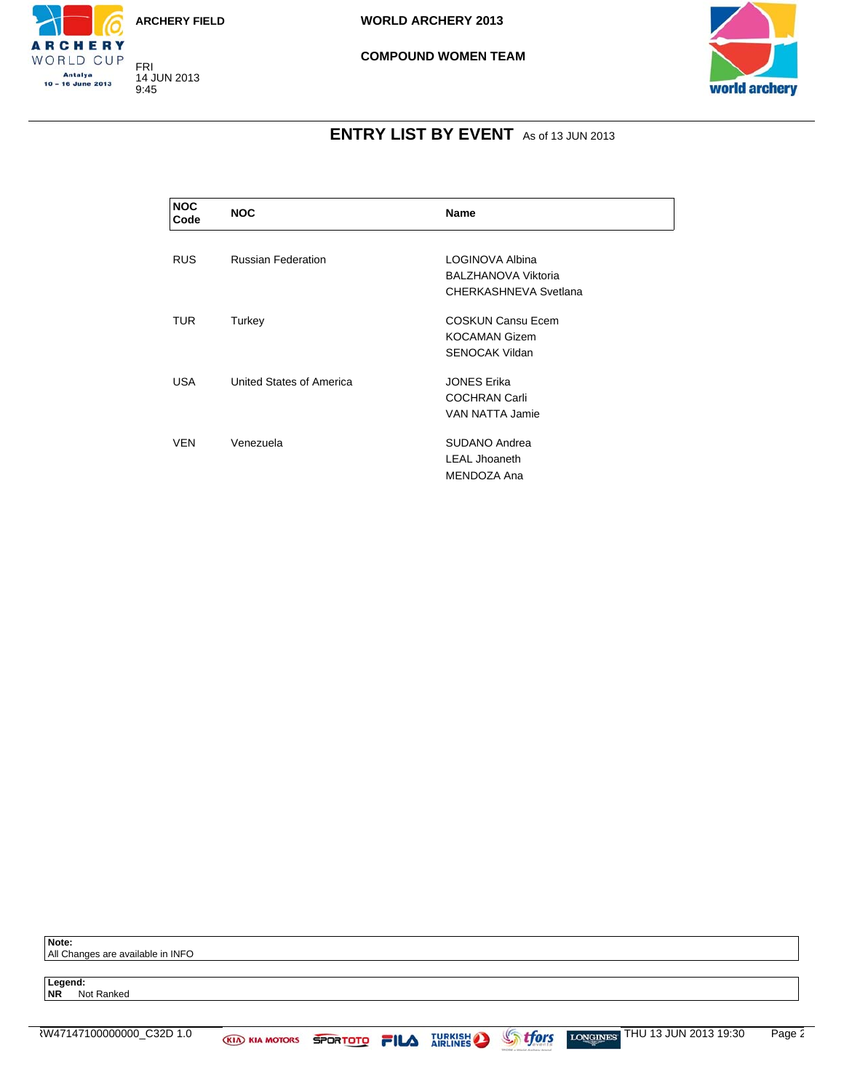



#### **COMPOUND WOMEN TEAM**



### **ENTRY LIST BY EVENT** As of 13 JUN 2013

| <b>NOC</b><br>Code | <b>NOC</b>                | Name                                                                      |
|--------------------|---------------------------|---------------------------------------------------------------------------|
| <b>RUS</b>         | <b>Russian Federation</b> | LOGINOVA Albina                                                           |
|                    |                           | BALZHANOVA Viktoria<br>CHERKASHNEVA Svetlana                              |
| TUR.               | Turkey                    | <b>COSKUN Cansu Ecem</b><br><b>KOCAMAN Gizem</b><br><b>SENOCAK Vildan</b> |
| USA.               | United States of America  | <b>JONES Erika</b><br><b>COCHRAN Carli</b><br>VAN NATTA Jamie             |
| <b>VEN</b>         | Venezuela                 | SUDANO Andrea<br><b>LEAL Jhoaneth</b><br>MENDOZA Ana                      |

**Note:** All Changes are available in INFO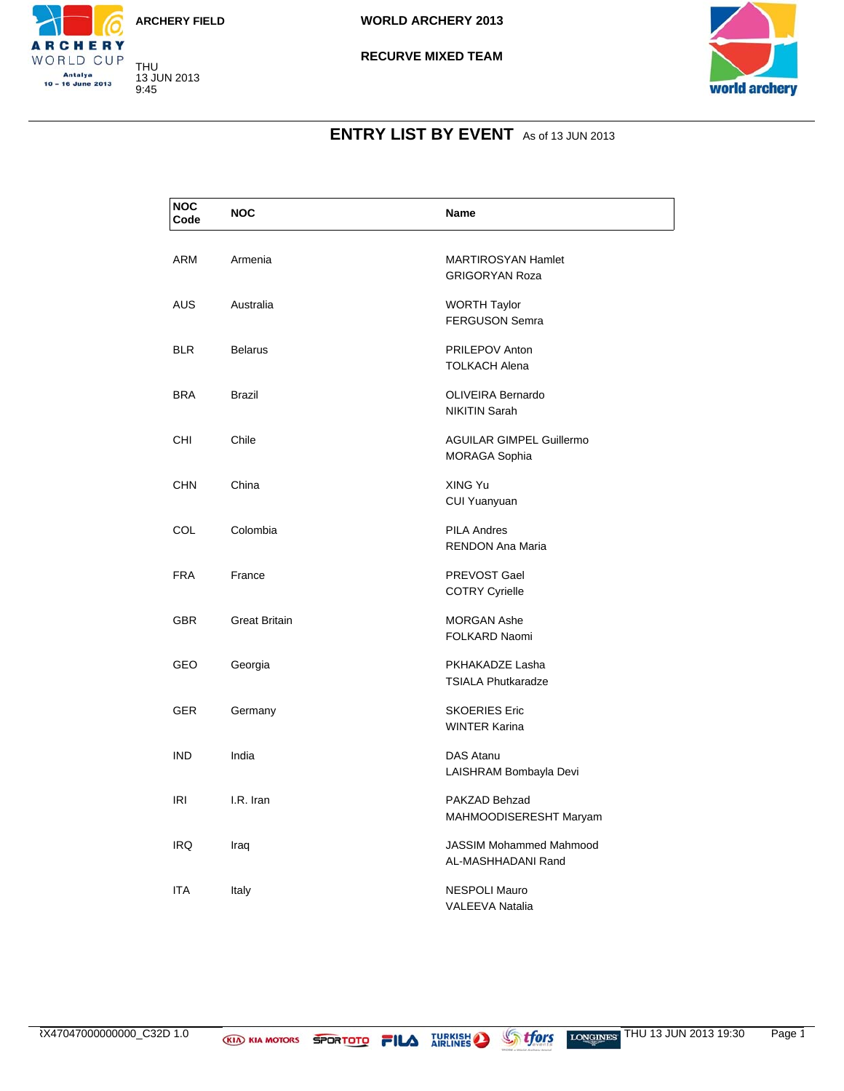





### **ENTRY LIST BY EVENT** As of 13 JUN 2013

| <b>NOC</b><br>Code | <b>NOC</b>           | Name                                                    |
|--------------------|----------------------|---------------------------------------------------------|
| ARM                | Armenia              | <b>MARTIROSYAN Hamlet</b><br><b>GRIGORYAN Roza</b>      |
| <b>AUS</b>         | Australia            | <b>WORTH Taylor</b><br><b>FERGUSON Semra</b>            |
| <b>BLR</b>         | <b>Belarus</b>       | <b>PRILEPOV Anton</b><br><b>TOLKACH Alena</b>           |
| <b>BRA</b>         | <b>Brazil</b>        | <b>OLIVEIRA Bernardo</b><br><b>NIKITIN Sarah</b>        |
| <b>CHI</b>         | Chile                | <b>AGUILAR GIMPEL Guillermo</b><br><b>MORAGA Sophia</b> |
| <b>CHN</b>         | China                | XING Yu<br>CUI Yuanyuan                                 |
| <b>COL</b>         | Colombia             | <b>PILA Andres</b><br><b>RENDON Ana Maria</b>           |
| <b>FRA</b>         | France               | PREVOST Gael<br><b>COTRY Cyrielle</b>                   |
| <b>GBR</b>         | <b>Great Britain</b> | <b>MORGAN Ashe</b><br>FOLKARD Naomi                     |
| <b>GEO</b>         | Georgia              | PKHAKADZE Lasha<br><b>TSIALA Phutkaradze</b>            |
| <b>GER</b>         | Germany              | <b>SKOERIES Eric</b><br><b>WINTER Karina</b>            |
| <b>IND</b>         | India                | DAS Atanu<br>LAISHRAM Bombayla Devi                     |
| IRI                | I.R. Iran            | PAKZAD Behzad<br>MAHMOODISERESHT Maryam                 |
| IRQ                | Iraq                 | <b>JASSIM Mohammed Mahmood</b><br>AL-MASHHADANI Rand    |
| ITA                | Italy                | <b>NESPOLI Mauro</b><br><b>VALEEVA Natalia</b>          |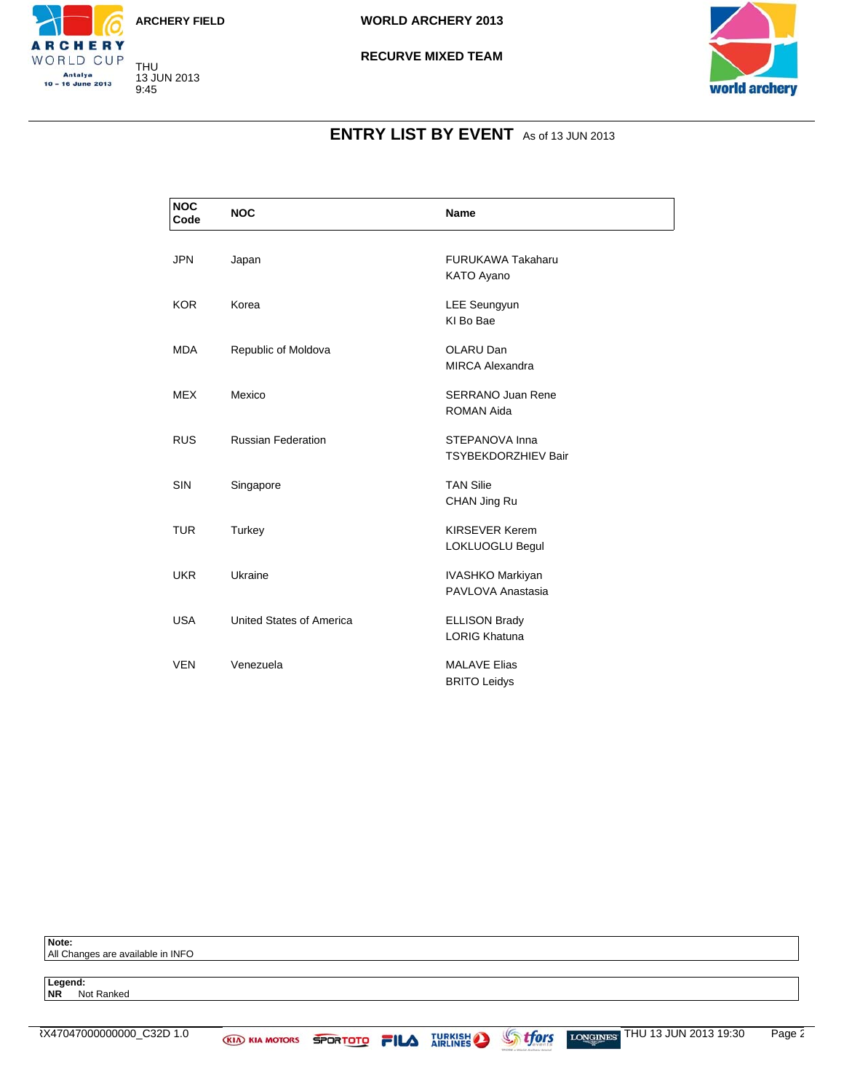





### **ENTRY LIST BY EVENT** As of 13 JUN 2013

| <b>NOC</b><br>Code | <b>NOC</b>                | <b>Name</b>                                   |
|--------------------|---------------------------|-----------------------------------------------|
| <b>JPN</b>         | Japan                     | <b>FURUKAWA Takaharu</b><br>KATO Ayano        |
| <b>KOR</b>         | Korea                     | <b>LEE Seungyun</b><br>KI Bo Bae              |
| <b>MDA</b>         | Republic of Moldova       | OLARU Dan<br><b>MIRCA Alexandra</b>           |
| <b>MEX</b>         | Mexico                    | <b>SERRANO Juan Rene</b><br><b>ROMAN Aida</b> |
| <b>RUS</b>         | <b>Russian Federation</b> | STEPANOVA Inna<br><b>TSYBEKDORZHIEV Bair</b>  |
| <b>SIN</b>         | Singapore                 | <b>TAN Silie</b><br>CHAN Jing Ru              |
| <b>TUR</b>         | Turkey                    | <b>KIRSEVER Kerem</b><br>LOKLUOGLU Begul      |
| <b>UKR</b>         | Ukraine                   | IVASHKO Markiyan<br>PAVLOVA Anastasia         |
| <b>USA</b>         | United States of America  | <b>ELLISON Brady</b><br><b>LORIG Khatuna</b>  |
| <b>VEN</b>         | Venezuela                 | <b>MALAVE Elias</b><br><b>BRITO Leidys</b>    |

**Note:** All Changes are available in INFO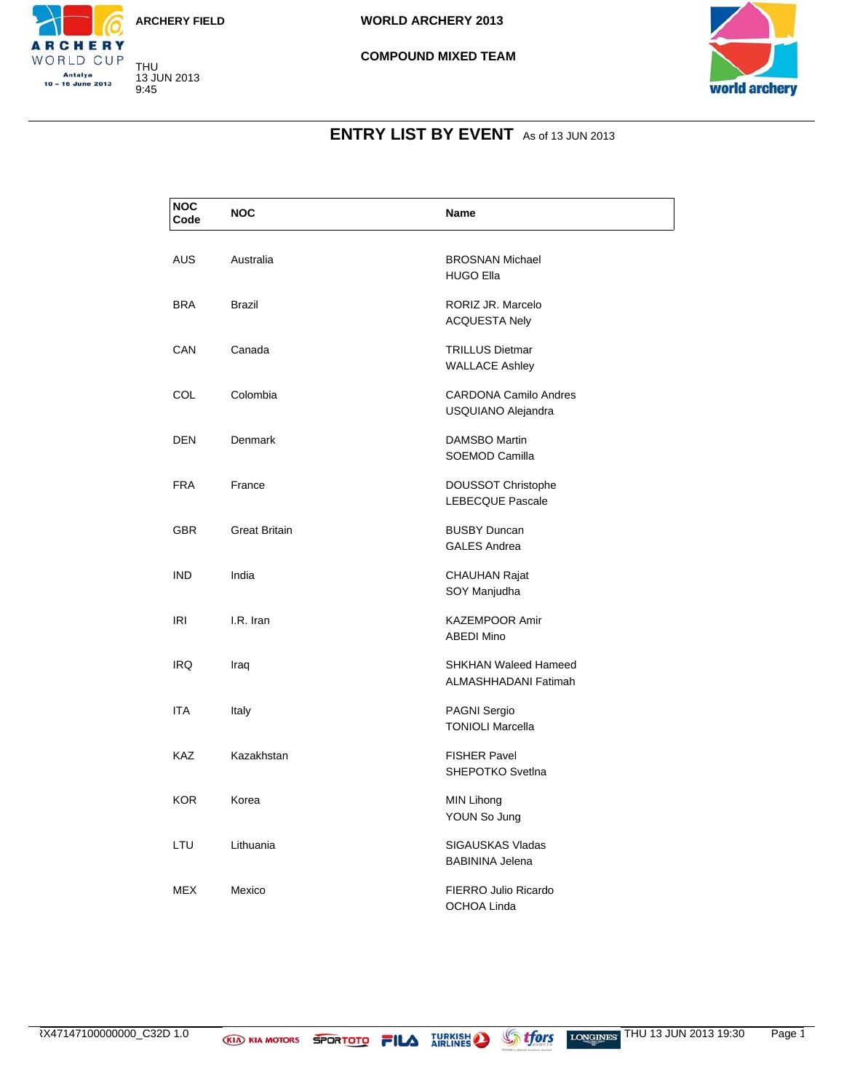





### **ENTRY LIST BY EVENT** As of 13 JUN 2013

| <b>NOC</b><br>Code | <b>NOC</b>           | <b>Name</b>                                         |
|--------------------|----------------------|-----------------------------------------------------|
| <b>AUS</b>         | Australia            | <b>BROSNAN Michael</b><br><b>HUGO Ella</b>          |
| <b>BRA</b>         | <b>Brazil</b>        | RORIZ JR. Marcelo<br><b>ACQUESTA Nely</b>           |
| CAN                | Canada               | <b>TRILLUS Dietmar</b><br><b>WALLACE Ashley</b>     |
| <b>COL</b>         | Colombia             | <b>CARDONA Camilo Andres</b><br>USQUIANO Alejandra  |
| DEN                | Denmark              | DAMSBO Martin<br>SOEMOD Camilla                     |
| <b>FRA</b>         | France               | DOUSSOT Christophe<br><b>LEBECQUE Pascale</b>       |
| <b>GBR</b>         | <b>Great Britain</b> | <b>BUSBY Duncan</b><br><b>GALES Andrea</b>          |
| <b>IND</b>         | India                | <b>CHAUHAN Rajat</b><br>SOY Manjudha                |
| <b>IRI</b>         | I.R. Iran            | <b>KAZEMPOOR Amir</b><br><b>ABEDI Mino</b>          |
| <b>IRQ</b>         | Iraq                 | <b>SHKHAN Waleed Hameed</b><br>ALMASHHADANI Fatimah |
| <b>ITA</b>         | Italy                | <b>PAGNI Sergio</b><br><b>TONIOLI Marcella</b>      |
| <b>KAZ</b>         | Kazakhstan           | <b>FISHER Pavel</b><br>SHEPOTKO Svetlna             |
| <b>KOR</b>         | Korea                | MIN Lihong<br>YOUN So Jung                          |
| LTU                | Lithuania            | SIGAUSKAS Vladas<br><b>BABININA Jelena</b>          |
| <b>MEX</b>         | Mexico               | FIERRO Julio Ricardo<br>OCHOA Linda                 |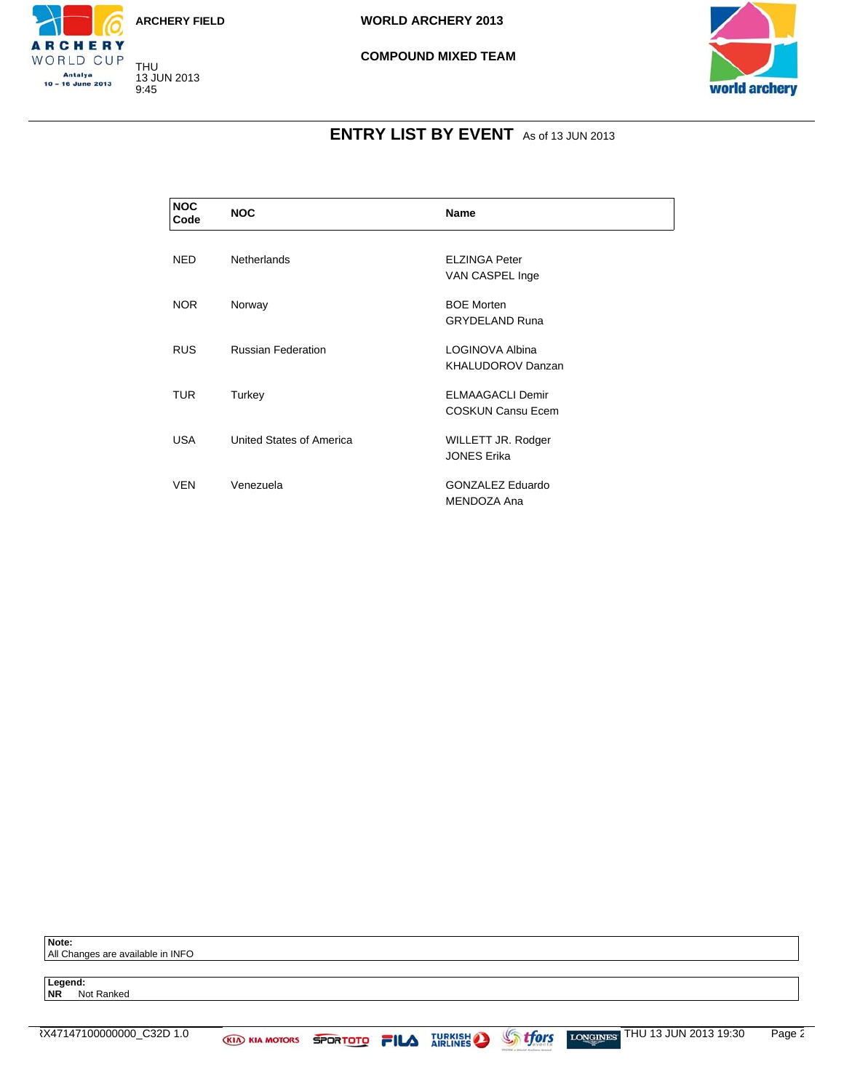





### **ENTRY LIST BY EVENT** As of 13 JUN 2013

| <b>NOC</b><br>Code | <b>NOC</b>                | <b>Name</b>                                         |
|--------------------|---------------------------|-----------------------------------------------------|
| <b>NED</b>         | <b>Netherlands</b>        | <b>ELZINGA Peter</b><br>VAN CASPEL Inge             |
| <b>NOR</b>         | Norway                    | <b>BOE Morten</b><br><b>GRYDELAND Runa</b>          |
| <b>RUS</b>         | <b>Russian Federation</b> | LOGINOVA Albina<br><b>KHALUDOROV Danzan</b>         |
| TUR.               | Turkey                    | <b>ELMAAGACLI Demir</b><br><b>COSKUN Cansu Ecem</b> |
| <b>USA</b>         | United States of America  | WILLETT JR. Rodger<br><b>JONES Erika</b>            |
| <b>VEN</b>         | Venezuela                 | GONZALEZ Eduardo<br>MENDOZA Ana                     |

**Note:**

All Changes are available in INFO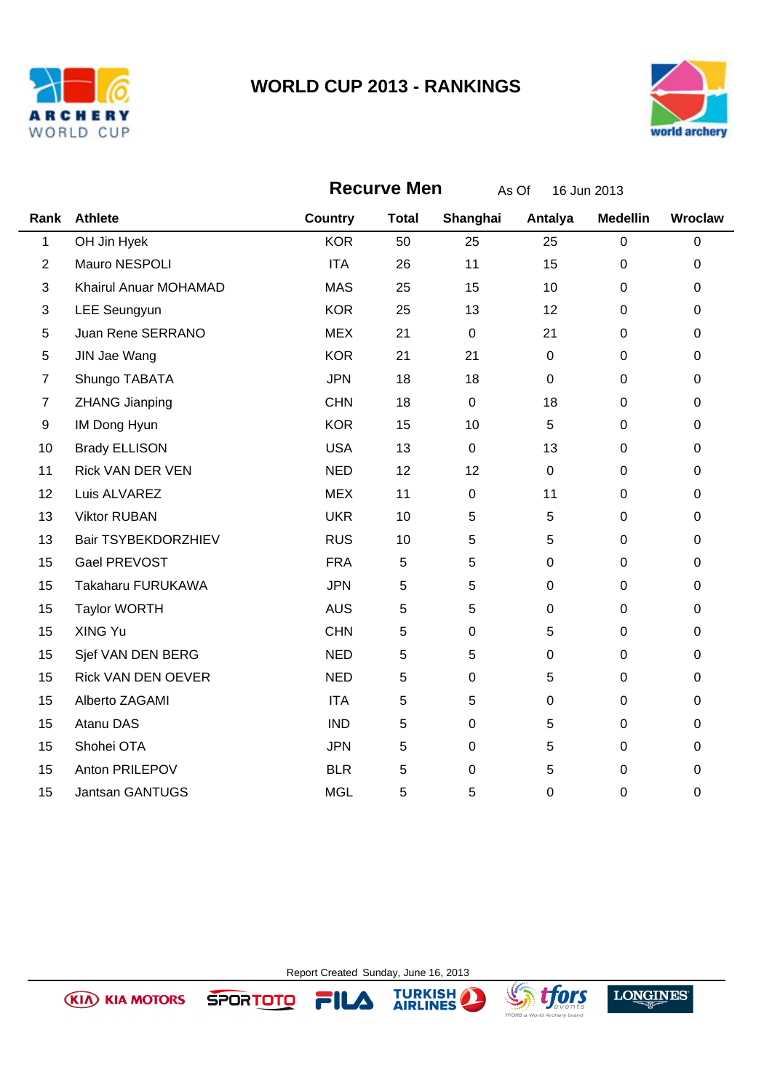

**(KIA) KIA MOTORS** 

**SPORTOTO** 



|                | <b>Recurve Men</b><br>As Of<br>16 Jun 2013 |                |              |             |              |                  |             |
|----------------|--------------------------------------------|----------------|--------------|-------------|--------------|------------------|-------------|
| Rank           | <b>Athlete</b>                             | <b>Country</b> | <b>Total</b> | Shanghai    | Antalya      | <b>Medellin</b>  | Wroclaw     |
| $\mathbf{1}$   | OH Jin Hyek                                | <b>KOR</b>     | 50           | 25          | 25           | $\mathbf 0$      | $\pmb{0}$   |
| $\overline{2}$ | Mauro NESPOLI                              | <b>ITA</b>     | 26           | 11          | 15           | $\mathbf 0$      | $\mathbf 0$ |
| 3              | Khairul Anuar MOHAMAD                      | <b>MAS</b>     | 25           | 15          | 10           | 0                | 0           |
| 3              | <b>LEE Seungyun</b>                        | <b>KOR</b>     | 25           | 13          | 12           | $\mathbf 0$      | $\mathbf 0$ |
| 5              | Juan Rene SERRANO                          | <b>MEX</b>     | 21           | $\pmb{0}$   | 21           | $\mathbf 0$      | 0           |
| $\,$ 5 $\,$    | JIN Jae Wang                               | <b>KOR</b>     | 21           | 21          | $\mathbf{0}$ | $\mathbf 0$      | $\mathbf 0$ |
| $\overline{7}$ | Shungo TABATA                              | <b>JPN</b>     | 18           | 18          | $\mathbf 0$  | $\boldsymbol{0}$ | 0           |
| $\overline{7}$ | <b>ZHANG Jianping</b>                      | <b>CHN</b>     | 18           | $\pmb{0}$   | 18           | $\boldsymbol{0}$ | 0           |
| 9              | IM Dong Hyun                               | <b>KOR</b>     | 15           | 10          | 5            | $\mathbf 0$      | $\pmb{0}$   |
| 10             | <b>Brady ELLISON</b>                       | <b>USA</b>     | 13           | $\pmb{0}$   | 13           | $\pmb{0}$        | 0           |
| 11             | <b>Rick VAN DER VEN</b>                    | <b>NED</b>     | 12           | 12          | $\mathbf 0$  | $\mathbf 0$      | $\mathbf 0$ |
| 12             | Luis ALVAREZ                               | <b>MEX</b>     | 11           | $\pmb{0}$   | 11           | $\mathbf 0$      | $\pmb{0}$   |
| 13             | <b>Viktor RUBAN</b>                        | <b>UKR</b>     | 10           | 5           | 5            | $\mathbf 0$      | 0           |
| 13             | Bair TSYBEKDORZHIEV                        | <b>RUS</b>     | 10           | 5           | 5            | 0                | 0           |
| 15             | Gael PREVOST                               | <b>FRA</b>     | 5            | 5           | $\pmb{0}$    | $\pmb{0}$        | $\pmb{0}$   |
| 15             | Takaharu FURUKAWA                          | <b>JPN</b>     | 5            | 5           | $\mathbf 0$  | $\mathbf 0$      | $\pmb{0}$   |
| 15             | <b>Taylor WORTH</b>                        | <b>AUS</b>     | $\mathbf 5$  | 5           | $\mathbf 0$  | $\mathbf 0$      | $\mathbf 0$ |
| 15             | XING Yu                                    | <b>CHN</b>     | 5            | $\mathbf 0$ | 5            | $\mathbf 0$      | $\mathbf 0$ |
| 15             | Sjef VAN DEN BERG                          | <b>NED</b>     | 5            | 5           | $\pmb{0}$    | $\mathbf 0$      | $\mathsf 0$ |
| 15             | <b>Rick VAN DEN OEVER</b>                  | <b>NED</b>     | 5            | $\mathbf 0$ | 5            | $\mathbf 0$      | $\mathbf 0$ |
| 15             | Alberto ZAGAMI                             | <b>ITA</b>     | 5            | 5           | $\mathbf 0$  | $\mathbf 0$      | $\mathbf 0$ |
| 15             | Atanu DAS                                  | <b>IND</b>     | $\mathbf 5$  | 0           | 5            | $\boldsymbol{0}$ | 0           |
| 15             | Shohei OTA                                 | <b>JPN</b>     | 5            | $\mathbf 0$ | 5            | $\mathbf 0$      | $\pmb{0}$   |
| 15             | Anton PRILEPOV                             | <b>BLR</b>     | $\mathbf 5$  | $\mathbf 0$ | 5            | $\mathbf 0$      | 0           |
| 15             | <b>Jantsan GANTUGS</b>                     | <b>MGL</b>     | 5            | 5           | 0            | 0                | 0           |

Report Created Sunday, June 16, 2013

FILA

TURKISH

 $\bf{L}$ 



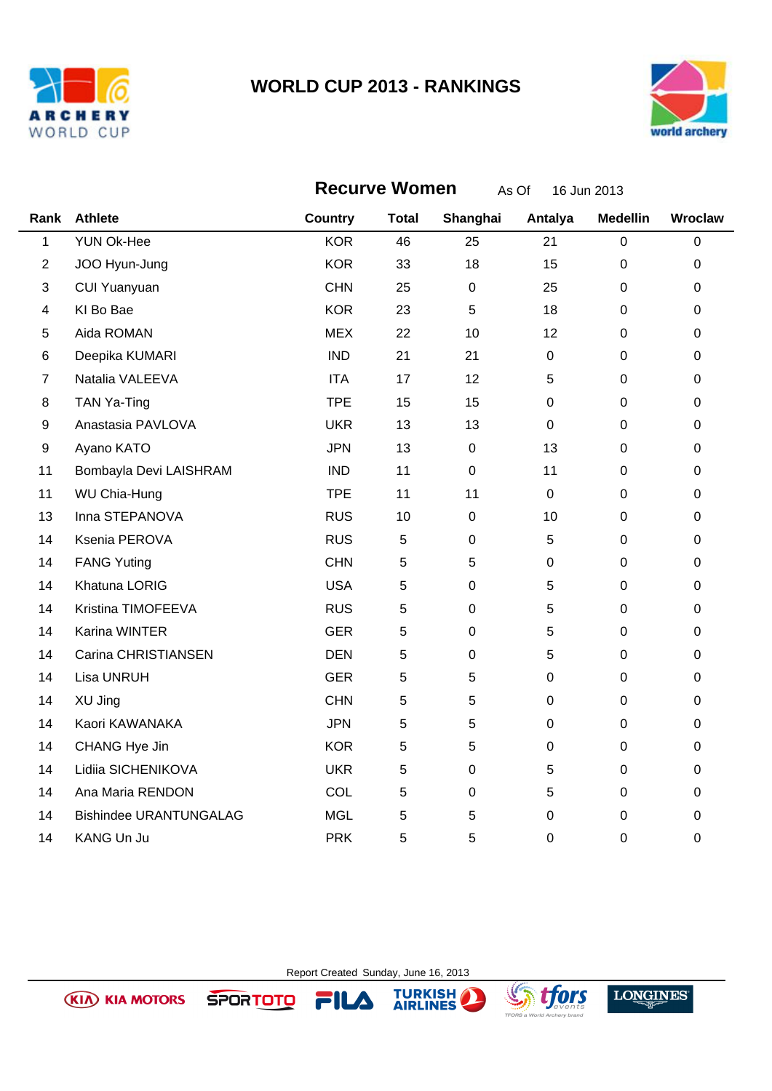



|                | <b>Recurve Women</b><br>As Of<br>16 Jun 2013 |                |              |             |             |                  |             |
|----------------|----------------------------------------------|----------------|--------------|-------------|-------------|------------------|-------------|
| Rank           | <b>Athlete</b>                               | <b>Country</b> | <b>Total</b> | Shanghai    | Antalya     | <b>Medellin</b>  | Wroclaw     |
| $\mathbf{1}$   | <b>YUN Ok-Hee</b>                            | <b>KOR</b>     | 46           | 25          | 21          | $\pmb{0}$        | $\pmb{0}$   |
| $\overline{2}$ | JOO Hyun-Jung                                | <b>KOR</b>     | 33           | 18          | 15          | $\mathbf 0$      | $\pmb{0}$   |
| 3              | <b>CUI Yuanyuan</b>                          | <b>CHN</b>     | 25           | $\pmb{0}$   | 25          | $\pmb{0}$        | 0           |
| 4              | KI Bo Bae                                    | <b>KOR</b>     | 23           | 5           | 18          | $\mathbf 0$      | $\pmb{0}$   |
| 5              | Aida ROMAN                                   | <b>MEX</b>     | 22           | 10          | 12          | $\mathbf 0$      | 0           |
| 6              | Deepika KUMARI                               | <b>IND</b>     | 21           | 21          | $\mathbf 0$ | $\mathbf 0$      | $\pmb{0}$   |
| 7              | Natalia VALEEVA                              | <b>ITA</b>     | 17           | 12          | 5           | $\mathbf 0$      | $\pmb{0}$   |
| 8              | TAN Ya-Ting                                  | <b>TPE</b>     | 15           | 15          | 0           | 0                | $\pmb{0}$   |
| 9              | Anastasia PAVLOVA                            | <b>UKR</b>     | 13           | 13          | $\mathbf 0$ | $\mathbf 0$      | $\pmb{0}$   |
| 9              | Ayano KATO                                   | <b>JPN</b>     | 13           | $\pmb{0}$   | 13          | $\pmb{0}$        | 0           |
| 11             | Bombayla Devi LAISHRAM                       | <b>IND</b>     | 11           | $\mathbf 0$ | 11          | 0                | 0           |
| 11             | WU Chia-Hung                                 | <b>TPE</b>     | 11           | 11          | $\mathbf 0$ | $\mathbf 0$      | $\mathbf 0$ |
| 13             | Inna STEPANOVA                               | <b>RUS</b>     | 10           | 0           | 10          | 0                | 0           |
| 14             | Ksenia PEROVA                                | <b>RUS</b>     | 5            | $\mathbf 0$ | $\sqrt{5}$  | $\mathbf 0$      | $\pmb{0}$   |
| 14             | <b>FANG Yuting</b>                           | <b>CHN</b>     | 5            | 5           | 0           | 0                | $\pmb{0}$   |
| 14             | Khatuna LORIG                                | <b>USA</b>     | 5            | $\mathbf 0$ | 5           | 0                | $\pmb{0}$   |
| 14             | Kristina TIMOFEEVA                           | <b>RUS</b>     | 5            | $\Omega$    | 5           | $\boldsymbol{0}$ | $\pmb{0}$   |
| 14             | Karina WINTER                                | <b>GER</b>     | 5            | $\mathbf 0$ | 5           | $\mathbf 0$      | $\pmb{0}$   |
| 14             | Carina CHRISTIANSEN                          | <b>DEN</b>     | 5            | $\mathbf 0$ | 5           | $\mathbf 0$      | $\mathbf 0$ |
| 14             | Lisa UNRUH                                   | <b>GER</b>     | 5            | 5           | $\pmb{0}$   | $\pmb{0}$        | 0           |
| 14             | XU Jing                                      | <b>CHN</b>     | 5            | 5           | $\mathbf 0$ | $\mathbf 0$      | $\pmb{0}$   |
| 14             | Kaori KAWANAKA                               | <b>JPN</b>     | 5            | 5           | 0           | 0                | $\pmb{0}$   |
| 14             | CHANG Hye Jin                                | <b>KOR</b>     | 5            | 5           | 0           | $\mathbf 0$      | $\pmb{0}$   |
| 14             | Lidiia SICHENIKOVA                           | <b>UKR</b>     | 5            | $\Omega$    | 5           | $\pmb{0}$        | $\pmb{0}$   |
| 14             | Ana Maria RENDON                             | COL            | 5            | $\mathbf 0$ | 5           | 0                | $\pmb{0}$   |
| 14             | <b>Bishindee URANTUNGALAG</b>                | <b>MGL</b>     | 5            | 5           | $\pmb{0}$   | $\pmb{0}$        | $\pmb{0}$   |
| 14             | KANG Un Ju                                   | <b>PRK</b>     | 5            | 5           | $\mathbf 0$ | $\mathbf 0$      | $\pmb{0}$   |

Report Created Sunday, June 16, 2013

FILA

TURKISH

 $\bf{L}$ 

**Sy** tfors

**LONGINES** 

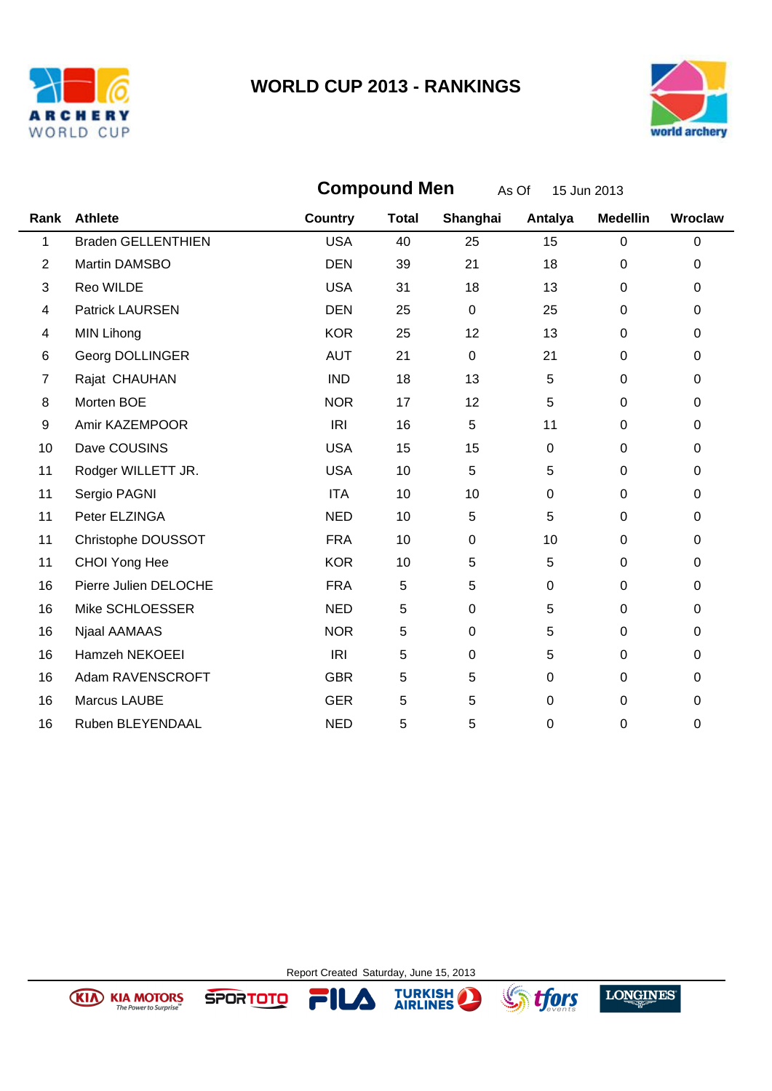



|                          | <b>Compound Men</b><br>As Of<br>15 Jun 2013 |                |              |             |             |                 |         |
|--------------------------|---------------------------------------------|----------------|--------------|-------------|-------------|-----------------|---------|
|                          | Rank Athlete                                | <b>Country</b> | <b>Total</b> | Shanghai    | Antalya     | <b>Medellin</b> | Wroclaw |
| $\mathbf{1}$             | <b>Braden GELLENTHIEN</b>                   | <b>USA</b>     | 40           | 25          | 15          | $\mathbf 0$     | 0       |
| $\overline{2}$           | Martin DAMSBO                               | <b>DEN</b>     | 39           | 21          | 18          | $\mathbf 0$     | 0       |
| 3                        | Reo WILDE                                   | <b>USA</b>     | 31           | 18          | 13          | $\overline{0}$  | 0       |
| $\overline{\mathcal{A}}$ | <b>Patrick LAURSEN</b>                      | <b>DEN</b>     | 25           | $\mathbf 0$ | 25          | $\pmb{0}$       | 0       |
| 4                        | <b>MIN Lihong</b>                           | <b>KOR</b>     | 25           | 12          | 13          | $\mathbf 0$     | 0       |
| 6                        | Georg DOLLINGER                             | <b>AUT</b>     | 21           | $\mathbf 0$ | 21          | $\mathbf 0$     | 0       |
| 7                        | Rajat CHAUHAN                               | <b>IND</b>     | 18           | 13          | 5           | $\mathbf 0$     | 0       |
| 8                        | Morten BOE                                  | <b>NOR</b>     | 17           | 12          | 5           | $\mathbf 0$     | 0       |
| 9                        | Amir KAZEMPOOR                              | IRI            | 16           | 5           | 11          | $\mathbf 0$     | 0       |
| 10                       | Dave COUSINS                                | <b>USA</b>     | 15           | 15          | $\mathbf 0$ | $\mathbf 0$     | 0       |
| 11                       | Rodger WILLETT JR.                          | <b>USA</b>     | 10           | 5           | 5           | $\mathbf 0$     | 0       |
| 11                       | Sergio PAGNI                                | <b>ITA</b>     | 10           | 10          | $\mathbf 0$ | $\mathbf 0$     | 0       |
| 11                       | Peter ELZINGA                               | <b>NED</b>     | 10           | 5           | 5           | $\mathbf 0$     | 0       |
| 11                       | Christophe DOUSSOT                          | <b>FRA</b>     | 10           | $\mathbf 0$ | 10          | $\mathbf 0$     | 0       |
| 11                       | CHOI Yong Hee                               | <b>KOR</b>     | 10           | 5           | 5           | $\pmb{0}$       | 0       |
| 16                       | Pierre Julien DELOCHE                       | <b>FRA</b>     | 5            | 5           | $\mathbf 0$ | $\mathbf 0$     | 0       |
| 16                       | Mike SCHLOESSER                             | <b>NED</b>     | 5            | $\mathbf 0$ | 5           | $\mathbf 0$     | 0       |
| 16                       | Njaal AAMAAS                                | <b>NOR</b>     | 5            | $\mathbf 0$ | 5           | $\mathbf 0$     | 0       |
| 16                       | Hamzeh NEKOEEI                              | IRI            | 5            | $\mathbf 0$ | 5           | $\pmb{0}$       | 0       |
| 16                       | Adam RAVENSCROFT                            | <b>GBR</b>     | 5            | 5           | $\mathbf 0$ | $\mathbf 0$     | 0       |
| 16                       | Marcus LAUBE                                | <b>GER</b>     | 5            | 5           | $\mathbf 0$ | $\mathbf 0$     | 0       |
| 16                       | Ruben BLEYENDAAL                            | <b>NED</b>     | 5            | 5           | $\mathbf 0$ | 0               | 0       |

Report Created Saturday, June 15, 2013

 $\blacktriangle$ 

FIL

**SPORTOTO** 

**TURKISH** 





**Sy tfors**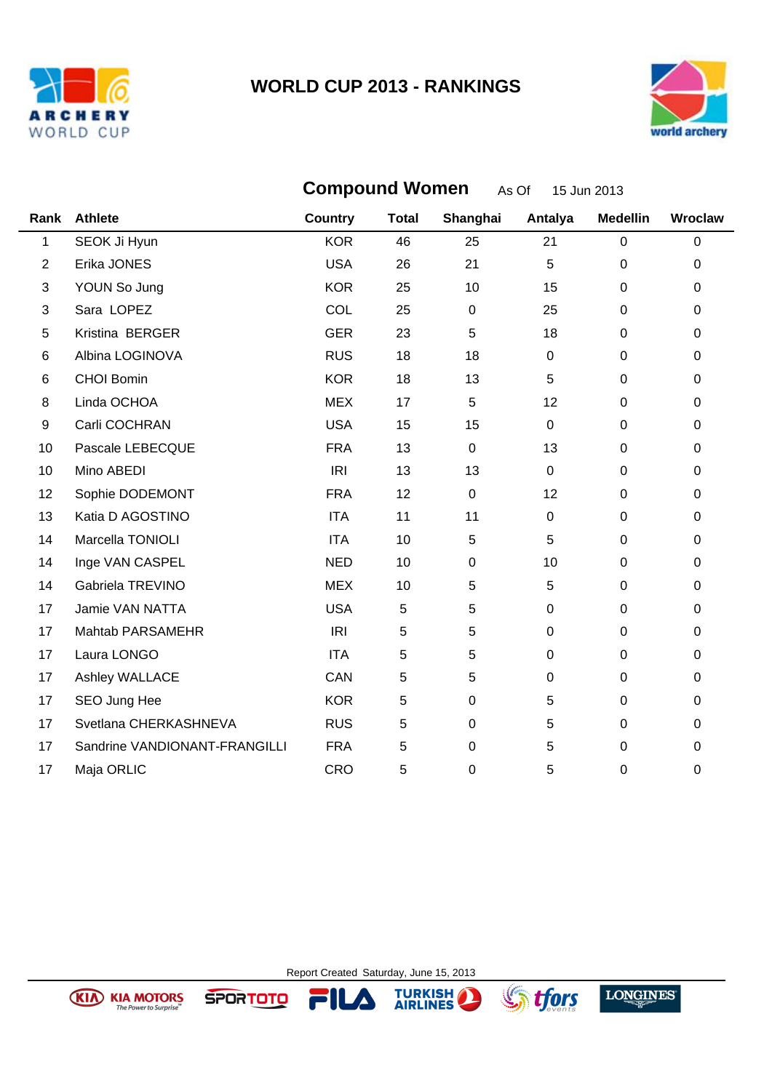



|      | <b>Compound Women</b><br>As Of<br>15 Jun 2013 |                |              |                  |             |                  |         |
|------|-----------------------------------------------|----------------|--------------|------------------|-------------|------------------|---------|
| Rank | <b>Athlete</b>                                | <b>Country</b> | <b>Total</b> | Shanghai         | Antalya     | <b>Medellin</b>  | Wroclaw |
| 1    | SEOK Ji Hyun                                  | <b>KOR</b>     | 46           | 25               | 21          | $\mathbf 0$      | 0       |
| 2    | Erika JONES                                   | <b>USA</b>     | 26           | 21               | 5           | $\mathbf 0$      | 0       |
| 3    | YOUN So Jung                                  | <b>KOR</b>     | 25           | 10               | 15          | $\mathbf 0$      | 0       |
| 3    | Sara LOPEZ                                    | <b>COL</b>     | 25           | $\boldsymbol{0}$ | 25          | $\pmb{0}$        | 0       |
| 5    | Kristina BERGER                               | <b>GER</b>     | 23           | 5                | 18          | $\mathbf 0$      | 0       |
| 6    | Albina LOGINOVA                               | <b>RUS</b>     | 18           | 18               | $\pmb{0}$   | $\pmb{0}$        | 0       |
| 6    | CHOI Bomin                                    | <b>KOR</b>     | 18           | 13               | 5           | $\pmb{0}$        | 0       |
| 8    | Linda OCHOA                                   | <b>MEX</b>     | 17           | 5                | 12          | $\mathbf 0$      | 0       |
| 9    | Carli COCHRAN                                 | <b>USA</b>     | 15           | 15               | $\pmb{0}$   | $\mathbf 0$      | 0       |
| 10   | Pascale LEBECQUE                              | <b>FRA</b>     | 13           | $\mathbf 0$      | 13          | $\mathbf 0$      | 0       |
| 10   | Mino ABEDI                                    | IRI            | 13           | 13               | $\mathbf 0$ | $\mathbf 0$      | 0       |
| 12   | Sophie DODEMONT                               | <b>FRA</b>     | 12           | $\mathbf 0$      | 12          | $\pmb{0}$        | 0       |
| 13   | Katia D AGOSTINO                              | <b>ITA</b>     | 11           | 11               | $\pmb{0}$   | $\boldsymbol{0}$ | 0       |
| 14   | Marcella TONIOLI                              | <b>ITA</b>     | 10           | 5                | 5           | $\mathbf 0$      | 0       |
| 14   | Inge VAN CASPEL                               | <b>NED</b>     | 10           | 0                | 10          | $\mathbf 0$      | 0       |
| 14   | Gabriela TREVINO                              | <b>MEX</b>     | 10           | 5                | $\sqrt{5}$  | $\boldsymbol{0}$ | 0       |
| 17   | Jamie VAN NATTA                               | <b>USA</b>     | 5            | 5                | $\mathbf 0$ | $\mathbf 0$      | 0       |
| 17   | Mahtab PARSAMEHR                              | IRI            | 5            | 5                | $\mathbf 0$ | $\mathbf 0$      | 0       |
| 17   | Laura LONGO                                   | <b>ITA</b>     | 5            | 5                | $\pmb{0}$   | $\boldsymbol{0}$ | 0       |
| 17   | Ashley WALLACE                                | CAN            | 5            | 5                | $\mathbf 0$ | $\mathbf 0$      | 0       |
| 17   | SEO Jung Hee                                  | <b>KOR</b>     | 5            | 0                | 5           | $\mathbf 0$      | 0       |
| 17   | Svetlana CHERKASHNEVA                         | <b>RUS</b>     | 5            | 0                | 5           | $\boldsymbol{0}$ | 0       |
| 17   | Sandrine VANDIONANT-FRANGILLI                 | <b>FRA</b>     | 5            | 0                | 5           | 0                | 0       |
| 17   | Maja ORLIC                                    | CRO            | 5            | 0                | 5           | 0                | 0       |

Report Created Saturday, June 15, 2013

 $\blacktriangle$ 

Fl

**SPORTOTO** 

**TURKISH** 





**Sy** tfors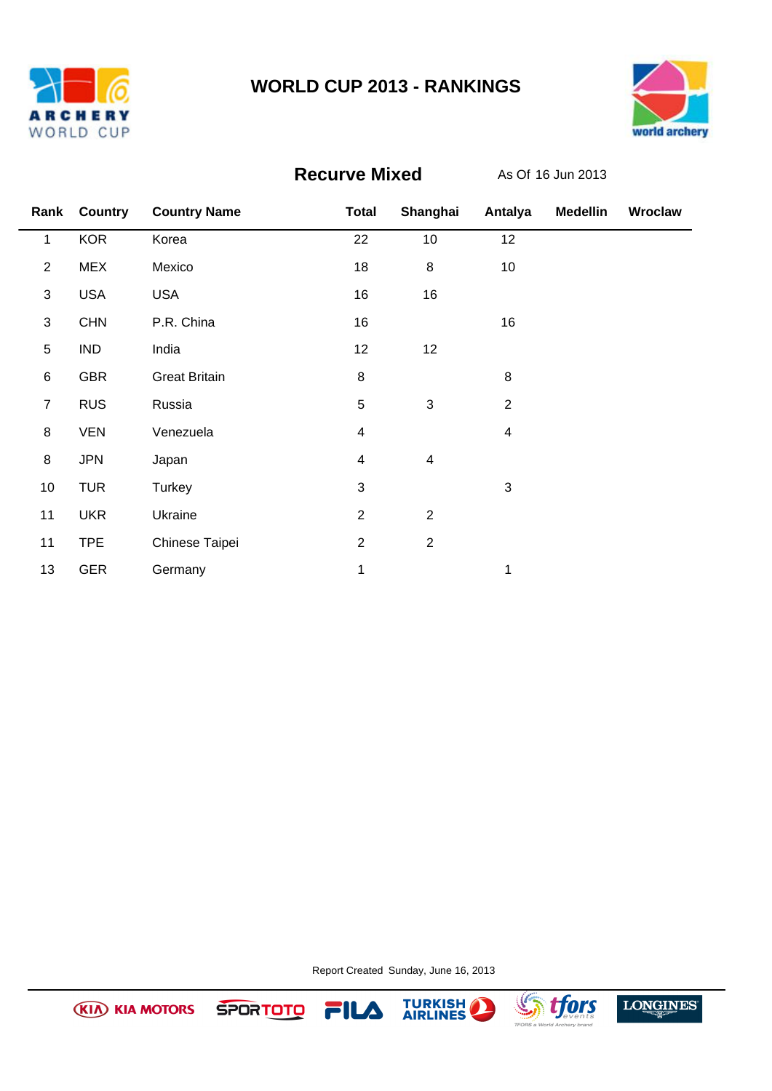



## **Recurve Mixed**

As Of 16 Jun 2013

|                 | Rank Country | <b>Country Name</b>  | <b>Total</b>   | Shanghai                | Antalya                 | <b>Medellin</b> | Wroclaw |
|-----------------|--------------|----------------------|----------------|-------------------------|-------------------------|-----------------|---------|
| 1               | <b>KOR</b>   | Korea                | 22             | 10                      | 12                      |                 |         |
| $\overline{2}$  | <b>MEX</b>   | Mexico               | 18             | $\bf 8$                 | 10                      |                 |         |
| $\sqrt{3}$      | <b>USA</b>   | <b>USA</b>           | 16             | 16                      |                         |                 |         |
| $\sqrt{3}$      | <b>CHN</b>   | P.R. China           | 16             |                         | 16                      |                 |         |
| 5               | <b>IND</b>   | India                | 12             | 12                      |                         |                 |         |
| $\,6$           | <b>GBR</b>   | <b>Great Britain</b> | $\bf 8$        |                         | 8                       |                 |         |
| $\overline{7}$  | <b>RUS</b>   | Russia               | 5              | $\mathfrak{S}$          | $\overline{2}$          |                 |         |
| $\bf 8$         | <b>VEN</b>   | Venezuela            | 4              |                         | $\overline{\mathbf{4}}$ |                 |         |
| $\bf 8$         | <b>JPN</b>   | Japan                | 4              | $\overline{\mathbf{4}}$ |                         |                 |         |
| 10 <sub>1</sub> | <b>TUR</b>   | Turkey               | 3              |                         | $\mathbf{3}$            |                 |         |
| 11              | <b>UKR</b>   | Ukraine              | $\overline{2}$ | $\sqrt{2}$              |                         |                 |         |
| 11              | <b>TPE</b>   | Chinese Taipei       | $\overline{2}$ | $\overline{2}$          |                         |                 |         |
| 13              | <b>GER</b>   | Germany              | 1              |                         | 1                       |                 |         |

Report Created Sunday, June 16, 2013



**SPORTOTO** 

**KIA KIA MOTORS** 



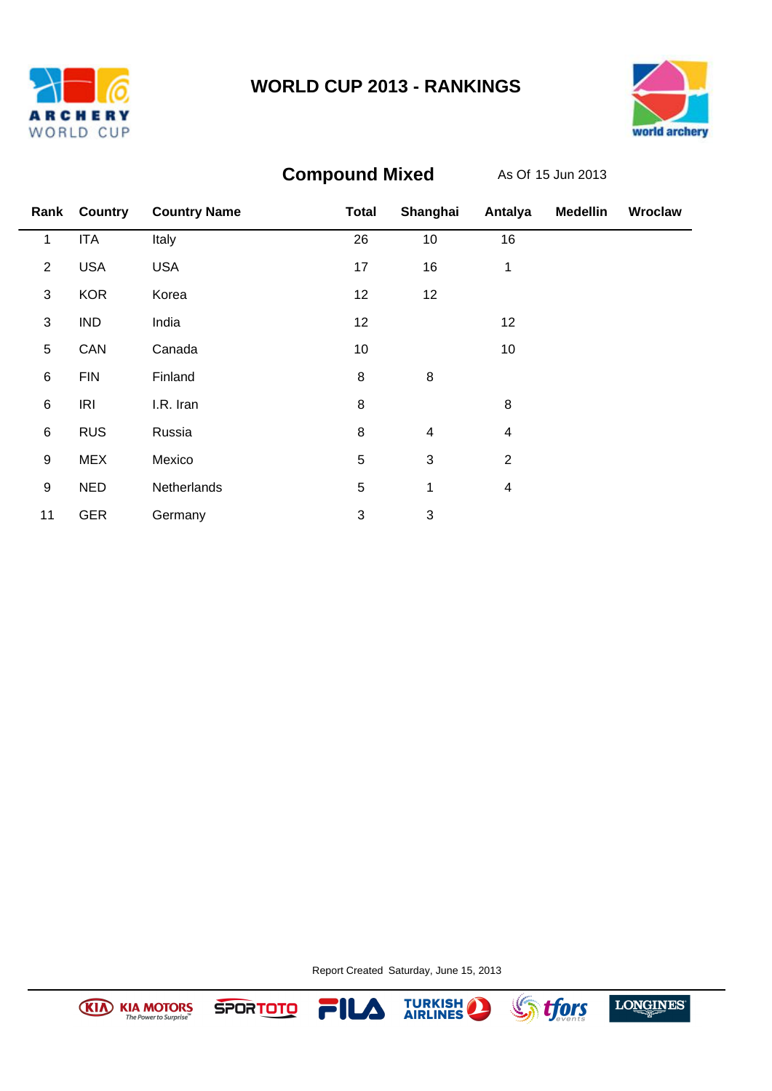





# **Compound Mixed**

As Of 15 Jun 2013

|                  | Rank Country | <b>Country Name</b> | <b>Total</b>              | Shanghai                  | Antalya        | <b>Medellin</b> | Wroclaw |
|------------------|--------------|---------------------|---------------------------|---------------------------|----------------|-----------------|---------|
| 1                | <b>ITA</b>   | Italy               | 26                        | 10                        | 16             |                 |         |
| $\overline{2}$   | <b>USA</b>   | <b>USA</b>          | 17                        | 16                        | 1              |                 |         |
| 3                | <b>KOR</b>   | Korea               | 12                        | 12                        |                |                 |         |
| 3                | <b>IND</b>   | India               | 12                        |                           | 12             |                 |         |
| 5                | CAN          | Canada              | 10                        |                           | 10             |                 |         |
| $\,6$            | <b>FIN</b>   | Finland             | $\bf 8$                   | 8                         |                |                 |         |
| $\,6$            | IRI          | I.R. Iran           | 8                         |                           | 8              |                 |         |
| $\,6$            | <b>RUS</b>   | Russia              | 8                         | $\overline{\mathbf{4}}$   | 4              |                 |         |
| $\boldsymbol{9}$ | <b>MEX</b>   | Mexico              | 5                         | $\sqrt{3}$                | $\overline{2}$ |                 |         |
| $\boldsymbol{9}$ | <b>NED</b>   | Netherlands         | 5                         | 1                         | 4              |                 |         |
| 11               | <b>GER</b>   | Germany             | $\ensuremath{\mathsf{3}}$ | $\ensuremath{\mathsf{3}}$ |                |                 |         |

Report Created Saturday, June 15, 2013